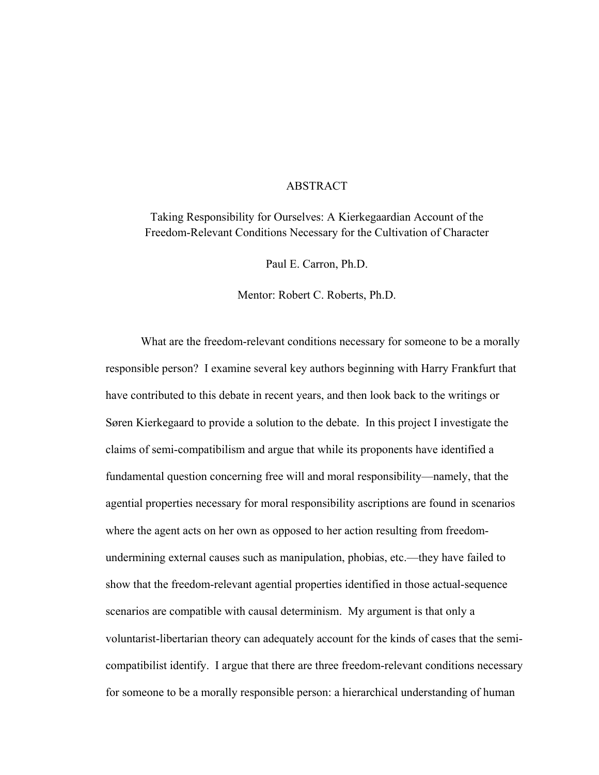#### ABSTRACT

Taking Responsibility for Ourselves: A Kierkegaardian Account of the Freedom-Relevant Conditions Necessary for the Cultivation of Character

Paul E. Carron, Ph.D.

Mentor: Robert C. Roberts, Ph.D.

 What are the freedom-relevant conditions necessary for someone to be a morally responsible person? I examine several key authors beginning with Harry Frankfurt that have contributed to this debate in recent years, and then look back to the writings or Søren Kierkegaard to provide a solution to the debate. In this project I investigate the claims of semi-compatibilism and argue that while its proponents have identified a fundamental question concerning free will and moral responsibility—namely, that the agential properties necessary for moral responsibility ascriptions are found in scenarios where the agent acts on her own as opposed to her action resulting from freedomundermining external causes such as manipulation, phobias, etc.—they have failed to show that the freedom-relevant agential properties identified in those actual-sequence scenarios are compatible with causal determinism. My argument is that only a voluntarist-libertarian theory can adequately account for the kinds of cases that the semicompatibilist identify. I argue that there are three freedom-relevant conditions necessary for someone to be a morally responsible person: a hierarchical understanding of human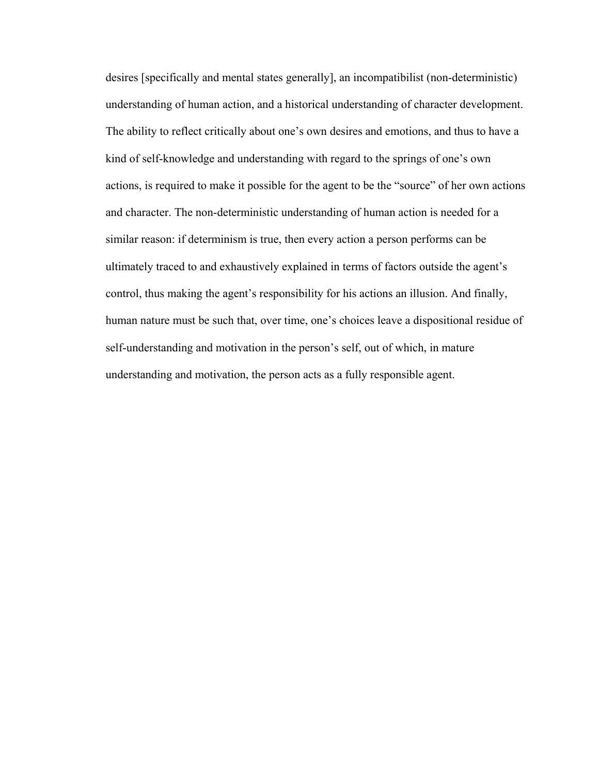desires [specifically and mental states generally], an incompatibilist (non-deterministic) understanding of human action, and a historical understanding of character development. The ability to reflect critically about one's own desires and emotions, and thus to have a kind of self-knowledge and understanding with regard to the springs of one's own actions, is required to make it possible for the agent to be the "source" of her own actions and character. The non-deterministic understanding of human action is needed for a similar reason: if determinism is true, then every action a person performs can be ultimately traced to and exhaustively explained in terms of factors outside the agent's control, thus making the agent's responsibility for his actions an illusion. And finally, human nature must be such that, over time, one's choices leave a dispositional residue of self-understanding and motivation in the person's self, out of which, in mature understanding and motivation, the person acts as a fully responsible agent.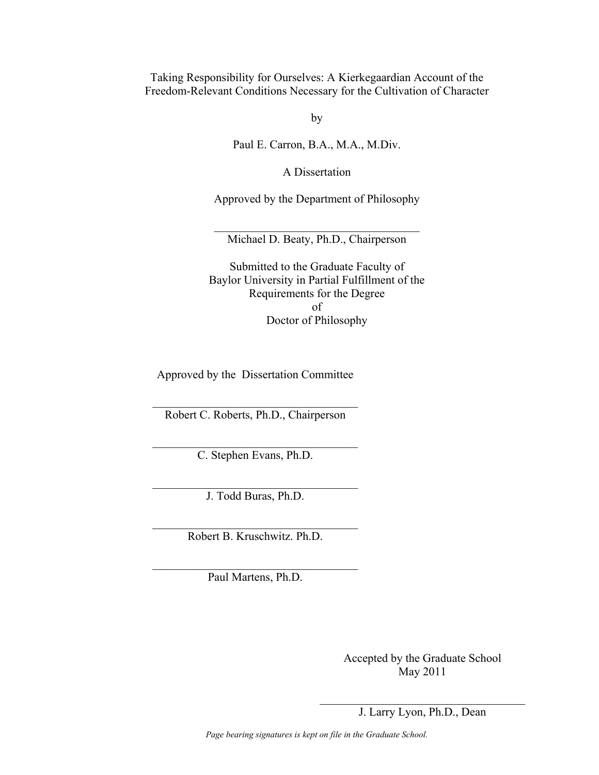Taking Responsibility for Ourselves: A Kierkegaardian Account of the Freedom-Relevant Conditions Necessary for the Cultivation of Character

by

Paul E. Carron, B.A., M.A., M.Div.

A Dissertation

Approved by the Department of Philosophy

 $\mathcal{L}_\text{max}$  , and the set of the set of the set of the set of the set of the set of the set of the set of the set of the set of the set of the set of the set of the set of the set of the set of the set of the set of the Michael D. Beaty, Ph.D., Chairperson

Submitted to the Graduate Faculty of Baylor University in Partial Fulfillment of the Requirements for the Degree of Doctor of Philosophy

Approved by the Dissertation Committee

 $\mathcal{L}_\text{max}$ Robert C. Roberts, Ph.D., Chairperson

 $\mathcal{L}_\text{max}$  , and the set of the set of the set of the set of the set of the set of the set of the set of the set of the set of the set of the set of the set of the set of the set of the set of the set of the set of the C. Stephen Evans, Ph.D.

 $\mathcal{L}_\text{max}$  , and the set of the set of the set of the set of the set of the set of the set of the set of the set of the set of the set of the set of the set of the set of the set of the set of the set of the set of the J. Todd Buras, Ph.D.

 $\mathcal{L}_\text{max}$ Robert B. Kruschwitz. Ph.D.

 $\mathcal{L}_\text{max}$  , and the set of the set of the set of the set of the set of the set of the set of the set of the set of the set of the set of the set of the set of the set of the set of the set of the set of the set of the Paul Martens, Ph.D.

> Accepted by the Graduate School May 2011

 $\mathcal{L}_\text{max}$  , and the set of the set of the set of the set of the set of the set of the set of the set of the set of the set of the set of the set of the set of the set of the set of the set of the set of the set of the J. Larry Lyon, Ph.D., Dean

*Page bearing signatures is kept on file in the Graduate School.*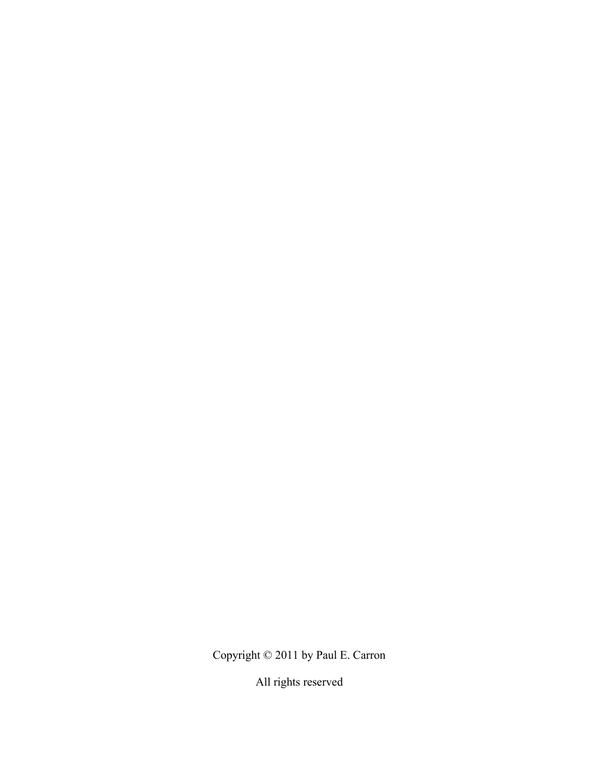Copyright © 2011 by Paul E. Carron

All rights reserved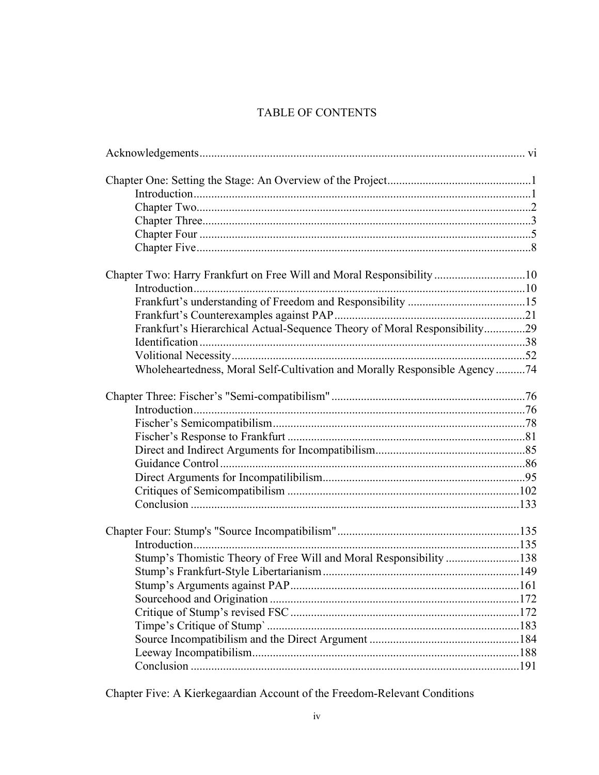# TABLE OF CONTENTS

| Chapter Two: Harry Frankfurt on Free Will and Moral Responsibility10      |  |
|---------------------------------------------------------------------------|--|
|                                                                           |  |
|                                                                           |  |
|                                                                           |  |
| Frankfurt's Hierarchical Actual-Sequence Theory of Moral Responsibility29 |  |
|                                                                           |  |
|                                                                           |  |
| Wholeheartedness, Moral Self-Cultivation and Morally Responsible Agency74 |  |
|                                                                           |  |
|                                                                           |  |
|                                                                           |  |
|                                                                           |  |
|                                                                           |  |
|                                                                           |  |
|                                                                           |  |
|                                                                           |  |
|                                                                           |  |
|                                                                           |  |
|                                                                           |  |
| Stump's Thomistic Theory of Free Will and Moral Responsibility 138        |  |
|                                                                           |  |
|                                                                           |  |
|                                                                           |  |
|                                                                           |  |
|                                                                           |  |
|                                                                           |  |
|                                                                           |  |
|                                                                           |  |
|                                                                           |  |

Chapter Five: A Kierkegaardian Account of the Freedom-Relevant Conditions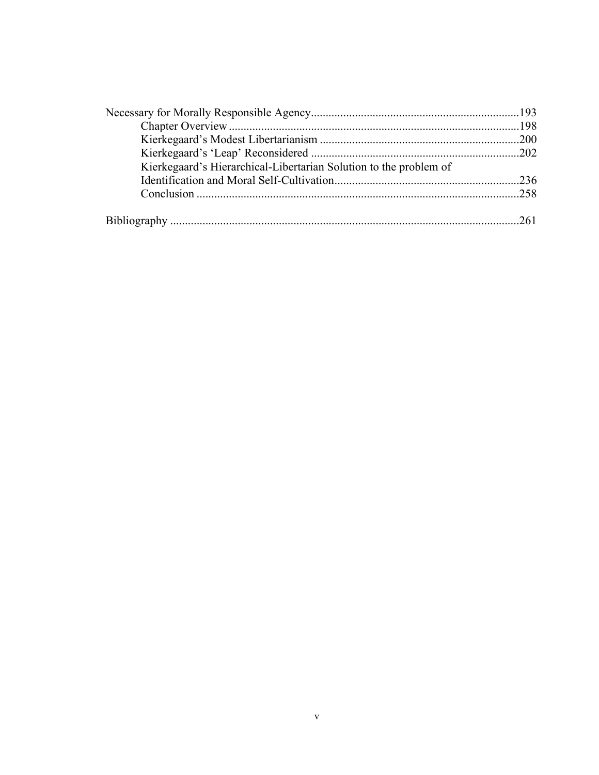| Kierkegaard's Hierarchical-Libertarian Solution to the problem of |  |
|-------------------------------------------------------------------|--|
|                                                                   |  |
|                                                                   |  |
|                                                                   |  |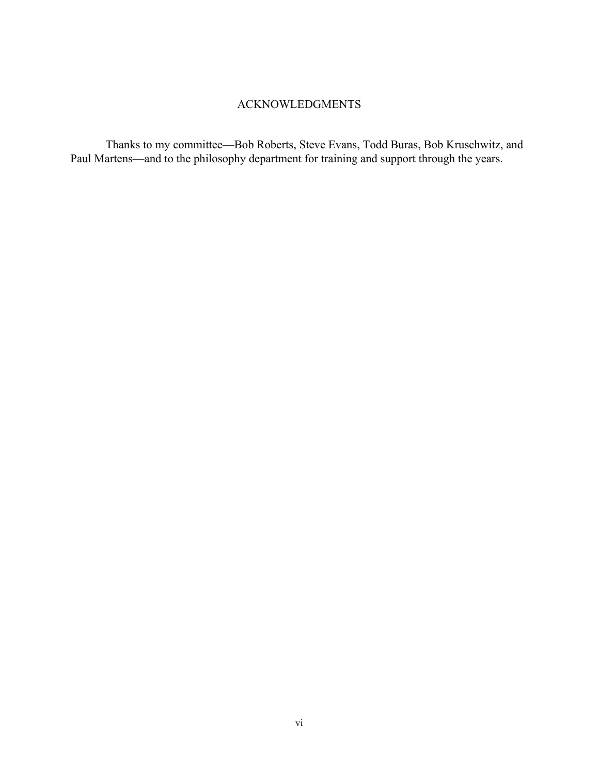## ACKNOWLEDGMENTS

 Thanks to my committee—Bob Roberts, Steve Evans, Todd Buras, Bob Kruschwitz, and Paul Martens—and to the philosophy department for training and support through the years.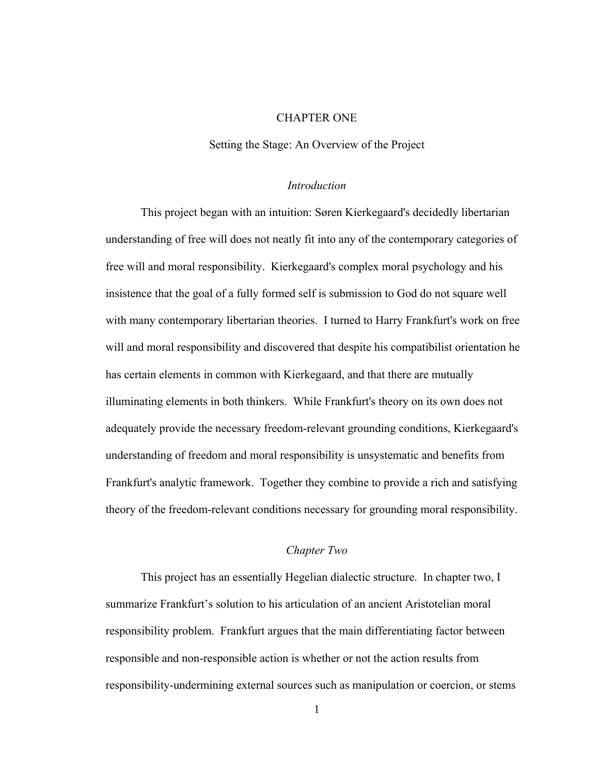## CHAPTER ONE

Setting the Stage: An Overview of the Project

#### *Introduction*

 This project began with an intuition: Søren Kierkegaard's decidedly libertarian understanding of free will does not neatly fit into any of the contemporary categories of free will and moral responsibility. Kierkegaard's complex moral psychology and his insistence that the goal of a fully formed self is submission to God do not square well with many contemporary libertarian theories. I turned to Harry Frankfurt's work on free will and moral responsibility and discovered that despite his compatibilist orientation he has certain elements in common with Kierkegaard, and that there are mutually illuminating elements in both thinkers. While Frankfurt's theory on its own does not adequately provide the necessary freedom-relevant grounding conditions, Kierkegaard's understanding of freedom and moral responsibility is unsystematic and benefits from Frankfurt's analytic framework. Together they combine to provide a rich and satisfying theory of the freedom-relevant conditions necessary for grounding moral responsibility.

#### *Chapter Two*

 This project has an essentially Hegelian dialectic structure. In chapter two, I summarize Frankfurt's solution to his articulation of an ancient Aristotelian moral responsibility problem. Frankfurt argues that the main differentiating factor between responsible and non-responsible action is whether or not the action results from responsibility-undermining external sources such as manipulation or coercion, or stems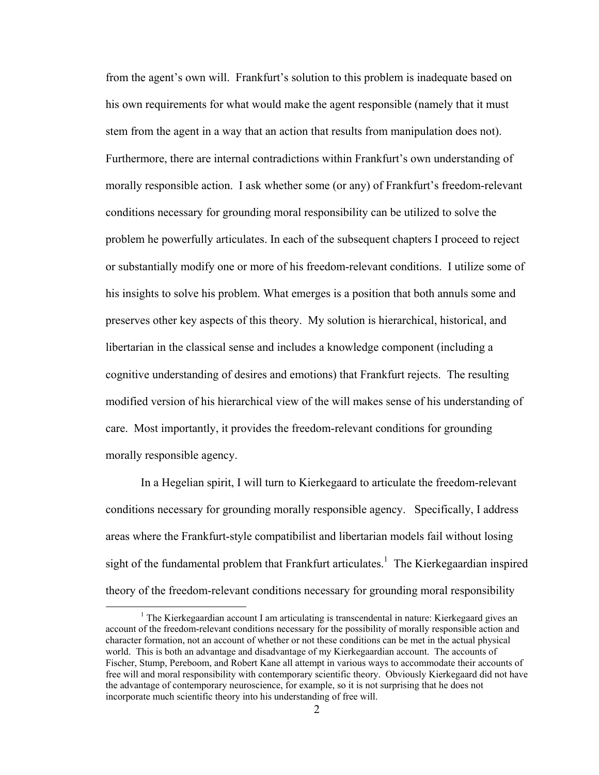from the agent's own will. Frankfurt's solution to this problem is inadequate based on his own requirements for what would make the agent responsible (namely that it must stem from the agent in a way that an action that results from manipulation does not). Furthermore, there are internal contradictions within Frankfurt's own understanding of morally responsible action. I ask whether some (or any) of Frankfurt's freedom-relevant conditions necessary for grounding moral responsibility can be utilized to solve the problem he powerfully articulates. In each of the subsequent chapters I proceed to reject or substantially modify one or more of his freedom-relevant conditions. I utilize some of his insights to solve his problem. What emerges is a position that both annuls some and preserves other key aspects of this theory. My solution is hierarchical, historical, and libertarian in the classical sense and includes a knowledge component (including a cognitive understanding of desires and emotions) that Frankfurt rejects. The resulting modified version of his hierarchical view of the will makes sense of his understanding of care. Most importantly, it provides the freedom-relevant conditions for grounding morally responsible agency.

 In a Hegelian spirit, I will turn to Kierkegaard to articulate the freedom-relevant conditions necessary for grounding morally responsible agency. Specifically, I address areas where the Frankfurt-style compatibilist and libertarian models fail without losing sight of the fundamental problem that Frankfurt articulates.<sup>1</sup> The Kierkegaardian inspired theory of the freedom-relevant conditions necessary for grounding moral responsibility

<sup>&</sup>lt;u>1</u> <sup>1</sup> The Kierkegaardian account I am articulating is transcendental in nature: Kierkegaard gives an account of the freedom-relevant conditions necessary for the possibility of morally responsible action and character formation, not an account of whether or not these conditions can be met in the actual physical world. This is both an advantage and disadvantage of my Kierkegaardian account. The accounts of Fischer, Stump, Pereboom, and Robert Kane all attempt in various ways to accommodate their accounts of free will and moral responsibility with contemporary scientific theory. Obviously Kierkegaard did not have the advantage of contemporary neuroscience, for example, so it is not surprising that he does not incorporate much scientific theory into his understanding of free will.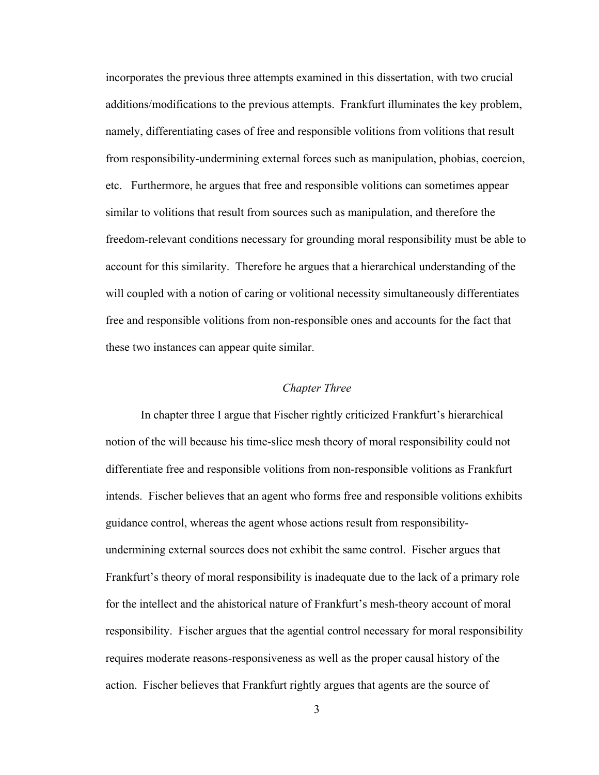incorporates the previous three attempts examined in this dissertation, with two crucial additions/modifications to the previous attempts. Frankfurt illuminates the key problem, namely, differentiating cases of free and responsible volitions from volitions that result from responsibility-undermining external forces such as manipulation, phobias, coercion, etc. Furthermore, he argues that free and responsible volitions can sometimes appear similar to volitions that result from sources such as manipulation, and therefore the freedom-relevant conditions necessary for grounding moral responsibility must be able to account for this similarity. Therefore he argues that a hierarchical understanding of the will coupled with a notion of caring or volitional necessity simultaneously differentiates free and responsible volitions from non-responsible ones and accounts for the fact that these two instances can appear quite similar.

#### *Chapter Three*

 In chapter three I argue that Fischer rightly criticized Frankfurt's hierarchical notion of the will because his time-slice mesh theory of moral responsibility could not differentiate free and responsible volitions from non-responsible volitions as Frankfurt intends. Fischer believes that an agent who forms free and responsible volitions exhibits guidance control, whereas the agent whose actions result from responsibilityundermining external sources does not exhibit the same control. Fischer argues that Frankfurt's theory of moral responsibility is inadequate due to the lack of a primary role for the intellect and the ahistorical nature of Frankfurt's mesh-theory account of moral responsibility. Fischer argues that the agential control necessary for moral responsibility requires moderate reasons-responsiveness as well as the proper causal history of the action. Fischer believes that Frankfurt rightly argues that agents are the source of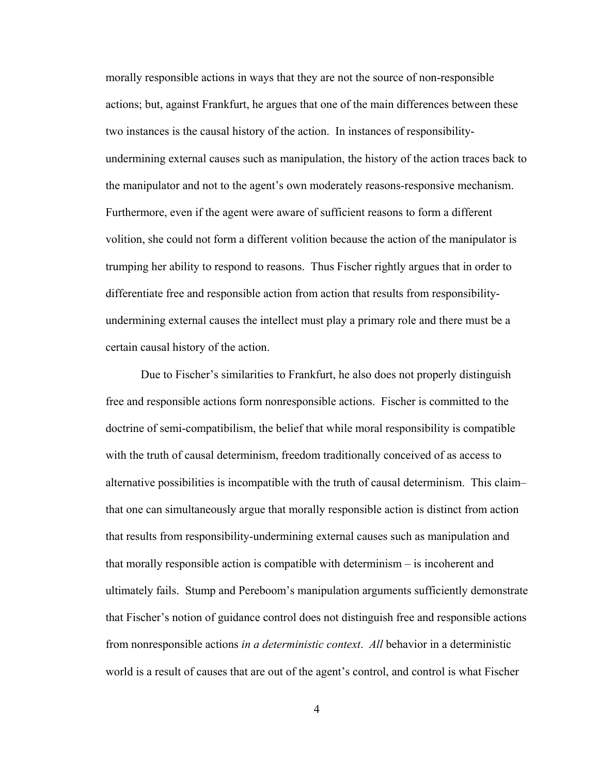morally responsible actions in ways that they are not the source of non-responsible actions; but, against Frankfurt, he argues that one of the main differences between these two instances is the causal history of the action. In instances of responsibilityundermining external causes such as manipulation, the history of the action traces back to the manipulator and not to the agent's own moderately reasons-responsive mechanism. Furthermore, even if the agent were aware of sufficient reasons to form a different volition, she could not form a different volition because the action of the manipulator is trumping her ability to respond to reasons. Thus Fischer rightly argues that in order to differentiate free and responsible action from action that results from responsibilityundermining external causes the intellect must play a primary role and there must be a certain causal history of the action.

 Due to Fischer's similarities to Frankfurt, he also does not properly distinguish free and responsible actions form nonresponsible actions. Fischer is committed to the doctrine of semi-compatibilism, the belief that while moral responsibility is compatible with the truth of causal determinism, freedom traditionally conceived of as access to alternative possibilities is incompatible with the truth of causal determinism. This claim– that one can simultaneously argue that morally responsible action is distinct from action that results from responsibility-undermining external causes such as manipulation and that morally responsible action is compatible with determinism – is incoherent and ultimately fails. Stump and Pereboom's manipulation arguments sufficiently demonstrate that Fischer's notion of guidance control does not distinguish free and responsible actions from nonresponsible actions *in a deterministic context*. *All* behavior in a deterministic world is a result of causes that are out of the agent's control, and control is what Fischer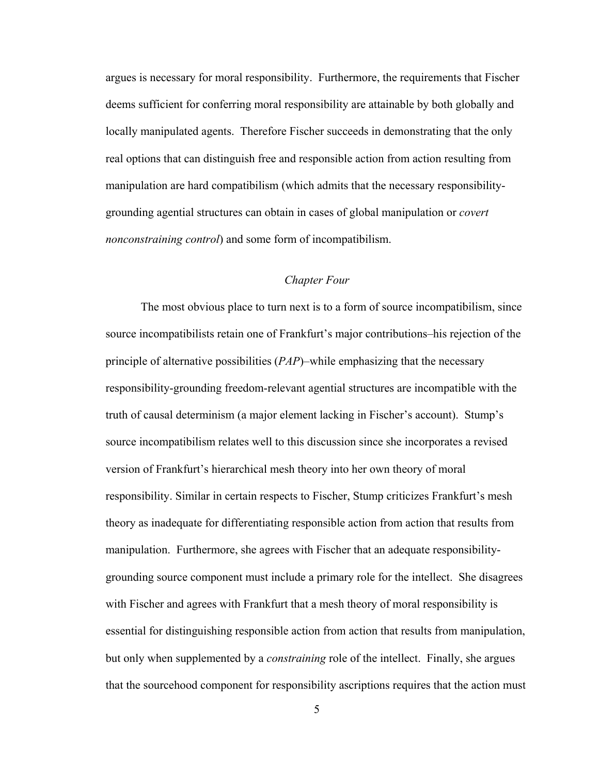argues is necessary for moral responsibility. Furthermore, the requirements that Fischer deems sufficient for conferring moral responsibility are attainable by both globally and locally manipulated agents. Therefore Fischer succeeds in demonstrating that the only real options that can distinguish free and responsible action from action resulting from manipulation are hard compatibilism (which admits that the necessary responsibilitygrounding agential structures can obtain in cases of global manipulation or *covert nonconstraining control*) and some form of incompatibilism.

### *Chapter Four*

 The most obvious place to turn next is to a form of source incompatibilism, since source incompatibilists retain one of Frankfurt's major contributions–his rejection of the principle of alternative possibilities (*PAP*)–while emphasizing that the necessary responsibility-grounding freedom-relevant agential structures are incompatible with the truth of causal determinism (a major element lacking in Fischer's account). Stump's source incompatibilism relates well to this discussion since she incorporates a revised version of Frankfurt's hierarchical mesh theory into her own theory of moral responsibility. Similar in certain respects to Fischer, Stump criticizes Frankfurt's mesh theory as inadequate for differentiating responsible action from action that results from manipulation. Furthermore, she agrees with Fischer that an adequate responsibilitygrounding source component must include a primary role for the intellect. She disagrees with Fischer and agrees with Frankfurt that a mesh theory of moral responsibility is essential for distinguishing responsible action from action that results from manipulation, but only when supplemented by a *constraining* role of the intellect. Finally, she argues that the sourcehood component for responsibility ascriptions requires that the action must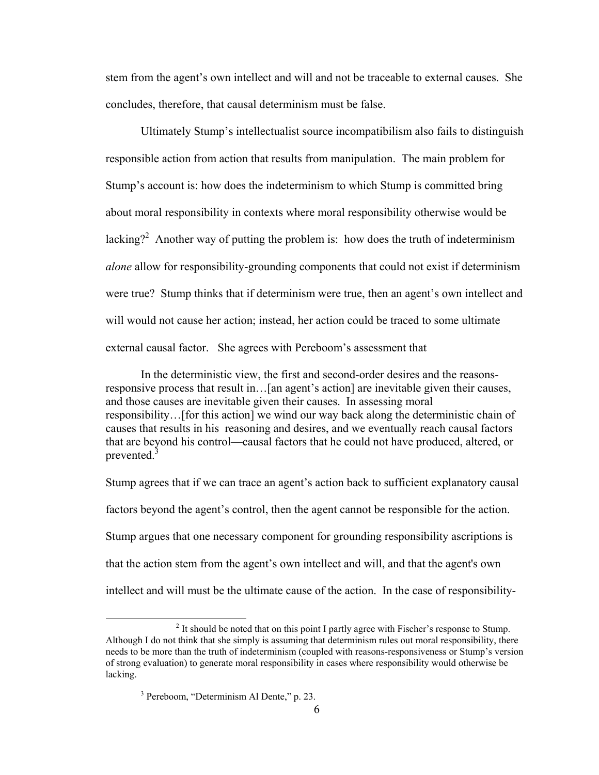stem from the agent's own intellect and will and not be traceable to external causes. She concludes, therefore, that causal determinism must be false.

 Ultimately Stump's intellectualist source incompatibilism also fails to distinguish responsible action from action that results from manipulation. The main problem for Stump's account is: how does the indeterminism to which Stump is committed bring about moral responsibility in contexts where moral responsibility otherwise would be lacking?<sup>2</sup> Another way of putting the problem is: how does the truth of indeterminism *alone* allow for responsibility-grounding components that could not exist if determinism were true? Stump thinks that if determinism were true, then an agent's own intellect and will would not cause her action; instead, her action could be traced to some ultimate external causal factor. She agrees with Pereboom's assessment that

 In the deterministic view, the first and second-order desires and the reasonsresponsive process that result in…[an agent's action] are inevitable given their causes, and those causes are inevitable given their causes. In assessing moral responsibility…[for this action] we wind our way back along the deterministic chain of causes that results in his reasoning and desires, and we eventually reach causal factors that are beyond his control—causal factors that he could not have produced, altered, or prevented.<sup>3</sup>

Stump agrees that if we can trace an agent's action back to sufficient explanatory causal factors beyond the agent's control, then the agent cannot be responsible for the action. Stump argues that one necessary component for grounding responsibility ascriptions is that the action stem from the agent's own intellect and will, and that the agent's own intellect and will must be the ultimate cause of the action. In the case of responsibility-

 <sup>2</sup> <sup>2</sup> It should be noted that on this point I partly agree with Fischer's response to Stump. Although I do not think that she simply is assuming that determinism rules out moral responsibility, there needs to be more than the truth of indeterminism (coupled with reasons-responsiveness or Stump's version of strong evaluation) to generate moral responsibility in cases where responsibility would otherwise be lacking.

<sup>3</sup> Pereboom, "Determinism Al Dente," p. 23.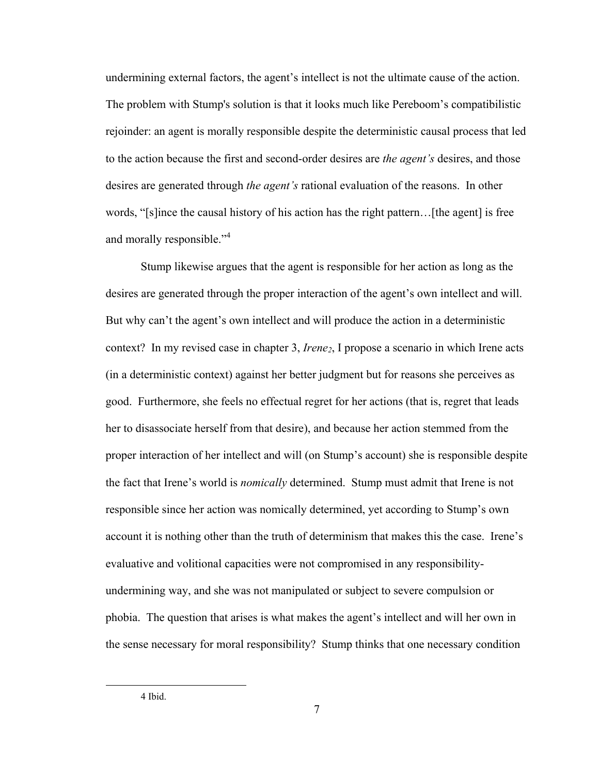undermining external factors, the agent's intellect is not the ultimate cause of the action. The problem with Stump's solution is that it looks much like Pereboom's compatibilistic rejoinder: an agent is morally responsible despite the deterministic causal process that led to the action because the first and second-order desires are *the agent's* desires, and those desires are generated through *the agent's* rational evaluation of the reasons. In other words, "[s]ince the causal history of his action has the right pattern…[the agent] is free and morally responsible."<sup>4</sup>

 Stump likewise argues that the agent is responsible for her action as long as the desires are generated through the proper interaction of the agent's own intellect and will. But why can't the agent's own intellect and will produce the action in a deterministic context? In my revised case in chapter 3, *Irene<sub>2</sub>*, I propose a scenario in which Irene acts (in a deterministic context) against her better judgment but for reasons she perceives as good. Furthermore, she feels no effectual regret for her actions (that is, regret that leads her to disassociate herself from that desire), and because her action stemmed from the proper interaction of her intellect and will (on Stump's account) she is responsible despite the fact that Irene's world is *nomically* determined. Stump must admit that Irene is not responsible since her action was nomically determined, yet according to Stump's own account it is nothing other than the truth of determinism that makes this the case. Irene's evaluative and volitional capacities were not compromised in any responsibilityundermining way, and she was not manipulated or subject to severe compulsion or phobia. The question that arises is what makes the agent's intellect and will her own in the sense necessary for moral responsibility? Stump thinks that one necessary condition

4 Ibid.

7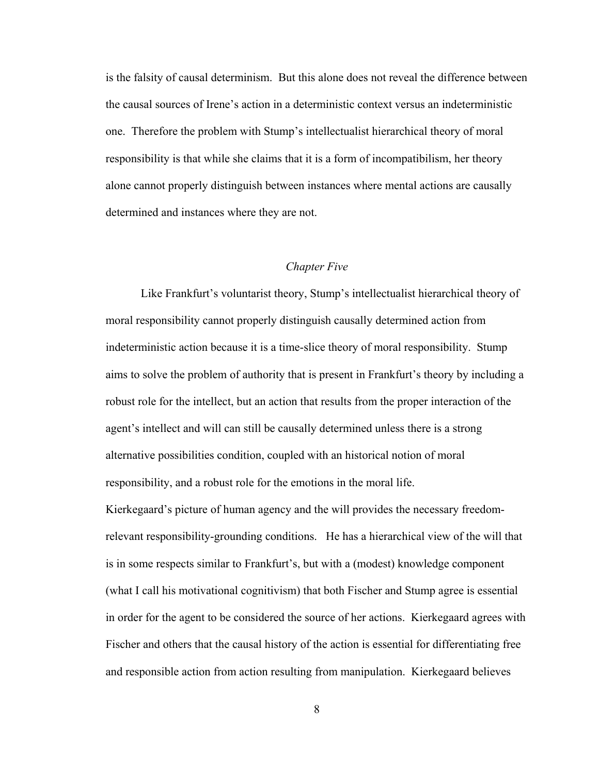is the falsity of causal determinism. But this alone does not reveal the difference between the causal sources of Irene's action in a deterministic context versus an indeterministic one. Therefore the problem with Stump's intellectualist hierarchical theory of moral responsibility is that while she claims that it is a form of incompatibilism, her theory alone cannot properly distinguish between instances where mental actions are causally determined and instances where they are not.

#### *Chapter Five*

 Like Frankfurt's voluntarist theory, Stump's intellectualist hierarchical theory of moral responsibility cannot properly distinguish causally determined action from indeterministic action because it is a time-slice theory of moral responsibility. Stump aims to solve the problem of authority that is present in Frankfurt's theory by including a robust role for the intellect, but an action that results from the proper interaction of the agent's intellect and will can still be causally determined unless there is a strong alternative possibilities condition, coupled with an historical notion of moral responsibility, and a robust role for the emotions in the moral life. Kierkegaard's picture of human agency and the will provides the necessary freedom-

relevant responsibility-grounding conditions. He has a hierarchical view of the will that is in some respects similar to Frankfurt's, but with a (modest) knowledge component (what I call his motivational cognitivism) that both Fischer and Stump agree is essential in order for the agent to be considered the source of her actions. Kierkegaard agrees with Fischer and others that the causal history of the action is essential for differentiating free and responsible action from action resulting from manipulation. Kierkegaard believes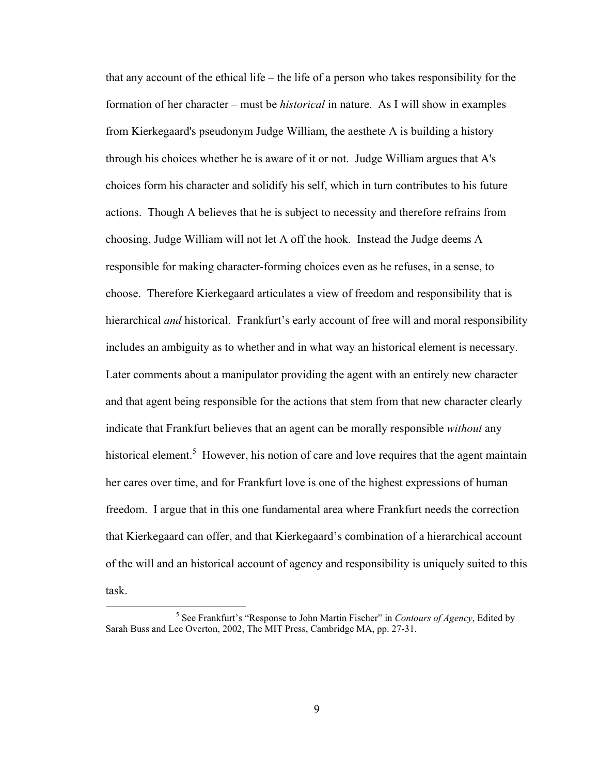that any account of the ethical life – the life of a person who takes responsibility for the formation of her character – must be *historical* in nature. As I will show in examples from Kierkegaard's pseudonym Judge William, the aesthete A is building a history through his choices whether he is aware of it or not. Judge William argues that A's choices form his character and solidify his self, which in turn contributes to his future actions. Though A believes that he is subject to necessity and therefore refrains from choosing, Judge William will not let A off the hook. Instead the Judge deems A responsible for making character-forming choices even as he refuses, in a sense, to choose. Therefore Kierkegaard articulates a view of freedom and responsibility that is hierarchical *and* historical. Frankfurt's early account of free will and moral responsibility includes an ambiguity as to whether and in what way an historical element is necessary. Later comments about a manipulator providing the agent with an entirely new character and that agent being responsible for the actions that stem from that new character clearly indicate that Frankfurt believes that an agent can be morally responsible *without* any historical element.<sup>5</sup> However, his notion of care and love requires that the agent maintain her cares over time, and for Frankfurt love is one of the highest expressions of human freedom. I argue that in this one fundamental area where Frankfurt needs the correction that Kierkegaard can offer, and that Kierkegaard's combination of a hierarchical account of the will and an historical account of agency and responsibility is uniquely suited to this task.

 $\frac{1}{5}$ <sup>5</sup> See Frankfurt's "Response to John Martin Fischer" in *Contours of Agency*, Edited by Sarah Buss and Lee Overton, 2002, The MIT Press, Cambridge MA, pp. 27-31.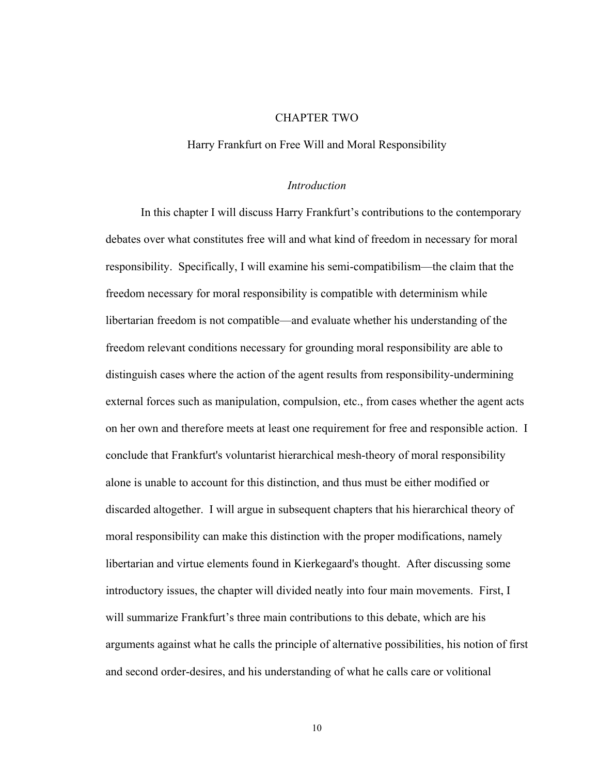#### CHAPTER TWO

#### Harry Frankfurt on Free Will and Moral Responsibility

#### *Introduction*

In this chapter I will discuss Harry Frankfurt's contributions to the contemporary debates over what constitutes free will and what kind of freedom in necessary for moral responsibility. Specifically, I will examine his semi-compatibilism—the claim that the freedom necessary for moral responsibility is compatible with determinism while libertarian freedom is not compatible—and evaluate whether his understanding of the freedom relevant conditions necessary for grounding moral responsibility are able to distinguish cases where the action of the agent results from responsibility-undermining external forces such as manipulation, compulsion, etc., from cases whether the agent acts on her own and therefore meets at least one requirement for free and responsible action. I conclude that Frankfurt's voluntarist hierarchical mesh-theory of moral responsibility alone is unable to account for this distinction, and thus must be either modified or discarded altogether. I will argue in subsequent chapters that his hierarchical theory of moral responsibility can make this distinction with the proper modifications, namely libertarian and virtue elements found in Kierkegaard's thought. After discussing some introductory issues, the chapter will divided neatly into four main movements. First, I will summarize Frankfurt's three main contributions to this debate, which are his arguments against what he calls the principle of alternative possibilities, his notion of first and second order-desires, and his understanding of what he calls care or volitional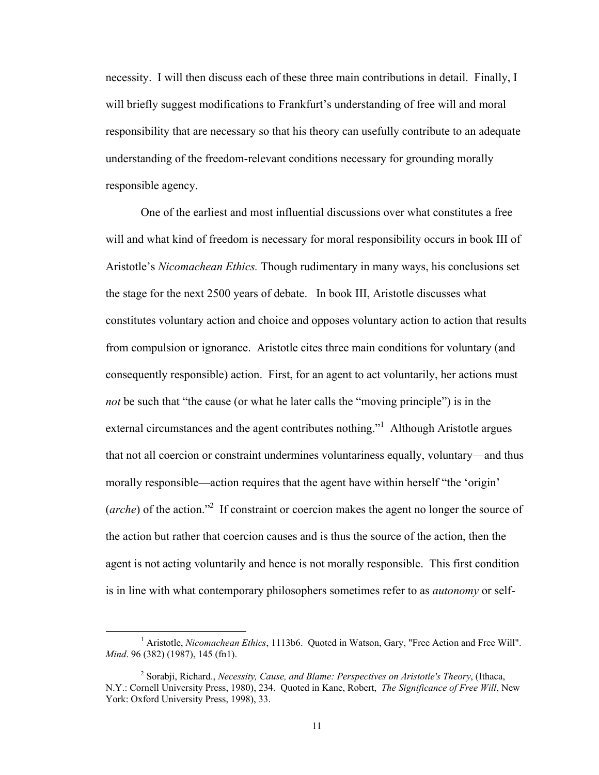necessity. I will then discuss each of these three main contributions in detail. Finally, I will briefly suggest modifications to Frankfurt's understanding of free will and moral responsibility that are necessary so that his theory can usefully contribute to an adequate understanding of the freedom-relevant conditions necessary for grounding morally responsible agency.

One of the earliest and most influential discussions over what constitutes a free will and what kind of freedom is necessary for moral responsibility occurs in book III of Aristotle's *Nicomachean Ethics.* Though rudimentary in many ways, his conclusions set the stage for the next 2500 years of debate. In book III, Aristotle discusses what constitutes voluntary action and choice and opposes voluntary action to action that results from compulsion or ignorance. Aristotle cites three main conditions for voluntary (and consequently responsible) action. First, for an agent to act voluntarily, her actions must *not* be such that "the cause (or what he later calls the "moving principle") is in the external circumstances and the agent contributes nothing."<sup>1</sup> Although Aristotle argues that not all coercion or constraint undermines voluntariness equally, voluntary—and thus morally responsible—action requires that the agent have within herself "the 'origin' (*arche*) of the action."<sup>2</sup> If constraint or coercion makes the agent no longer the source of the action but rather that coercion causes and is thus the source of the action, then the agent is not acting voluntarily and hence is not morally responsible. This first condition is in line with what contemporary philosophers sometimes refer to as *autonomy* or self-

 <sup>1</sup> Aristotle, *Nicomachean Ethics*, 1113b6. Quoted in Watson, Gary, "Free Action and Free Will". *Mind*. 96 (382) (1987), 145 (fn1).

<sup>2</sup> Sorabji, Richard., *Necessity, Cause, and Blame: Perspectives on Aristotle's Theory*, (Ithaca, N.Y.: Cornell University Press, 1980), 234. Quoted in Kane, Robert, *The Significance of Free Will*, New York: Oxford University Press, 1998), 33.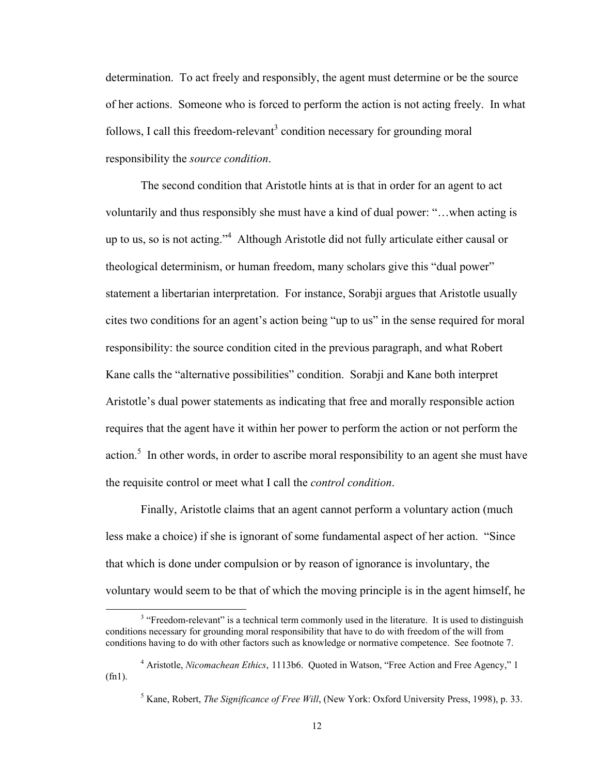determination. To act freely and responsibly, the agent must determine or be the source of her actions. Someone who is forced to perform the action is not acting freely. In what follows, I call this freedom-relevant<sup>3</sup> condition necessary for grounding moral responsibility the *source condition*.

The second condition that Aristotle hints at is that in order for an agent to act voluntarily and thus responsibly she must have a kind of dual power: "…when acting is up to us, so is not acting."<sup>4</sup> Although Aristotle did not fully articulate either causal or theological determinism, or human freedom, many scholars give this "dual power" statement a libertarian interpretation. For instance, Sorabji argues that Aristotle usually cites two conditions for an agent's action being "up to us" in the sense required for moral responsibility: the source condition cited in the previous paragraph, and what Robert Kane calls the "alternative possibilities" condition. Sorabji and Kane both interpret Aristotle's dual power statements as indicating that free and morally responsible action requires that the agent have it within her power to perform the action or not perform the action.<sup>5</sup> In other words, in order to ascribe moral responsibility to an agent she must have the requisite control or meet what I call the *control condition*.

Finally, Aristotle claims that an agent cannot perform a voluntary action (much less make a choice) if she is ignorant of some fundamental aspect of her action. "Since that which is done under compulsion or by reason of ignorance is involuntary, the voluntary would seem to be that of which the moving principle is in the agent himself, he

<sup>&</sup>lt;sup>3</sup> "Freedom-relevant" is a technical term commonly used in the literature. It is used to distinguish conditions necessary for grounding moral responsibility that have to do with freedom of the will from conditions having to do with other factors such as knowledge or normative competence. See footnote 7.

<sup>4</sup> Aristotle, *Nicomachean Ethics*, 1113b6. Quoted in Watson, "Free Action and Free Agency," 1 (fn1).

<sup>5</sup> Kane, Robert, *The Significance of Free Will*, (New York: Oxford University Press, 1998), p. 33.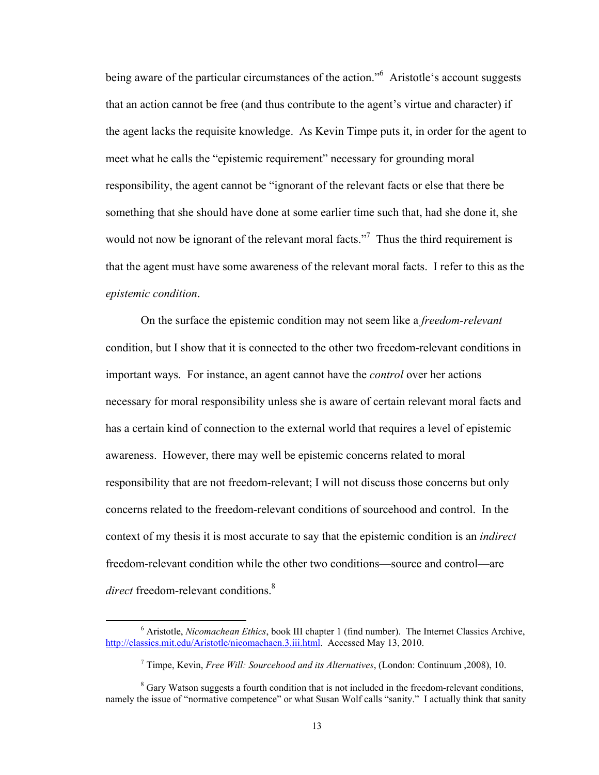being aware of the particular circumstances of the action."<sup>6</sup> Aristotle's account suggests that an action cannot be free (and thus contribute to the agent's virtue and character) if the agent lacks the requisite knowledge. As Kevin Timpe puts it, in order for the agent to meet what he calls the "epistemic requirement" necessary for grounding moral responsibility, the agent cannot be "ignorant of the relevant facts or else that there be something that she should have done at some earlier time such that, had she done it, she would not now be ignorant of the relevant moral facts."<sup>7</sup> Thus the third requirement is that the agent must have some awareness of the relevant moral facts. I refer to this as the *epistemic condition*.

On the surface the epistemic condition may not seem like a *freedom-relevant* condition, but I show that it is connected to the other two freedom-relevant conditions in important ways. For instance, an agent cannot have the *control* over her actions necessary for moral responsibility unless she is aware of certain relevant moral facts and has a certain kind of connection to the external world that requires a level of epistemic awareness. However, there may well be epistemic concerns related to moral responsibility that are not freedom-relevant; I will not discuss those concerns but only concerns related to the freedom-relevant conditions of sourcehood and control. In the context of my thesis it is most accurate to say that the epistemic condition is an *indirect* freedom-relevant condition while the other two conditions—source and control—are *direct* freedom-relevant conditions.<sup>8</sup>

 <sup>6</sup> Aristotle, *Nicomachean Ethics*, book III chapter 1 (find number). The Internet Classics Archive, http://classics.mit.edu/Aristotle/nicomachaen.3.iii.html. Accessed May 13, 2010.

<sup>7</sup> Timpe, Kevin, *Free Will: Sourcehood and its Alternatives*, (London: Continuum ,2008), 10.

<sup>&</sup>lt;sup>8</sup> Gary Watson suggests a fourth condition that is not included in the freedom-relevant conditions, namely the issue of "normative competence" or what Susan Wolf calls "sanity." I actually think that sanity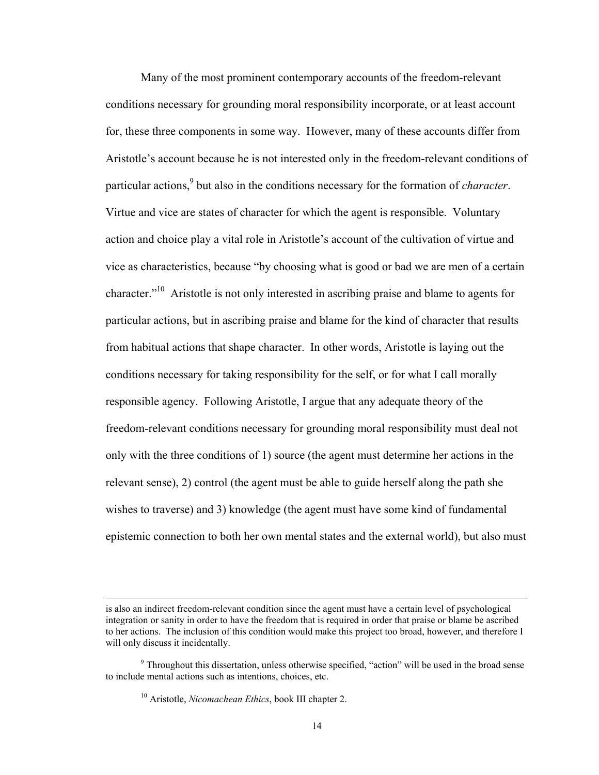Many of the most prominent contemporary accounts of the freedom-relevant conditions necessary for grounding moral responsibility incorporate, or at least account for, these three components in some way. However, many of these accounts differ from Aristotle's account because he is not interested only in the freedom-relevant conditions of particular actions,<sup>9</sup> but also in the conditions necessary for the formation of *character*. Virtue and vice are states of character for which the agent is responsible. Voluntary action and choice play a vital role in Aristotle's account of the cultivation of virtue and vice as characteristics, because "by choosing what is good or bad we are men of a certain character."10 Aristotle is not only interested in ascribing praise and blame to agents for particular actions, but in ascribing praise and blame for the kind of character that results from habitual actions that shape character. In other words, Aristotle is laying out the conditions necessary for taking responsibility for the self, or for what I call morally responsible agency. Following Aristotle, I argue that any adequate theory of the freedom-relevant conditions necessary for grounding moral responsibility must deal not only with the three conditions of 1) source (the agent must determine her actions in the relevant sense), 2) control (the agent must be able to guide herself along the path she wishes to traverse) and 3) knowledge (the agent must have some kind of fundamental epistemic connection to both her own mental states and the external world), but also must

<u> 1989 - Johann Stoff, amerikansk politiker (d. 1989)</u>

is also an indirect freedom-relevant condition since the agent must have a certain level of psychological integration or sanity in order to have the freedom that is required in order that praise or blame be ascribed to her actions. The inclusion of this condition would make this project too broad, however, and therefore I will only discuss it incidentally.

<sup>&</sup>lt;sup>9</sup> Throughout this dissertation, unless otherwise specified, "action" will be used in the broad sense to include mental actions such as intentions, choices, etc.

<sup>10</sup> Aristotle, *Nicomachean Ethics*, book III chapter 2.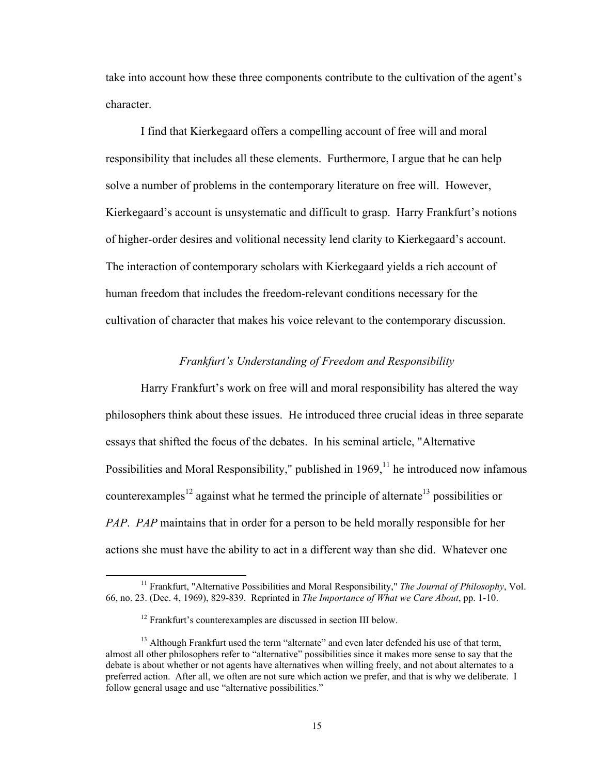take into account how these three components contribute to the cultivation of the agent's character.

I find that Kierkegaard offers a compelling account of free will and moral responsibility that includes all these elements. Furthermore, I argue that he can help solve a number of problems in the contemporary literature on free will. However, Kierkegaard's account is unsystematic and difficult to grasp. Harry Frankfurt's notions of higher-order desires and volitional necessity lend clarity to Kierkegaard's account. The interaction of contemporary scholars with Kierkegaard yields a rich account of human freedom that includes the freedom-relevant conditions necessary for the cultivation of character that makes his voice relevant to the contemporary discussion.

#### *Frankfurt's Understanding of Freedom and Responsibility*

Harry Frankfurt's work on free will and moral responsibility has altered the way philosophers think about these issues. He introduced three crucial ideas in three separate essays that shifted the focus of the debates. In his seminal article, "Alternative Possibilities and Moral Responsibility," published in  $1969$ ,<sup> $11$ </sup> he introduced now infamous counterexamples<sup>12</sup> against what he termed the principle of alternate<sup>13</sup> possibilities or *PAP*. *PAP* maintains that in order for a person to be held morally responsible for her actions she must have the ability to act in a different way than she did. Whatever one

 11 Frankfurt, "Alternative Possibilities and Moral Responsibility," *The Journal of Philosophy*, Vol. 66, no. 23. (Dec. 4, 1969), 829-839. Reprinted in *The Importance of What we Care About*, pp. 1-10.

<sup>&</sup>lt;sup>12</sup> Frankfurt's counterexamples are discussed in section III below.

 $13$  Although Frankfurt used the term "alternate" and even later defended his use of that term, almost all other philosophers refer to "alternative" possibilities since it makes more sense to say that the debate is about whether or not agents have alternatives when willing freely, and not about alternates to a preferred action. After all, we often are not sure which action we prefer, and that is why we deliberate. I follow general usage and use "alternative possibilities."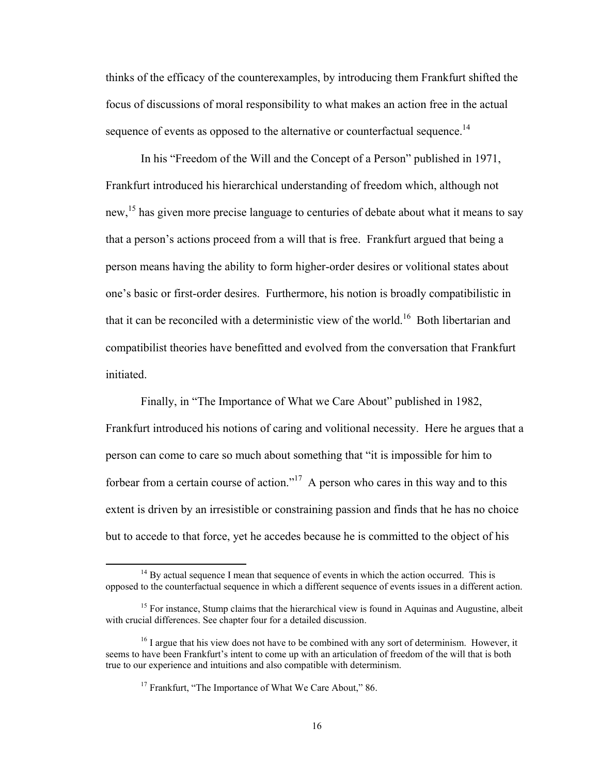thinks of the efficacy of the counterexamples, by introducing them Frankfurt shifted the focus of discussions of moral responsibility to what makes an action free in the actual sequence of events as opposed to the alternative or counterfactual sequence.<sup>14</sup>

In his "Freedom of the Will and the Concept of a Person" published in 1971, Frankfurt introduced his hierarchical understanding of freedom which, although not new,<sup>15</sup> has given more precise language to centuries of debate about what it means to say that a person's actions proceed from a will that is free. Frankfurt argued that being a person means having the ability to form higher-order desires or volitional states about one's basic or first-order desires. Furthermore, his notion is broadly compatibilistic in that it can be reconciled with a deterministic view of the world.<sup>16</sup> Both libertarian and compatibilist theories have benefitted and evolved from the conversation that Frankfurt initiated.

Finally, in "The Importance of What we Care About" published in 1982, Frankfurt introduced his notions of caring and volitional necessity. Here he argues that a person can come to care so much about something that "it is impossible for him to forbear from a certain course of action."<sup>17</sup> A person who cares in this way and to this extent is driven by an irresistible or constraining passion and finds that he has no choice but to accede to that force, yet he accedes because he is committed to the object of his

 $14$  By actual sequence I mean that sequence of events in which the action occurred. This is opposed to the counterfactual sequence in which a different sequence of events issues in a different action.

<sup>&</sup>lt;sup>15</sup> For instance, Stump claims that the hierarchical view is found in Aquinas and Augustine, albeit with crucial differences. See chapter four for a detailed discussion.

 $16$  I argue that his view does not have to be combined with any sort of determinism. However, it seems to have been Frankfurt's intent to come up with an articulation of freedom of the will that is both true to our experience and intuitions and also compatible with determinism.

<sup>&</sup>lt;sup>17</sup> Frankfurt, "The Importance of What We Care About," 86.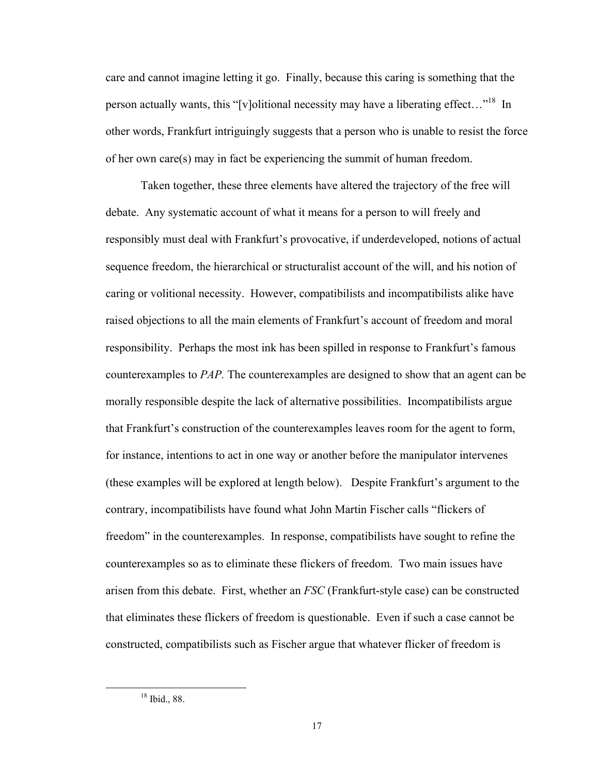care and cannot imagine letting it go. Finally, because this caring is something that the person actually wants, this "[v]olitional necessity may have a liberating effect..."<sup>18</sup> In other words, Frankfurt intriguingly suggests that a person who is unable to resist the force of her own care(s) may in fact be experiencing the summit of human freedom.

Taken together, these three elements have altered the trajectory of the free will debate. Any systematic account of what it means for a person to will freely and responsibly must deal with Frankfurt's provocative, if underdeveloped, notions of actual sequence freedom, the hierarchical or structuralist account of the will, and his notion of caring or volitional necessity. However, compatibilists and incompatibilists alike have raised objections to all the main elements of Frankfurt's account of freedom and moral responsibility. Perhaps the most ink has been spilled in response to Frankfurt's famous counterexamples to *PAP.* The counterexamples are designed to show that an agent can be morally responsible despite the lack of alternative possibilities. Incompatibilists argue that Frankfurt's construction of the counterexamples leaves room for the agent to form, for instance, intentions to act in one way or another before the manipulator intervenes (these examples will be explored at length below). Despite Frankfurt's argument to the contrary, incompatibilists have found what John Martin Fischer calls "flickers of freedom" in the counterexamples. In response, compatibilists have sought to refine the counterexamples so as to eliminate these flickers of freedom. Two main issues have arisen from this debate. First, whether an *FSC* (Frankfurt-style case) can be constructed that eliminates these flickers of freedom is questionable. Even if such a case cannot be constructed, compatibilists such as Fischer argue that whatever flicker of freedom is

 18 Ibid., 88.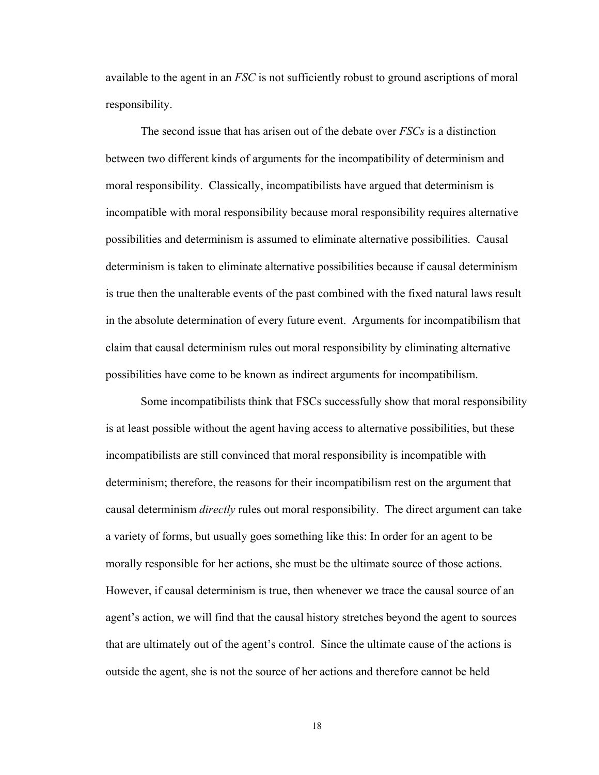available to the agent in an *FSC* is not sufficiently robust to ground ascriptions of moral responsibility.

The second issue that has arisen out of the debate over *FSCs* is a distinction between two different kinds of arguments for the incompatibility of determinism and moral responsibility. Classically, incompatibilists have argued that determinism is incompatible with moral responsibility because moral responsibility requires alternative possibilities and determinism is assumed to eliminate alternative possibilities. Causal determinism is taken to eliminate alternative possibilities because if causal determinism is true then the unalterable events of the past combined with the fixed natural laws result in the absolute determination of every future event. Arguments for incompatibilism that claim that causal determinism rules out moral responsibility by eliminating alternative possibilities have come to be known as indirect arguments for incompatibilism.

Some incompatibilists think that FSCs successfully show that moral responsibility is at least possible without the agent having access to alternative possibilities, but these incompatibilists are still convinced that moral responsibility is incompatible with determinism; therefore, the reasons for their incompatibilism rest on the argument that causal determinism *directly* rules out moral responsibility. The direct argument can take a variety of forms, but usually goes something like this: In order for an agent to be morally responsible for her actions, she must be the ultimate source of those actions. However, if causal determinism is true, then whenever we trace the causal source of an agent's action, we will find that the causal history stretches beyond the agent to sources that are ultimately out of the agent's control. Since the ultimate cause of the actions is outside the agent, she is not the source of her actions and therefore cannot be held

18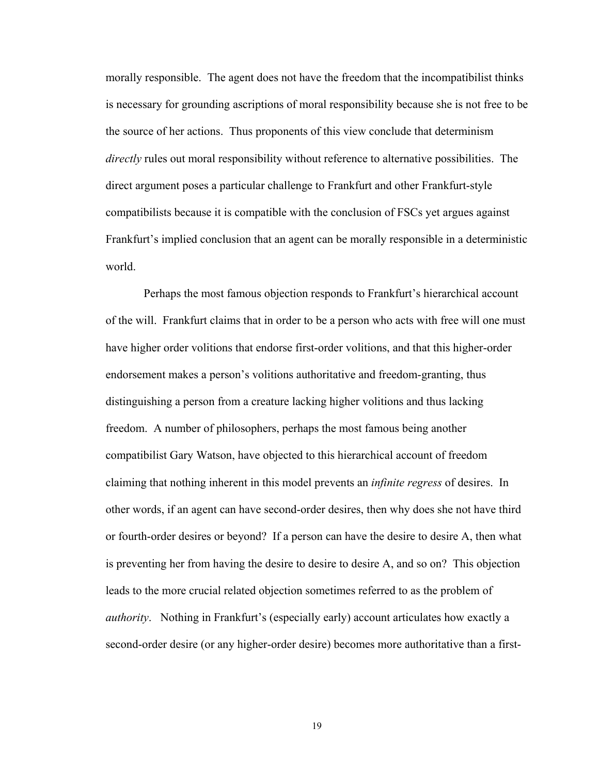morally responsible. The agent does not have the freedom that the incompatibilist thinks is necessary for grounding ascriptions of moral responsibility because she is not free to be the source of her actions. Thus proponents of this view conclude that determinism *directly* rules out moral responsibility without reference to alternative possibilities. The direct argument poses a particular challenge to Frankfurt and other Frankfurt-style compatibilists because it is compatible with the conclusion of FSCs yet argues against Frankfurt's implied conclusion that an agent can be morally responsible in a deterministic world.

 Perhaps the most famous objection responds to Frankfurt's hierarchical account of the will. Frankfurt claims that in order to be a person who acts with free will one must have higher order volitions that endorse first-order volitions, and that this higher-order endorsement makes a person's volitions authoritative and freedom-granting, thus distinguishing a person from a creature lacking higher volitions and thus lacking freedom. A number of philosophers, perhaps the most famous being another compatibilist Gary Watson, have objected to this hierarchical account of freedom claiming that nothing inherent in this model prevents an *infinite regress* of desires. In other words, if an agent can have second-order desires, then why does she not have third or fourth-order desires or beyond? If a person can have the desire to desire A, then what is preventing her from having the desire to desire to desire A, and so on? This objection leads to the more crucial related objection sometimes referred to as the problem of *authority*. Nothing in Frankfurt's (especially early) account articulates how exactly a second-order desire (or any higher-order desire) becomes more authoritative than a first-

19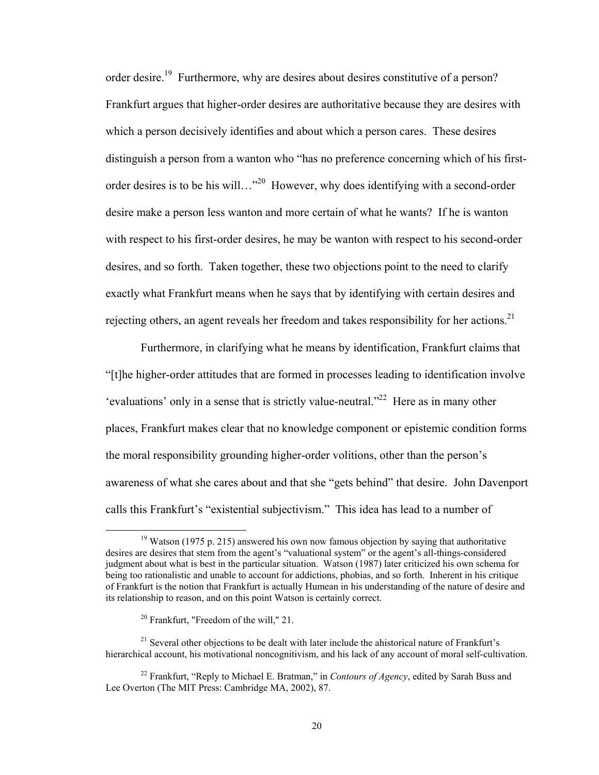order desire.<sup>19</sup> Furthermore, why are desires about desires constitutive of a person? Frankfurt argues that higher-order desires are authoritative because they are desires with which a person decisively identifies and about which a person cares. These desires distinguish a person from a wanton who "has no preference concerning which of his firstorder desires is to be his will…"<sup>20</sup> However, why does identifying with a second-order desire make a person less wanton and more certain of what he wants? If he is wanton with respect to his first-order desires, he may be wanton with respect to his second-order desires, and so forth. Taken together, these two objections point to the need to clarify exactly what Frankfurt means when he says that by identifying with certain desires and rejecting others, an agent reveals her freedom and takes responsibility for her actions.<sup>21</sup>

Furthermore, in clarifying what he means by identification, Frankfurt claims that "[t]he higher-order attitudes that are formed in processes leading to identification involve 'evaluations' only in a sense that is strictly value-neutral."<sup>22</sup> Here as in many other places, Frankfurt makes clear that no knowledge component or epistemic condition forms the moral responsibility grounding higher-order volitions, other than the person's awareness of what she cares about and that she "gets behind" that desire. John Davenport calls this Frankfurt's "existential subjectivism." This idea has lead to a number of

 $19$  Watson (1975 p. 215) answered his own now famous objection by saying that authoritative desires are desires that stem from the agent's "valuational system" or the agent's all-things-considered judgment about what is best in the particular situation. Watson (1987) later criticized his own schema for being too rationalistic and unable to account for addictions, phobias, and so forth. Inherent in his critique of Frankfurt is the notion that Frankfurt is actually Humean in his understanding of the nature of desire and its relationship to reason, and on this point Watson is certainly correct.

 $20$  Frankfurt, "Freedom of the will," 21.

 $21$  Several other objections to be dealt with later include the ahistorical nature of Frankfurt's hierarchical account, his motivational noncognitivism, and his lack of any account of moral self-cultivation.

<sup>22</sup> Frankfurt, "Reply to Michael E. Bratman," in *Contours of Agency*, edited by Sarah Buss and Lee Overton (The MIT Press: Cambridge MA, 2002), 87.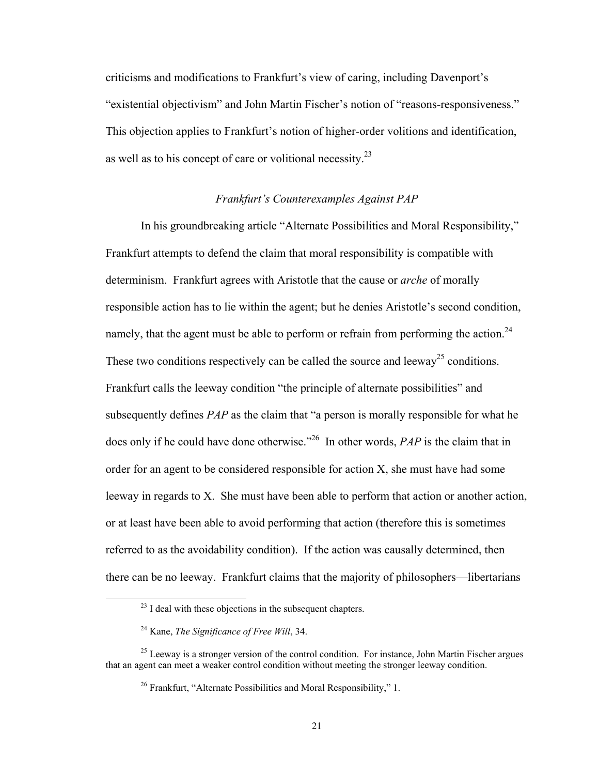criticisms and modifications to Frankfurt's view of caring, including Davenport's "existential objectivism" and John Martin Fischer's notion of "reasons-responsiveness." This objection applies to Frankfurt's notion of higher-order volitions and identification, as well as to his concept of care or volitional necessity.<sup>23</sup>

## *Frankfurt's Counterexamples Against PAP*

In his groundbreaking article "Alternate Possibilities and Moral Responsibility," Frankfurt attempts to defend the claim that moral responsibility is compatible with determinism. Frankfurt agrees with Aristotle that the cause or *arche* of morally responsible action has to lie within the agent; but he denies Aristotle's second condition, namely, that the agent must be able to perform or refrain from performing the action.<sup>24</sup> These two conditions respectively can be called the source and leeway<sup>25</sup> conditions. Frankfurt calls the leeway condition "the principle of alternate possibilities" and subsequently defines *PAP* as the claim that "a person is morally responsible for what he does only if he could have done otherwise."<sup>26</sup> In other words, *PAP* is the claim that in order for an agent to be considered responsible for action X, she must have had some leeway in regards to X. She must have been able to perform that action or another action, or at least have been able to avoid performing that action (therefore this is sometimes referred to as the avoidability condition). If the action was causally determined, then there can be no leeway. Frankfurt claims that the majority of philosophers—libertarians

 $23$  I deal with these objections in the subsequent chapters.

<sup>24</sup> Kane, *The Significance of Free Will*, 34.

<sup>&</sup>lt;sup>25</sup> Leeway is a stronger version of the control condition. For instance, John Martin Fischer argues that an agent can meet a weaker control condition without meeting the stronger leeway condition.

<sup>&</sup>lt;sup>26</sup> Frankfurt, "Alternate Possibilities and Moral Responsibility," 1.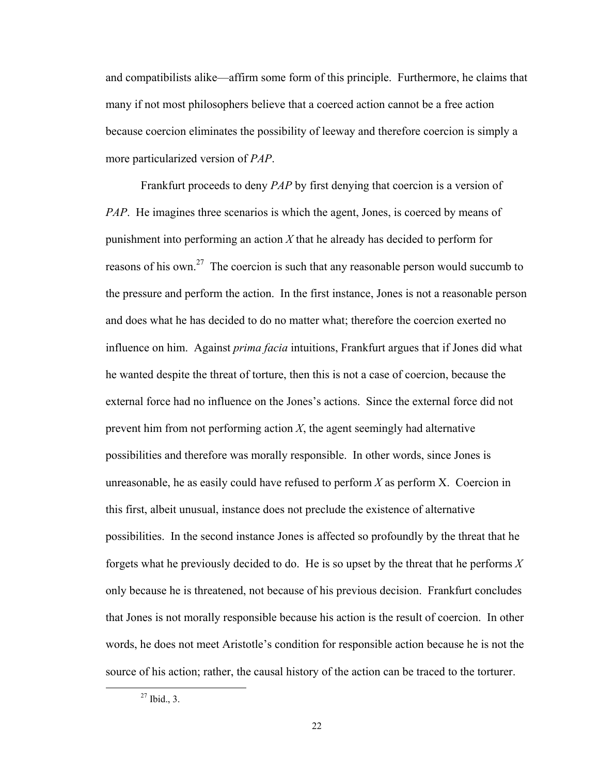and compatibilists alike—affirm some form of this principle. Furthermore, he claims that many if not most philosophers believe that a coerced action cannot be a free action because coercion eliminates the possibility of leeway and therefore coercion is simply a more particularized version of *PAP*.

Frankfurt proceeds to deny *PAP* by first denying that coercion is a version of *PAP*. He imagines three scenarios is which the agent, Jones, is coerced by means of punishment into performing an action *X* that he already has decided to perform for reasons of his own.<sup>27</sup> The coercion is such that any reasonable person would succumb to the pressure and perform the action. In the first instance, Jones is not a reasonable person and does what he has decided to do no matter what; therefore the coercion exerted no influence on him. Against *prima facia* intuitions, Frankfurt argues that if Jones did what he wanted despite the threat of torture, then this is not a case of coercion, because the external force had no influence on the Jones's actions. Since the external force did not prevent him from not performing action *X*, the agent seemingly had alternative possibilities and therefore was morally responsible. In other words, since Jones is unreasonable, he as easily could have refused to perform *X* as perform X. Coercion in this first, albeit unusual, instance does not preclude the existence of alternative possibilities. In the second instance Jones is affected so profoundly by the threat that he forgets what he previously decided to do. He is so upset by the threat that he performs *X* only because he is threatened, not because of his previous decision. Frankfurt concludes that Jones is not morally responsible because his action is the result of coercion. In other words, he does not meet Aristotle's condition for responsible action because he is not the source of his action; rather, the causal history of the action can be traced to the torturer.

 $27$  Ibid., 3.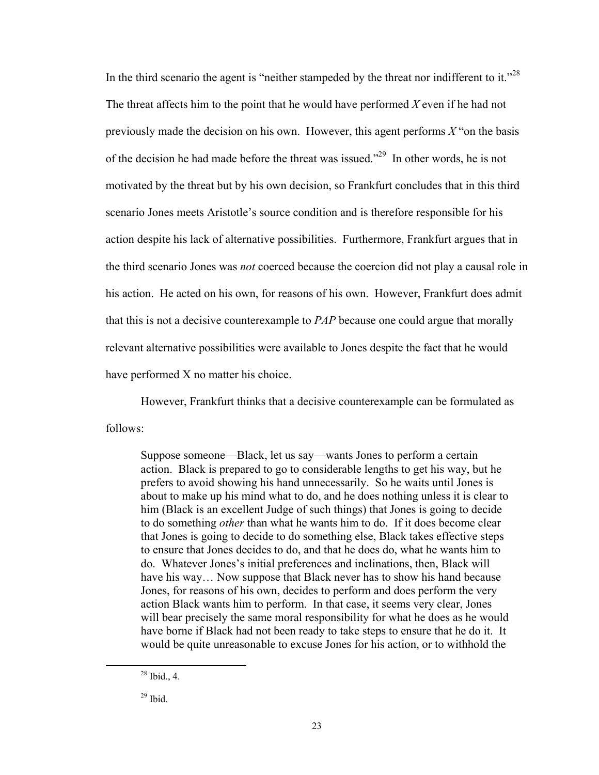In the third scenario the agent is "neither stampeded by the threat nor indifferent to it."<sup>28</sup> The threat affects him to the point that he would have performed *X* even if he had not previously made the decision on his own. However, this agent performs *X* "on the basis of the decision he had made before the threat was issued."29 In other words, he is not motivated by the threat but by his own decision, so Frankfurt concludes that in this third scenario Jones meets Aristotle's source condition and is therefore responsible for his action despite his lack of alternative possibilities. Furthermore, Frankfurt argues that in the third scenario Jones was *not* coerced because the coercion did not play a causal role in his action. He acted on his own, for reasons of his own. However, Frankfurt does admit that this is not a decisive counterexample to *PAP* because one could argue that morally relevant alternative possibilities were available to Jones despite the fact that he would have performed X no matter his choice.

However, Frankfurt thinks that a decisive counterexample can be formulated as

follows:

Suppose someone—Black, let us say—wants Jones to perform a certain action. Black is prepared to go to considerable lengths to get his way, but he prefers to avoid showing his hand unnecessarily. So he waits until Jones is about to make up his mind what to do, and he does nothing unless it is clear to him (Black is an excellent Judge of such things) that Jones is going to decide to do something *other* than what he wants him to do. If it does become clear that Jones is going to decide to do something else, Black takes effective steps to ensure that Jones decides to do, and that he does do, what he wants him to do. Whatever Jones's initial preferences and inclinations, then, Black will have his way... Now suppose that Black never has to show his hand because Jones, for reasons of his own, decides to perform and does perform the very action Black wants him to perform. In that case, it seems very clear, Jones will bear precisely the same moral responsibility for what he does as he would have borne if Black had not been ready to take steps to ensure that he do it. It would be quite unreasonable to excuse Jones for his action, or to withhold the

 $28$  Ibid., 4.

 $29$  Ibid.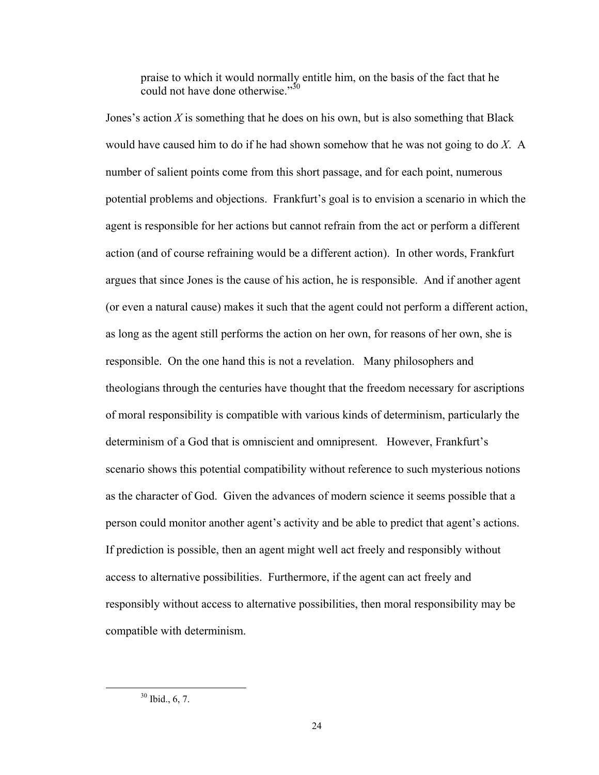praise to which it would normally entitle him, on the basis of the fact that he could not have done otherwise." $3^{50}$ 

Jones's action *X* is something that he does on his own, but is also something that Black would have caused him to do if he had shown somehow that he was not going to do *X*. A number of salient points come from this short passage, and for each point, numerous potential problems and objections. Frankfurt's goal is to envision a scenario in which the agent is responsible for her actions but cannot refrain from the act or perform a different action (and of course refraining would be a different action). In other words, Frankfurt argues that since Jones is the cause of his action, he is responsible. And if another agent (or even a natural cause) makes it such that the agent could not perform a different action, as long as the agent still performs the action on her own, for reasons of her own, she is responsible. On the one hand this is not a revelation. Many philosophers and theologians through the centuries have thought that the freedom necessary for ascriptions of moral responsibility is compatible with various kinds of determinism, particularly the determinism of a God that is omniscient and omnipresent. However, Frankfurt's scenario shows this potential compatibility without reference to such mysterious notions as the character of God. Given the advances of modern science it seems possible that a person could monitor another agent's activity and be able to predict that agent's actions. If prediction is possible, then an agent might well act freely and responsibly without access to alternative possibilities. Furthermore, if the agent can act freely and responsibly without access to alternative possibilities, then moral responsibility may be compatible with determinism.

 30 Ibid., 6, 7.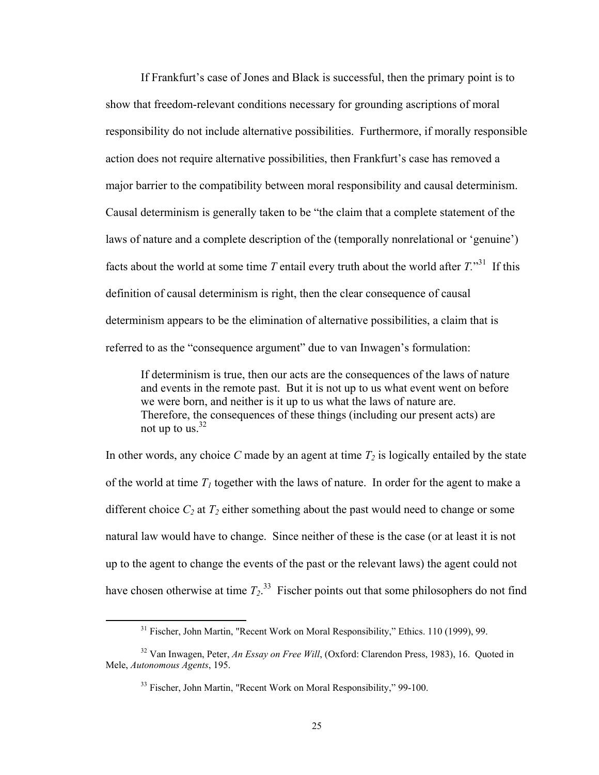If Frankfurt's case of Jones and Black is successful, then the primary point is to show that freedom-relevant conditions necessary for grounding ascriptions of moral responsibility do not include alternative possibilities. Furthermore, if morally responsible action does not require alternative possibilities, then Frankfurt's case has removed a major barrier to the compatibility between moral responsibility and causal determinism. Causal determinism is generally taken to be "the claim that a complete statement of the laws of nature and a complete description of the (temporally nonrelational or 'genuine') facts about the world at some time *T* entail every truth about the world after  $T^{31}$ . If this definition of causal determinism is right, then the clear consequence of causal determinism appears to be the elimination of alternative possibilities, a claim that is referred to as the "consequence argument" due to van Inwagen's formulation:

If determinism is true, then our acts are the consequences of the laws of nature and events in the remote past. But it is not up to us what event went on before we were born, and neither is it up to us what the laws of nature are. Therefore, the consequences of these things (including our present acts) are not up to us. $32$ 

In other words, any choice  $C$  made by an agent at time  $T_2$  is logically entailed by the state of the world at time  $T_1$  together with the laws of nature. In order for the agent to make a different choice  $C_2$  at  $T_2$  either something about the past would need to change or some natural law would have to change. Since neither of these is the case (or at least it is not up to the agent to change the events of the past or the relevant laws) the agent could not have chosen otherwise at time  $T_2$ <sup>33</sup> Fischer points out that some philosophers do not find

<sup>&</sup>lt;sup>31</sup> Fischer, John Martin, "Recent Work on Moral Responsibility," Ethics. 110 (1999), 99.

<sup>32</sup> Van Inwagen, Peter, *An Essay on Free Will*, (Oxford: Clarendon Press, 1983), 16. Quoted in Mele, *Autonomous Agents*, 195.

<sup>&</sup>lt;sup>33</sup> Fischer, John Martin, "Recent Work on Moral Responsibility," 99-100.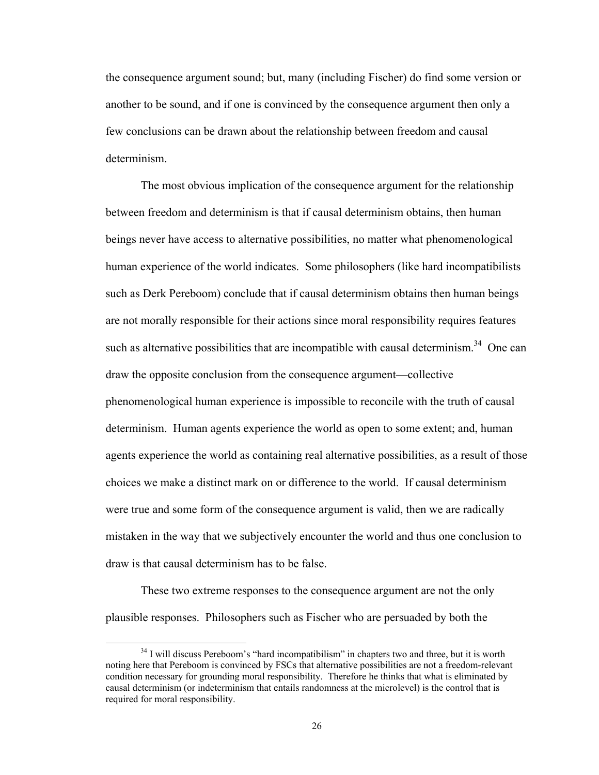the consequence argument sound; but, many (including Fischer) do find some version or another to be sound, and if one is convinced by the consequence argument then only a few conclusions can be drawn about the relationship between freedom and causal determinism.

 The most obvious implication of the consequence argument for the relationship between freedom and determinism is that if causal determinism obtains, then human beings never have access to alternative possibilities, no matter what phenomenological human experience of the world indicates. Some philosophers (like hard incompatibilists such as Derk Pereboom) conclude that if causal determinism obtains then human beings are not morally responsible for their actions since moral responsibility requires features such as alternative possibilities that are incompatible with causal determinism.<sup>34</sup> One can draw the opposite conclusion from the consequence argument—collective phenomenological human experience is impossible to reconcile with the truth of causal determinism. Human agents experience the world as open to some extent; and, human agents experience the world as containing real alternative possibilities, as a result of those choices we make a distinct mark on or difference to the world. If causal determinism were true and some form of the consequence argument is valid, then we are radically mistaken in the way that we subjectively encounter the world and thus one conclusion to draw is that causal determinism has to be false.

These two extreme responses to the consequence argument are not the only plausible responses. Philosophers such as Fischer who are persuaded by both the

 $34$  I will discuss Pereboom's "hard incompatibilism" in chapters two and three, but it is worth noting here that Pereboom is convinced by FSCs that alternative possibilities are not a freedom-relevant condition necessary for grounding moral responsibility. Therefore he thinks that what is eliminated by causal determinism (or indeterminism that entails randomness at the microlevel) is the control that is required for moral responsibility.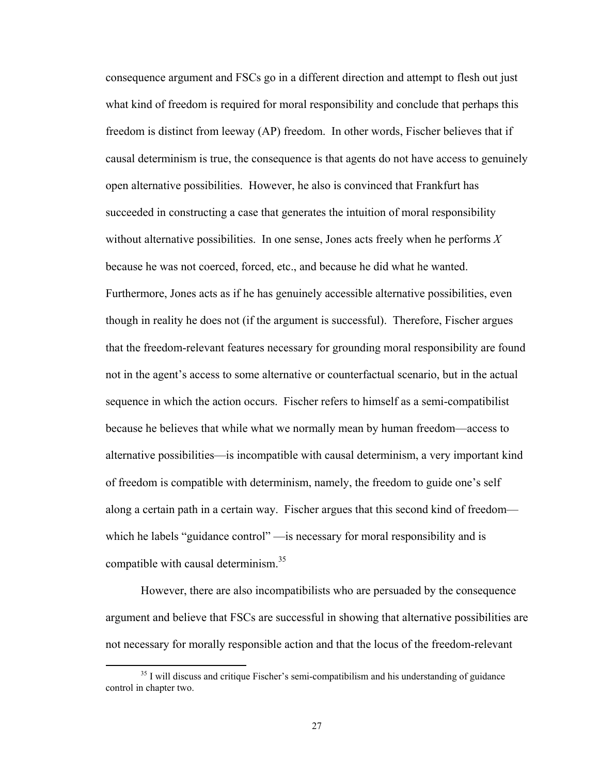consequence argument and FSCs go in a different direction and attempt to flesh out just what kind of freedom is required for moral responsibility and conclude that perhaps this freedom is distinct from leeway (AP) freedom. In other words, Fischer believes that if causal determinism is true, the consequence is that agents do not have access to genuinely open alternative possibilities. However, he also is convinced that Frankfurt has succeeded in constructing a case that generates the intuition of moral responsibility without alternative possibilities. In one sense, Jones acts freely when he performs *X* because he was not coerced, forced, etc., and because he did what he wanted. Furthermore, Jones acts as if he has genuinely accessible alternative possibilities, even though in reality he does not (if the argument is successful). Therefore, Fischer argues that the freedom-relevant features necessary for grounding moral responsibility are found not in the agent's access to some alternative or counterfactual scenario, but in the actual sequence in which the action occurs. Fischer refers to himself as a semi-compatibilist because he believes that while what we normally mean by human freedom—access to alternative possibilities—is incompatible with causal determinism, a very important kind of freedom is compatible with determinism, namely, the freedom to guide one's self along a certain path in a certain way. Fischer argues that this second kind of freedom which he labels "guidance control" — is necessary for moral responsibility and is compatible with causal determinism.<sup>35</sup>

However, there are also incompatibilists who are persuaded by the consequence argument and believe that FSCs are successful in showing that alternative possibilities are not necessary for morally responsible action and that the locus of the freedom-relevant

 $35$  I will discuss and critique Fischer's semi-compatibilism and his understanding of guidance control in chapter two.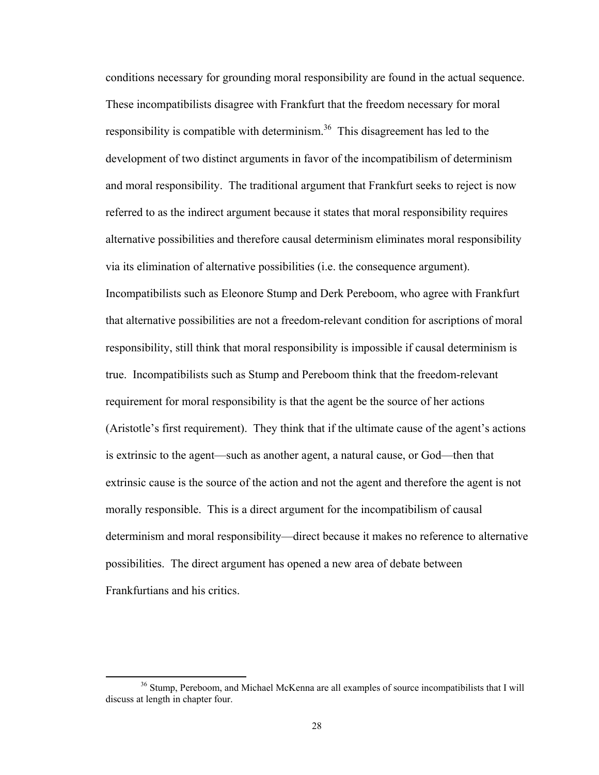conditions necessary for grounding moral responsibility are found in the actual sequence. These incompatibilists disagree with Frankfurt that the freedom necessary for moral responsibility is compatible with determinism.<sup>36</sup> This disagreement has led to the development of two distinct arguments in favor of the incompatibilism of determinism and moral responsibility. The traditional argument that Frankfurt seeks to reject is now referred to as the indirect argument because it states that moral responsibility requires alternative possibilities and therefore causal determinism eliminates moral responsibility via its elimination of alternative possibilities (i.e. the consequence argument). Incompatibilists such as Eleonore Stump and Derk Pereboom, who agree with Frankfurt that alternative possibilities are not a freedom-relevant condition for ascriptions of moral responsibility, still think that moral responsibility is impossible if causal determinism is true. Incompatibilists such as Stump and Pereboom think that the freedom-relevant requirement for moral responsibility is that the agent be the source of her actions (Aristotle's first requirement). They think that if the ultimate cause of the agent's actions is extrinsic to the agent—such as another agent, a natural cause, or God—then that extrinsic cause is the source of the action and not the agent and therefore the agent is not morally responsible. This is a direct argument for the incompatibilism of causal determinism and moral responsibility—direct because it makes no reference to alternative possibilities. The direct argument has opened a new area of debate between Frankfurtians and his critics.

<sup>&</sup>lt;sup>36</sup> Stump, Pereboom, and Michael McKenna are all examples of source incompatibilists that I will discuss at length in chapter four.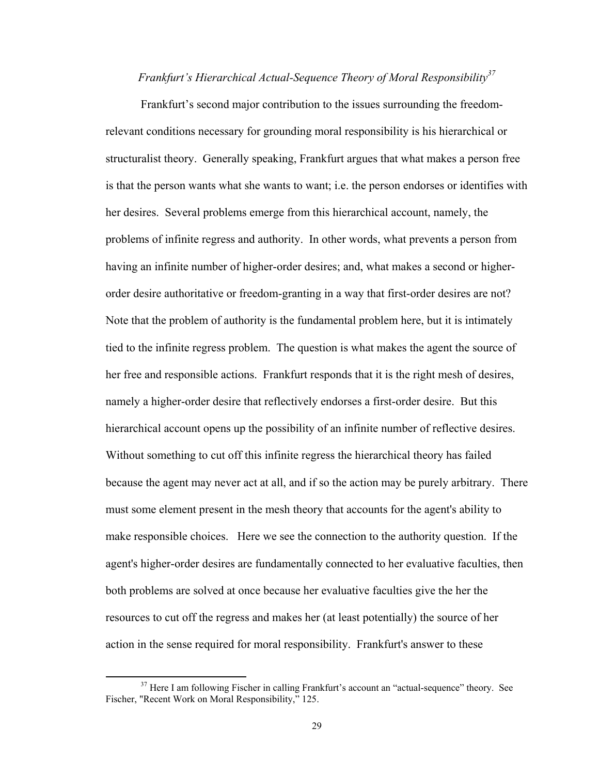## *Frankfurt's Hierarchical Actual-Sequence Theory of Moral Responsibility37*

Frankfurt's second major contribution to the issues surrounding the freedomrelevant conditions necessary for grounding moral responsibility is his hierarchical or structuralist theory. Generally speaking, Frankfurt argues that what makes a person free is that the person wants what she wants to want; i.e. the person endorses or identifies with her desires. Several problems emerge from this hierarchical account, namely, the problems of infinite regress and authority. In other words, what prevents a person from having an infinite number of higher-order desires; and, what makes a second or higherorder desire authoritative or freedom-granting in a way that first-order desires are not? Note that the problem of authority is the fundamental problem here, but it is intimately tied to the infinite regress problem. The question is what makes the agent the source of her free and responsible actions. Frankfurt responds that it is the right mesh of desires, namely a higher-order desire that reflectively endorses a first-order desire. But this hierarchical account opens up the possibility of an infinite number of reflective desires. Without something to cut off this infinite regress the hierarchical theory has failed because the agent may never act at all, and if so the action may be purely arbitrary. There must some element present in the mesh theory that accounts for the agent's ability to make responsible choices. Here we see the connection to the authority question. If the agent's higher-order desires are fundamentally connected to her evaluative faculties, then both problems are solved at once because her evaluative faculties give the her the resources to cut off the regress and makes her (at least potentially) the source of her action in the sense required for moral responsibility. Frankfurt's answer to these

<sup>&</sup>lt;sup>37</sup> Here I am following Fischer in calling Frankfurt's account an "actual-sequence" theory. See Fischer, "Recent Work on Moral Responsibility," 125.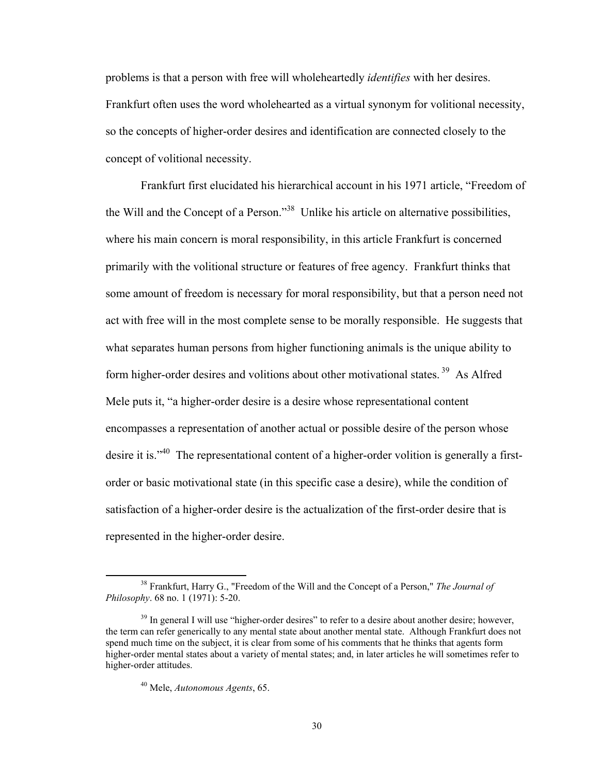problems is that a person with free will wholeheartedly *identifies* with her desires. Frankfurt often uses the word wholehearted as a virtual synonym for volitional necessity, so the concepts of higher-order desires and identification are connected closely to the concept of volitional necessity.

Frankfurt first elucidated his hierarchical account in his 1971 article, "Freedom of the Will and the Concept of a Person."38 Unlike his article on alternative possibilities, where his main concern is moral responsibility, in this article Frankfurt is concerned primarily with the volitional structure or features of free agency. Frankfurt thinks that some amount of freedom is necessary for moral responsibility, but that a person need not act with free will in the most complete sense to be morally responsible. He suggests that what separates human persons from higher functioning animals is the unique ability to form higher-order desires and volitions about other motivational states.<sup>39</sup> As Alfred Mele puts it, "a higher-order desire is a desire whose representational content encompasses a representation of another actual or possible desire of the person whose desire it is."<sup>40</sup> The representational content of a higher-order volition is generally a firstorder or basic motivational state (in this specific case a desire), while the condition of satisfaction of a higher-order desire is the actualization of the first-order desire that is represented in the higher-order desire.

 38 Frankfurt, Harry G., "Freedom of the Will and the Concept of a Person," *The Journal of Philosophy*. 68 no. 1 (1971): 5-20.

<sup>&</sup>lt;sup>39</sup> In general I will use "higher-order desires" to refer to a desire about another desire; however, the term can refer generically to any mental state about another mental state. Although Frankfurt does not spend much time on the subject, it is clear from some of his comments that he thinks that agents form higher-order mental states about a variety of mental states; and, in later articles he will sometimes refer to higher-order attitudes.

<sup>40</sup> Mele, *Autonomous Agents*, 65.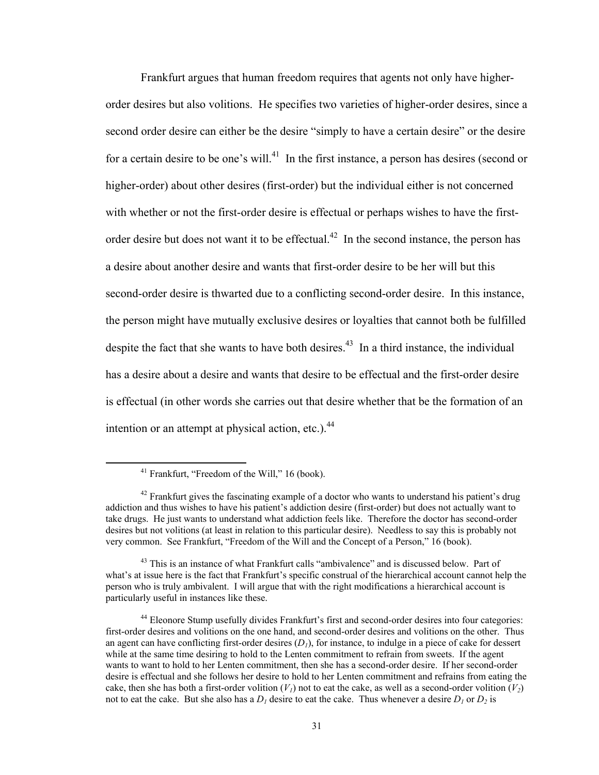Frankfurt argues that human freedom requires that agents not only have higherorder desires but also volitions. He specifies two varieties of higher-order desires, since a second order desire can either be the desire "simply to have a certain desire" or the desire for a certain desire to be one's will.<sup>41</sup> In the first instance, a person has desires (second or higher-order) about other desires (first-order) but the individual either is not concerned with whether or not the first-order desire is effectual or perhaps wishes to have the firstorder desire but does not want it to be effectual.<sup>42</sup> In the second instance, the person has a desire about another desire and wants that first-order desire to be her will but this second-order desire is thwarted due to a conflicting second-order desire. In this instance, the person might have mutually exclusive desires or loyalties that cannot both be fulfilled despite the fact that she wants to have both desires.<sup>43</sup> In a third instance, the individual has a desire about a desire and wants that desire to be effectual and the first-order desire is effectual (in other words she carries out that desire whether that be the formation of an intention or an attempt at physical action, etc.). $^{44}$ 

 41 Frankfurt, "Freedom of the Will," 16 (book).

 $42$  Frankfurt gives the fascinating example of a doctor who wants to understand his patient's drug addiction and thus wishes to have his patient's addiction desire (first-order) but does not actually want to take drugs. He just wants to understand what addiction feels like. Therefore the doctor has second-order desires but not volitions (at least in relation to this particular desire). Needless to say this is probably not very common. See Frankfurt, "Freedom of the Will and the Concept of a Person," 16 (book).

<sup>&</sup>lt;sup>43</sup> This is an instance of what Frankfurt calls "ambivalence" and is discussed below. Part of what's at issue here is the fact that Frankfurt's specific construal of the hierarchical account cannot help the person who is truly ambivalent. I will argue that with the right modifications a hierarchical account is particularly useful in instances like these.

<sup>44</sup> Eleonore Stump usefully divides Frankfurt's first and second-order desires into four categories: first-order desires and volitions on the one hand, and second-order desires and volitions on the other. Thus an agent can have conflicting first-order desires  $(D<sub>l</sub>)$ , for instance, to indulge in a piece of cake for dessert while at the same time desiring to hold to the Lenten commitment to refrain from sweets. If the agent wants to want to hold to her Lenten commitment, then she has a second-order desire. If her second-order desire is effectual and she follows her desire to hold to her Lenten commitment and refrains from eating the cake, then she has both a first-order volition  $(V<sub>1</sub>)$  not to eat the cake, as well as a second-order volition  $(V<sub>2</sub>)$ not to eat the cake. But she also has a  $D_l$  desire to eat the cake. Thus whenever a desire  $D_l$  or  $D_2$  is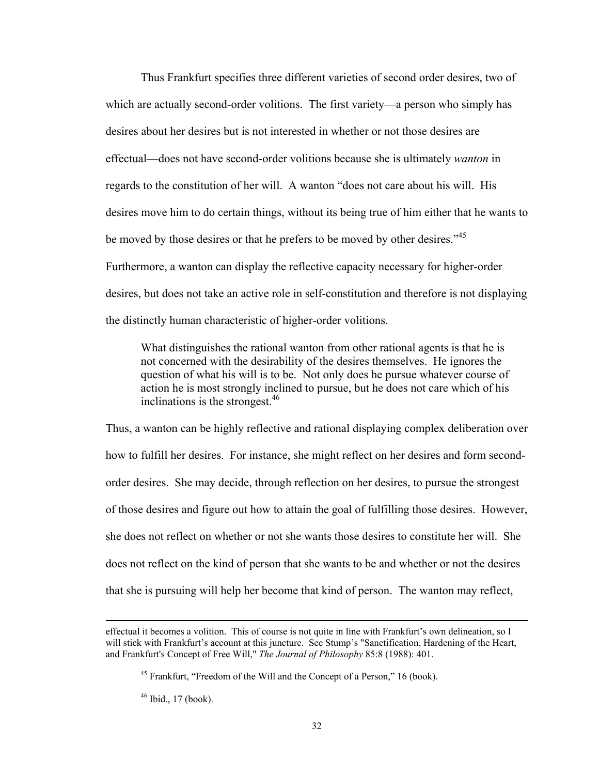Thus Frankfurt specifies three different varieties of second order desires, two of which are actually second-order volitions. The first variety—a person who simply has desires about her desires but is not interested in whether or not those desires are effectual—does not have second-order volitions because she is ultimately *wanton* in regards to the constitution of her will. A wanton "does not care about his will. His desires move him to do certain things, without its being true of him either that he wants to be moved by those desires or that he prefers to be moved by other desires.<sup>45</sup> Furthermore, a wanton can display the reflective capacity necessary for higher-order desires, but does not take an active role in self-constitution and therefore is not displaying the distinctly human characteristic of higher-order volitions.

What distinguishes the rational wanton from other rational agents is that he is not concerned with the desirability of the desires themselves. He ignores the question of what his will is to be. Not only does he pursue whatever course of action he is most strongly inclined to pursue, but he does not care which of his inclinations is the strongest.  $46$ 

Thus, a wanton can be highly reflective and rational displaying complex deliberation over how to fulfill her desires. For instance, she might reflect on her desires and form secondorder desires. She may decide, through reflection on her desires, to pursue the strongest of those desires and figure out how to attain the goal of fulfilling those desires. However, she does not reflect on whether or not she wants those desires to constitute her will. She does not reflect on the kind of person that she wants to be and whether or not the desires that she is pursuing will help her become that kind of person. The wanton may reflect,

<u> 1989 - Johann Stoff, amerikansk politiker (d. 1989)</u>

effectual it becomes a volition. This of course is not quite in line with Frankfurt's own delineation, so I will stick with Frankfurt's account at this juncture. See Stump's "Sanctification, Hardening of the Heart, and Frankfurt's Concept of Free Will," *The Journal of Philosophy* 85:8 (1988): 401.

<sup>&</sup>lt;sup>45</sup> Frankfurt, "Freedom of the Will and the Concept of a Person," 16 (book).

<sup>46</sup> Ibid., 17 (book).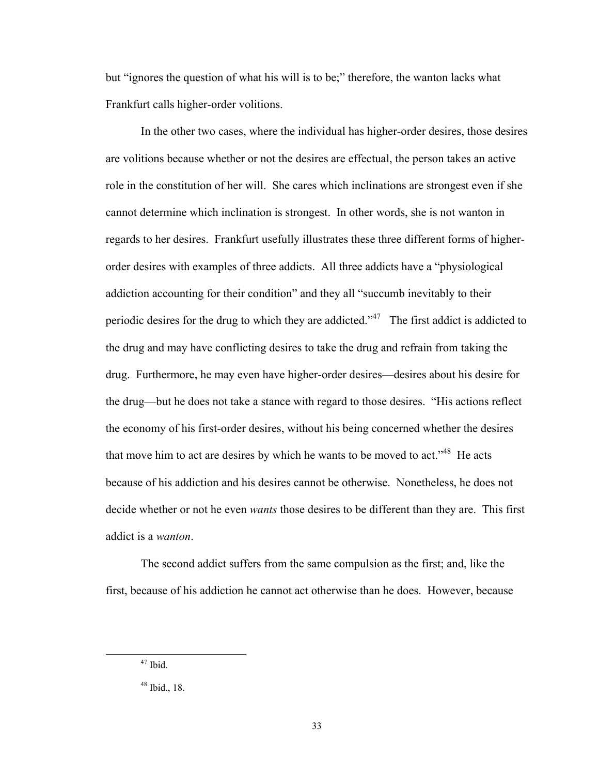but "ignores the question of what his will is to be;" therefore, the wanton lacks what Frankfurt calls higher-order volitions.

In the other two cases, where the individual has higher-order desires, those desires are volitions because whether or not the desires are effectual, the person takes an active role in the constitution of her will. She cares which inclinations are strongest even if she cannot determine which inclination is strongest. In other words, she is not wanton in regards to her desires. Frankfurt usefully illustrates these three different forms of higherorder desires with examples of three addicts. All three addicts have a "physiological addiction accounting for their condition" and they all "succumb inevitably to their periodic desires for the drug to which they are addicted."<sup>47</sup> The first addict is addicted to the drug and may have conflicting desires to take the drug and refrain from taking the drug. Furthermore, he may even have higher-order desires—desires about his desire for the drug—but he does not take a stance with regard to those desires. "His actions reflect the economy of his first-order desires, without his being concerned whether the desires that move him to act are desires by which he wants to be moved to act."<sup>48</sup> He acts because of his addiction and his desires cannot be otherwise. Nonetheless, he does not decide whether or not he even *wants* those desires to be different than they are. This first addict is a *wanton*.

The second addict suffers from the same compulsion as the first; and, like the first, because of his addiction he cannot act otherwise than he does. However, because

 $47$  Ibid.

<sup>48</sup> Ibid., 18.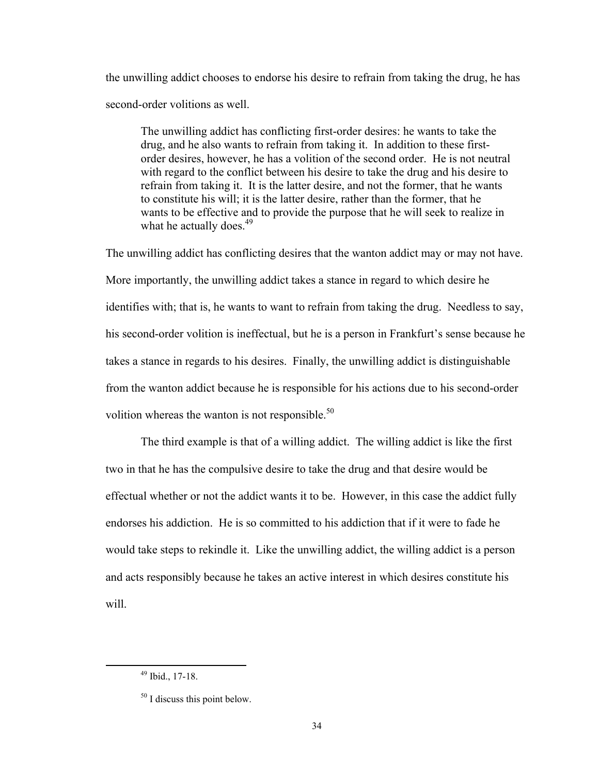the unwilling addict chooses to endorse his desire to refrain from taking the drug, he has second-order volitions as well.

The unwilling addict has conflicting first-order desires: he wants to take the drug, and he also wants to refrain from taking it. In addition to these firstorder desires, however, he has a volition of the second order. He is not neutral with regard to the conflict between his desire to take the drug and his desire to refrain from taking it. It is the latter desire, and not the former, that he wants to constitute his will; it is the latter desire, rather than the former, that he wants to be effective and to provide the purpose that he will seek to realize in what he actually does.<sup>49</sup>

The unwilling addict has conflicting desires that the wanton addict may or may not have. More importantly, the unwilling addict takes a stance in regard to which desire he identifies with; that is, he wants to want to refrain from taking the drug. Needless to say, his second-order volition is ineffectual, but he is a person in Frankfurt's sense because he takes a stance in regards to his desires. Finally, the unwilling addict is distinguishable from the wanton addict because he is responsible for his actions due to his second-order volition whereas the wanton is not responsible. $50$ 

The third example is that of a willing addict. The willing addict is like the first two in that he has the compulsive desire to take the drug and that desire would be effectual whether or not the addict wants it to be. However, in this case the addict fully endorses his addiction. He is so committed to his addiction that if it were to fade he would take steps to rekindle it. Like the unwilling addict, the willing addict is a person and acts responsibly because he takes an active interest in which desires constitute his will.

 49 Ibid., 17-18.

<sup>&</sup>lt;sup>50</sup> I discuss this point below.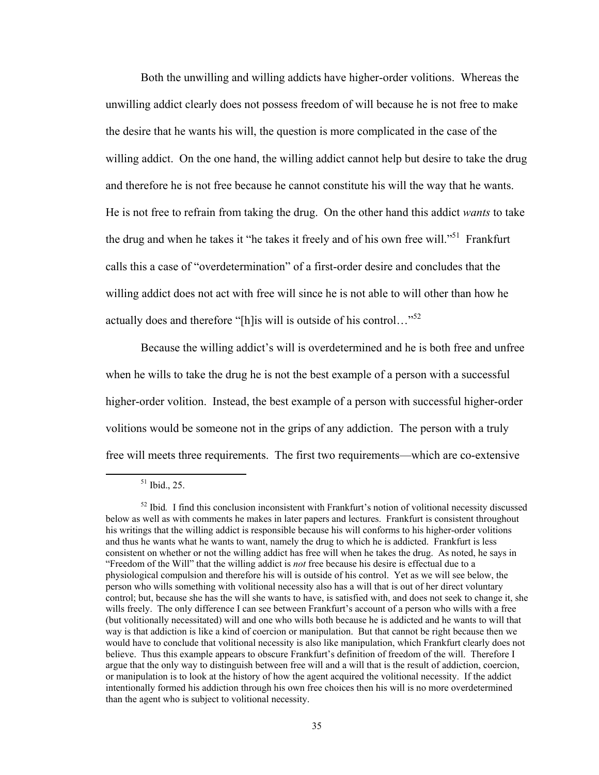Both the unwilling and willing addicts have higher-order volitions. Whereas the unwilling addict clearly does not possess freedom of will because he is not free to make the desire that he wants his will, the question is more complicated in the case of the willing addict. On the one hand, the willing addict cannot help but desire to take the drug and therefore he is not free because he cannot constitute his will the way that he wants. He is not free to refrain from taking the drug. On the other hand this addict *wants* to take the drug and when he takes it "he takes it freely and of his own free will."<sup>51</sup> Frankfurt calls this a case of "overdetermination" of a first-order desire and concludes that the willing addict does not act with free will since he is not able to will other than how he actually does and therefore "[h]is will is outside of his control..." $52$ 

Because the willing addict's will is overdetermined and he is both free and unfree when he wills to take the drug he is not the best example of a person with a successful higher-order volition. Instead, the best example of a person with successful higher-order volitions would be someone not in the grips of any addiction. The person with a truly free will meets three requirements. The first two requirements—which are co-extensive

 51 Ibid., 25.

<sup>&</sup>lt;sup>52</sup> Ibid. I find this conclusion inconsistent with Frankfurt's notion of volitional necessity discussed below as well as with comments he makes in later papers and lectures. Frankfurt is consistent throughout his writings that the willing addict is responsible because his will conforms to his higher-order volitions and thus he wants what he wants to want, namely the drug to which he is addicted. Frankfurt is less consistent on whether or not the willing addict has free will when he takes the drug. As noted, he says in "Freedom of the Will" that the willing addict is *not* free because his desire is effectual due to a physiological compulsion and therefore his will is outside of his control. Yet as we will see below, the person who wills something with volitional necessity also has a will that is out of her direct voluntary control; but, because she has the will she wants to have, is satisfied with, and does not seek to change it, she wills freely. The only difference I can see between Frankfurt's account of a person who wills with a free (but volitionally necessitated) will and one who wills both because he is addicted and he wants to will that way is that addiction is like a kind of coercion or manipulation. But that cannot be right because then we would have to conclude that volitional necessity is also like manipulation, which Frankfurt clearly does not believe. Thus this example appears to obscure Frankfurt's definition of freedom of the will. Therefore I argue that the only way to distinguish between free will and a will that is the result of addiction, coercion, or manipulation is to look at the history of how the agent acquired the volitional necessity. If the addict intentionally formed his addiction through his own free choices then his will is no more overdetermined than the agent who is subject to volitional necessity.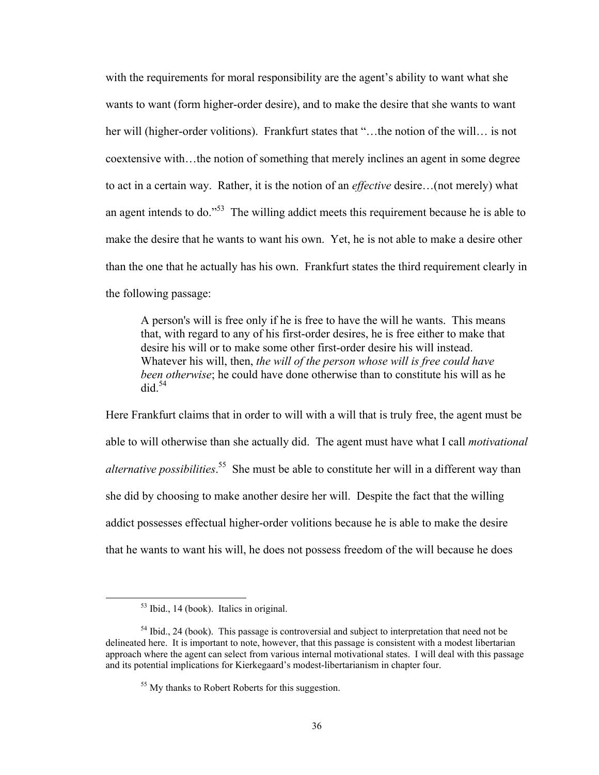with the requirements for moral responsibility are the agent's ability to want what she wants to want (form higher-order desire), and to make the desire that she wants to want her will (higher-order volitions). Frankfurt states that "...the notion of the will... is not coextensive with…the notion of something that merely inclines an agent in some degree to act in a certain way. Rather, it is the notion of an *effective* desire…(not merely) what an agent intends to do."53 The willing addict meets this requirement because he is able to make the desire that he wants to want his own. Yet, he is not able to make a desire other than the one that he actually has his own. Frankfurt states the third requirement clearly in the following passage:

A person's will is free only if he is free to have the will he wants. This means that, with regard to any of his first-order desires, he is free either to make that desire his will or to make some other first-order desire his will instead. Whatever his will, then, *the will of the person whose will is free could have been otherwise*; he could have done otherwise than to constitute his will as he  $\mathrm{did}$ <sup>54</sup>

Here Frankfurt claims that in order to will with a will that is truly free, the agent must be able to will otherwise than she actually did. The agent must have what I call *motivational alternative possibilities*. 55 She must be able to constitute her will in a different way than she did by choosing to make another desire her will. Despite the fact that the willing addict possesses effectual higher-order volitions because he is able to make the desire that he wants to want his will, he does not possess freedom of the will because he does

 $<sup>53</sup>$  Ibid., 14 (book). Italics in original.</sup>

<sup>&</sup>lt;sup>54</sup> Ibid., 24 (book). This passage is controversial and subject to interpretation that need not be delineated here. It is important to note, however, that this passage is consistent with a modest libertarian approach where the agent can select from various internal motivational states. I will deal with this passage and its potential implications for Kierkegaard's modest-libertarianism in chapter four.

<sup>&</sup>lt;sup>55</sup> My thanks to Robert Roberts for this suggestion.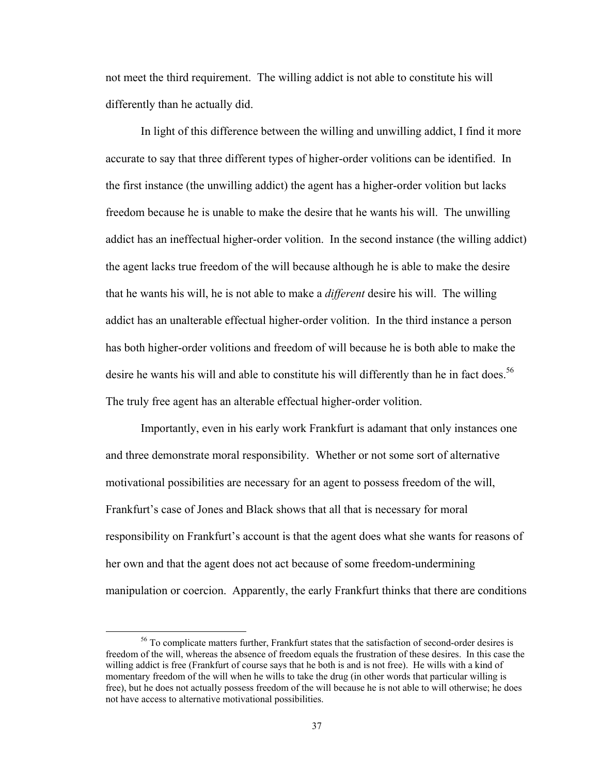not meet the third requirement. The willing addict is not able to constitute his will differently than he actually did.

In light of this difference between the willing and unwilling addict, I find it more accurate to say that three different types of higher-order volitions can be identified. In the first instance (the unwilling addict) the agent has a higher-order volition but lacks freedom because he is unable to make the desire that he wants his will. The unwilling addict has an ineffectual higher-order volition. In the second instance (the willing addict) the agent lacks true freedom of the will because although he is able to make the desire that he wants his will, he is not able to make a *different* desire his will. The willing addict has an unalterable effectual higher-order volition. In the third instance a person has both higher-order volitions and freedom of will because he is both able to make the desire he wants his will and able to constitute his will differently than he in fact does.<sup>56</sup> The truly free agent has an alterable effectual higher-order volition.

Importantly, even in his early work Frankfurt is adamant that only instances one and three demonstrate moral responsibility. Whether or not some sort of alternative motivational possibilities are necessary for an agent to possess freedom of the will, Frankfurt's case of Jones and Black shows that all that is necessary for moral responsibility on Frankfurt's account is that the agent does what she wants for reasons of her own and that the agent does not act because of some freedom-undermining manipulation or coercion. Apparently, the early Frankfurt thinks that there are conditions

<sup>&</sup>lt;sup>56</sup> To complicate matters further, Frankfurt states that the satisfaction of second-order desires is freedom of the will, whereas the absence of freedom equals the frustration of these desires. In this case the willing addict is free (Frankfurt of course says that he both is and is not free). He wills with a kind of momentary freedom of the will when he wills to take the drug (in other words that particular willing is free), but he does not actually possess freedom of the will because he is not able to will otherwise; he does not have access to alternative motivational possibilities.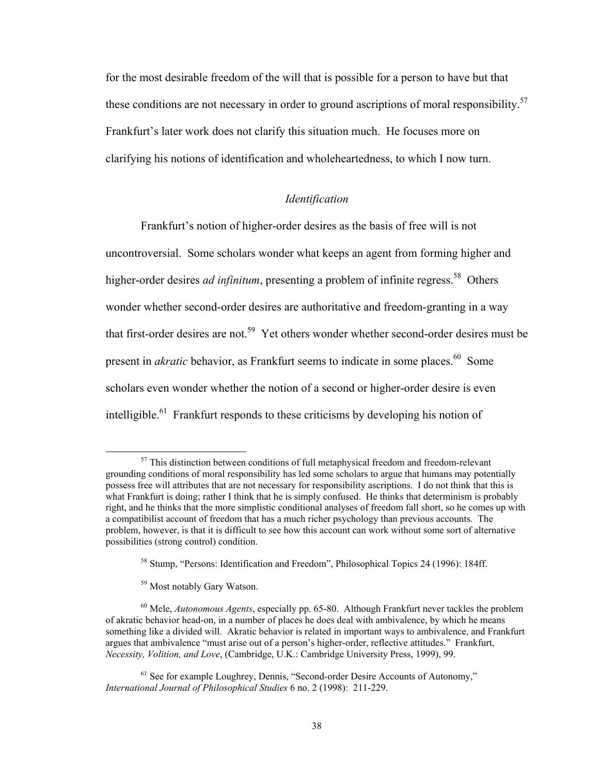for the most desirable freedom of the will that is possible for a person to have but that these conditions are not necessary in order to ground ascriptions of moral responsibility.<sup>57</sup> Frankfurt's later work does not clarify this situation much. He focuses more on clarifying his notions of identification and wholeheartedness, to which I now turn.

## *Identification*

Frankfurt's notion of higher-order desires as the basis of free will is not uncontroversial. Some scholars wonder what keeps an agent from forming higher and higher-order desires *ad infinitum*, presenting a problem of infinite regress.<sup>58</sup> Others wonder whether second-order desires are authoritative and freedom-granting in a way that first-order desires are not.<sup>59</sup> Yet others wonder whether second-order desires must be present in *akratic* behavior, as Frankfurt seems to indicate in some places.<sup>60</sup> Some scholars even wonder whether the notion of a second or higher-order desire is even intelligible.<sup>61</sup> Frankfurt responds to these criticisms by developing his notion of

<sup>&</sup>lt;sup>57</sup> This distinction between conditions of full metaphysical freedom and freedom-relevant grounding conditions of moral responsibility has led some scholars to argue that humans may potentially possess free will attributes that are not necessary for responsibility ascriptions. I do not think that this is what Frankfurt is doing; rather I think that he is simply confused. He thinks that determinism is probably right, and he thinks that the more simplistic conditional analyses of freedom fall short, so he comes up with a compatibilist account of freedom that has a much richer psychology than previous accounts. The problem, however, is that it is difficult to see how this account can work without some sort of alternative possibilities (strong control) condition.

<sup>58</sup> Stump, "Persons: Identification and Freedom", Philosophical Topics 24 (1996): 184ff.

<sup>59</sup> Most notably Gary Watson.

<sup>60</sup> Mele, *Autonomous Agents*, especially pp. 65-80. Although Frankfurt never tackles the problem of akratic behavior head-on, in a number of places he does deal with ambivalence, by which he means something like a divided will. Akratic behavior is related in important ways to ambivalence, and Frankfurt argues that ambivalence "must arise out of a person's higher-order, reflective attitudes." Frankfurt, *Necessity, Volition, and Love*, (Cambridge, U.K.: Cambridge University Press, 1999), 99.

<sup>&</sup>lt;sup>61</sup> See for example Loughrey, Dennis, "Second-order Desire Accounts of Autonomy," *International Journal of Philosophical Studies* 6 no. 2 (1998): 211-229.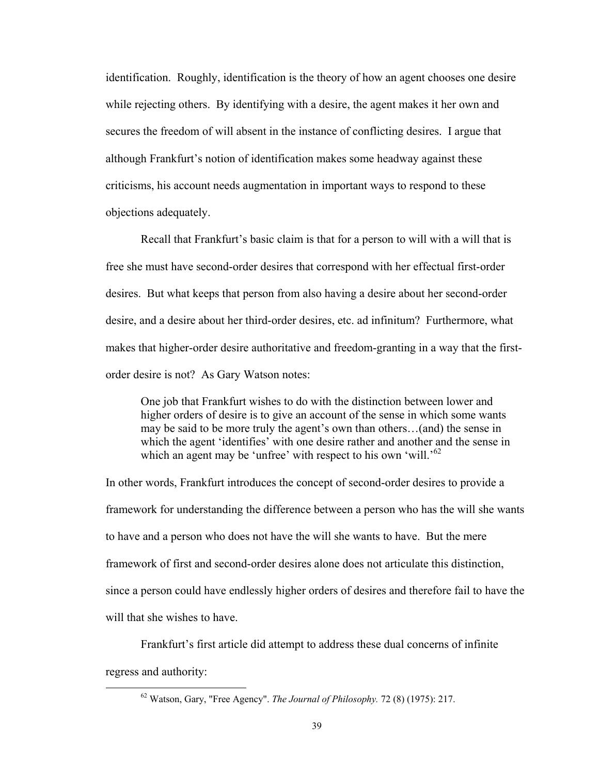identification. Roughly, identification is the theory of how an agent chooses one desire while rejecting others. By identifying with a desire, the agent makes it her own and secures the freedom of will absent in the instance of conflicting desires. I argue that although Frankfurt's notion of identification makes some headway against these criticisms, his account needs augmentation in important ways to respond to these objections adequately.

 Recall that Frankfurt's basic claim is that for a person to will with a will that is free she must have second-order desires that correspond with her effectual first-order desires. But what keeps that person from also having a desire about her second-order desire, and a desire about her third-order desires, etc. ad infinitum? Furthermore, what makes that higher-order desire authoritative and freedom-granting in a way that the firstorder desire is not? As Gary Watson notes:

One job that Frankfurt wishes to do with the distinction between lower and higher orders of desire is to give an account of the sense in which some wants may be said to be more truly the agent's own than others…(and) the sense in which the agent 'identifies' with one desire rather and another and the sense in which an agent may be 'unfree' with respect to his own 'will.'<sup>62</sup>

In other words, Frankfurt introduces the concept of second-order desires to provide a framework for understanding the difference between a person who has the will she wants to have and a person who does not have the will she wants to have. But the mere framework of first and second-order desires alone does not articulate this distinction, since a person could have endlessly higher orders of desires and therefore fail to have the will that she wishes to have.

Frankfurt's first article did attempt to address these dual concerns of infinite regress and authority:

 62 Watson, Gary, "Free Agency". *The Journal of Philosophy.* 72 (8) (1975): 217.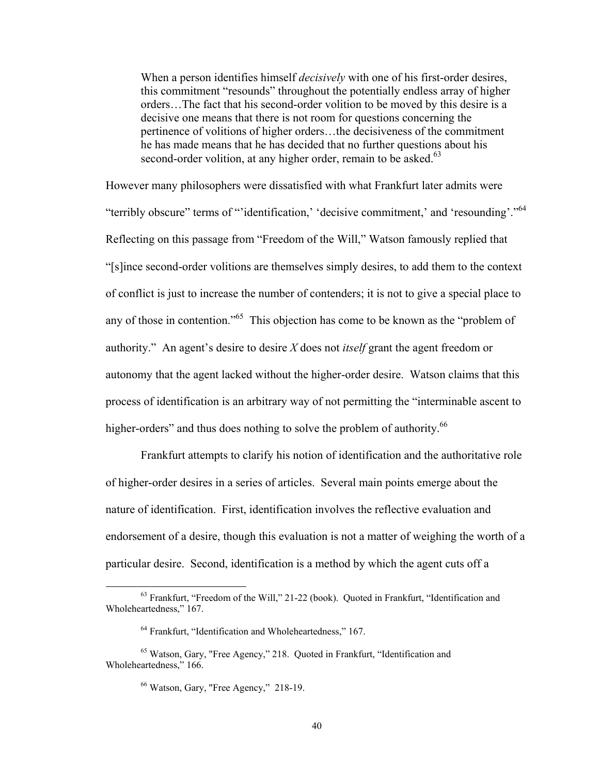When a person identifies himself *decisively* with one of his first-order desires, this commitment "resounds" throughout the potentially endless array of higher orders…The fact that his second-order volition to be moved by this desire is a decisive one means that there is not room for questions concerning the pertinence of volitions of higher orders…the decisiveness of the commitment he has made means that he has decided that no further questions about his second-order volition, at any higher order, remain to be asked.<sup>63</sup>

However many philosophers were dissatisfied with what Frankfurt later admits were "terribly obscure" terms of "'identification,' 'decisive commitment,' and 'resounding'."<sup>64</sup> Reflecting on this passage from "Freedom of the Will," Watson famously replied that "[s]ince second-order volitions are themselves simply desires, to add them to the context of conflict is just to increase the number of contenders; it is not to give a special place to any of those in contention."65 This objection has come to be known as the "problem of authority." An agent's desire to desire *X* does not *itself* grant the agent freedom or autonomy that the agent lacked without the higher-order desire. Watson claims that this process of identification is an arbitrary way of not permitting the "interminable ascent to higher-orders" and thus does nothing to solve the problem of authority.<sup>66</sup>

Frankfurt attempts to clarify his notion of identification and the authoritative role of higher-order desires in a series of articles. Several main points emerge about the nature of identification. First, identification involves the reflective evaluation and endorsement of a desire, though this evaluation is not a matter of weighing the worth of a particular desire. Second, identification is a method by which the agent cuts off a

 63 Frankfurt, "Freedom of the Will," 21-22 (book). Quoted in Frankfurt, "Identification and Wholeheartedness," 167.

<sup>&</sup>lt;sup>64</sup> Frankfurt, "Identification and Wholeheartedness," 167.

<sup>65</sup> Watson, Gary, "Free Agency," 218. Quoted in Frankfurt, "Identification and Wholeheartedness," 166.

<sup>66</sup> Watson, Gary, "Free Agency," 218-19.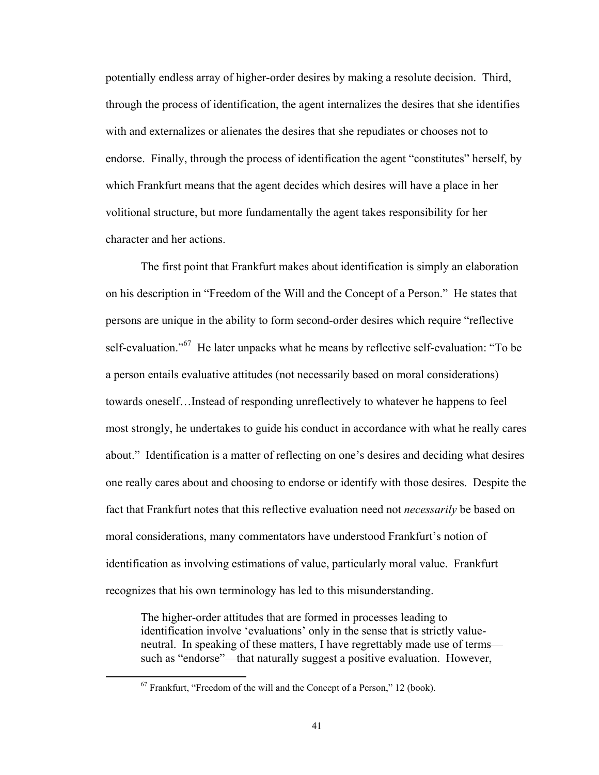potentially endless array of higher-order desires by making a resolute decision. Third, through the process of identification, the agent internalizes the desires that she identifies with and externalizes or alienates the desires that she repudiates or chooses not to endorse. Finally, through the process of identification the agent "constitutes" herself, by which Frankfurt means that the agent decides which desires will have a place in her volitional structure, but more fundamentally the agent takes responsibility for her character and her actions.

The first point that Frankfurt makes about identification is simply an elaboration on his description in "Freedom of the Will and the Concept of a Person." He states that persons are unique in the ability to form second-order desires which require "reflective self-evaluation."<sup>67</sup> He later unpacks what he means by reflective self-evaluation: "To be a person entails evaluative attitudes (not necessarily based on moral considerations) towards oneself…Instead of responding unreflectively to whatever he happens to feel most strongly, he undertakes to guide his conduct in accordance with what he really cares about." Identification is a matter of reflecting on one's desires and deciding what desires one really cares about and choosing to endorse or identify with those desires. Despite the fact that Frankfurt notes that this reflective evaluation need not *necessarily* be based on moral considerations, many commentators have understood Frankfurt's notion of identification as involving estimations of value, particularly moral value. Frankfurt recognizes that his own terminology has led to this misunderstanding.

The higher-order attitudes that are formed in processes leading to identification involve 'evaluations' only in the sense that is strictly valueneutral. In speaking of these matters, I have regrettably made use of terms such as "endorse"—that naturally suggest a positive evaluation. However,

 $67$  Frankfurt, "Freedom of the will and the Concept of a Person," 12 (book).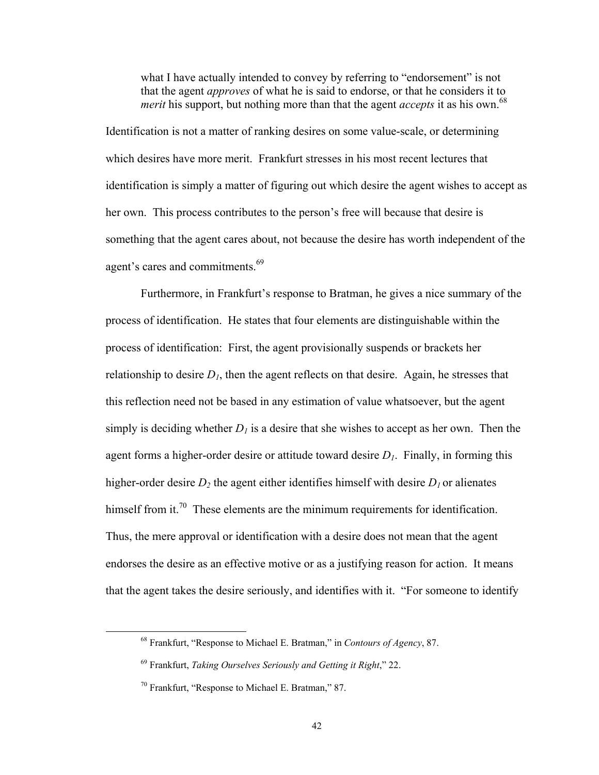what I have actually intended to convey by referring to "endorsement" is not that the agent *approves* of what he is said to endorse, or that he considers it to *merit* his support, but nothing more than that the agent *accepts* it as his own.<sup>68</sup>

Identification is not a matter of ranking desires on some value-scale, or determining which desires have more merit. Frankfurt stresses in his most recent lectures that identification is simply a matter of figuring out which desire the agent wishes to accept as her own. This process contributes to the person's free will because that desire is something that the agent cares about, not because the desire has worth independent of the agent's cares and commitments.<sup>69</sup>

 Furthermore, in Frankfurt's response to Bratman, he gives a nice summary of the process of identification. He states that four elements are distinguishable within the process of identification: First, the agent provisionally suspends or brackets her relationship to desire  $D_1$ , then the agent reflects on that desire. Again, he stresses that this reflection need not be based in any estimation of value whatsoever, but the agent simply is deciding whether  $D_l$  is a desire that she wishes to accept as her own. Then the agent forms a higher-order desire or attitude toward desire *D1*. Finally, in forming this higher-order desire  $D_2$  the agent either identifies himself with desire  $D_1$  or alienates himself from it.<sup>70</sup> These elements are the minimum requirements for identification. Thus, the mere approval or identification with a desire does not mean that the agent endorses the desire as an effective motive or as a justifying reason for action. It means that the agent takes the desire seriously, and identifies with it. "For someone to identify

 68 Frankfurt, "Response to Michael E. Bratman," in *Contours of Agency*, 87.

<sup>69</sup> Frankfurt, *Taking Ourselves Seriously and Getting it Right*," 22.

<sup>70</sup> Frankfurt, "Response to Michael E. Bratman," 87.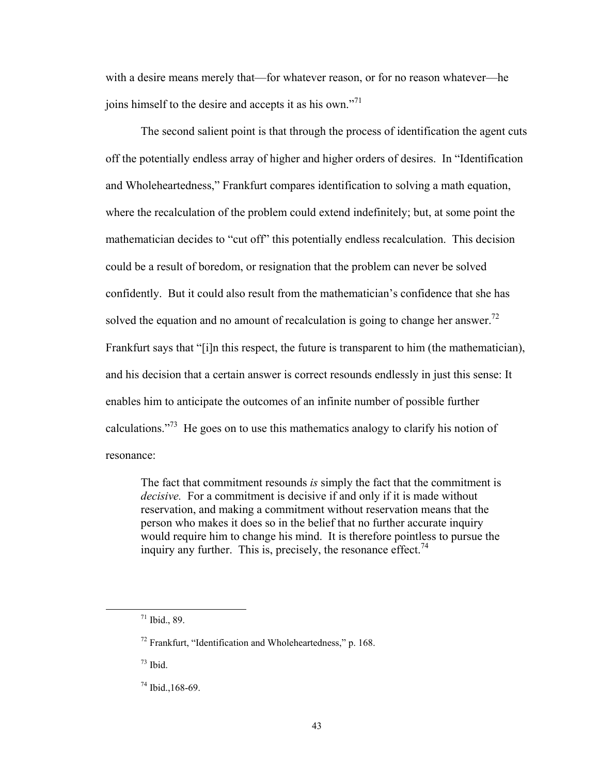with a desire means merely that—for whatever reason, or for no reason whatever—he joins himself to the desire and accepts it as his own."<sup>71</sup>

The second salient point is that through the process of identification the agent cuts off the potentially endless array of higher and higher orders of desires. In "Identification and Wholeheartedness," Frankfurt compares identification to solving a math equation, where the recalculation of the problem could extend indefinitely; but, at some point the mathematician decides to "cut off" this potentially endless recalculation. This decision could be a result of boredom, or resignation that the problem can never be solved confidently. But it could also result from the mathematician's confidence that she has solved the equation and no amount of recalculation is going to change her answer.<sup>72</sup> Frankfurt says that "[i]n this respect, the future is transparent to him (the mathematician), and his decision that a certain answer is correct resounds endlessly in just this sense: It enables him to anticipate the outcomes of an infinite number of possible further calculations."<sup>73</sup> He goes on to use this mathematics analogy to clarify his notion of resonance:

The fact that commitment resounds *is* simply the fact that the commitment is *decisive.* For a commitment is decisive if and only if it is made without reservation, and making a commitment without reservation means that the person who makes it does so in the belief that no further accurate inquiry would require him to change his mind. It is therefore pointless to pursue the inquiry any further. This is, precisely, the resonance effect.<sup>74</sup>

 $71$  Ibid., 89.

<sup>72</sup> Frankfurt, "Identification and Wholeheartedness," p. 168.

 $73$  Ibid.

<sup>74</sup> Ibid.,168-69.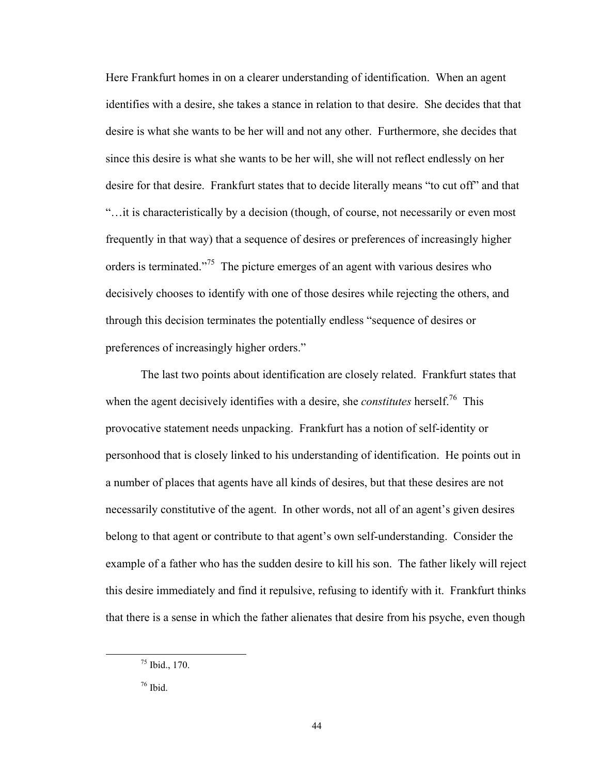Here Frankfurt homes in on a clearer understanding of identification. When an agent identifies with a desire, she takes a stance in relation to that desire. She decides that that desire is what she wants to be her will and not any other. Furthermore, she decides that since this desire is what she wants to be her will, she will not reflect endlessly on her desire for that desire. Frankfurt states that to decide literally means "to cut off" and that "…it is characteristically by a decision (though, of course, not necessarily or even most frequently in that way) that a sequence of desires or preferences of increasingly higher orders is terminated."75 The picture emerges of an agent with various desires who decisively chooses to identify with one of those desires while rejecting the others, and through this decision terminates the potentially endless "sequence of desires or preferences of increasingly higher orders."

 The last two points about identification are closely related. Frankfurt states that when the agent decisively identifies with a desire, she *constitutes* herself.<sup>76</sup> This provocative statement needs unpacking. Frankfurt has a notion of self-identity or personhood that is closely linked to his understanding of identification. He points out in a number of places that agents have all kinds of desires, but that these desires are not necessarily constitutive of the agent. In other words, not all of an agent's given desires belong to that agent or contribute to that agent's own self-understanding. Consider the example of a father who has the sudden desire to kill his son. The father likely will reject this desire immediately and find it repulsive, refusing to identify with it. Frankfurt thinks that there is a sense in which the father alienates that desire from his psyche, even though

 $75$  Ibid., 170.

<sup>76</sup> Ibid.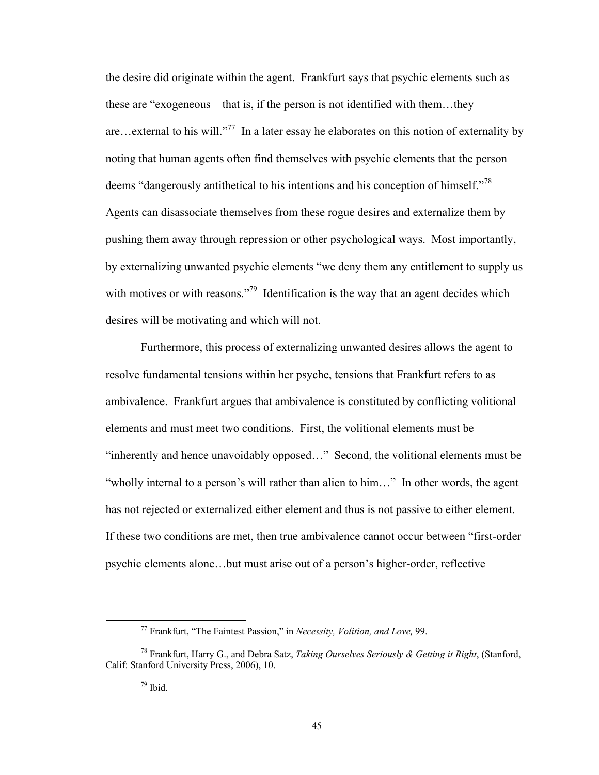the desire did originate within the agent. Frankfurt says that psychic elements such as these are "exogeneous—that is, if the person is not identified with them…they are…external to his will."<sup>77</sup> In a later essay he elaborates on this notion of externality by noting that human agents often find themselves with psychic elements that the person deems "dangerously antithetical to his intentions and his conception of himself."<sup>78</sup> Agents can disassociate themselves from these rogue desires and externalize them by pushing them away through repression or other psychological ways. Most importantly, by externalizing unwanted psychic elements "we deny them any entitlement to supply us with motives or with reasons."<sup>79</sup> Identification is the way that an agent decides which desires will be motivating and which will not.

 Furthermore, this process of externalizing unwanted desires allows the agent to resolve fundamental tensions within her psyche, tensions that Frankfurt refers to as ambivalence. Frankfurt argues that ambivalence is constituted by conflicting volitional elements and must meet two conditions. First, the volitional elements must be "inherently and hence unavoidably opposed…" Second, the volitional elements must be "wholly internal to a person's will rather than alien to him…" In other words, the agent has not rejected or externalized either element and thus is not passive to either element. If these two conditions are met, then true ambivalence cannot occur between "first-order psychic elements alone…but must arise out of a person's higher-order, reflective

 77 Frankfurt, "The Faintest Passion," in *Necessity, Volition, and Love,* 99.

<sup>78</sup> Frankfurt, Harry G., and Debra Satz, *Taking Ourselves Seriously & Getting it Right*, (Stanford, Calif: Stanford University Press, 2006), 10.

 $79$  Ibid.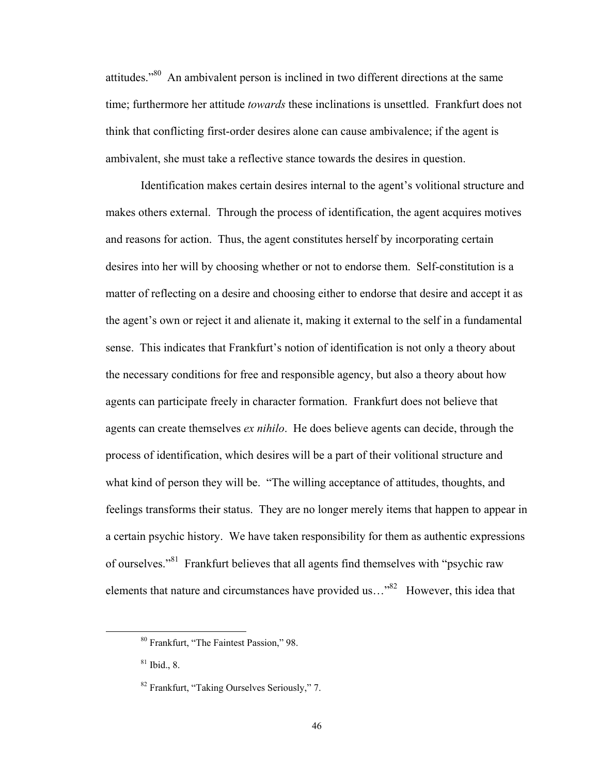attitudes."80 An ambivalent person is inclined in two different directions at the same time; furthermore her attitude *towards* these inclinations is unsettled. Frankfurt does not think that conflicting first-order desires alone can cause ambivalence; if the agent is ambivalent, she must take a reflective stance towards the desires in question.

Identification makes certain desires internal to the agent's volitional structure and makes others external. Through the process of identification, the agent acquires motives and reasons for action. Thus, the agent constitutes herself by incorporating certain desires into her will by choosing whether or not to endorse them. Self-constitution is a matter of reflecting on a desire and choosing either to endorse that desire and accept it as the agent's own or reject it and alienate it, making it external to the self in a fundamental sense. This indicates that Frankfurt's notion of identification is not only a theory about the necessary conditions for free and responsible agency, but also a theory about how agents can participate freely in character formation. Frankfurt does not believe that agents can create themselves *ex nihilo*. He does believe agents can decide, through the process of identification, which desires will be a part of their volitional structure and what kind of person they will be. "The willing acceptance of attitudes, thoughts, and feelings transforms their status. They are no longer merely items that happen to appear in a certain psychic history. We have taken responsibility for them as authentic expressions of ourselves."81 Frankfurt believes that all agents find themselves with "psychic raw elements that nature and circumstances have provided us..."<sup>82</sup> However, this idea that

 80 Frankfurt, "The Faintest Passion," 98.

 $81$  Ibid., 8.

<sup>82</sup> Frankfurt, "Taking Ourselves Seriously," 7.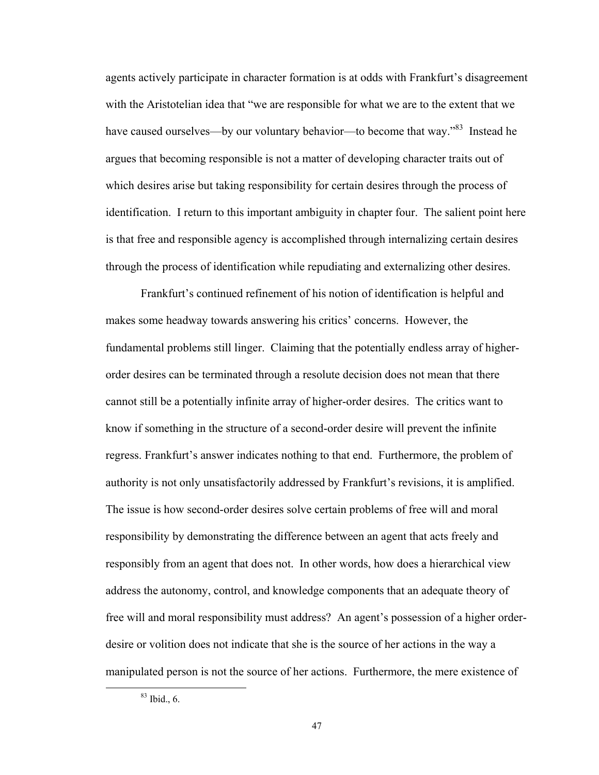agents actively participate in character formation is at odds with Frankfurt's disagreement with the Aristotelian idea that "we are responsible for what we are to the extent that we have caused ourselves—by our voluntary behavior—to become that way."<sup>83</sup> Instead he argues that becoming responsible is not a matter of developing character traits out of which desires arise but taking responsibility for certain desires through the process of identification. I return to this important ambiguity in chapter four. The salient point here is that free and responsible agency is accomplished through internalizing certain desires through the process of identification while repudiating and externalizing other desires.

Frankfurt's continued refinement of his notion of identification is helpful and makes some headway towards answering his critics' concerns. However, the fundamental problems still linger. Claiming that the potentially endless array of higherorder desires can be terminated through a resolute decision does not mean that there cannot still be a potentially infinite array of higher-order desires. The critics want to know if something in the structure of a second-order desire will prevent the infinite regress. Frankfurt's answer indicates nothing to that end. Furthermore, the problem of authority is not only unsatisfactorily addressed by Frankfurt's revisions, it is amplified. The issue is how second-order desires solve certain problems of free will and moral responsibility by demonstrating the difference between an agent that acts freely and responsibly from an agent that does not. In other words, how does a hierarchical view address the autonomy, control, and knowledge components that an adequate theory of free will and moral responsibility must address? An agent's possession of a higher orderdesire or volition does not indicate that she is the source of her actions in the way a manipulated person is not the source of her actions. Furthermore, the mere existence of

 $83$  Ibid., 6.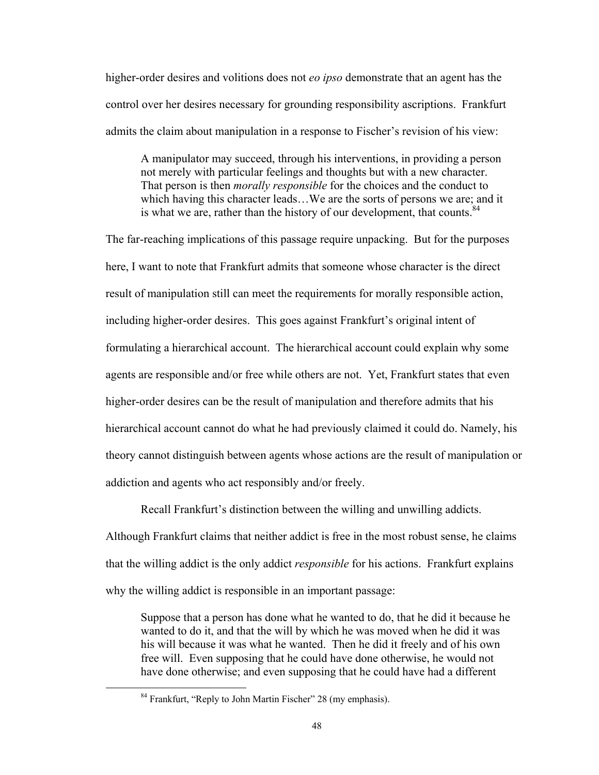higher-order desires and volitions does not *eo ipso* demonstrate that an agent has the control over her desires necessary for grounding responsibility ascriptions. Frankfurt admits the claim about manipulation in a response to Fischer's revision of his view:

A manipulator may succeed, through his interventions, in providing a person not merely with particular feelings and thoughts but with a new character. That person is then *morally responsible* for the choices and the conduct to which having this character leads…We are the sorts of persons we are; and it is what we are, rather than the history of our development, that counts.  $84$ 

The far-reaching implications of this passage require unpacking. But for the purposes here, I want to note that Frankfurt admits that someone whose character is the direct result of manipulation still can meet the requirements for morally responsible action, including higher-order desires. This goes against Frankfurt's original intent of formulating a hierarchical account. The hierarchical account could explain why some agents are responsible and/or free while others are not. Yet, Frankfurt states that even higher-order desires can be the result of manipulation and therefore admits that his hierarchical account cannot do what he had previously claimed it could do. Namely, his theory cannot distinguish between agents whose actions are the result of manipulation or addiction and agents who act responsibly and/or freely.

Recall Frankfurt's distinction between the willing and unwilling addicts. Although Frankfurt claims that neither addict is free in the most robust sense, he claims that the willing addict is the only addict *responsible* for his actions. Frankfurt explains

why the willing addict is responsible in an important passage:

Suppose that a person has done what he wanted to do, that he did it because he wanted to do it, and that the will by which he was moved when he did it was his will because it was what he wanted. Then he did it freely and of his own free will. Even supposing that he could have done otherwise, he would not have done otherwise; and even supposing that he could have had a different

<sup>&</sup>lt;sup>84</sup> Frankfurt, "Reply to John Martin Fischer" 28 (my emphasis).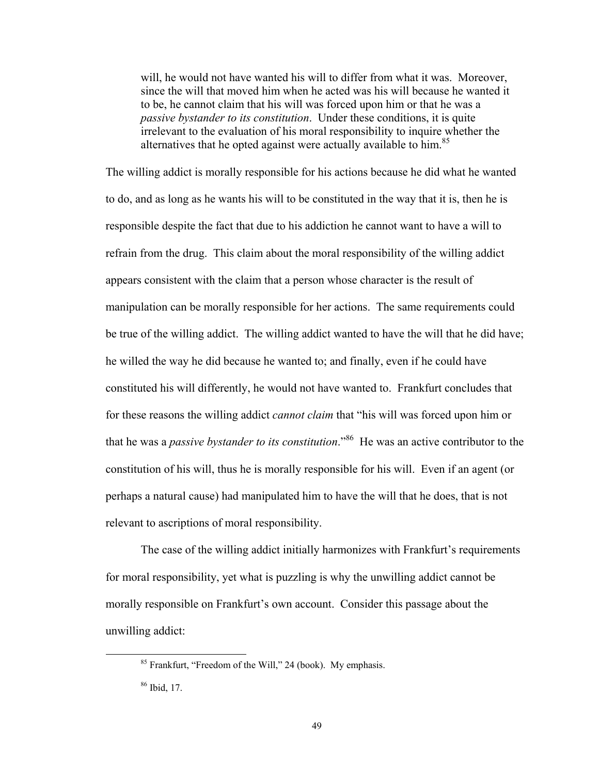will, he would not have wanted his will to differ from what it was. Moreover, since the will that moved him when he acted was his will because he wanted it to be, he cannot claim that his will was forced upon him or that he was a *passive bystander to its constitution*. Under these conditions, it is quite irrelevant to the evaluation of his moral responsibility to inquire whether the alternatives that he opted against were actually available to him.<sup>85</sup>

The willing addict is morally responsible for his actions because he did what he wanted to do, and as long as he wants his will to be constituted in the way that it is, then he is responsible despite the fact that due to his addiction he cannot want to have a will to refrain from the drug. This claim about the moral responsibility of the willing addict appears consistent with the claim that a person whose character is the result of manipulation can be morally responsible for her actions. The same requirements could be true of the willing addict. The willing addict wanted to have the will that he did have; he willed the way he did because he wanted to; and finally, even if he could have constituted his will differently, he would not have wanted to. Frankfurt concludes that for these reasons the willing addict *cannot claim* that "his will was forced upon him or that he was a *passive bystander to its constitution*."86 He was an active contributor to the constitution of his will, thus he is morally responsible for his will. Even if an agent (or perhaps a natural cause) had manipulated him to have the will that he does, that is not relevant to ascriptions of moral responsibility.

The case of the willing addict initially harmonizes with Frankfurt's requirements for moral responsibility, yet what is puzzling is why the unwilling addict cannot be morally responsible on Frankfurt's own account. Consider this passage about the unwilling addict:

 85 Frankfurt, "Freedom of the Will," 24 (book). My emphasis.

<sup>86</sup> Ibid, 17.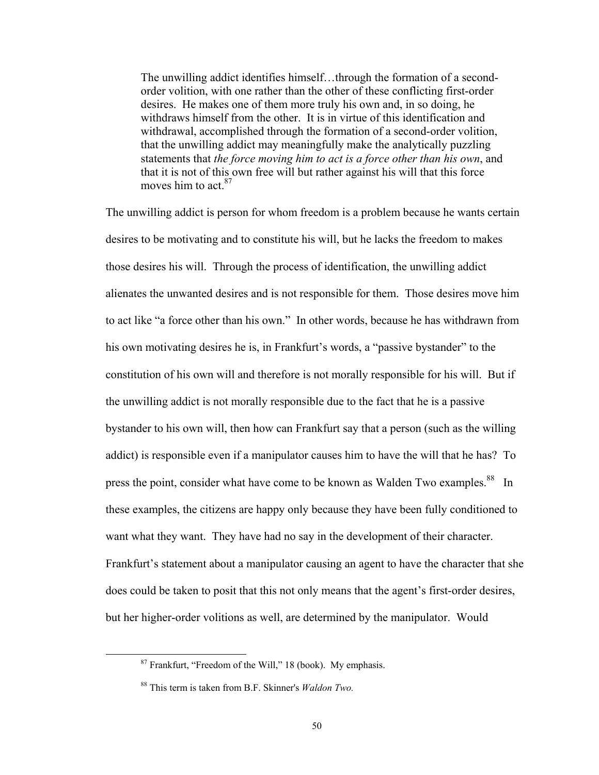The unwilling addict identifies himself…through the formation of a secondorder volition, with one rather than the other of these conflicting first-order desires. He makes one of them more truly his own and, in so doing, he withdraws himself from the other. It is in virtue of this identification and withdrawal, accomplished through the formation of a second-order volition, that the unwilling addict may meaningfully make the analytically puzzling statements that *the force moving him to act is a force other than his own*, and that it is not of this own free will but rather against his will that this force moves him to act.<sup>87</sup>

The unwilling addict is person for whom freedom is a problem because he wants certain desires to be motivating and to constitute his will, but he lacks the freedom to makes those desires his will. Through the process of identification, the unwilling addict alienates the unwanted desires and is not responsible for them. Those desires move him to act like "a force other than his own." In other words, because he has withdrawn from his own motivating desires he is, in Frankfurt's words, a "passive bystander" to the constitution of his own will and therefore is not morally responsible for his will. But if the unwilling addict is not morally responsible due to the fact that he is a passive bystander to his own will, then how can Frankfurt say that a person (such as the willing addict) is responsible even if a manipulator causes him to have the will that he has? To press the point, consider what have come to be known as Walden Two examples.<sup>88</sup> In these examples, the citizens are happy only because they have been fully conditioned to want what they want. They have had no say in the development of their character. Frankfurt's statement about a manipulator causing an agent to have the character that she does could be taken to posit that this not only means that the agent's first-order desires, but her higher-order volitions as well, are determined by the manipulator. Would

 87 Frankfurt, "Freedom of the Will," 18 (book). My emphasis.

<sup>88</sup> This term is taken from B.F. Skinner's *Waldon Two.*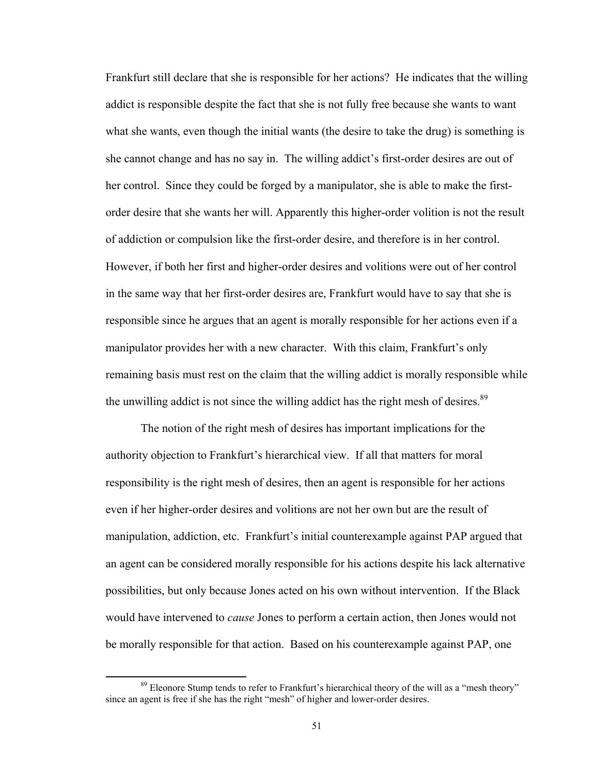Frankfurt still declare that she is responsible for her actions? He indicates that the willing addict is responsible despite the fact that she is not fully free because she wants to want what she wants, even though the initial wants (the desire to take the drug) is something is she cannot change and has no say in. The willing addict's first-order desires are out of her control. Since they could be forged by a manipulator, she is able to make the firstorder desire that she wants her will. Apparently this higher-order volition is not the result of addiction or compulsion like the first-order desire, and therefore is in her control. However, if both her first and higher-order desires and volitions were out of her control in the same way that her first-order desires are, Frankfurt would have to say that she is responsible since he argues that an agent is morally responsible for her actions even if a manipulator provides her with a new character. With this claim, Frankfurt's only remaining basis must rest on the claim that the willing addict is morally responsible while the unwilling addict is not since the willing addict has the right mesh of desires.<sup>89</sup>

The notion of the right mesh of desires has important implications for the authority objection to Frankfurt's hierarchical view. If all that matters for moral responsibility is the right mesh of desires, then an agent is responsible for her actions even if her higher-order desires and volitions are not her own but are the result of manipulation, addiction, etc. Frankfurt's initial counterexample against PAP argued that an agent can be considered morally responsible for his actions despite his lack alternative possibilities, but only because Jones acted on his own without intervention. If the Black would have intervened to *cause* Jones to perform a certain action, then Jones would not be morally responsible for that action. Based on his counterexample against PAP, one

<sup>&</sup>lt;sup>89</sup> Eleonore Stump tends to refer to Frankfurt's hierarchical theory of the will as a "mesh theory" since an agent is free if she has the right "mesh" of higher and lower-order desires.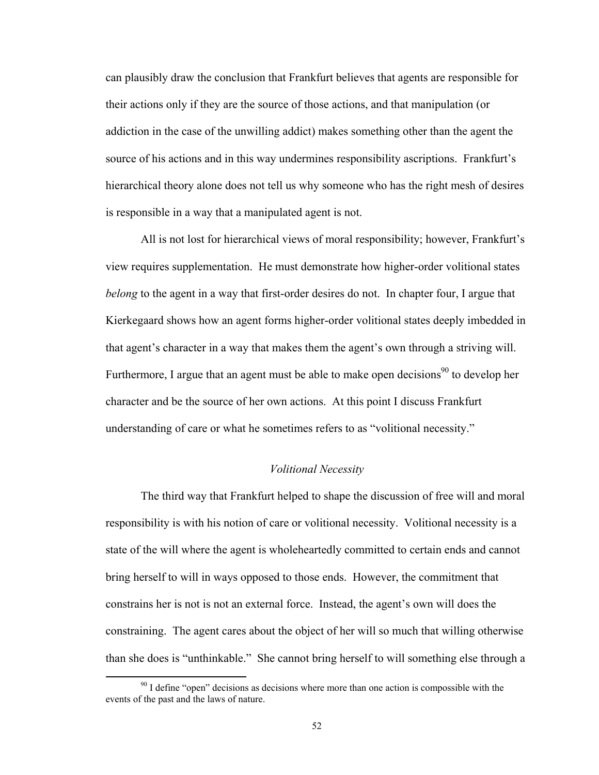can plausibly draw the conclusion that Frankfurt believes that agents are responsible for their actions only if they are the source of those actions, and that manipulation (or addiction in the case of the unwilling addict) makes something other than the agent the source of his actions and in this way undermines responsibility ascriptions. Frankfurt's hierarchical theory alone does not tell us why someone who has the right mesh of desires is responsible in a way that a manipulated agent is not.

All is not lost for hierarchical views of moral responsibility; however, Frankfurt's view requires supplementation. He must demonstrate how higher-order volitional states *belong* to the agent in a way that first-order desires do not. In chapter four, I argue that Kierkegaard shows how an agent forms higher-order volitional states deeply imbedded in that agent's character in a way that makes them the agent's own through a striving will. Furthermore, I argue that an agent must be able to make open decisions $90$  to develop her character and be the source of her own actions. At this point I discuss Frankfurt understanding of care or what he sometimes refers to as "volitional necessity."

## *Volitional Necessity*

The third way that Frankfurt helped to shape the discussion of free will and moral responsibility is with his notion of care or volitional necessity. Volitional necessity is a state of the will where the agent is wholeheartedly committed to certain ends and cannot bring herself to will in ways opposed to those ends. However, the commitment that constrains her is not is not an external force. Instead, the agent's own will does the constraining. The agent cares about the object of her will so much that willing otherwise than she does is "unthinkable." She cannot bring herself to will something else through a

 $90$  I define "open" decisions as decisions where more than one action is compossible with the events of the past and the laws of nature.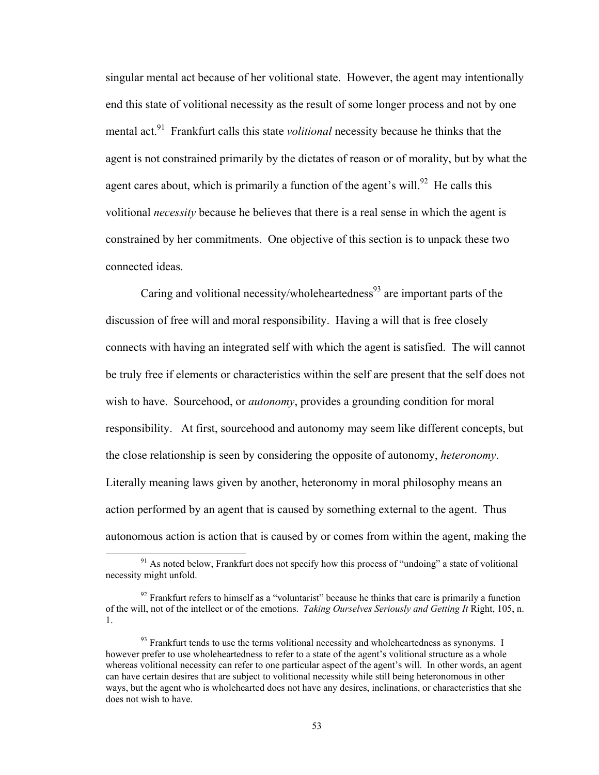singular mental act because of her volitional state. However, the agent may intentionally end this state of volitional necessity as the result of some longer process and not by one mental act.<sup>91</sup> Frankfurt calls this state *volitional* necessity because he thinks that the agent is not constrained primarily by the dictates of reason or of morality, but by what the agent cares about, which is primarily a function of the agent's will.<sup>92</sup> He calls this volitional *necessity* because he believes that there is a real sense in which the agent is constrained by her commitments. One objective of this section is to unpack these two connected ideas.

Caring and volitional necessity/wholeheartedness<sup>93</sup> are important parts of the discussion of free will and moral responsibility. Having a will that is free closely connects with having an integrated self with which the agent is satisfied. The will cannot be truly free if elements or characteristics within the self are present that the self does not wish to have. Sourcehood, or *autonomy*, provides a grounding condition for moral responsibility. At first, sourcehood and autonomy may seem like different concepts, but the close relationship is seen by considering the opposite of autonomy, *heteronomy*. Literally meaning laws given by another, heteronomy in moral philosophy means an action performed by an agent that is caused by something external to the agent. Thus autonomous action is action that is caused by or comes from within the agent, making the

 $91$  As noted below, Frankfurt does not specify how this process of "undoing" a state of volitional necessity might unfold.

 $92$  Frankfurt refers to himself as a "voluntarist" because he thinks that care is primarily a function of the will, not of the intellect or of the emotions. *Taking Ourselves Seriously and Getting It* Right, 105, n. 1.

 $93$  Frankfurt tends to use the terms volitional necessity and wholeheartedness as synonyms. I however prefer to use wholeheartedness to refer to a state of the agent's volitional structure as a whole whereas volitional necessity can refer to one particular aspect of the agent's will. In other words, an agent can have certain desires that are subject to volitional necessity while still being heteronomous in other ways, but the agent who is wholehearted does not have any desires, inclinations, or characteristics that she does not wish to have.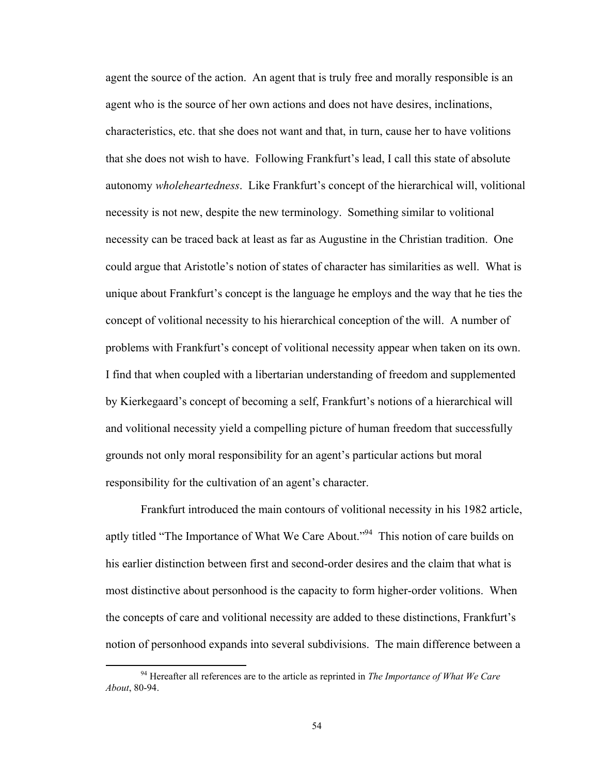agent the source of the action. An agent that is truly free and morally responsible is an agent who is the source of her own actions and does not have desires, inclinations, characteristics, etc. that she does not want and that, in turn, cause her to have volitions that she does not wish to have. Following Frankfurt's lead, I call this state of absolute autonomy *wholeheartedness*. Like Frankfurt's concept of the hierarchical will, volitional necessity is not new, despite the new terminology. Something similar to volitional necessity can be traced back at least as far as Augustine in the Christian tradition. One could argue that Aristotle's notion of states of character has similarities as well. What is unique about Frankfurt's concept is the language he employs and the way that he ties the concept of volitional necessity to his hierarchical conception of the will. A number of problems with Frankfurt's concept of volitional necessity appear when taken on its own. I find that when coupled with a libertarian understanding of freedom and supplemented by Kierkegaard's concept of becoming a self, Frankfurt's notions of a hierarchical will and volitional necessity yield a compelling picture of human freedom that successfully grounds not only moral responsibility for an agent's particular actions but moral responsibility for the cultivation of an agent's character.

Frankfurt introduced the main contours of volitional necessity in his 1982 article, aptly titled "The Importance of What We Care About."94 This notion of care builds on his earlier distinction between first and second-order desires and the claim that what is most distinctive about personhood is the capacity to form higher-order volitions. When the concepts of care and volitional necessity are added to these distinctions, Frankfurt's notion of personhood expands into several subdivisions. The main difference between a

 94 Hereafter all references are to the article as reprinted in *The Importance of What We Care About*, 80-94.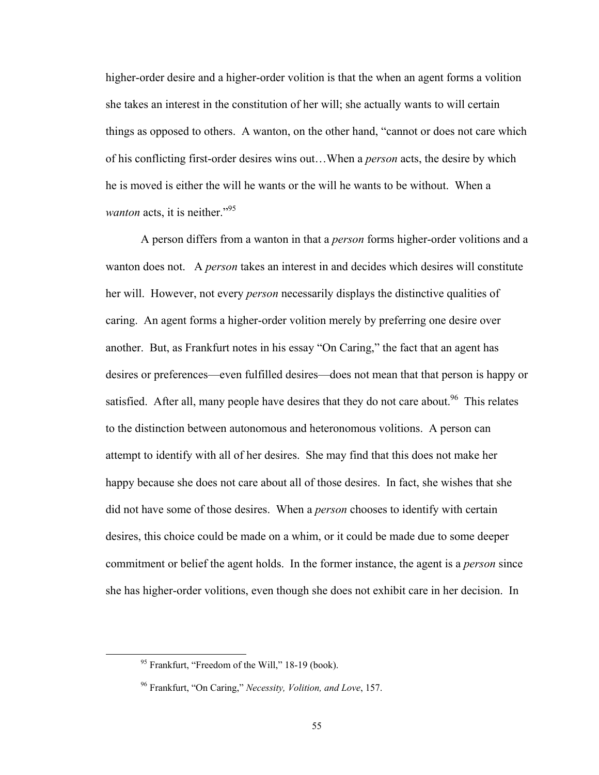higher-order desire and a higher-order volition is that the when an agent forms a volition she takes an interest in the constitution of her will; she actually wants to will certain things as opposed to others. A wanton, on the other hand, "cannot or does not care which of his conflicting first-order desires wins out…When a *person* acts, the desire by which he is moved is either the will he wants or the will he wants to be without. When a *wanton* acts, it is neither."<sup>95</sup>

A person differs from a wanton in that a *person* forms higher-order volitions and a wanton does not. A *person* takes an interest in and decides which desires will constitute her will. However, not every *person* necessarily displays the distinctive qualities of caring. An agent forms a higher-order volition merely by preferring one desire over another. But, as Frankfurt notes in his essay "On Caring," the fact that an agent has desires or preferences—even fulfilled desires—does not mean that that person is happy or satisfied. After all, many people have desires that they do not care about.<sup>96</sup> This relates to the distinction between autonomous and heteronomous volitions. A person can attempt to identify with all of her desires. She may find that this does not make her happy because she does not care about all of those desires. In fact, she wishes that she did not have some of those desires. When a *person* chooses to identify with certain desires, this choice could be made on a whim, or it could be made due to some deeper commitment or belief the agent holds. In the former instance, the agent is a *person* since she has higher-order volitions, even though she does not exhibit care in her decision. In

 95 Frankfurt, "Freedom of the Will," 18-19 (book).

<sup>96</sup> Frankfurt, "On Caring," *Necessity, Volition, and Love*, 157.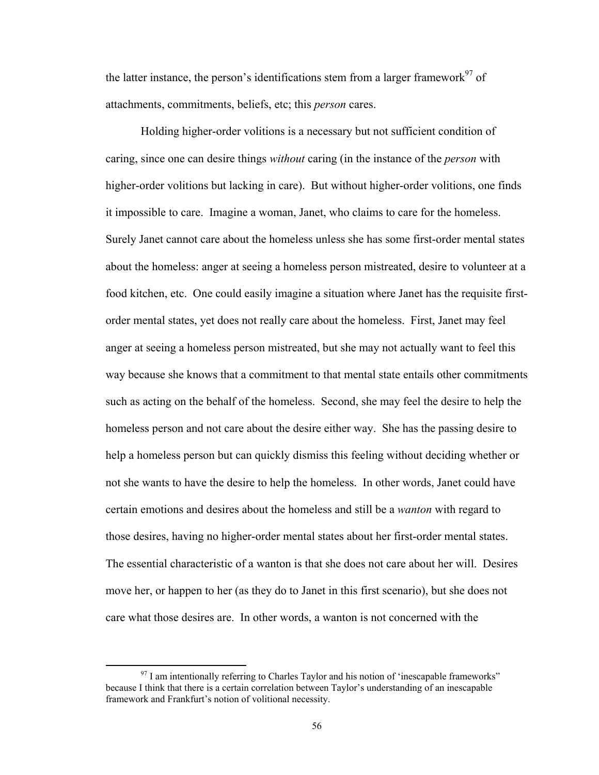the latter instance, the person's identifications stem from a larger framework $^{97}$  of attachments, commitments, beliefs, etc; this *person* cares.

Holding higher-order volitions is a necessary but not sufficient condition of caring, since one can desire things *without* caring (in the instance of the *person* with higher-order volitions but lacking in care). But without higher-order volitions, one finds it impossible to care. Imagine a woman, Janet, who claims to care for the homeless. Surely Janet cannot care about the homeless unless she has some first-order mental states about the homeless: anger at seeing a homeless person mistreated, desire to volunteer at a food kitchen, etc. One could easily imagine a situation where Janet has the requisite firstorder mental states, yet does not really care about the homeless. First, Janet may feel anger at seeing a homeless person mistreated, but she may not actually want to feel this way because she knows that a commitment to that mental state entails other commitments such as acting on the behalf of the homeless. Second, she may feel the desire to help the homeless person and not care about the desire either way. She has the passing desire to help a homeless person but can quickly dismiss this feeling without deciding whether or not she wants to have the desire to help the homeless. In other words, Janet could have certain emotions and desires about the homeless and still be a *wanton* with regard to those desires, having no higher-order mental states about her first-order mental states. The essential characteristic of a wanton is that she does not care about her will. Desires move her, or happen to her (as they do to Janet in this first scenario), but she does not care what those desires are. In other words, a wanton is not concerned with the

 $97$  I am intentionally referring to Charles Taylor and his notion of 'inescapable frameworks" because I think that there is a certain correlation between Taylor's understanding of an inescapable framework and Frankfurt's notion of volitional necessity.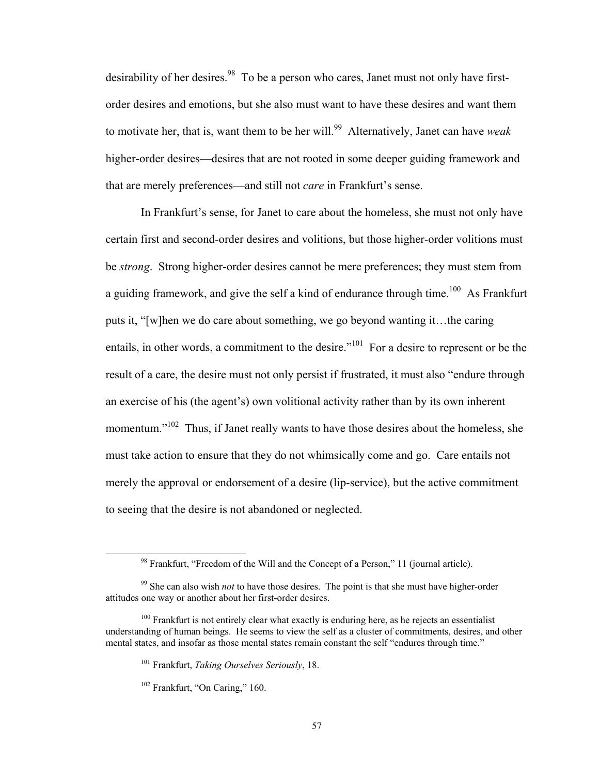desirability of her desires.<sup>98</sup> To be a person who cares, Janet must not only have firstorder desires and emotions, but she also must want to have these desires and want them to motivate her, that is, want them to be her will.<sup>99</sup> Alternatively, Janet can have *weak* higher-order desires—desires that are not rooted in some deeper guiding framework and that are merely preferences—and still not *care* in Frankfurt's sense.

In Frankfurt's sense, for Janet to care about the homeless, she must not only have certain first and second-order desires and volitions, but those higher-order volitions must be *strong*. Strong higher-order desires cannot be mere preferences; they must stem from a guiding framework, and give the self a kind of endurance through time.<sup>100</sup> As Frankfurt puts it, "[w]hen we do care about something, we go beyond wanting it…the caring entails, in other words, a commitment to the desire."<sup>101</sup> For a desire to represent or be the result of a care, the desire must not only persist if frustrated, it must also "endure through an exercise of his (the agent's) own volitional activity rather than by its own inherent momentum."<sup>102</sup> Thus, if Janet really wants to have those desires about the homeless, she must take action to ensure that they do not whimsically come and go. Care entails not merely the approval or endorsement of a desire (lip-service), but the active commitment to seeing that the desire is not abandoned or neglected.

 98 Frankfurt, "Freedom of the Will and the Concept of a Person," 11 (journal article).

<sup>99</sup> She can also wish *not* to have those desires. The point is that she must have higher-order attitudes one way or another about her first-order desires.

 $100$  Frankfurt is not entirely clear what exactly is enduring here, as he rejects an essentialist understanding of human beings. He seems to view the self as a cluster of commitments, desires, and other mental states, and insofar as those mental states remain constant the self "endures through time."

<sup>101</sup> Frankfurt, *Taking Ourselves Seriously*, 18.

<sup>102</sup> Frankfurt, "On Caring," 160.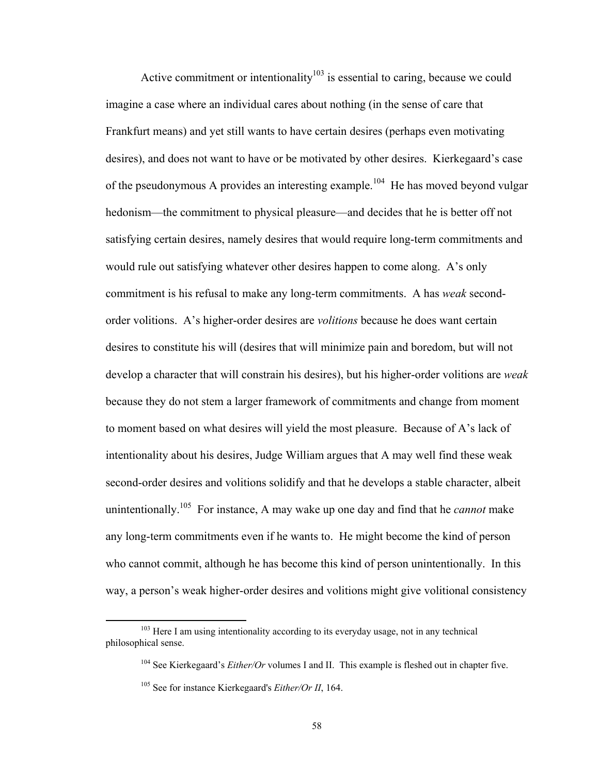Active commitment or intentionality<sup>103</sup> is essential to caring, because we could imagine a case where an individual cares about nothing (in the sense of care that Frankfurt means) and yet still wants to have certain desires (perhaps even motivating desires), and does not want to have or be motivated by other desires. Kierkegaard's case of the pseudonymous A provides an interesting example.<sup>104</sup> He has moved beyond vulgar hedonism—the commitment to physical pleasure—and decides that he is better off not satisfying certain desires, namely desires that would require long-term commitments and would rule out satisfying whatever other desires happen to come along. A's only commitment is his refusal to make any long-term commitments. A has *weak* secondorder volitions. A's higher-order desires are *volitions* because he does want certain desires to constitute his will (desires that will minimize pain and boredom, but will not develop a character that will constrain his desires), but his higher-order volitions are *weak* because they do not stem a larger framework of commitments and change from moment to moment based on what desires will yield the most pleasure. Because of A's lack of intentionality about his desires, Judge William argues that A may well find these weak second-order desires and volitions solidify and that he develops a stable character, albeit unintentionally.105 For instance, A may wake up one day and find that he *cannot* make any long-term commitments even if he wants to. He might become the kind of person who cannot commit, although he has become this kind of person unintentionally. In this way, a person's weak higher-order desires and volitions might give volitional consistency

<sup>&</sup>lt;sup>103</sup> Here I am using intentionality according to its everyday usage, not in any technical philosophical sense.

<sup>&</sup>lt;sup>104</sup> See Kierkegaard's *Either/Or* volumes I and II. This example is fleshed out in chapter five.

<sup>105</sup> See for instance Kierkegaard's *Either/Or II*, 164.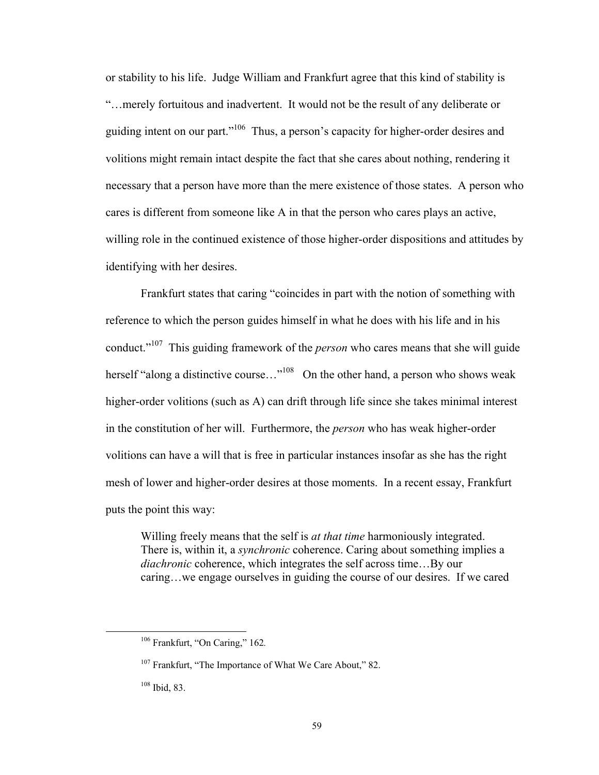or stability to his life. Judge William and Frankfurt agree that this kind of stability is "…merely fortuitous and inadvertent. It would not be the result of any deliberate or guiding intent on our part."<sup>106</sup> Thus, a person's capacity for higher-order desires and volitions might remain intact despite the fact that she cares about nothing, rendering it necessary that a person have more than the mere existence of those states. A person who cares is different from someone like A in that the person who cares plays an active, willing role in the continued existence of those higher-order dispositions and attitudes by identifying with her desires.

Frankfurt states that caring "coincides in part with the notion of something with reference to which the person guides himself in what he does with his life and in his conduct."107 This guiding framework of the *person* who cares means that she will guide herself "along a distinctive course..."<sup>108</sup> On the other hand, a person who shows weak higher-order volitions (such as A) can drift through life since she takes minimal interest in the constitution of her will. Furthermore, the *person* who has weak higher-order volitions can have a will that is free in particular instances insofar as she has the right mesh of lower and higher-order desires at those moments. In a recent essay, Frankfurt puts the point this way:

Willing freely means that the self is *at that time* harmoniously integrated. There is, within it, a *synchronic* coherence. Caring about something implies a *diachronic* coherence, which integrates the self across time…By our caring…we engage ourselves in guiding the course of our desires. If we cared

 106 Frankfurt, "On Caring," 162*.*

<sup>&</sup>lt;sup>107</sup> Frankfurt, "The Importance of What We Care About," 82.

<sup>108</sup> Ibid, 83.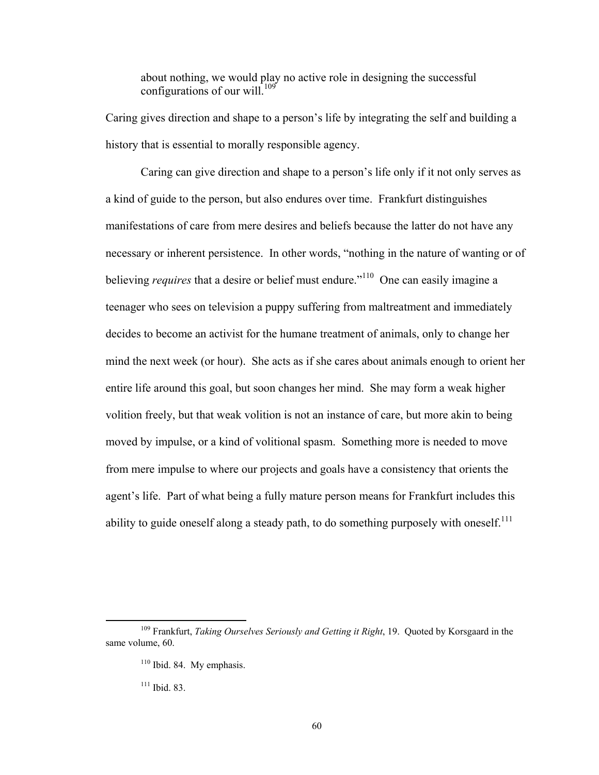about nothing, we would play no active role in designing the successful configurations of our will.<sup>109</sup>

Caring gives direction and shape to a person's life by integrating the self and building a history that is essential to morally responsible agency.

Caring can give direction and shape to a person's life only if it not only serves as a kind of guide to the person, but also endures over time. Frankfurt distinguishes manifestations of care from mere desires and beliefs because the latter do not have any necessary or inherent persistence. In other words, "nothing in the nature of wanting or of believing *requires* that a desire or belief must endure."<sup>110</sup> One can easily imagine a teenager who sees on television a puppy suffering from maltreatment and immediately decides to become an activist for the humane treatment of animals, only to change her mind the next week (or hour). She acts as if she cares about animals enough to orient her entire life around this goal, but soon changes her mind. She may form a weak higher volition freely, but that weak volition is not an instance of care, but more akin to being moved by impulse, or a kind of volitional spasm. Something more is needed to move from mere impulse to where our projects and goals have a consistency that orients the agent's life. Part of what being a fully mature person means for Frankfurt includes this ability to guide oneself along a steady path, to do something purposely with oneself.<sup>111</sup>

111 Ibid. 83.

 109 Frankfurt, *Taking Ourselves Seriously and Getting it Right*, 19. Quoted by Korsgaard in the same volume, 60.

 $110$  Ibid. 84. My emphasis.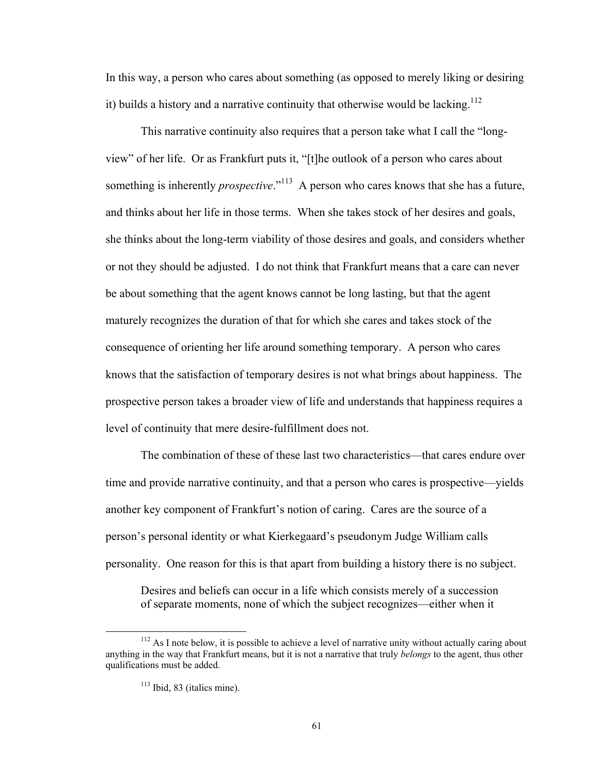In this way, a person who cares about something (as opposed to merely liking or desiring it) builds a history and a narrative continuity that otherwise would be lacking.<sup>112</sup>

This narrative continuity also requires that a person take what I call the "longview" of her life. Or as Frankfurt puts it, "[t]he outlook of a person who cares about something is inherently *prospective*."<sup>113</sup> A person who cares knows that she has a future, and thinks about her life in those terms. When she takes stock of her desires and goals, she thinks about the long-term viability of those desires and goals, and considers whether or not they should be adjusted. I do not think that Frankfurt means that a care can never be about something that the agent knows cannot be long lasting, but that the agent maturely recognizes the duration of that for which she cares and takes stock of the consequence of orienting her life around something temporary. A person who cares knows that the satisfaction of temporary desires is not what brings about happiness. The prospective person takes a broader view of life and understands that happiness requires a level of continuity that mere desire-fulfillment does not.

The combination of these of these last two characteristics—that cares endure over time and provide narrative continuity, and that a person who cares is prospective—yields another key component of Frankfurt's notion of caring. Cares are the source of a person's personal identity or what Kierkegaard's pseudonym Judge William calls personality. One reason for this is that apart from building a history there is no subject.

Desires and beliefs can occur in a life which consists merely of a succession of separate moments, none of which the subject recognizes—either when it

 $112$  As I note below, it is possible to achieve a level of narrative unity without actually caring about anything in the way that Frankfurt means, but it is not a narrative that truly *belongs* to the agent, thus other qualifications must be added.

<sup>&</sup>lt;sup>113</sup> Ibid, 83 (italics mine).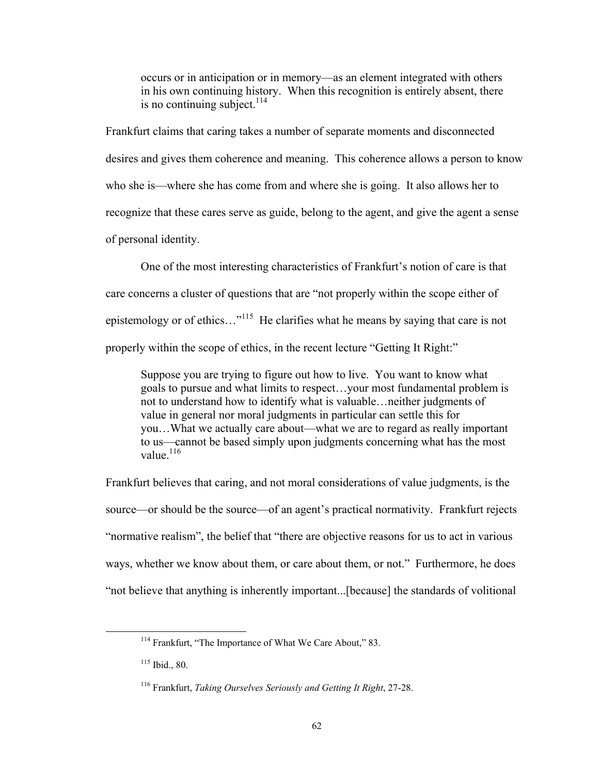occurs or in anticipation or in memory—as an element integrated with others in his own continuing history. When this recognition is entirely absent, there is no continuing subject. $^{114}$ 

Frankfurt claims that caring takes a number of separate moments and disconnected desires and gives them coherence and meaning. This coherence allows a person to know who she is—where she has come from and where she is going. It also allows her to recognize that these cares serve as guide, belong to the agent, and give the agent a sense of personal identity.

One of the most interesting characteristics of Frankfurt's notion of care is that care concerns a cluster of questions that are "not properly within the scope either of epistemology or of ethics...<sup>"115</sup> He clarifies what he means by saying that care is not properly within the scope of ethics, in the recent lecture "Getting It Right:"

Suppose you are trying to figure out how to live. You want to know what goals to pursue and what limits to respect…your most fundamental problem is not to understand how to identify what is valuable…neither judgments of value in general nor moral judgments in particular can settle this for you…What we actually care about—what we are to regard as really important to us—cannot be based simply upon judgments concerning what has the most value $^{116}$ 

Frankfurt believes that caring, and not moral considerations of value judgments, is the source—or should be the source—of an agent's practical normativity. Frankfurt rejects "normative realism", the belief that "there are objective reasons for us to act in various ways, whether we know about them, or care about them, or not." Furthermore, he does "not believe that anything is inherently important...[because] the standards of volitional

<sup>&</sup>lt;sup>114</sup> Frankfurt, "The Importance of What We Care About," 83.

<sup>115</sup> Ibid., 80.

<sup>116</sup> Frankfurt, *Taking Ourselves Seriously and Getting It Right*, 27-28.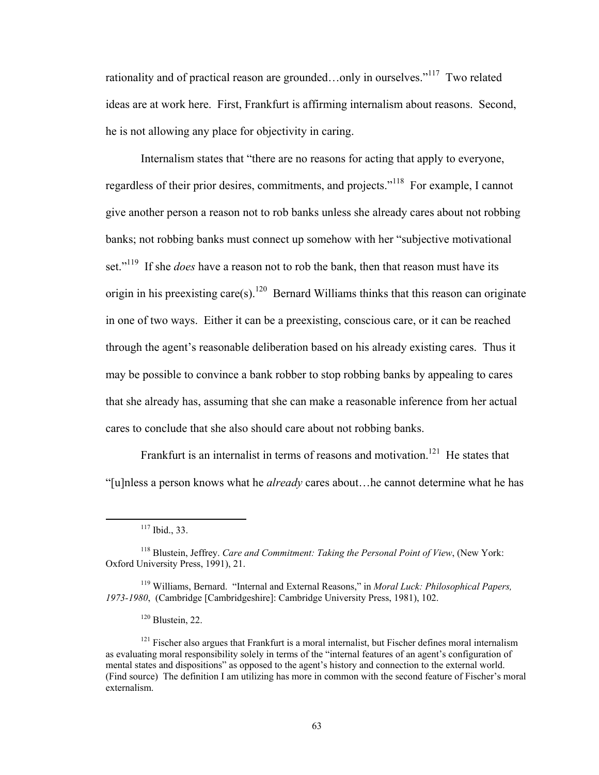rationality and of practical reason are grounded…only in ourselves."117 Two related ideas are at work here. First, Frankfurt is affirming internalism about reasons. Second, he is not allowing any place for objectivity in caring.

Internalism states that "there are no reasons for acting that apply to everyone, regardless of their prior desires, commitments, and projects."118 For example, I cannot give another person a reason not to rob banks unless she already cares about not robbing banks; not robbing banks must connect up somehow with her "subjective motivational set."<sup>119</sup> If she *does* have a reason not to rob the bank, then that reason must have its origin in his preexisting care(s).<sup>120</sup> Bernard Williams thinks that this reason can originate in one of two ways. Either it can be a preexisting, conscious care, or it can be reached through the agent's reasonable deliberation based on his already existing cares. Thus it may be possible to convince a bank robber to stop robbing banks by appealing to cares that she already has, assuming that she can make a reasonable inference from her actual cares to conclude that she also should care about not robbing banks.

Frankfurt is an internalist in terms of reasons and motivation.<sup>121</sup> He states that "[u]nless a person knows what he *already* cares about…he cannot determine what he has

 $117$  Ibid., 33.

<sup>118</sup> Blustein, Jeffrey. *Care and Commitment: Taking the Personal Point of View*, (New York: Oxford University Press, 1991), 21.

<sup>119</sup> Williams, Bernard. "Internal and External Reasons," in *Moral Luck: Philosophical Papers, 1973-1980*, (Cambridge [Cambridgeshire]: Cambridge University Press, 1981), 102.

<sup>120</sup> Blustein, 22.

 $121$  Fischer also argues that Frankfurt is a moral internalist, but Fischer defines moral internalism as evaluating moral responsibility solely in terms of the "internal features of an agent's configuration of mental states and dispositions" as opposed to the agent's history and connection to the external world. (Find source) The definition I am utilizing has more in common with the second feature of Fischer's moral externalism.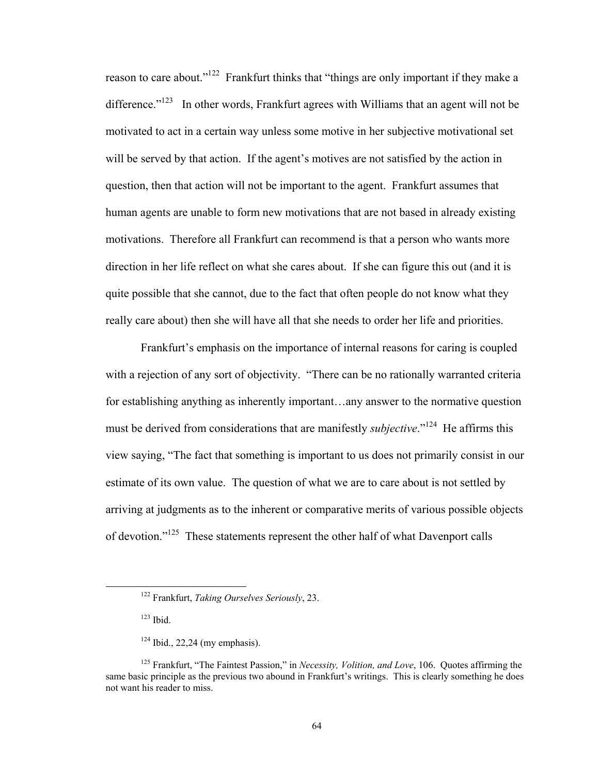reason to care about."<sup>122</sup> Frankfurt thinks that "things are only important if they make a difference. $123$  In other words, Frankfurt agrees with Williams that an agent will not be motivated to act in a certain way unless some motive in her subjective motivational set will be served by that action. If the agent's motives are not satisfied by the action in question, then that action will not be important to the agent. Frankfurt assumes that human agents are unable to form new motivations that are not based in already existing motivations. Therefore all Frankfurt can recommend is that a person who wants more direction in her life reflect on what she cares about. If she can figure this out (and it is quite possible that she cannot, due to the fact that often people do not know what they really care about) then she will have all that she needs to order her life and priorities.

Frankfurt's emphasis on the importance of internal reasons for caring is coupled with a rejection of any sort of objectivity. "There can be no rationally warranted criteria for establishing anything as inherently important…any answer to the normative question must be derived from considerations that are manifestly *subjective*."<sup>124</sup> He affirms this view saying, "The fact that something is important to us does not primarily consist in our estimate of its own value. The question of what we are to care about is not settled by arriving at judgments as to the inherent or comparative merits of various possible objects of devotion."125 These statements represent the other half of what Davenport calls

 122 Frankfurt, *Taking Ourselves Seriously*, 23.

<sup>123</sup> Ibid.

 $124$  Ibid., 22,24 (my emphasis).

<sup>125</sup> Frankfurt, "The Faintest Passion," in *Necessity, Volition, and Love*, 106. Quotes affirming the same basic principle as the previous two abound in Frankfurt's writings. This is clearly something he does not want his reader to miss.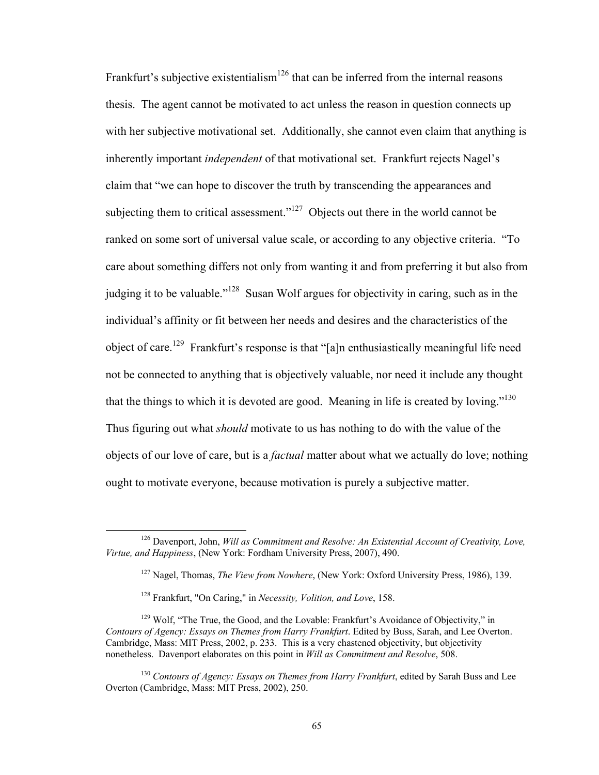Frankfurt's subjective existentialism<sup>126</sup> that can be inferred from the internal reasons thesis. The agent cannot be motivated to act unless the reason in question connects up with her subjective motivational set. Additionally, she cannot even claim that anything is inherently important *independent* of that motivational set. Frankfurt rejects Nagel's claim that "we can hope to discover the truth by transcending the appearances and subjecting them to critical assessment."<sup>127</sup> Objects out there in the world cannot be ranked on some sort of universal value scale, or according to any objective criteria. "To care about something differs not only from wanting it and from preferring it but also from judging it to be valuable."<sup>128</sup> Susan Wolf argues for objectivity in caring, such as in the individual's affinity or fit between her needs and desires and the characteristics of the object of care.<sup>129</sup> Frankfurt's response is that "[a]n enthusiastically meaningful life need not be connected to anything that is objectively valuable, nor need it include any thought that the things to which it is devoted are good. Meaning in life is created by loving."130 Thus figuring out what *should* motivate to us has nothing to do with the value of the objects of our love of care, but is a *factual* matter about what we actually do love; nothing ought to motivate everyone, because motivation is purely a subjective matter.

 126 Davenport, John, *Will as Commitment and Resolve: An Existential Account of Creativity, Love, Virtue, and Happiness*, (New York: Fordham University Press, 2007), 490.

<sup>127</sup> Nagel, Thomas, *The View from Nowhere*, (New York: Oxford University Press, 1986), 139.

<sup>128</sup> Frankfurt, "On Caring," in *Necessity, Volition, and Love*, 158.

<sup>&</sup>lt;sup>129</sup> Wolf, "The True, the Good, and the Lovable: Frankfurt's Avoidance of Objectivity," in *Contours of Agency: Essays on Themes from Harry Frankfurt*. Edited by Buss, Sarah, and Lee Overton. Cambridge, Mass: MIT Press, 2002, p. 233. This is a very chastened objectivity, but objectivity nonetheless. Davenport elaborates on this point in *Will as Commitment and Resolve*, 508.

<sup>130</sup> *Contours of Agency: Essays on Themes from Harry Frankfurt*, edited by Sarah Buss and Lee Overton (Cambridge, Mass: MIT Press, 2002), 250.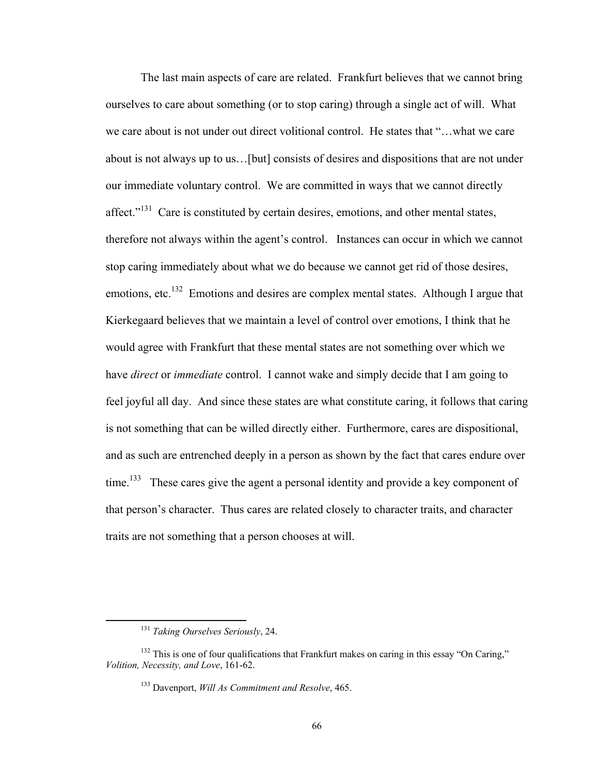The last main aspects of care are related. Frankfurt believes that we cannot bring ourselves to care about something (or to stop caring) through a single act of will. What we care about is not under out direct volitional control. He states that "…what we care about is not always up to us…[but] consists of desires and dispositions that are not under our immediate voluntary control. We are committed in ways that we cannot directly affect."<sup>131</sup> Care is constituted by certain desires, emotions, and other mental states, therefore not always within the agent's control. Instances can occur in which we cannot stop caring immediately about what we do because we cannot get rid of those desires, emotions, etc.<sup>132</sup> Emotions and desires are complex mental states. Although I argue that Kierkegaard believes that we maintain a level of control over emotions, I think that he would agree with Frankfurt that these mental states are not something over which we have *direct* or *immediate* control. I cannot wake and simply decide that I am going to feel joyful all day. And since these states are what constitute caring, it follows that caring is not something that can be willed directly either. Furthermore, cares are dispositional, and as such are entrenched deeply in a person as shown by the fact that cares endure over time.<sup>133</sup> These cares give the agent a personal identity and provide a key component of that person's character. Thus cares are related closely to character traits, and character traits are not something that a person chooses at will.

 <sup>131</sup> *Taking Ourselves Seriously*, 24.

<sup>&</sup>lt;sup>132</sup> This is one of four qualifications that Frankfurt makes on caring in this essay "On Caring," *Volition, Necessity, and Love*, 161-62.

<sup>133</sup> Davenport, *Will As Commitment and Resolve*, 465.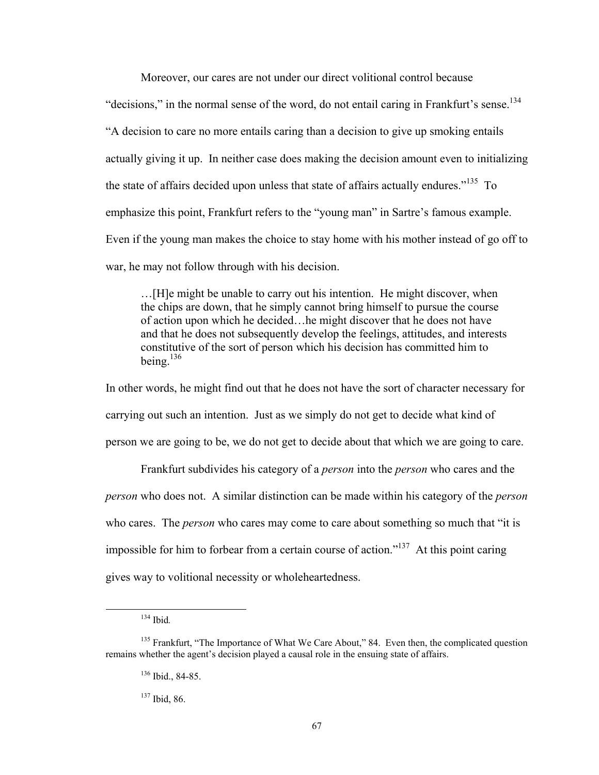Moreover, our cares are not under our direct volitional control because

"decisions," in the normal sense of the word, do not entail caring in Frankfurt's sense.<sup>134</sup> "A decision to care no more entails caring than a decision to give up smoking entails actually giving it up. In neither case does making the decision amount even to initializing the state of affairs decided upon unless that state of affairs actually endures.<sup> $135$ </sup> To emphasize this point, Frankfurt refers to the "young man" in Sartre's famous example. Even if the young man makes the choice to stay home with his mother instead of go off to war, he may not follow through with his decision.

…[H]e might be unable to carry out his intention. He might discover, when the chips are down, that he simply cannot bring himself to pursue the course of action upon which he decided…he might discover that he does not have and that he does not subsequently develop the feelings, attitudes, and interests constitutive of the sort of person which his decision has committed him to being.136

In other words, he might find out that he does not have the sort of character necessary for carrying out such an intention. Just as we simply do not get to decide what kind of person we are going to be, we do not get to decide about that which we are going to care.

Frankfurt subdivides his category of a *person* into the *person* who cares and the *person* who does not. A similar distinction can be made within his category of the *person* who cares. The *person* who cares may come to care about something so much that "it is impossible for him to forbear from a certain course of action."<sup>137</sup> At this point caring gives way to volitional necessity or wholeheartedness.

 134 Ibid*.* 

<sup>&</sup>lt;sup>135</sup> Frankfurt, "The Importance of What We Care About," 84. Even then, the complicated question remains whether the agent's decision played a causal role in the ensuing state of affairs.

<sup>136</sup> Ibid., 84-85.

<sup>137</sup> Ibid, 86.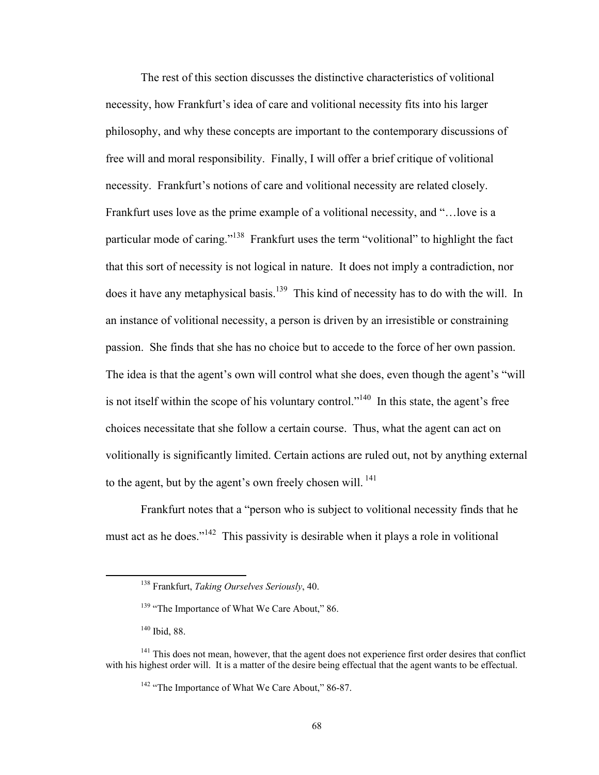The rest of this section discusses the distinctive characteristics of volitional necessity, how Frankfurt's idea of care and volitional necessity fits into his larger philosophy, and why these concepts are important to the contemporary discussions of free will and moral responsibility. Finally, I will offer a brief critique of volitional necessity. Frankfurt's notions of care and volitional necessity are related closely. Frankfurt uses love as the prime example of a volitional necessity, and "…love is a particular mode of caring."138 Frankfurt uses the term "volitional" to highlight the fact that this sort of necessity is not logical in nature. It does not imply a contradiction, nor does it have any metaphysical basis.<sup>139</sup> This kind of necessity has to do with the will. In an instance of volitional necessity, a person is driven by an irresistible or constraining passion. She finds that she has no choice but to accede to the force of her own passion. The idea is that the agent's own will control what she does, even though the agent's "will is not itself within the scope of his voluntary control."<sup>140</sup> In this state, the agent's free choices necessitate that she follow a certain course. Thus, what the agent can act on volitionally is significantly limited. Certain actions are ruled out, not by anything external to the agent, but by the agent's own freely chosen will. <sup>141</sup>

Frankfurt notes that a "person who is subject to volitional necessity finds that he must act as he does."<sup>142</sup> This passivity is desirable when it plays a role in volitional

 138 Frankfurt, *Taking Ourselves Seriously*, 40.

<sup>&</sup>lt;sup>139</sup> "The Importance of What We Care About," 86.

<sup>140</sup> Ibid, 88.

<sup>&</sup>lt;sup>141</sup> This does not mean, however, that the agent does not experience first order desires that conflict with his highest order will. It is a matter of the desire being effectual that the agent wants to be effectual.

<sup>&</sup>lt;sup>142</sup> "The Importance of What We Care About," 86-87.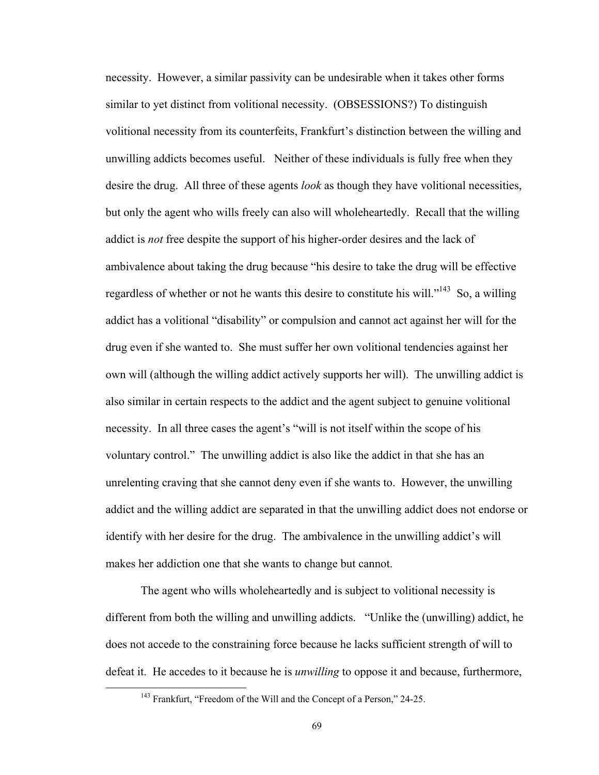necessity. However, a similar passivity can be undesirable when it takes other forms similar to yet distinct from volitional necessity. (OBSESSIONS?) To distinguish volitional necessity from its counterfeits, Frankfurt's distinction between the willing and unwilling addicts becomes useful. Neither of these individuals is fully free when they desire the drug. All three of these agents *look* as though they have volitional necessities, but only the agent who wills freely can also will wholeheartedly. Recall that the willing addict is *not* free despite the support of his higher-order desires and the lack of ambivalence about taking the drug because "his desire to take the drug will be effective regardless of whether or not he wants this desire to constitute his will."143 So, a willing addict has a volitional "disability" or compulsion and cannot act against her will for the drug even if she wanted to. She must suffer her own volitional tendencies against her own will (although the willing addict actively supports her will). The unwilling addict is also similar in certain respects to the addict and the agent subject to genuine volitional necessity. In all three cases the agent's "will is not itself within the scope of his voluntary control." The unwilling addict is also like the addict in that she has an unrelenting craving that she cannot deny even if she wants to. However, the unwilling addict and the willing addict are separated in that the unwilling addict does not endorse or identify with her desire for the drug. The ambivalence in the unwilling addict's will makes her addiction one that she wants to change but cannot.

The agent who wills wholeheartedly and is subject to volitional necessity is different from both the willing and unwilling addicts. "Unlike the (unwilling) addict, he does not accede to the constraining force because he lacks sufficient strength of will to defeat it. He accedes to it because he is *unwilling* to oppose it and because, furthermore,

<sup>&</sup>lt;sup>143</sup> Frankfurt, "Freedom of the Will and the Concept of a Person," 24-25.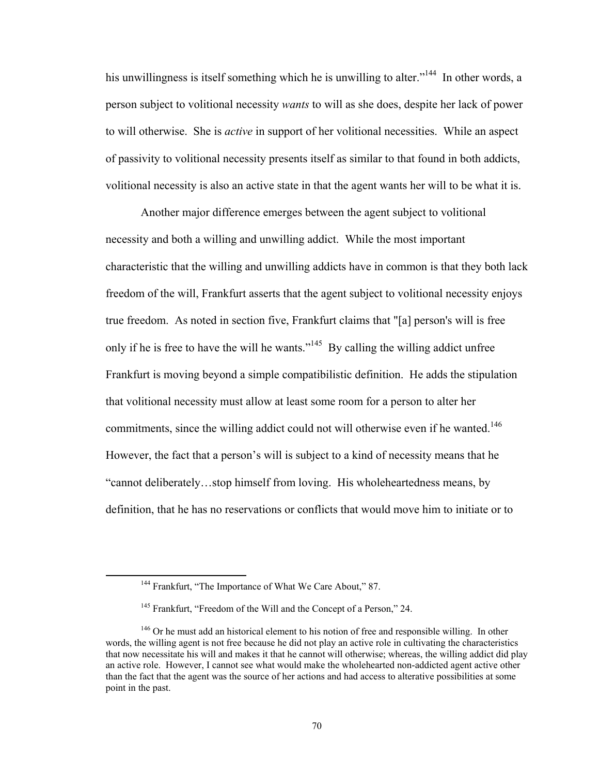his unwillingness is itself something which he is unwilling to alter."<sup>144</sup> In other words, a person subject to volitional necessity *wants* to will as she does, despite her lack of power to will otherwise. She is *active* in support of her volitional necessities. While an aspect of passivity to volitional necessity presents itself as similar to that found in both addicts, volitional necessity is also an active state in that the agent wants her will to be what it is.

Another major difference emerges between the agent subject to volitional necessity and both a willing and unwilling addict. While the most important characteristic that the willing and unwilling addicts have in common is that they both lack freedom of the will, Frankfurt asserts that the agent subject to volitional necessity enjoys true freedom. As noted in section five, Frankfurt claims that "[a] person's will is free only if he is free to have the will he wants."<sup>145</sup> By calling the willing addict unfree Frankfurt is moving beyond a simple compatibilistic definition. He adds the stipulation that volitional necessity must allow at least some room for a person to alter her commitments, since the willing addict could not will otherwise even if he wanted.<sup>146</sup> However, the fact that a person's will is subject to a kind of necessity means that he "cannot deliberately…stop himself from loving. His wholeheartedness means, by definition, that he has no reservations or conflicts that would move him to initiate or to

<sup>&</sup>lt;sup>144</sup> Frankfurt, "The Importance of What We Care About," 87.

<sup>&</sup>lt;sup>145</sup> Frankfurt, "Freedom of the Will and the Concept of a Person," 24.

<sup>&</sup>lt;sup>146</sup> Or he must add an historical element to his notion of free and responsible willing. In other words, the willing agent is not free because he did not play an active role in cultivating the characteristics that now necessitate his will and makes it that he cannot will otherwise; whereas, the willing addict did play an active role. However, I cannot see what would make the wholehearted non-addicted agent active other than the fact that the agent was the source of her actions and had access to alterative possibilities at some point in the past.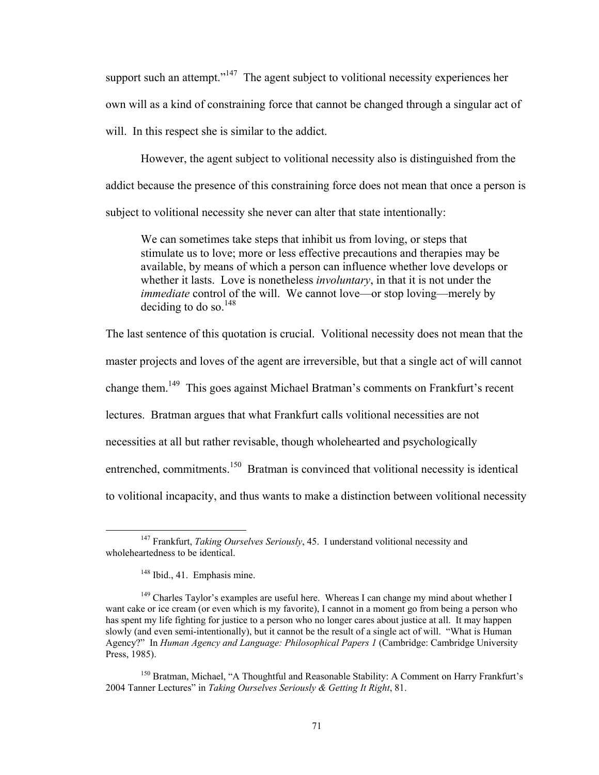support such an attempt." $147$  The agent subject to volitional necessity experiences her own will as a kind of constraining force that cannot be changed through a singular act of will. In this respect she is similar to the addict.

However, the agent subject to volitional necessity also is distinguished from the addict because the presence of this constraining force does not mean that once a person is subject to volitional necessity she never can alter that state intentionally:

We can sometimes take steps that inhibit us from loving, or steps that stimulate us to love; more or less effective precautions and therapies may be available, by means of which a person can influence whether love develops or whether it lasts. Love is nonetheless *involuntary*, in that it is not under the *immediate* control of the will. We cannot love—or stop loving—merely by deciding to do so.<sup>148</sup>

The last sentence of this quotation is crucial. Volitional necessity does not mean that the

master projects and loves of the agent are irreversible, but that a single act of will cannot

change them.149 This goes against Michael Bratman's comments on Frankfurt's recent

lectures. Bratman argues that what Frankfurt calls volitional necessities are not

necessities at all but rather revisable, though wholehearted and psychologically

entrenched, commitments.<sup>150</sup> Bratman is convinced that volitional necessity is identical

to volitional incapacity, and thus wants to make a distinction between volitional necessity

 147 Frankfurt, *Taking Ourselves Seriously*, 45. I understand volitional necessity and wholeheartedness to be identical.

<sup>&</sup>lt;sup>148</sup> Ibid., 41. Emphasis mine.

 $149$  Charles Taylor's examples are useful here. Whereas I can change my mind about whether I want cake or ice cream (or even which is my favorite), I cannot in a moment go from being a person who has spent my life fighting for justice to a person who no longer cares about justice at all. It may happen slowly (and even semi-intentionally), but it cannot be the result of a single act of will. "What is Human Agency?" In *Human Agency and Language: Philosophical Papers 1* (Cambridge: Cambridge University Press, 1985).

<sup>&</sup>lt;sup>150</sup> Bratman, Michael, "A Thoughtful and Reasonable Stability: A Comment on Harry Frankfurt's 2004 Tanner Lectures" in *Taking Ourselves Seriously & Getting It Right*, 81.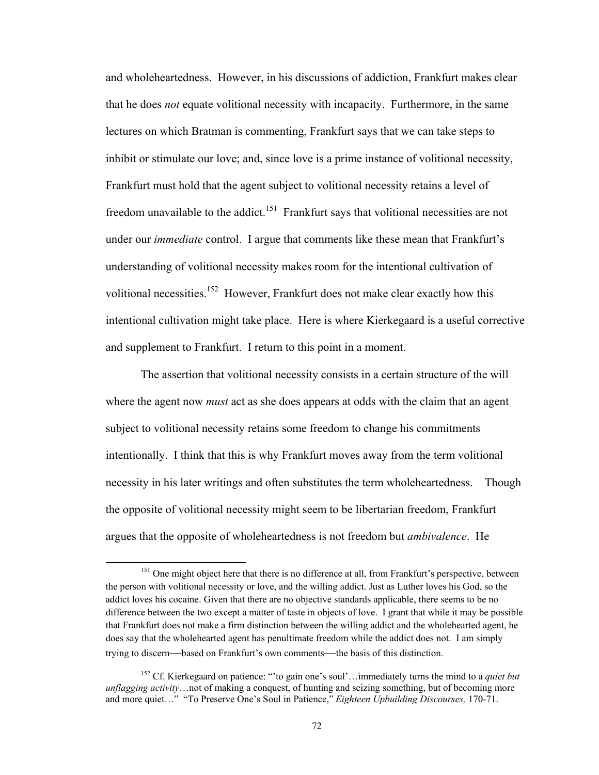and wholeheartedness. However, in his discussions of addiction, Frankfurt makes clear that he does *not* equate volitional necessity with incapacity. Furthermore, in the same lectures on which Bratman is commenting, Frankfurt says that we can take steps to inhibit or stimulate our love; and, since love is a prime instance of volitional necessity, Frankfurt must hold that the agent subject to volitional necessity retains a level of freedom unavailable to the addict.<sup>151</sup> Frankfurt says that volitional necessities are not under our *immediate* control. I argue that comments like these mean that Frankfurt's understanding of volitional necessity makes room for the intentional cultivation of volitional necessities.<sup>152</sup> However, Frankfurt does not make clear exactly how this intentional cultivation might take place. Here is where Kierkegaard is a useful corrective and supplement to Frankfurt. I return to this point in a moment.

The assertion that volitional necessity consists in a certain structure of the will where the agent now *must* act as she does appears at odds with the claim that an agent subject to volitional necessity retains some freedom to change his commitments intentionally. I think that this is why Frankfurt moves away from the term volitional necessity in his later writings and often substitutes the term wholeheartedness. Though the opposite of volitional necessity might seem to be libertarian freedom, Frankfurt argues that the opposite of wholeheartedness is not freedom but *ambivalence*. He

<sup>&</sup>lt;sup>151</sup> One might object here that there is no difference at all, from Frankfurt's perspective, between the person with volitional necessity or love, and the willing addict. Just as Luther loves his God, so the addict loves his cocaine. Given that there are no objective standards applicable, there seems to be no difference between the two except a matter of taste in objects of love. I grant that while it may be possible that Frankfurt does not make a firm distinction between the willing addict and the wholehearted agent, he does say that the wholehearted agent has penultimate freedom while the addict does not. I am simply trying to discern—based on Frankfurt's own comments—the basis of this distinction.

<sup>152</sup> Cf. Kierkegaard on patience: "'to gain one's soul'…immediately turns the mind to a *quiet but unflagging activity*…not of making a conquest, of hunting and seizing something, but of becoming more and more quiet…" "To Preserve One's Soul in Patience," *Eighteen Upbuilding Discourses,* 170-71.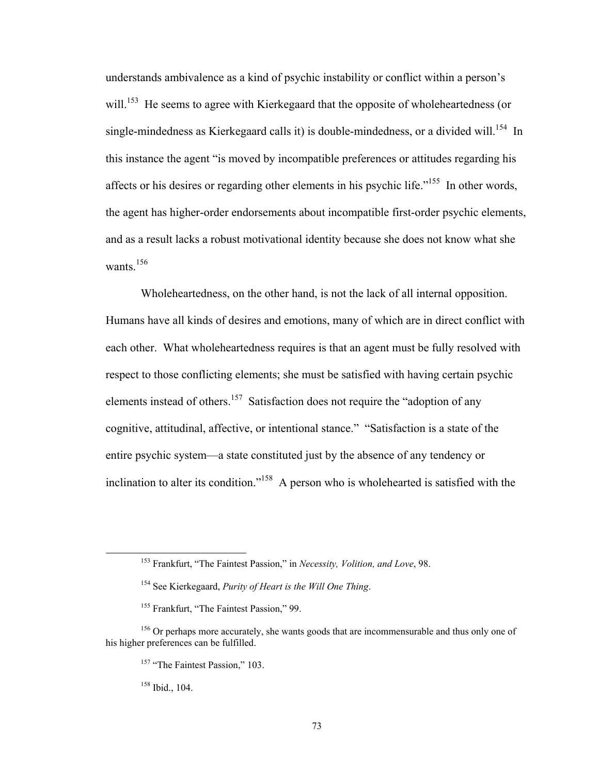understands ambivalence as a kind of psychic instability or conflict within a person's will.<sup>153</sup> He seems to agree with Kierkegaard that the opposite of wholeheartedness (or single-mindedness as Kierkegaard calls it) is double-mindedness, or a divided will.<sup>154</sup> In this instance the agent "is moved by incompatible preferences or attitudes regarding his affects or his desires or regarding other elements in his psychic life.<sup> $155$ </sup> In other words, the agent has higher-order endorsements about incompatible first-order psychic elements, and as a result lacks a robust motivational identity because she does not know what she wants $156$ 

Wholeheartedness, on the other hand, is not the lack of all internal opposition. Humans have all kinds of desires and emotions, many of which are in direct conflict with each other. What wholeheartedness requires is that an agent must be fully resolved with respect to those conflicting elements; she must be satisfied with having certain psychic elements instead of others.<sup>157</sup> Satisfaction does not require the "adoption of any cognitive, attitudinal, affective, or intentional stance." "Satisfaction is a state of the entire psychic system—a state constituted just by the absence of any tendency or inclination to alter its condition."158 A person who is wholehearted is satisfied with the

158 Ibid., 104.

 153 Frankfurt, "The Faintest Passion," in *Necessity, Volition, and Love*, 98.

<sup>154</sup> See Kierkegaard, *Purity of Heart is the Will One Thing*.

<sup>&</sup>lt;sup>155</sup> Frankfurt, "The Faintest Passion," 99.

<sup>&</sup>lt;sup>156</sup> Or perhaps more accurately, she wants goods that are incommensurable and thus only one of his higher preferences can be fulfilled.

<sup>&</sup>lt;sup>157</sup> "The Faintest Passion," 103.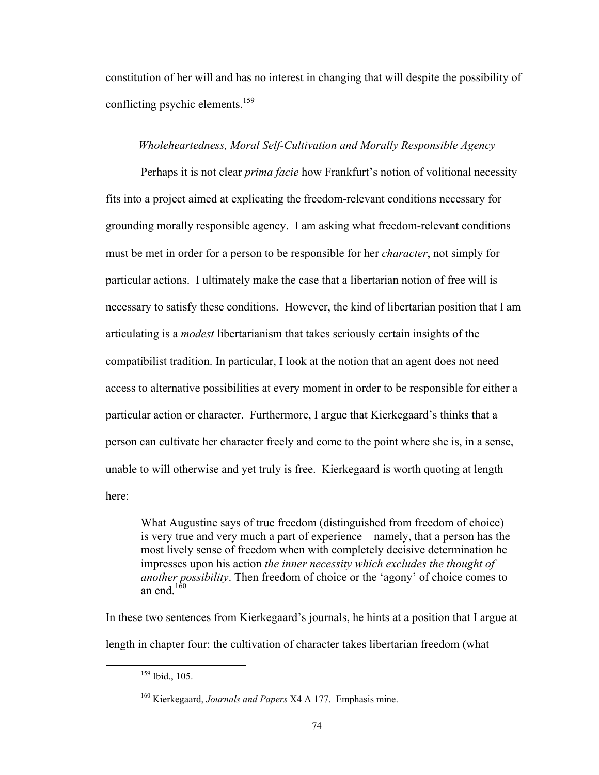constitution of her will and has no interest in changing that will despite the possibility of conflicting psychic elements.<sup>159</sup>

# *Wholeheartedness, Moral Self-Cultivation and Morally Responsible Agency*

Perhaps it is not clear *prima facie* how Frankfurt's notion of volitional necessity fits into a project aimed at explicating the freedom-relevant conditions necessary for grounding morally responsible agency. I am asking what freedom-relevant conditions must be met in order for a person to be responsible for her *character*, not simply for particular actions. I ultimately make the case that a libertarian notion of free will is necessary to satisfy these conditions. However, the kind of libertarian position that I am articulating is a *modest* libertarianism that takes seriously certain insights of the compatibilist tradition. In particular, I look at the notion that an agent does not need access to alternative possibilities at every moment in order to be responsible for either a particular action or character. Furthermore, I argue that Kierkegaard's thinks that a person can cultivate her character freely and come to the point where she is, in a sense, unable to will otherwise and yet truly is free. Kierkegaard is worth quoting at length here:

What Augustine says of true freedom (distinguished from freedom of choice) is very true and very much a part of experience—namely, that a person has the most lively sense of freedom when with completely decisive determination he impresses upon his action *the inner necessity which excludes the thought of another possibility*. Then freedom of choice or the 'agony' of choice comes to an end $160$ 

In these two sentences from Kierkegaard's journals, he hints at a position that I argue at length in chapter four: the cultivation of character takes libertarian freedom (what

 159 Ibid., 105.

<sup>160</sup> Kierkegaard, *Journals and Papers* X4 A 177. Emphasis mine.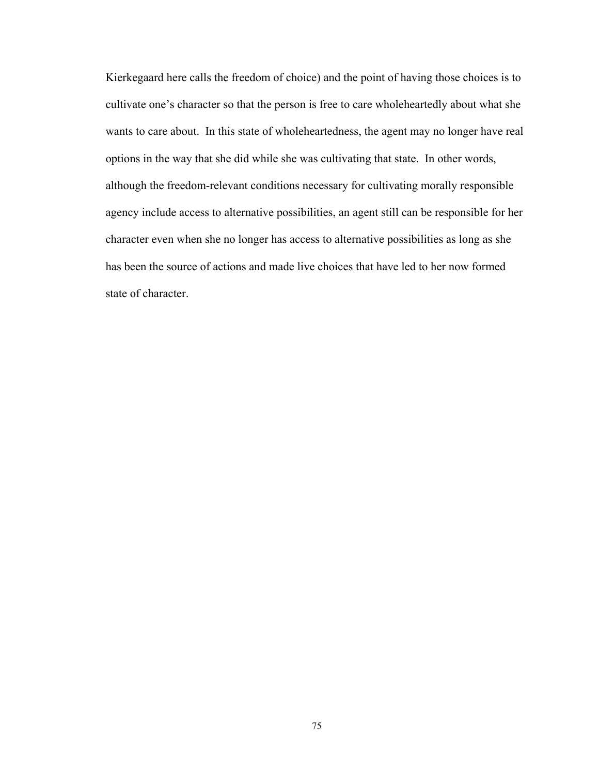Kierkegaard here calls the freedom of choice) and the point of having those choices is to cultivate one's character so that the person is free to care wholeheartedly about what she wants to care about. In this state of wholeheartedness, the agent may no longer have real options in the way that she did while she was cultivating that state. In other words, although the freedom-relevant conditions necessary for cultivating morally responsible agency include access to alternative possibilities, an agent still can be responsible for her character even when she no longer has access to alternative possibilities as long as she has been the source of actions and made live choices that have led to her now formed state of character.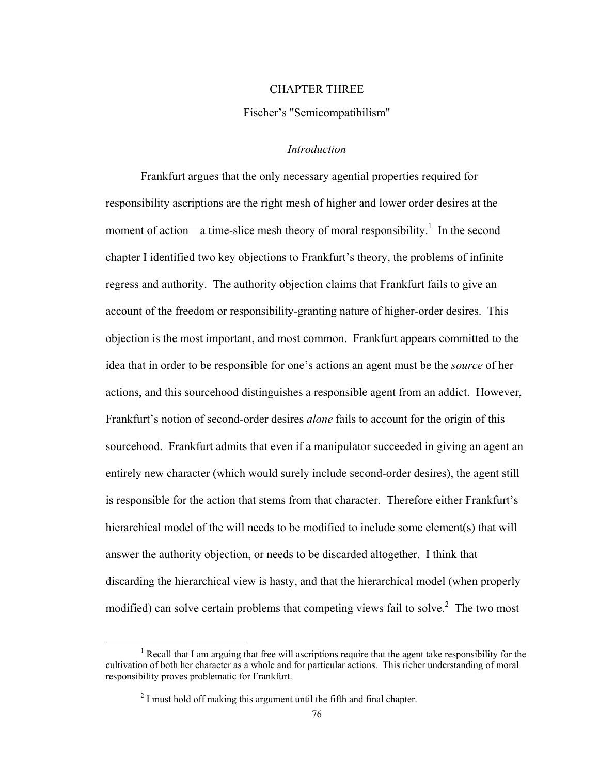#### CHAPTER THREE

# Fischer's "Semicompatibilism"

### *Introduction*

Frankfurt argues that the only necessary agential properties required for responsibility ascriptions are the right mesh of higher and lower order desires at the moment of action—a time-slice mesh theory of moral responsibility.<sup>1</sup> In the second chapter I identified two key objections to Frankfurt's theory, the problems of infinite regress and authority. The authority objection claims that Frankfurt fails to give an account of the freedom or responsibility-granting nature of higher-order desires. This objection is the most important, and most common. Frankfurt appears committed to the idea that in order to be responsible for one's actions an agent must be the *source* of her actions, and this sourcehood distinguishes a responsible agent from an addict. However, Frankfurt's notion of second-order desires *alone* fails to account for the origin of this sourcehood. Frankfurt admits that even if a manipulator succeeded in giving an agent an entirely new character (which would surely include second-order desires), the agent still is responsible for the action that stems from that character. Therefore either Frankfurt's hierarchical model of the will needs to be modified to include some element(s) that will answer the authority objection, or needs to be discarded altogether. I think that discarding the hierarchical view is hasty, and that the hierarchical model (when properly modified) can solve certain problems that competing views fail to solve. $^2$  The two most

<sup>&</sup>lt;sup>1</sup> Recall that I am arguing that free will ascriptions require that the agent take responsibility for the cultivation of both her character as a whole and for particular actions. This richer understanding of moral responsibility proves problematic for Frankfurt.

 $2<sup>2</sup>$  I must hold off making this argument until the fifth and final chapter.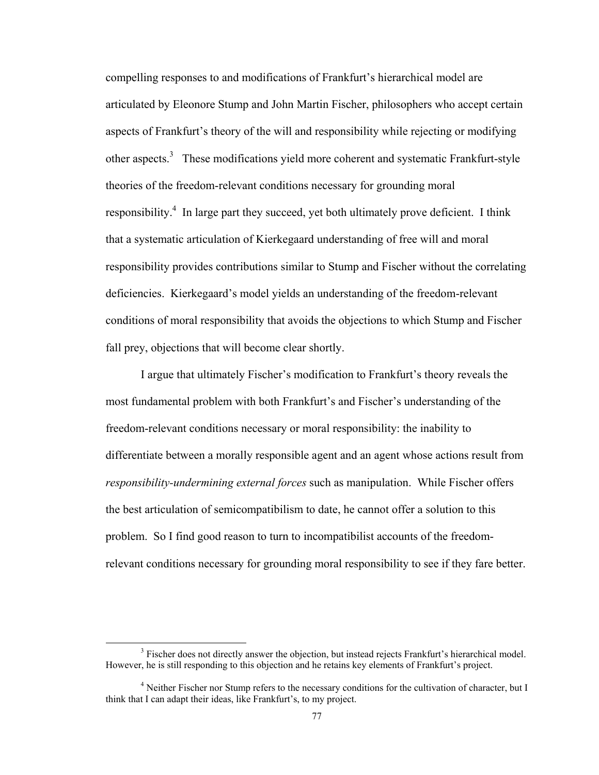compelling responses to and modifications of Frankfurt's hierarchical model are articulated by Eleonore Stump and John Martin Fischer, philosophers who accept certain aspects of Frankfurt's theory of the will and responsibility while rejecting or modifying other aspects.<sup>3</sup> These modifications yield more coherent and systematic Frankfurt-style theories of the freedom-relevant conditions necessary for grounding moral responsibility.<sup>4</sup> In large part they succeed, yet both ultimately prove deficient. I think that a systematic articulation of Kierkegaard understanding of free will and moral responsibility provides contributions similar to Stump and Fischer without the correlating deficiencies. Kierkegaard's model yields an understanding of the freedom-relevant conditions of moral responsibility that avoids the objections to which Stump and Fischer fall prey, objections that will become clear shortly.

I argue that ultimately Fischer's modification to Frankfurt's theory reveals the most fundamental problem with both Frankfurt's and Fischer's understanding of the freedom-relevant conditions necessary or moral responsibility: the inability to differentiate between a morally responsible agent and an agent whose actions result from *responsibility-undermining external forces* such as manipulation. While Fischer offers the best articulation of semicompatibilism to date, he cannot offer a solution to this problem. So I find good reason to turn to incompatibilist accounts of the freedomrelevant conditions necessary for grounding moral responsibility to see if they fare better.

<sup>&</sup>lt;sup>3</sup> Fischer does not directly answer the objection, but instead rejects Frankfurt's hierarchical model. However, he is still responding to this objection and he retains key elements of Frankfurt's project.

<sup>&</sup>lt;sup>4</sup> Neither Fischer nor Stump refers to the necessary conditions for the cultivation of character, but I think that I can adapt their ideas, like Frankfurt's, to my project.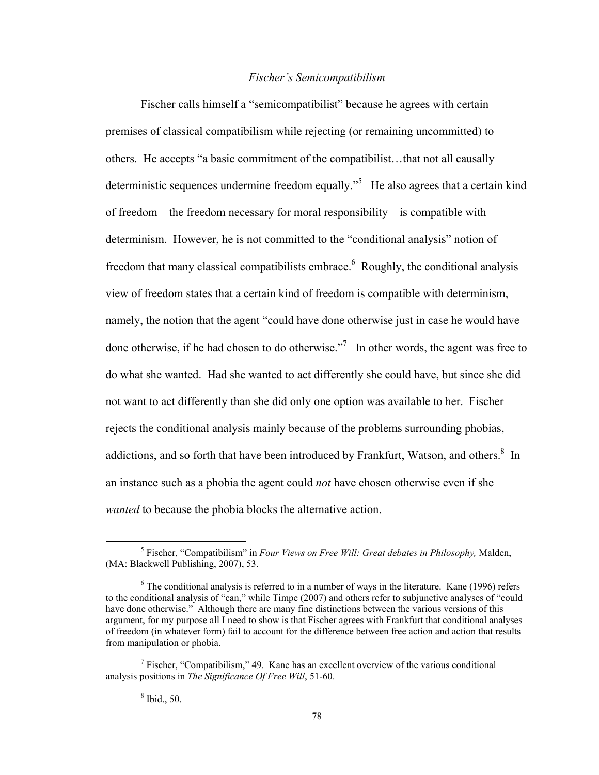### *Fischer's Semicompatibilism*

Fischer calls himself a "semicompatibilist" because he agrees with certain premises of classical compatibilism while rejecting (or remaining uncommitted) to others. He accepts "a basic commitment of the compatibilist…that not all causally deterministic sequences undermine freedom equally.<sup>55</sup> He also agrees that a certain kind of freedom—the freedom necessary for moral responsibility—is compatible with determinism. However, he is not committed to the "conditional analysis" notion of freedom that many classical compatibilists embrace.  $6$  Roughly, the conditional analysis view of freedom states that a certain kind of freedom is compatible with determinism, namely, the notion that the agent "could have done otherwise just in case he would have done otherwise, if he had chosen to do otherwise."<sup>7</sup> In other words, the agent was free to do what she wanted. Had she wanted to act differently she could have, but since she did not want to act differently than she did only one option was available to her. Fischer rejects the conditional analysis mainly because of the problems surrounding phobias, addictions, and so forth that have been introduced by Frankfurt, Watson, and others.<sup>8</sup> In an instance such as a phobia the agent could *not* have chosen otherwise even if she *wanted* to because the phobia blocks the alternative action.

 <sup>5</sup> Fischer, "Compatibilism" in *Four Views on Free Will: Great debates in Philosophy,* Malden, (MA: Blackwell Publishing, 2007), 53.

 $6$  The conditional analysis is referred to in a number of ways in the literature. Kane (1996) refers to the conditional analysis of "can," while Timpe (2007) and others refer to subjunctive analyses of "could have done otherwise." Although there are many fine distinctions between the various versions of this argument, for my purpose all I need to show is that Fischer agrees with Frankfurt that conditional analyses of freedom (in whatever form) fail to account for the difference between free action and action that results from manipulation or phobia.

<sup>&</sup>lt;sup>7</sup> Fischer, "Compatibilism," 49. Kane has an excellent overview of the various conditional analysis positions in *The Significance Of Free Will*, 51-60.

<sup>8</sup> Ibid., 50.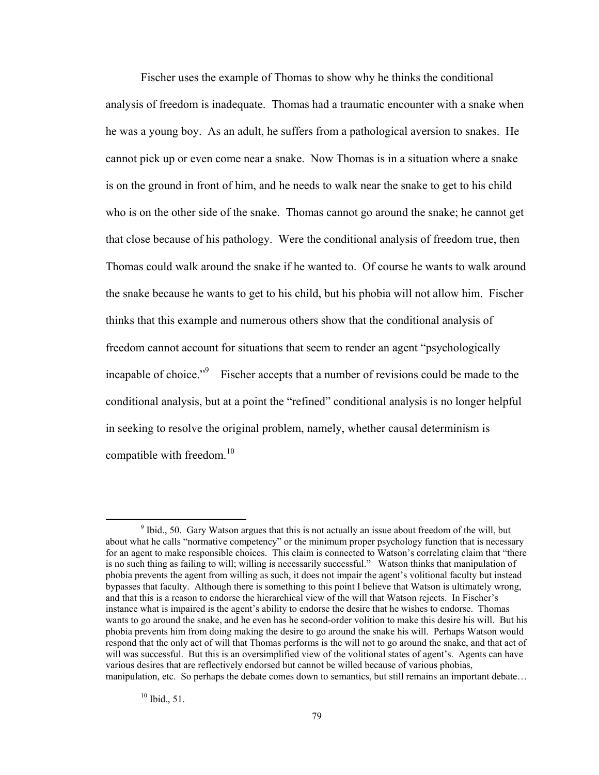Fischer uses the example of Thomas to show why he thinks the conditional analysis of freedom is inadequate. Thomas had a traumatic encounter with a snake when he was a young boy. As an adult, he suffers from a pathological aversion to snakes. He cannot pick up or even come near a snake. Now Thomas is in a situation where a snake is on the ground in front of him, and he needs to walk near the snake to get to his child who is on the other side of the snake. Thomas cannot go around the snake; he cannot get that close because of his pathology. Were the conditional analysis of freedom true, then Thomas could walk around the snake if he wanted to. Of course he wants to walk around the snake because he wants to get to his child, but his phobia will not allow him. Fischer thinks that this example and numerous others show that the conditional analysis of freedom cannot account for situations that seem to render an agent "psychologically incapable of choice."<sup>9</sup> Fischer accepts that a number of revisions could be made to the conditional analysis, but at a point the "refined" conditional analysis is no longer helpful in seeking to resolve the original problem, namely, whether causal determinism is compatible with freedom.<sup>10</sup>

 $10$  Ibid., 51.

<sup>&</sup>lt;sup>9</sup> Ibid., 50. Gary Watson argues that this is not actually an issue about freedom of the will, but about what he calls "normative competency" or the minimum proper psychology function that is necessary for an agent to make responsible choices. This claim is connected to Watson's correlating claim that "there is no such thing as failing to will; willing is necessarily successful." Watson thinks that manipulation of phobia prevents the agent from willing as such, it does not impair the agent's volitional faculty but instead bypasses that faculty. Although there is something to this point I believe that Watson is ultimately wrong, and that this is a reason to endorse the hierarchical view of the will that Watson rejects. In Fischer's instance what is impaired is the agent's ability to endorse the desire that he wishes to endorse. Thomas wants to go around the snake, and he even has he second-order volition to make this desire his will. But his phobia prevents him from doing making the desire to go around the snake his will. Perhaps Watson would respond that the only act of will that Thomas performs is the will not to go around the snake, and that act of will was successful. But this is an oversimplified view of the volitional states of agent's. Agents can have various desires that are reflectively endorsed but cannot be willed because of various phobias, manipulation, etc. So perhaps the debate comes down to semantics, but still remains an important debate...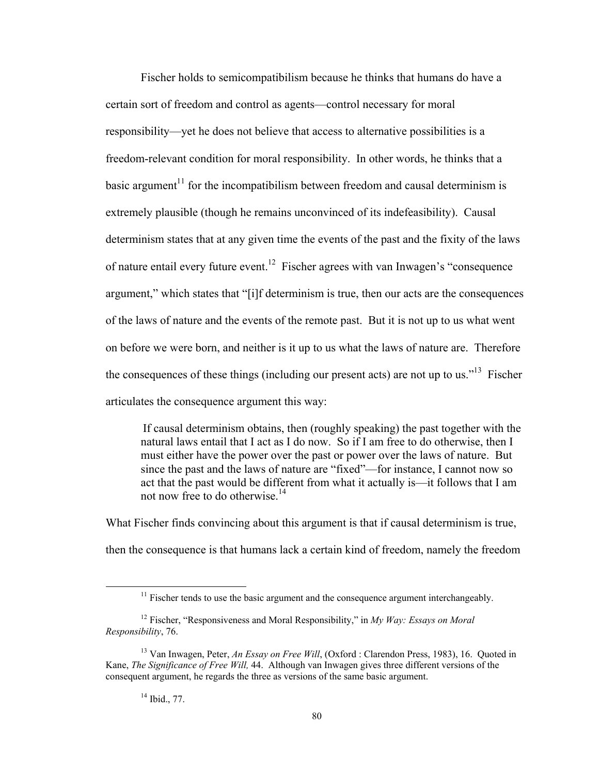Fischer holds to semicompatibilism because he thinks that humans do have a certain sort of freedom and control as agents—control necessary for moral responsibility—yet he does not believe that access to alternative possibilities is a freedom-relevant condition for moral responsibility. In other words, he thinks that a basic argument<sup>11</sup> for the incompatibilism between freedom and causal determinism is extremely plausible (though he remains unconvinced of its indefeasibility). Causal determinism states that at any given time the events of the past and the fixity of the laws of nature entail every future event.<sup>12</sup> Fischer agrees with van Inwagen's "consequence" argument," which states that "[i]f determinism is true, then our acts are the consequences of the laws of nature and the events of the remote past. But it is not up to us what went on before we were born, and neither is it up to us what the laws of nature are. Therefore the consequences of these things (including our present acts) are not up to us.<sup> $13$ </sup> Fischer articulates the consequence argument this way:

If causal determinism obtains, then (roughly speaking) the past together with the natural laws entail that I act as I do now. So if I am free to do otherwise, then I must either have the power over the past or power over the laws of nature. But since the past and the laws of nature are "fixed"—for instance, I cannot now so act that the past would be different from what it actually is—it follows that I am not now free to do otherwise.<sup>14</sup>

What Fischer finds convincing about this argument is that if causal determinism is true, then the consequence is that humans lack a certain kind of freedom, namely the freedom

 $11$  Fischer tends to use the basic argument and the consequence argument interchangeably.

<sup>12</sup> Fischer, "Responsiveness and Moral Responsibility," in *My Way: Essays on Moral Responsibility*, 76.

<sup>&</sup>lt;sup>13</sup> Van Inwagen, Peter, *An Essay on Free Will*, (Oxford : Clarendon Press, 1983), 16. Quoted in Kane, *The Significance of Free Will,* 44. Although van Inwagen gives three different versions of the consequent argument, he regards the three as versions of the same basic argument.

 $14$  Ibid., 77.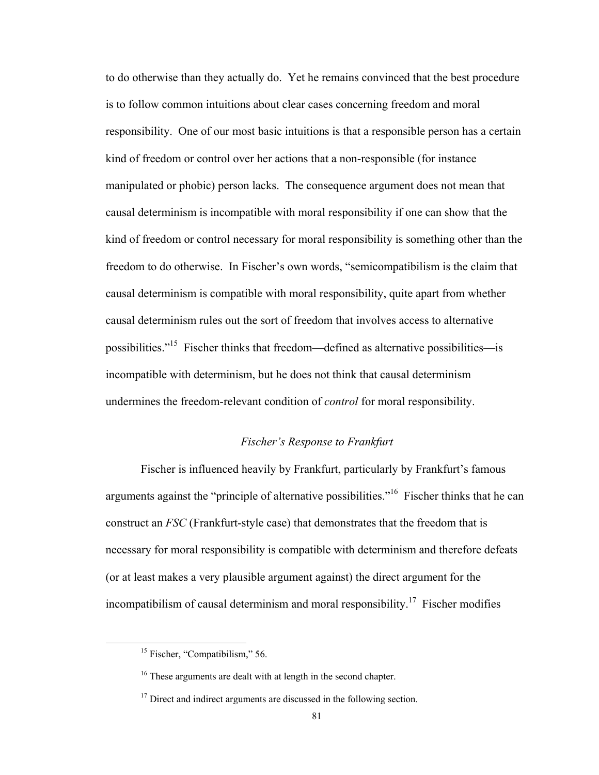to do otherwise than they actually do. Yet he remains convinced that the best procedure is to follow common intuitions about clear cases concerning freedom and moral responsibility. One of our most basic intuitions is that a responsible person has a certain kind of freedom or control over her actions that a non-responsible (for instance manipulated or phobic) person lacks. The consequence argument does not mean that causal determinism is incompatible with moral responsibility if one can show that the kind of freedom or control necessary for moral responsibility is something other than the freedom to do otherwise. In Fischer's own words, "semicompatibilism is the claim that causal determinism is compatible with moral responsibility, quite apart from whether causal determinism rules out the sort of freedom that involves access to alternative possibilities."15 Fischer thinks that freedom—defined as alternative possibilities—is incompatible with determinism, but he does not think that causal determinism undermines the freedom-relevant condition of *control* for moral responsibility.

# *Fischer's Response to Frankfurt*

Fischer is influenced heavily by Frankfurt, particularly by Frankfurt's famous arguments against the "principle of alternative possibilities."<sup>16</sup> Fischer thinks that he can construct an *FSC* (Frankfurt-style case) that demonstrates that the freedom that is necessary for moral responsibility is compatible with determinism and therefore defeats (or at least makes a very plausible argument against) the direct argument for the incompatibilism of causal determinism and moral responsibility.<sup>17</sup> Fischer modifies

<sup>&</sup>lt;sup>15</sup> Fischer, "Compatibilism," 56.

<sup>&</sup>lt;sup>16</sup> These arguments are dealt with at length in the second chapter.

<sup>&</sup>lt;sup>17</sup> Direct and indirect arguments are discussed in the following section.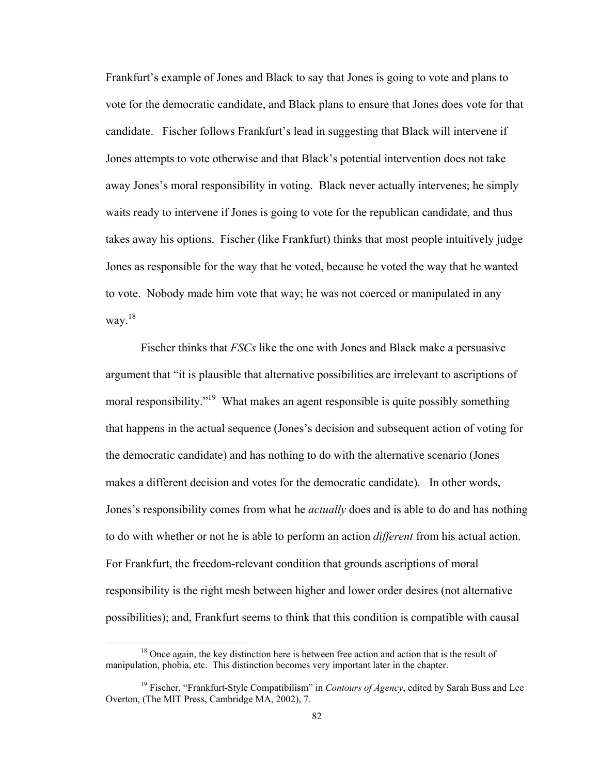Frankfurt's example of Jones and Black to say that Jones is going to vote and plans to vote for the democratic candidate, and Black plans to ensure that Jones does vote for that candidate. Fischer follows Frankfurt's lead in suggesting that Black will intervene if Jones attempts to vote otherwise and that Black's potential intervention does not take away Jones's moral responsibility in voting. Black never actually intervenes; he simply waits ready to intervene if Jones is going to vote for the republican candidate, and thus takes away his options. Fischer (like Frankfurt) thinks that most people intuitively judge Jones as responsible for the way that he voted, because he voted the way that he wanted to vote. Nobody made him vote that way; he was not coerced or manipulated in any way. $^{18}$ 

Fischer thinks that *FSCs* like the one with Jones and Black make a persuasive argument that "it is plausible that alternative possibilities are irrelevant to ascriptions of moral responsibility."<sup>19</sup> What makes an agent responsible is quite possibly something that happens in the actual sequence (Jones's decision and subsequent action of voting for the democratic candidate) and has nothing to do with the alternative scenario (Jones makes a different decision and votes for the democratic candidate). In other words, Jones's responsibility comes from what he *actually* does and is able to do and has nothing to do with whether or not he is able to perform an action *different* from his actual action. For Frankfurt, the freedom-relevant condition that grounds ascriptions of moral responsibility is the right mesh between higher and lower order desires (not alternative possibilities); and, Frankfurt seems to think that this condition is compatible with causal

<sup>&</sup>lt;sup>18</sup> Once again, the key distinction here is between free action and action that is the result of manipulation, phobia, etc. This distinction becomes very important later in the chapter.

<sup>&</sup>lt;sup>19</sup> Fischer, "Frankfurt-Style Compatibilism" in *Contours of Agency*, edited by Sarah Buss and Lee Overton, (The MIT Press, Cambridge MA, 2002), 7.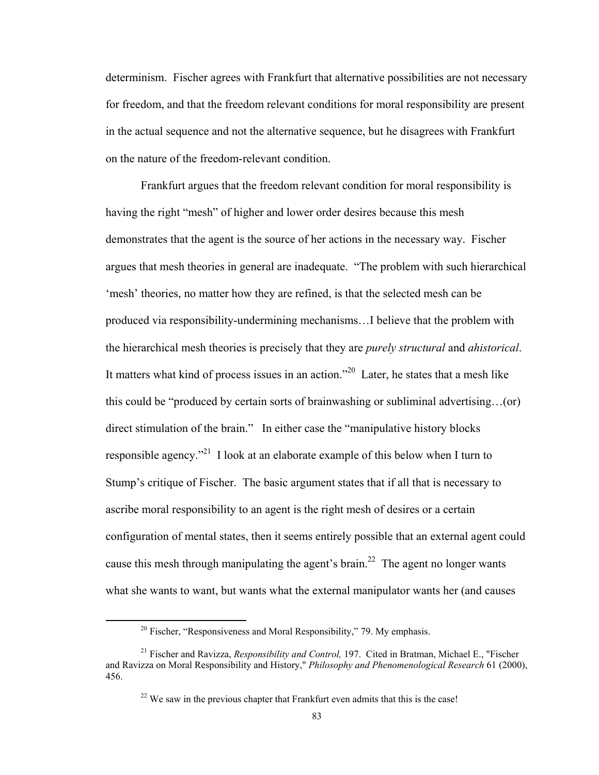determinism. Fischer agrees with Frankfurt that alternative possibilities are not necessary for freedom, and that the freedom relevant conditions for moral responsibility are present in the actual sequence and not the alternative sequence, but he disagrees with Frankfurt on the nature of the freedom-relevant condition.

Frankfurt argues that the freedom relevant condition for moral responsibility is having the right "mesh" of higher and lower order desires because this mesh demonstrates that the agent is the source of her actions in the necessary way. Fischer argues that mesh theories in general are inadequate. "The problem with such hierarchical 'mesh' theories, no matter how they are refined, is that the selected mesh can be produced via responsibility-undermining mechanisms…I believe that the problem with the hierarchical mesh theories is precisely that they are *purely structural* and *ahistorical*. It matters what kind of process issues in an action."20 Later, he states that a mesh like this could be "produced by certain sorts of brainwashing or subliminal advertising…(or) direct stimulation of the brain." In either case the "manipulative history blocks responsible agency."21 I look at an elaborate example of this below when I turn to Stump's critique of Fischer. The basic argument states that if all that is necessary to ascribe moral responsibility to an agent is the right mesh of desires or a certain configuration of mental states, then it seems entirely possible that an external agent could cause this mesh through manipulating the agent's brain.<sup>22</sup> The agent no longer wants what she wants to want, but wants what the external manipulator wants her (and causes

 $20$  Fischer, "Responsiveness and Moral Responsibility," 79. My emphasis.

<sup>21</sup> Fischer and Ravizza, *Responsibility and Control,* 197. Cited in Bratman, Michael E., "Fischer and Ravizza on Moral Responsibility and History," *Philosophy and Phenomenological Research* 61 (2000), 456.

 $22$  We saw in the previous chapter that Frankfurt even admits that this is the case!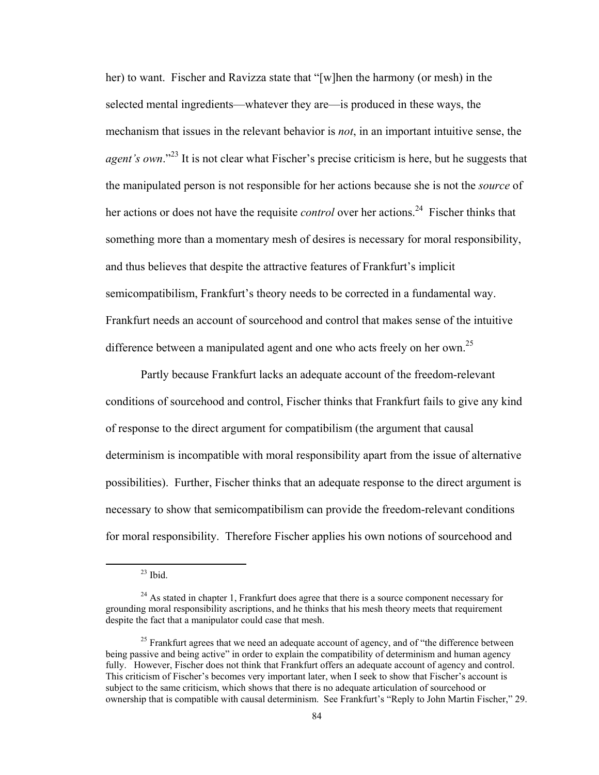her) to want. Fischer and Ravizza state that "[w]hen the harmony (or mesh) in the selected mental ingredients—whatever they are—is produced in these ways, the mechanism that issues in the relevant behavior is *not*, in an important intuitive sense, the *agent's own.*"<sup>23</sup> It is not clear what Fischer's precise criticism is here, but he suggests that the manipulated person is not responsible for her actions because she is not the *source* of her actions or does not have the requisite *control* over her actions.<sup>24</sup> Fischer thinks that something more than a momentary mesh of desires is necessary for moral responsibility, and thus believes that despite the attractive features of Frankfurt's implicit semicompatibilism, Frankfurt's theory needs to be corrected in a fundamental way. Frankfurt needs an account of sourcehood and control that makes sense of the intuitive difference between a manipulated agent and one who acts freely on her own.<sup>25</sup>

Partly because Frankfurt lacks an adequate account of the freedom-relevant conditions of sourcehood and control, Fischer thinks that Frankfurt fails to give any kind of response to the direct argument for compatibilism (the argument that causal determinism is incompatible with moral responsibility apart from the issue of alternative possibilities). Further, Fischer thinks that an adequate response to the direct argument is necessary to show that semicompatibilism can provide the freedom-relevant conditions for moral responsibility. Therefore Fischer applies his own notions of sourcehood and

 $23$  Ibid.

 $24$  As stated in chapter 1, Frankfurt does agree that there is a source component necessary for grounding moral responsibility ascriptions, and he thinks that his mesh theory meets that requirement despite the fact that a manipulator could case that mesh.

<sup>&</sup>lt;sup>25</sup> Frankfurt agrees that we need an adequate account of agency, and of "the difference between" being passive and being active" in order to explain the compatibility of determinism and human agency fully. However, Fischer does not think that Frankfurt offers an adequate account of agency and control. This criticism of Fischer's becomes very important later, when I seek to show that Fischer's account is subject to the same criticism, which shows that there is no adequate articulation of sourcehood or ownership that is compatible with causal determinism. See Frankfurt's "Reply to John Martin Fischer," 29.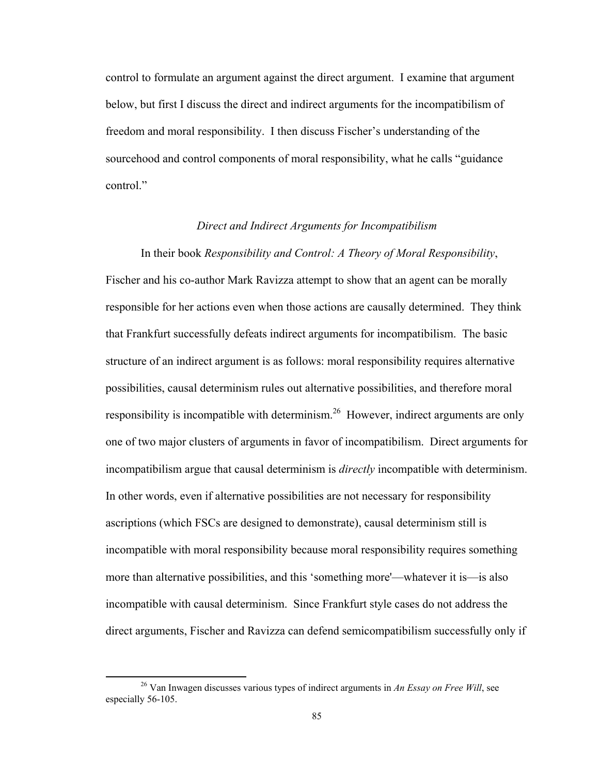control to formulate an argument against the direct argument. I examine that argument below, but first I discuss the direct and indirect arguments for the incompatibilism of freedom and moral responsibility. I then discuss Fischer's understanding of the sourcehood and control components of moral responsibility, what he calls "guidance control<sup>"</sup>

### *Direct and Indirect Arguments for Incompatibilism*

#### In their book *Responsibility and Control: A Theory of Moral Responsibility*,

Fischer and his co-author Mark Ravizza attempt to show that an agent can be morally responsible for her actions even when those actions are causally determined. They think that Frankfurt successfully defeats indirect arguments for incompatibilism. The basic structure of an indirect argument is as follows: moral responsibility requires alternative possibilities, causal determinism rules out alternative possibilities, and therefore moral responsibility is incompatible with determinism.<sup>26</sup> However, indirect arguments are only one of two major clusters of arguments in favor of incompatibilism. Direct arguments for incompatibilism argue that causal determinism is *directly* incompatible with determinism. In other words, even if alternative possibilities are not necessary for responsibility ascriptions (which FSCs are designed to demonstrate), causal determinism still is incompatible with moral responsibility because moral responsibility requires something more than alternative possibilities, and this 'something more'—whatever it is—is also incompatible with causal determinism. Since Frankfurt style cases do not address the direct arguments, Fischer and Ravizza can defend semicompatibilism successfully only if

 26 Van Inwagen discusses various types of indirect arguments in *An Essay on Free Will*, see especially 56-105.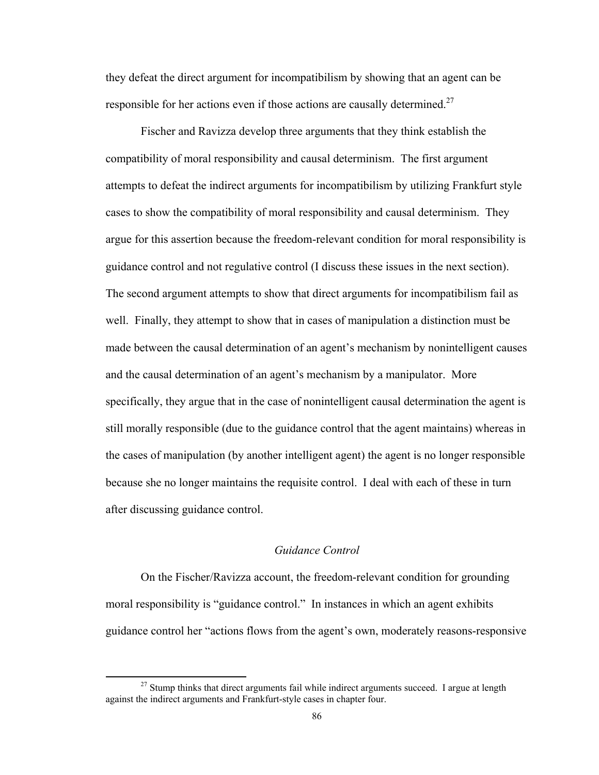they defeat the direct argument for incompatibilism by showing that an agent can be responsible for her actions even if those actions are causally determined.<sup>27</sup>

Fischer and Ravizza develop three arguments that they think establish the compatibility of moral responsibility and causal determinism. The first argument attempts to defeat the indirect arguments for incompatibilism by utilizing Frankfurt style cases to show the compatibility of moral responsibility and causal determinism. They argue for this assertion because the freedom-relevant condition for moral responsibility is guidance control and not regulative control (I discuss these issues in the next section). The second argument attempts to show that direct arguments for incompatibilism fail as well. Finally, they attempt to show that in cases of manipulation a distinction must be made between the causal determination of an agent's mechanism by nonintelligent causes and the causal determination of an agent's mechanism by a manipulator. More specifically, they argue that in the case of nonintelligent causal determination the agent is still morally responsible (due to the guidance control that the agent maintains) whereas in the cases of manipulation (by another intelligent agent) the agent is no longer responsible because she no longer maintains the requisite control. I deal with each of these in turn after discussing guidance control.

# *Guidance Control*

On the Fischer/Ravizza account, the freedom-relevant condition for grounding moral responsibility is "guidance control." In instances in which an agent exhibits guidance control her "actions flows from the agent's own, moderately reasons-responsive

 $27$  Stump thinks that direct arguments fail while indirect arguments succeed. I argue at length against the indirect arguments and Frankfurt-style cases in chapter four.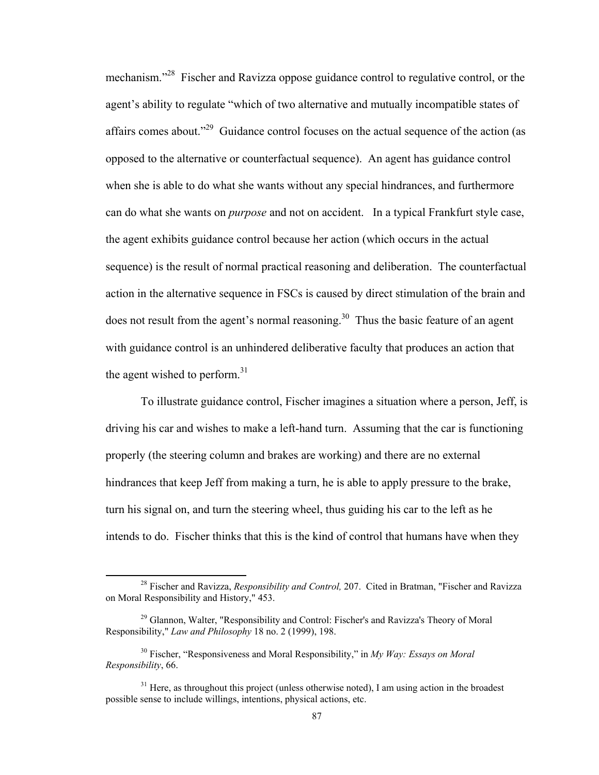mechanism."<sup>28</sup> Fischer and Ravizza oppose guidance control to regulative control, or the agent's ability to regulate "which of two alternative and mutually incompatible states of affairs comes about."29 Guidance control focuses on the actual sequence of the action (as opposed to the alternative or counterfactual sequence). An agent has guidance control when she is able to do what she wants without any special hindrances, and furthermore can do what she wants on *purpose* and not on accident. In a typical Frankfurt style case, the agent exhibits guidance control because her action (which occurs in the actual sequence) is the result of normal practical reasoning and deliberation. The counterfactual action in the alternative sequence in FSCs is caused by direct stimulation of the brain and does not result from the agent's normal reasoning.<sup>30</sup> Thus the basic feature of an agent with guidance control is an unhindered deliberative faculty that produces an action that the agent wished to perform.<sup>31</sup>

To illustrate guidance control, Fischer imagines a situation where a person, Jeff, is driving his car and wishes to make a left-hand turn. Assuming that the car is functioning properly (the steering column and brakes are working) and there are no external hindrances that keep Jeff from making a turn, he is able to apply pressure to the brake, turn his signal on, and turn the steering wheel, thus guiding his car to the left as he intends to do. Fischer thinks that this is the kind of control that humans have when they

 28 Fischer and Ravizza, *Responsibility and Control,* 207. Cited in Bratman, "Fischer and Ravizza on Moral Responsibility and History," 453.

<sup>&</sup>lt;sup>29</sup> Glannon, Walter, "Responsibility and Control: Fischer's and Ravizza's Theory of Moral Responsibility," *Law and Philosophy* 18 no. 2 (1999), 198.

<sup>30</sup> Fischer, "Responsiveness and Moral Responsibility," in *My Way: Essays on Moral Responsibility*, 66.

 $31$  Here, as throughout this project (unless otherwise noted), I am using action in the broadest possible sense to include willings, intentions, physical actions, etc.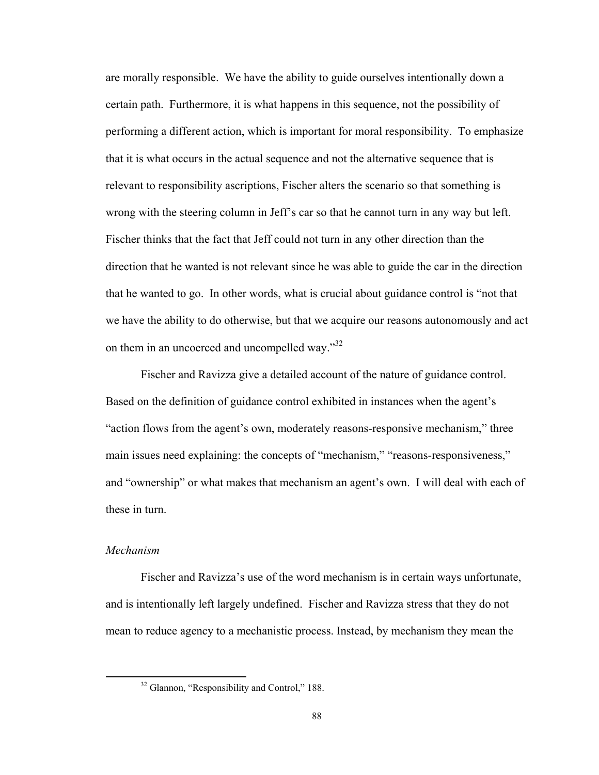are morally responsible. We have the ability to guide ourselves intentionally down a certain path. Furthermore, it is what happens in this sequence, not the possibility of performing a different action, which is important for moral responsibility. To emphasize that it is what occurs in the actual sequence and not the alternative sequence that is relevant to responsibility ascriptions, Fischer alters the scenario so that something is wrong with the steering column in Jeff's car so that he cannot turn in any way but left. Fischer thinks that the fact that Jeff could not turn in any other direction than the direction that he wanted is not relevant since he was able to guide the car in the direction that he wanted to go. In other words, what is crucial about guidance control is "not that we have the ability to do otherwise, but that we acquire our reasons autonomously and act on them in an uncoerced and uncompelled way."32

Fischer and Ravizza give a detailed account of the nature of guidance control. Based on the definition of guidance control exhibited in instances when the agent's "action flows from the agent's own, moderately reasons-responsive mechanism," three main issues need explaining: the concepts of "mechanism," "reasons-responsiveness," and "ownership" or what makes that mechanism an agent's own. I will deal with each of these in turn.

# *Mechanism*

Fischer and Ravizza's use of the word mechanism is in certain ways unfortunate, and is intentionally left largely undefined. Fischer and Ravizza stress that they do not mean to reduce agency to a mechanistic process. Instead, by mechanism they mean the

<sup>&</sup>lt;sup>32</sup> Glannon, "Responsibility and Control," 188.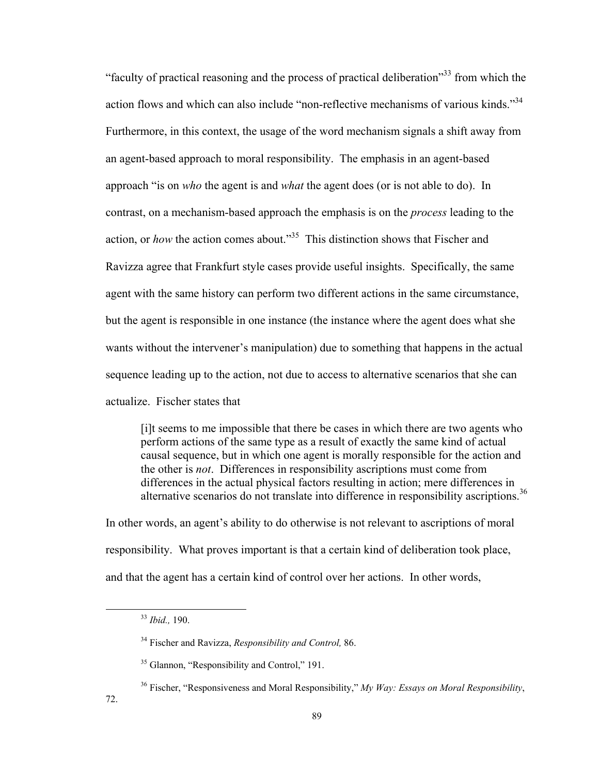"faculty of practical reasoning and the process of practical deliberation"33 from which the action flows and which can also include "non-reflective mechanisms of various kinds."<sup>34</sup> Furthermore, in this context, the usage of the word mechanism signals a shift away from an agent-based approach to moral responsibility. The emphasis in an agent-based approach "is on *who* the agent is and *what* the agent does (or is not able to do). In contrast, on a mechanism-based approach the emphasis is on the *process* leading to the action, or *how* the action comes about."<sup>35</sup> This distinction shows that Fischer and Ravizza agree that Frankfurt style cases provide useful insights. Specifically, the same agent with the same history can perform two different actions in the same circumstance, but the agent is responsible in one instance (the instance where the agent does what she wants without the intervener's manipulation) due to something that happens in the actual sequence leading up to the action, not due to access to alternative scenarios that she can actualize. Fischer states that

[i]t seems to me impossible that there be cases in which there are two agents who perform actions of the same type as a result of exactly the same kind of actual causal sequence, but in which one agent is morally responsible for the action and the other is *not*. Differences in responsibility ascriptions must come from differences in the actual physical factors resulting in action; mere differences in alternative scenarios do not translate into difference in responsibility ascriptions.<sup>36</sup>

In other words, an agent's ability to do otherwise is not relevant to ascriptions of moral responsibility. What proves important is that a certain kind of deliberation took place, and that the agent has a certain kind of control over her actions. In other words,

 <sup>33</sup> *Ibid.,* 190.

<sup>34</sup> Fischer and Ravizza, *Responsibility and Control,* 86.

<sup>&</sup>lt;sup>35</sup> Glannon, "Responsibility and Control," 191.

<sup>36</sup> Fischer, "Responsiveness and Moral Responsibility," *My Way: Essays on Moral Responsibility*,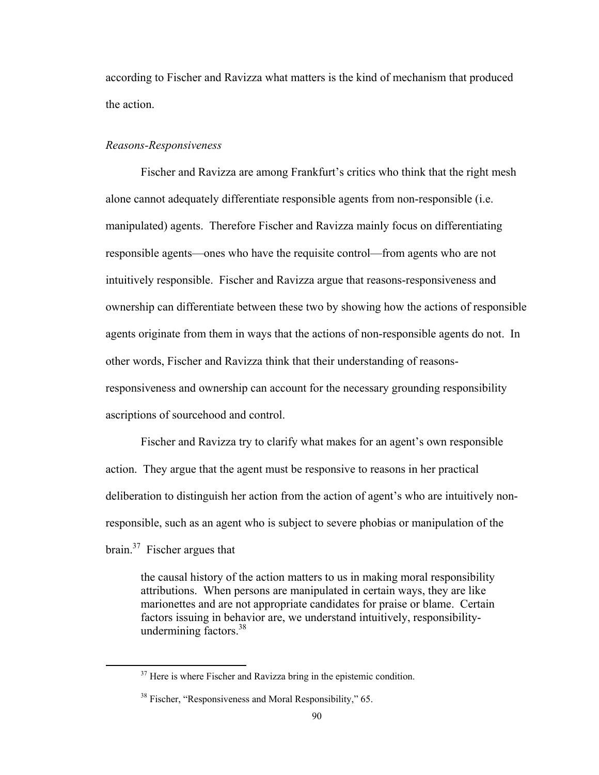according to Fischer and Ravizza what matters is the kind of mechanism that produced the action.

### *Reasons-Responsiveness*

Fischer and Ravizza are among Frankfurt's critics who think that the right mesh alone cannot adequately differentiate responsible agents from non-responsible (i.e. manipulated) agents. Therefore Fischer and Ravizza mainly focus on differentiating responsible agents—ones who have the requisite control—from agents who are not intuitively responsible. Fischer and Ravizza argue that reasons-responsiveness and ownership can differentiate between these two by showing how the actions of responsible agents originate from them in ways that the actions of non-responsible agents do not. In other words, Fischer and Ravizza think that their understanding of reasonsresponsiveness and ownership can account for the necessary grounding responsibility ascriptions of sourcehood and control.

Fischer and Ravizza try to clarify what makes for an agent's own responsible action. They argue that the agent must be responsive to reasons in her practical deliberation to distinguish her action from the action of agent's who are intuitively nonresponsible, such as an agent who is subject to severe phobias or manipulation of the brain.37 Fischer argues that

the causal history of the action matters to us in making moral responsibility attributions. When persons are manipulated in certain ways, they are like marionettes and are not appropriate candidates for praise or blame. Certain factors issuing in behavior are, we understand intuitively, responsibilityundermining factors. $38$ 

 $37$  Here is where Fischer and Ravizza bring in the epistemic condition.

<sup>38</sup> Fischer, "Responsiveness and Moral Responsibility," 65.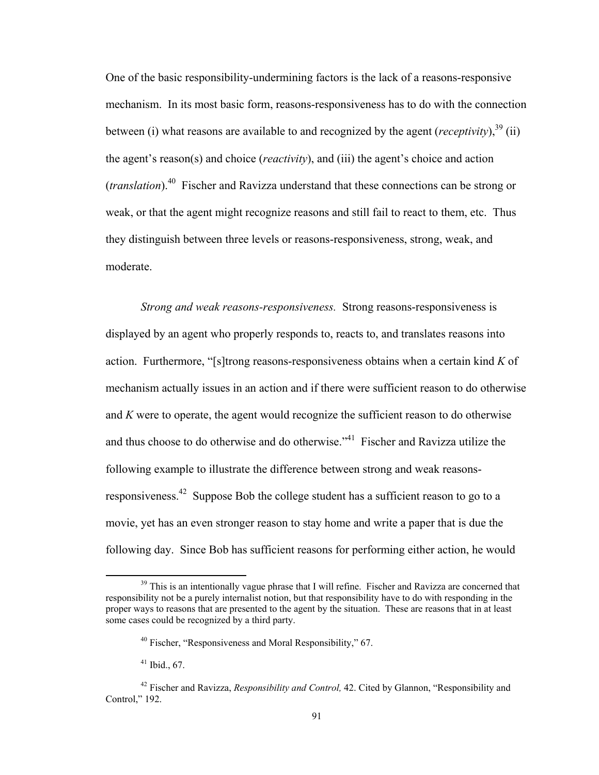One of the basic responsibility-undermining factors is the lack of a reasons-responsive mechanism. In its most basic form, reasons-responsiveness has to do with the connection between (i) what reasons are available to and recognized by the agent (*receptivity*),  $39\,(ii)$ the agent's reason(s) and choice (*reactivity*), and (iii) the agent's choice and action (*translation*).40 Fischer and Ravizza understand that these connections can be strong or weak, or that the agent might recognize reasons and still fail to react to them, etc. Thus they distinguish between three levels or reasons-responsiveness, strong, weak, and moderate.

*Strong and weak reasons-responsiveness.* Strong reasons-responsiveness is displayed by an agent who properly responds to, reacts to, and translates reasons into action. Furthermore, "[s]trong reasons-responsiveness obtains when a certain kind *K* of mechanism actually issues in an action and if there were sufficient reason to do otherwise and *K* were to operate, the agent would recognize the sufficient reason to do otherwise and thus choose to do otherwise and do otherwise.<sup>"41</sup> Fischer and Ravizza utilize the following example to illustrate the difference between strong and weak reasonsresponsiveness.42 Suppose Bob the college student has a sufficient reason to go to a movie, yet has an even stronger reason to stay home and write a paper that is due the following day. Since Bob has sufficient reasons for performing either action, he would

 $39$  This is an intentionally vague phrase that I will refine. Fischer and Ravizza are concerned that responsibility not be a purely internalist notion, but that responsibility have to do with responding in the proper ways to reasons that are presented to the agent by the situation. These are reasons that in at least some cases could be recognized by a third party.

<sup>40</sup> Fischer, "Responsiveness and Moral Responsibility," 67.

 $41$  Ibid., 67.

<sup>42</sup> Fischer and Ravizza, *Responsibility and Control,* 42. Cited by Glannon, "Responsibility and Control," 192.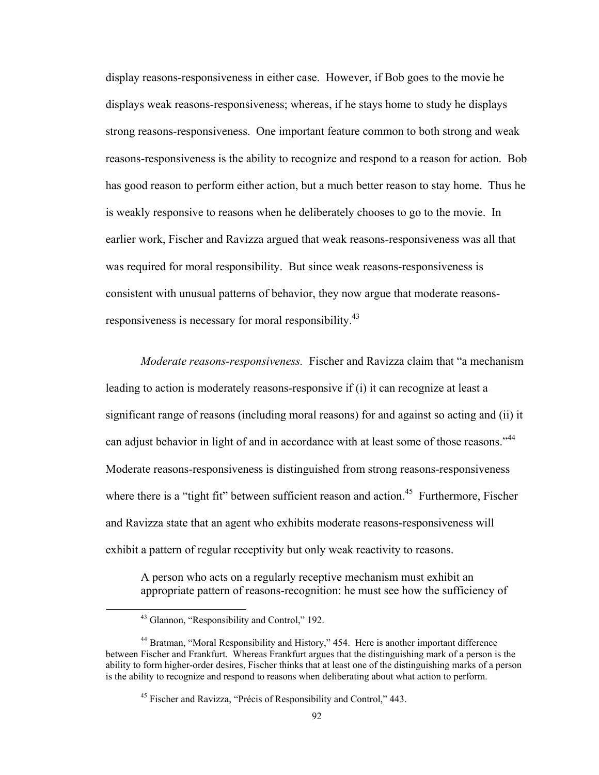display reasons-responsiveness in either case. However, if Bob goes to the movie he displays weak reasons-responsiveness; whereas, if he stays home to study he displays strong reasons-responsiveness. One important feature common to both strong and weak reasons-responsiveness is the ability to recognize and respond to a reason for action. Bob has good reason to perform either action, but a much better reason to stay home. Thus he is weakly responsive to reasons when he deliberately chooses to go to the movie. In earlier work, Fischer and Ravizza argued that weak reasons-responsiveness was all that was required for moral responsibility. But since weak reasons-responsiveness is consistent with unusual patterns of behavior, they now argue that moderate reasonsresponsiveness is necessary for moral responsibility.<sup>43</sup>

 *Moderate reasons-responsiveness.* Fischer and Ravizza claim that "a mechanism leading to action is moderately reasons-responsive if (i) it can recognize at least a significant range of reasons (including moral reasons) for and against so acting and (ii) it can adjust behavior in light of and in accordance with at least some of those reasons."<sup>44</sup> Moderate reasons-responsiveness is distinguished from strong reasons-responsiveness where there is a "tight fit" between sufficient reason and action.<sup>45</sup> Furthermore, Fischer and Ravizza state that an agent who exhibits moderate reasons-responsiveness will exhibit a pattern of regular receptivity but only weak reactivity to reasons.

A person who acts on a regularly receptive mechanism must exhibit an appropriate pattern of reasons-recognition: he must see how the sufficiency of

 43 Glannon, "Responsibility and Control," 192.

<sup>&</sup>lt;sup>44</sup> Bratman, "Moral Responsibility and History," 454. Here is another important difference between Fischer and Frankfurt. Whereas Frankfurt argues that the distinguishing mark of a person is the ability to form higher-order desires, Fischer thinks that at least one of the distinguishing marks of a person is the ability to recognize and respond to reasons when deliberating about what action to perform.

<sup>45</sup> Fischer and Ravizza, "Précis of Responsibility and Control," 443.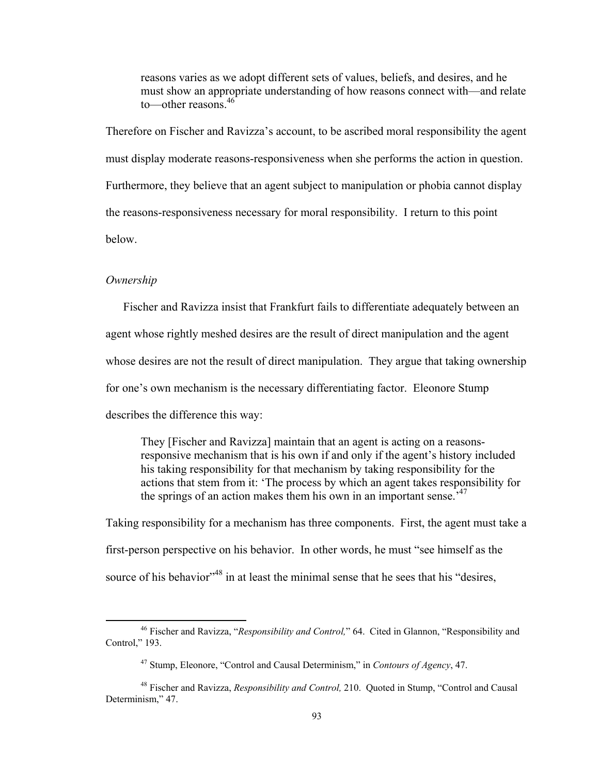reasons varies as we adopt different sets of values, beliefs, and desires, and he must show an appropriate understanding of how reasons connect with—and relate to—other reasons.<sup>46</sup>

Therefore on Fischer and Ravizza's account, to be ascribed moral responsibility the agent must display moderate reasons-responsiveness when she performs the action in question. Furthermore, they believe that an agent subject to manipulation or phobia cannot display the reasons-responsiveness necessary for moral responsibility. I return to this point below.

### *Ownership*

Fischer and Ravizza insist that Frankfurt fails to differentiate adequately between an agent whose rightly meshed desires are the result of direct manipulation and the agent whose desires are not the result of direct manipulation. They argue that taking ownership for one's own mechanism is the necessary differentiating factor. Eleonore Stump describes the difference this way:

They [Fischer and Ravizza] maintain that an agent is acting on a reasonsresponsive mechanism that is his own if and only if the agent's history included his taking responsibility for that mechanism by taking responsibility for the actions that stem from it: 'The process by which an agent takes responsibility for the springs of an action makes them his own in an important sense.<sup> $37$ </sup>

Taking responsibility for a mechanism has three components. First, the agent must take a first-person perspective on his behavior. In other words, he must "see himself as the source of his behavior<sup>348</sup> in at least the minimal sense that he sees that his "desires,

 46 Fischer and Ravizza, "*Responsibility and Control,*" 64. Cited in Glannon, "Responsibility and Control," 193.

<sup>47</sup> Stump, Eleonore, "Control and Causal Determinism," in *Contours of Agency*, 47.

<sup>48</sup> Fischer and Ravizza, *Responsibility and Control,* 210. Quoted in Stump, "Control and Causal Determinism," 47.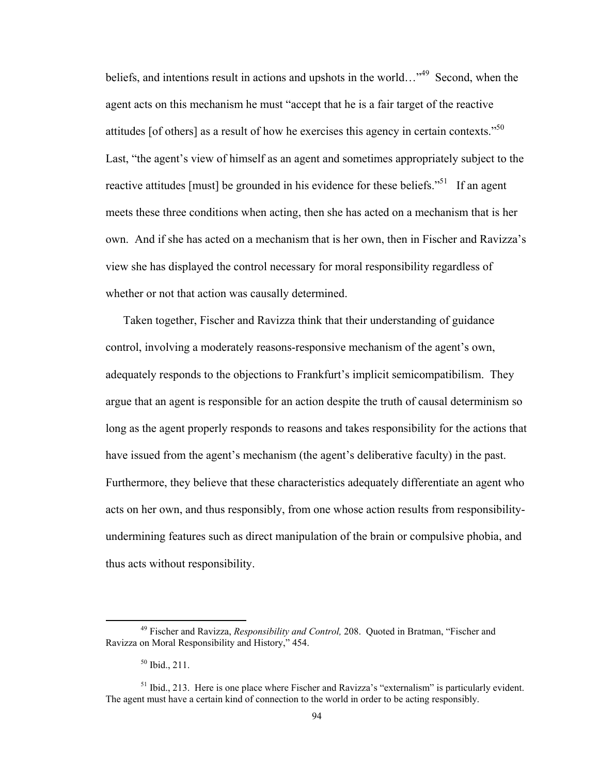beliefs, and intentions result in actions and upshots in the world…"<sup>49</sup> Second, when the agent acts on this mechanism he must "accept that he is a fair target of the reactive attitudes [of others] as a result of how he exercises this agency in certain contexts.<sup>50</sup> Last, "the agent's view of himself as an agent and sometimes appropriately subject to the reactive attitudes [must] be grounded in his evidence for these beliefs.<sup>51</sup> If an agent meets these three conditions when acting, then she has acted on a mechanism that is her own. And if she has acted on a mechanism that is her own, then in Fischer and Ravizza's view she has displayed the control necessary for moral responsibility regardless of whether or not that action was causally determined.

Taken together, Fischer and Ravizza think that their understanding of guidance control, involving a moderately reasons-responsive mechanism of the agent's own, adequately responds to the objections to Frankfurt's implicit semicompatibilism. They argue that an agent is responsible for an action despite the truth of causal determinism so long as the agent properly responds to reasons and takes responsibility for the actions that have issued from the agent's mechanism (the agent's deliberative faculty) in the past. Furthermore, they believe that these characteristics adequately differentiate an agent who acts on her own, and thus responsibly, from one whose action results from responsibilityundermining features such as direct manipulation of the brain or compulsive phobia, and thus acts without responsibility.

 49 Fischer and Ravizza, *Responsibility and Control,* 208. Quoted in Bratman, "Fischer and Ravizza on Moral Responsibility and History," 454.

 $50$  Ibid., 211.

<sup>&</sup>lt;sup>51</sup> Ibid., 213. Here is one place where Fischer and Ravizza's "externalism" is particularly evident. The agent must have a certain kind of connection to the world in order to be acting responsibly.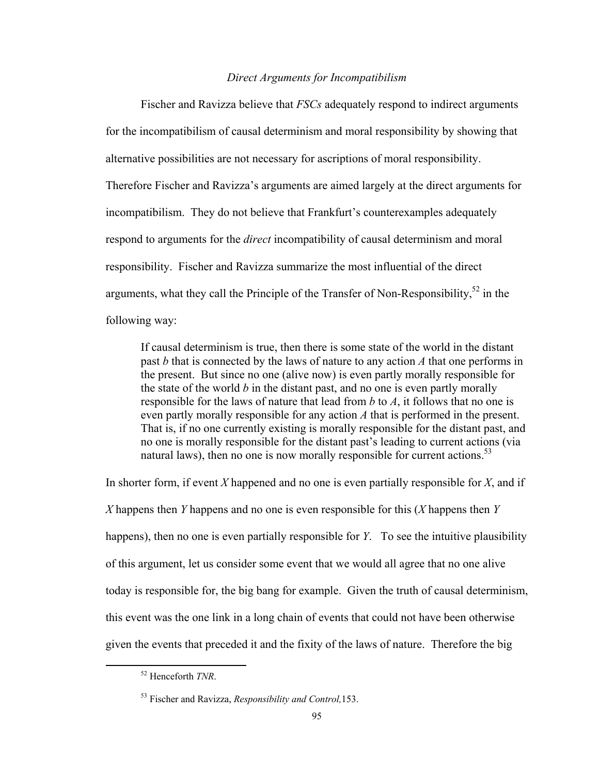# *Direct Arguments for Incompatibilism*

Fischer and Ravizza believe that *FSCs* adequately respond to indirect arguments for the incompatibilism of causal determinism and moral responsibility by showing that alternative possibilities are not necessary for ascriptions of moral responsibility. Therefore Fischer and Ravizza's arguments are aimed largely at the direct arguments for incompatibilism. They do not believe that Frankfurt's counterexamples adequately respond to arguments for the *direct* incompatibility of causal determinism and moral responsibility. Fischer and Ravizza summarize the most influential of the direct arguments, what they call the Principle of the Transfer of Non-Responsibility,  $52$  in the following way:

If causal determinism is true, then there is some state of the world in the distant past *b* that is connected by the laws of nature to any action *A* that one performs in the present. But since no one (alive now) is even partly morally responsible for the state of the world *b* in the distant past, and no one is even partly morally responsible for the laws of nature that lead from *b* to *A*, it follows that no one is even partly morally responsible for any action *A* that is performed in the present. That is, if no one currently existing is morally responsible for the distant past, and no one is morally responsible for the distant past's leading to current actions (via natural laws), then no one is now morally responsible for current actions.<sup>53</sup>

In shorter form, if event *X* happened and no one is even partially responsible for *X*, and if *X* happens then *Y* happens and no one is even responsible for this (*X* happens then *Y* happens), then no one is even partially responsible for *Y*. To see the intuitive plausibility of this argument, let us consider some event that we would all agree that no one alive today is responsible for, the big bang for example. Given the truth of causal determinism, this event was the one link in a long chain of events that could not have been otherwise given the events that preceded it and the fixity of the laws of nature. Therefore the big

 52 Henceforth *TNR*.

<sup>53</sup> Fischer and Ravizza, *Responsibility and Control,*153.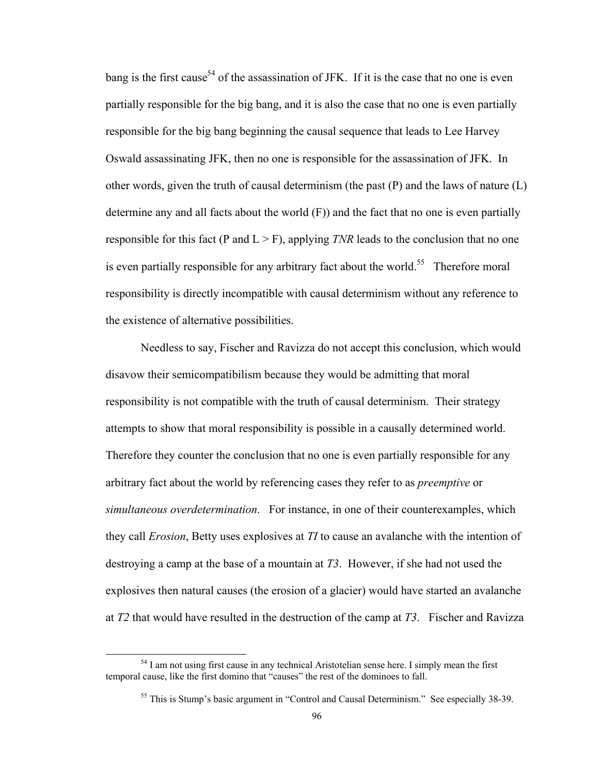bang is the first cause<sup>54</sup> of the assassination of JFK. If it is the case that no one is even partially responsible for the big bang, and it is also the case that no one is even partially responsible for the big bang beginning the causal sequence that leads to Lee Harvey Oswald assassinating JFK, then no one is responsible for the assassination of JFK. In other words, given the truth of causal determinism (the past  $(P)$ ) and the laws of nature  $(L)$ determine any and all facts about the world (F)) and the fact that no one is even partially responsible for this fact (P and  $L > F$ ), applying *TNR* leads to the conclusion that no one is even partially responsible for any arbitrary fact about the world.<sup>55</sup> Therefore moral responsibility is directly incompatible with causal determinism without any reference to the existence of alternative possibilities.

Needless to say, Fischer and Ravizza do not accept this conclusion, which would disavow their semicompatibilism because they would be admitting that moral responsibility is not compatible with the truth of causal determinism. Their strategy attempts to show that moral responsibility is possible in a causally determined world. Therefore they counter the conclusion that no one is even partially responsible for any arbitrary fact about the world by referencing cases they refer to as *preemptive* or *simultaneous overdetermination*. For instance, in one of their counterexamples, which they call *Erosion*, Betty uses explosives at *TI* to cause an avalanche with the intention of destroying a camp at the base of a mountain at *T3*. However, if she had not used the explosives then natural causes (the erosion of a glacier) would have started an avalanche at *T2* that would have resulted in the destruction of the camp at *T3*. Fischer and Ravizza

<sup>&</sup>lt;sup>54</sup> I am not using first cause in any technical Aristotelian sense here. I simply mean the first temporal cause, like the first domino that "causes" the rest of the dominoes to fall.

<sup>&</sup>lt;sup>55</sup> This is Stump's basic argument in "Control and Causal Determinism." See especially 38-39.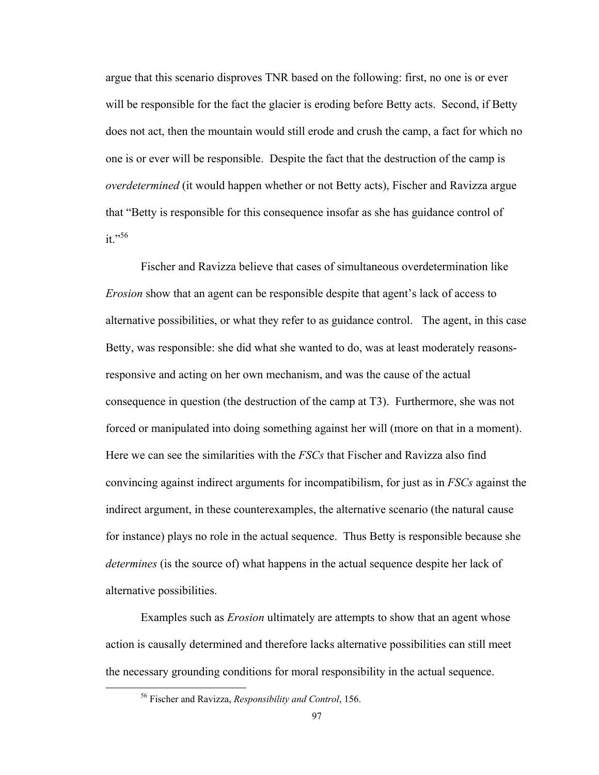argue that this scenario disproves TNR based on the following: first, no one is or ever will be responsible for the fact the glacier is eroding before Betty acts. Second, if Betty does not act, then the mountain would still erode and crush the camp, a fact for which no one is or ever will be responsible. Despite the fact that the destruction of the camp is *overdetermined* (it would happen whether or not Betty acts), Fischer and Ravizza argue that "Betty is responsible for this consequence insofar as she has guidance control of it."56

Fischer and Ravizza believe that cases of simultaneous overdetermination like *Erosion* show that an agent can be responsible despite that agent's lack of access to alternative possibilities, or what they refer to as guidance control. The agent, in this case Betty, was responsible: she did what she wanted to do, was at least moderately reasonsresponsive and acting on her own mechanism, and was the cause of the actual consequence in question (the destruction of the camp at T3). Furthermore, she was not forced or manipulated into doing something against her will (more on that in a moment). Here we can see the similarities with the *FSCs* that Fischer and Ravizza also find convincing against indirect arguments for incompatibilism, for just as in *FSCs* against the indirect argument, in these counterexamples, the alternative scenario (the natural cause for instance) plays no role in the actual sequence. Thus Betty is responsible because she *determines* (is the source of) what happens in the actual sequence despite her lack of alternative possibilities.

Examples such as *Erosion* ultimately are attempts to show that an agent whose action is causally determined and therefore lacks alternative possibilities can still meet the necessary grounding conditions for moral responsibility in the actual sequence.

 56 Fischer and Ravizza, *Responsibility and Control*, 156.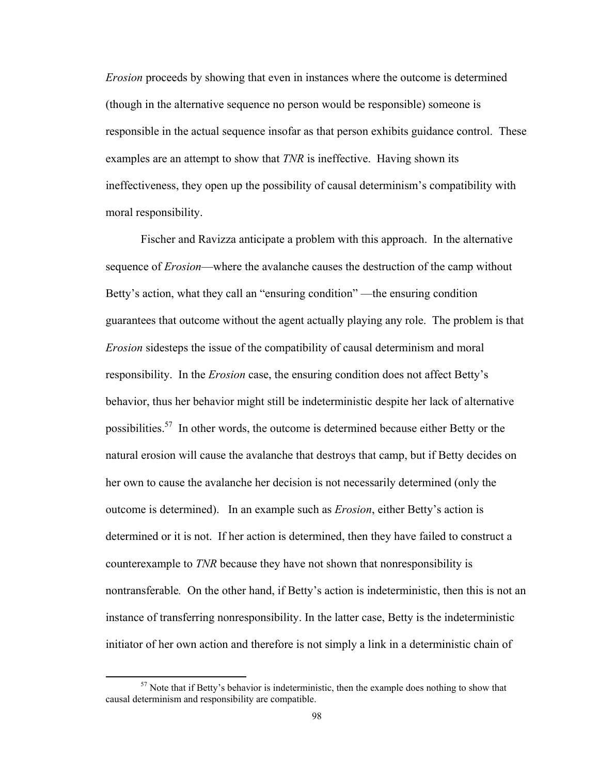*Erosion* proceeds by showing that even in instances where the outcome is determined (though in the alternative sequence no person would be responsible) someone is responsible in the actual sequence insofar as that person exhibits guidance control. These examples are an attempt to show that *TNR* is ineffective. Having shown its ineffectiveness, they open up the possibility of causal determinism's compatibility with moral responsibility.

Fischer and Ravizza anticipate a problem with this approach. In the alternative sequence of *Erosion*—where the avalanche causes the destruction of the camp without Betty's action, what they call an "ensuring condition" —the ensuring condition guarantees that outcome without the agent actually playing any role. The problem is that *Erosion* sidesteps the issue of the compatibility of causal determinism and moral responsibility. In the *Erosion* case, the ensuring condition does not affect Betty's behavior, thus her behavior might still be indeterministic despite her lack of alternative possibilities.<sup>57</sup> In other words, the outcome is determined because either Betty or the natural erosion will cause the avalanche that destroys that camp, but if Betty decides on her own to cause the avalanche her decision is not necessarily determined (only the outcome is determined). In an example such as *Erosion*, either Betty's action is determined or it is not. If her action is determined, then they have failed to construct a counterexample to *TNR* because they have not shown that nonresponsibility is nontransferable*.* On the other hand, if Betty's action is indeterministic, then this is not an instance of transferring nonresponsibility. In the latter case, Betty is the indeterministic initiator of her own action and therefore is not simply a link in a deterministic chain of

 $57$  Note that if Betty's behavior is indeterministic, then the example does nothing to show that causal determinism and responsibility are compatible.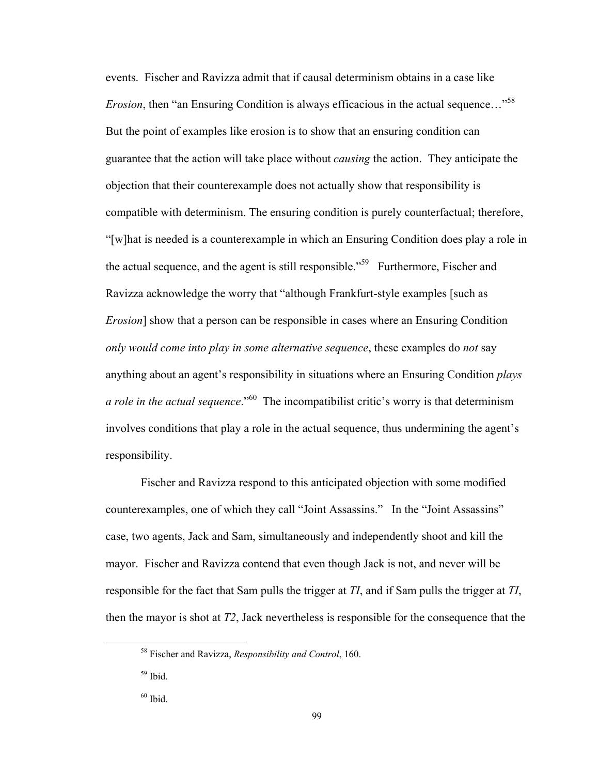events. Fischer and Ravizza admit that if causal determinism obtains in a case like *Erosion*, then "an Ensuring Condition is always efficacious in the actual sequence..."<sup>58</sup> But the point of examples like erosion is to show that an ensuring condition can guarantee that the action will take place without *causing* the action. They anticipate the objection that their counterexample does not actually show that responsibility is compatible with determinism. The ensuring condition is purely counterfactual; therefore, "[w]hat is needed is a counterexample in which an Ensuring Condition does play a role in the actual sequence, and the agent is still responsible."<sup>59</sup> Furthermore, Fischer and Ravizza acknowledge the worry that "although Frankfurt-style examples [such as *Erosion*] show that a person can be responsible in cases where an Ensuring Condition *only would come into play in some alternative sequence*, these examples do *not* say anything about an agent's responsibility in situations where an Ensuring Condition *plays a role in the actual sequence*."60 The incompatibilist critic's worry is that determinism involves conditions that play a role in the actual sequence, thus undermining the agent's responsibility.

Fischer and Ravizza respond to this anticipated objection with some modified counterexamples, one of which they call "Joint Assassins." In the "Joint Assassins" case, two agents, Jack and Sam, simultaneously and independently shoot and kill the mayor. Fischer and Ravizza contend that even though Jack is not, and never will be responsible for the fact that Sam pulls the trigger at *TI*, and if Sam pulls the trigger at *TI*, then the mayor is shot at *T2*, Jack nevertheless is responsible for the consequence that the

 58 Fischer and Ravizza, *Responsibility and Control*, 160.

 $59$  Ibid.

 $60$  Ibid.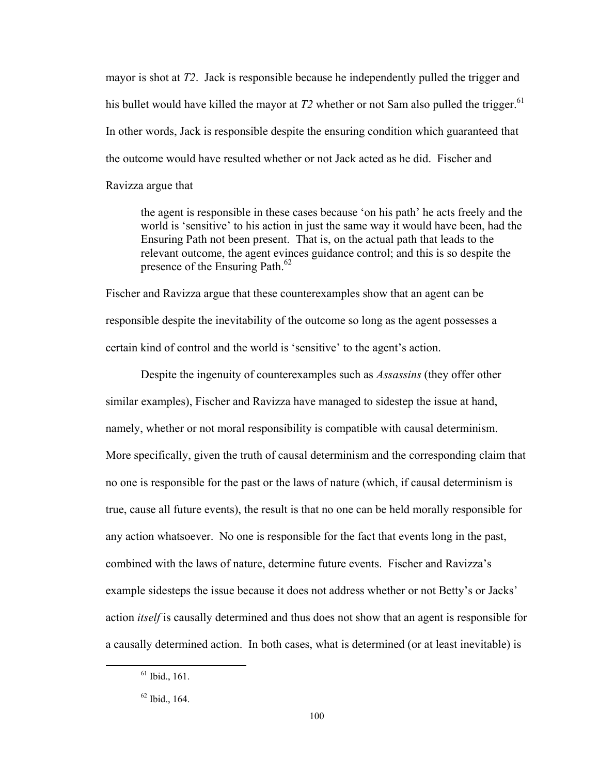mayor is shot at *T2*. Jack is responsible because he independently pulled the trigger and his bullet would have killed the mayor at  $T2$  whether or not Sam also pulled the trigger.<sup>61</sup> In other words, Jack is responsible despite the ensuring condition which guaranteed that the outcome would have resulted whether or not Jack acted as he did. Fischer and Ravizza argue that

the agent is responsible in these cases because 'on his path' he acts freely and the world is 'sensitive' to his action in just the same way it would have been, had the Ensuring Path not been present. That is, on the actual path that leads to the relevant outcome, the agent evinces guidance control; and this is so despite the presence of the Ensuring Path.<sup>62</sup>

Fischer and Ravizza argue that these counterexamples show that an agent can be responsible despite the inevitability of the outcome so long as the agent possesses a certain kind of control and the world is 'sensitive' to the agent's action.

Despite the ingenuity of counterexamples such as *Assassins* (they offer other similar examples), Fischer and Ravizza have managed to sidestep the issue at hand, namely, whether or not moral responsibility is compatible with causal determinism. More specifically, given the truth of causal determinism and the corresponding claim that no one is responsible for the past or the laws of nature (which, if causal determinism is true, cause all future events), the result is that no one can be held morally responsible for any action whatsoever. No one is responsible for the fact that events long in the past, combined with the laws of nature, determine future events. Fischer and Ravizza's example sidesteps the issue because it does not address whether or not Betty's or Jacks' action *itself* is causally determined and thus does not show that an agent is responsible for a causally determined action. In both cases, what is determined (or at least inevitable) is

 $<sup>61</sup>$  Ibid., 161.</sup>

 $62$  Ibid., 164.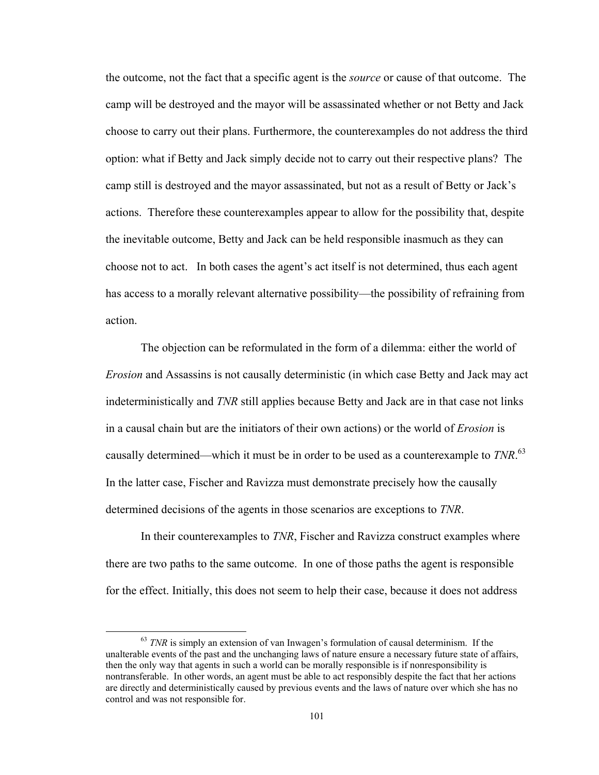the outcome, not the fact that a specific agent is the *source* or cause of that outcome. The camp will be destroyed and the mayor will be assassinated whether or not Betty and Jack choose to carry out their plans. Furthermore, the counterexamples do not address the third option: what if Betty and Jack simply decide not to carry out their respective plans? The camp still is destroyed and the mayor assassinated, but not as a result of Betty or Jack's actions. Therefore these counterexamples appear to allow for the possibility that, despite the inevitable outcome, Betty and Jack can be held responsible inasmuch as they can choose not to act. In both cases the agent's act itself is not determined, thus each agent has access to a morally relevant alternative possibility—the possibility of refraining from action.

The objection can be reformulated in the form of a dilemma: either the world of *Erosion* and Assassins is not causally deterministic (in which case Betty and Jack may act indeterministically and *TNR* still applies because Betty and Jack are in that case not links in a causal chain but are the initiators of their own actions) or the world of *Erosion* is causally determined—which it must be in order to be used as a counterexample to *TNR*. 63 In the latter case, Fischer and Ravizza must demonstrate precisely how the causally determined decisions of the agents in those scenarios are exceptions to *TNR*.

In their counterexamples to *TNR*, Fischer and Ravizza construct examples where there are two paths to the same outcome. In one of those paths the agent is responsible for the effect. Initially, this does not seem to help their case, because it does not address

<sup>&</sup>lt;sup>63</sup> *TNR* is simply an extension of van Inwagen's formulation of causal determinism. If the unalterable events of the past and the unchanging laws of nature ensure a necessary future state of affairs, then the only way that agents in such a world can be morally responsible is if nonresponsibility is nontransferable. In other words, an agent must be able to act responsibly despite the fact that her actions are directly and deterministically caused by previous events and the laws of nature over which she has no control and was not responsible for.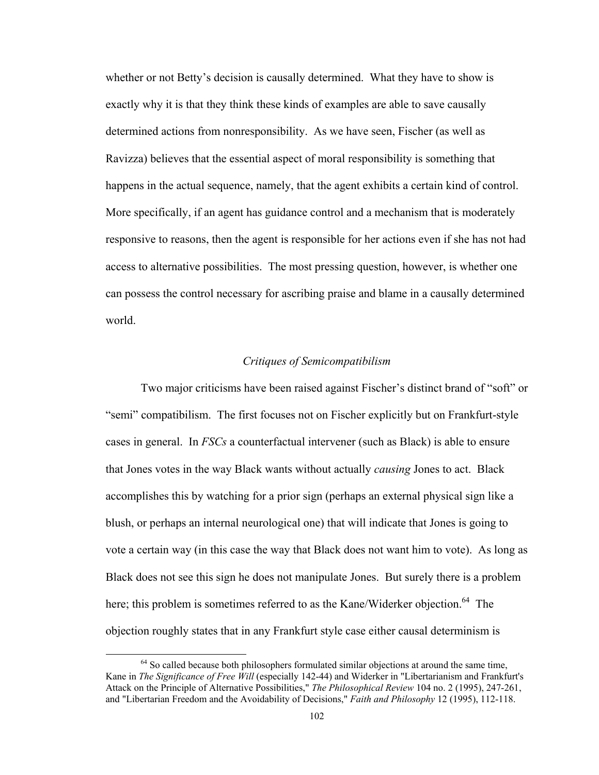whether or not Betty's decision is causally determined. What they have to show is exactly why it is that they think these kinds of examples are able to save causally determined actions from nonresponsibility. As we have seen, Fischer (as well as Ravizza) believes that the essential aspect of moral responsibility is something that happens in the actual sequence, namely, that the agent exhibits a certain kind of control. More specifically, if an agent has guidance control and a mechanism that is moderately responsive to reasons, then the agent is responsible for her actions even if she has not had access to alternative possibilities. The most pressing question, however, is whether one can possess the control necessary for ascribing praise and blame in a causally determined world.

### *Critiques of Semicompatibilism*

Two major criticisms have been raised against Fischer's distinct brand of "soft" or "semi" compatibilism. The first focuses not on Fischer explicitly but on Frankfurt-style cases in general. In *FSCs* a counterfactual intervener (such as Black) is able to ensure that Jones votes in the way Black wants without actually *causing* Jones to act. Black accomplishes this by watching for a prior sign (perhaps an external physical sign like a blush, or perhaps an internal neurological one) that will indicate that Jones is going to vote a certain way (in this case the way that Black does not want him to vote). As long as Black does not see this sign he does not manipulate Jones. But surely there is a problem here; this problem is sometimes referred to as the Kane/Widerker objection.<sup>64</sup> The objection roughly states that in any Frankfurt style case either causal determinism is

 $64$  So called because both philosophers formulated similar objections at around the same time, Kane in *The Significance of Free Will* (especially 142-44) and Widerker in "Libertarianism and Frankfurt's Attack on the Principle of Alternative Possibilities," *The Philosophical Review* 104 no. 2 (1995), 247-261, and "Libertarian Freedom and the Avoidability of Decisions," *Faith and Philosophy* 12 (1995), 112-118.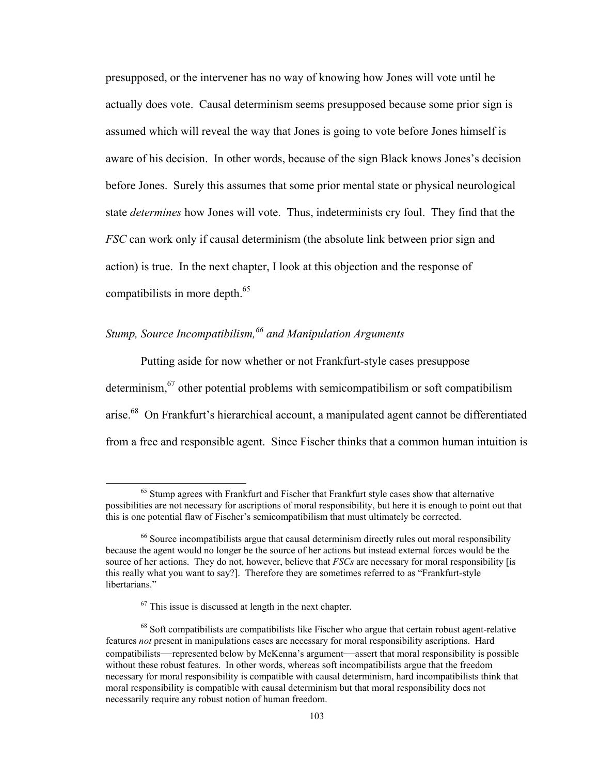presupposed, or the intervener has no way of knowing how Jones will vote until he actually does vote. Causal determinism seems presupposed because some prior sign is assumed which will reveal the way that Jones is going to vote before Jones himself is aware of his decision. In other words, because of the sign Black knows Jones's decision before Jones. Surely this assumes that some prior mental state or physical neurological state *determines* how Jones will vote. Thus, indeterminists cry foul. They find that the *FSC* can work only if causal determinism (the absolute link between prior sign and action) is true. In the next chapter, I look at this objection and the response of compatibilists in more depth.<sup>65</sup>

# *Stump, Source Incompatibilism,66 and Manipulation Arguments*

Putting aside for now whether or not Frankfurt-style cases presuppose determinism,<sup>67</sup> other potential problems with semicompatibilism or soft compatibilism arise.68 On Frankfurt's hierarchical account, a manipulated agent cannot be differentiated from a free and responsible agent. Since Fischer thinks that a common human intuition is

<sup>&</sup>lt;sup>65</sup> Stump agrees with Frankfurt and Fischer that Frankfurt style cases show that alternative possibilities are not necessary for ascriptions of moral responsibility, but here it is enough to point out that this is one potential flaw of Fischer's semicompatibilism that must ultimately be corrected.

<sup>&</sup>lt;sup>66</sup> Source incompatibilists argue that causal determinism directly rules out moral responsibility because the agent would no longer be the source of her actions but instead external forces would be the source of her actions. They do not, however, believe that *FSCs* are necessary for moral responsibility [is this really what you want to say?]. Therefore they are sometimes referred to as "Frankfurt-style libertarians."

 $67$  This issue is discussed at length in the next chapter.

<sup>&</sup>lt;sup>68</sup> Soft compatibilists are compatibilists like Fischer who argue that certain robust agent-relative features *not* present in manipulations cases are necessary for moral responsibility ascriptions. Hard compatibilists—represented below by McKenna's argument—assert that moral responsibility is possible without these robust features. In other words, whereas soft incompatibilists argue that the freedom necessary for moral responsibility is compatible with causal determinism, hard incompatibilists think that moral responsibility is compatible with causal determinism but that moral responsibility does not necessarily require any robust notion of human freedom.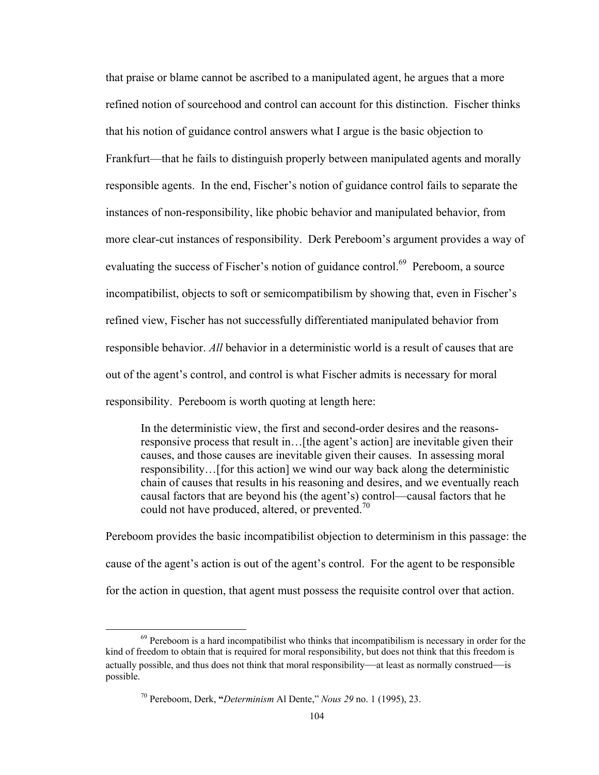that praise or blame cannot be ascribed to a manipulated agent, he argues that a more refined notion of sourcehood and control can account for this distinction. Fischer thinks that his notion of guidance control answers what I argue is the basic objection to Frankfurt—that he fails to distinguish properly between manipulated agents and morally responsible agents. In the end, Fischer's notion of guidance control fails to separate the instances of non-responsibility, like phobic behavior and manipulated behavior, from more clear-cut instances of responsibility. Derk Pereboom's argument provides a way of evaluating the success of Fischer's notion of guidance control.<sup>69</sup> Pereboom, a source incompatibilist, objects to soft or semicompatibilism by showing that, even in Fischer's refined view, Fischer has not successfully differentiated manipulated behavior from responsible behavior. *All* behavior in a deterministic world is a result of causes that are out of the agent's control, and control is what Fischer admits is necessary for moral responsibility. Pereboom is worth quoting at length here:

In the deterministic view, the first and second-order desires and the reasonsresponsive process that result in…[the agent's action] are inevitable given their causes, and those causes are inevitable given their causes. In assessing moral responsibility…[for this action] we wind our way back along the deterministic chain of causes that results in his reasoning and desires, and we eventually reach causal factors that are beyond his (the agent's) control—causal factors that he could not have produced, altered, or prevented.<sup>70</sup>

Pereboom provides the basic incompatibilist objection to determinism in this passage: the cause of the agent's action is out of the agent's control. For the agent to be responsible for the action in question, that agent must possess the requisite control over that action.

 $69$  Pereboom is a hard incompatibilist who thinks that incompatibilism is necessary in order for the kind of freedom to obtain that is required for moral responsibility, but does not think that this freedom is actually possible, and thus does not think that moral responsibility—at least as normally construed—is possible.

<sup>70</sup> Pereboom, Derk, **"***Determinism* Al Dente," *Nous 29* no. 1 (1995), 23.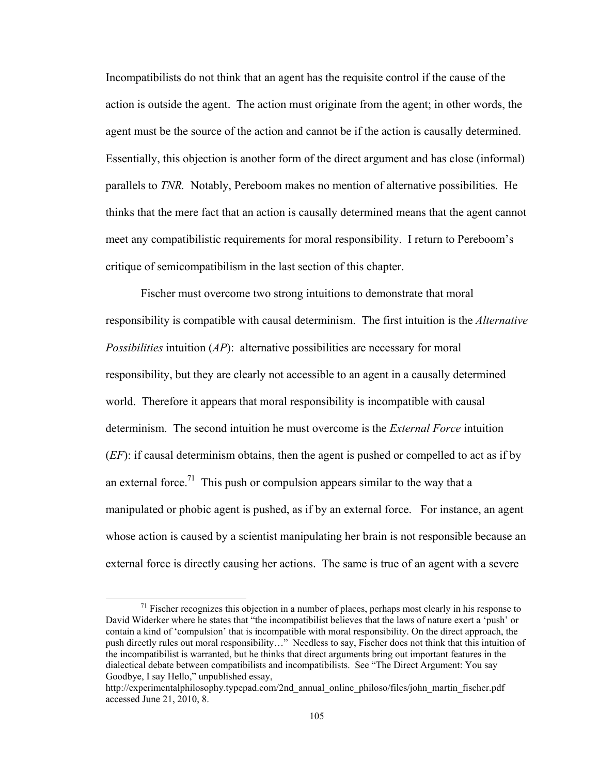Incompatibilists do not think that an agent has the requisite control if the cause of the action is outside the agent. The action must originate from the agent; in other words, the agent must be the source of the action and cannot be if the action is causally determined. Essentially, this objection is another form of the direct argument and has close (informal) parallels to *TNR.* Notably, Pereboom makes no mention of alternative possibilities. He thinks that the mere fact that an action is causally determined means that the agent cannot meet any compatibilistic requirements for moral responsibility. I return to Pereboom's critique of semicompatibilism in the last section of this chapter.

Fischer must overcome two strong intuitions to demonstrate that moral responsibility is compatible with causal determinism. The first intuition is the *Alternative Possibilities* intuition (*AP*): alternative possibilities are necessary for moral responsibility, but they are clearly not accessible to an agent in a causally determined world. Therefore it appears that moral responsibility is incompatible with causal determinism. The second intuition he must overcome is the *External Force* intuition (*EF*): if causal determinism obtains, then the agent is pushed or compelled to act as if by an external force.<sup>71</sup> This push or compulsion appears similar to the way that a manipulated or phobic agent is pushed, as if by an external force. For instance, an agent whose action is caused by a scientist manipulating her brain is not responsible because an external force is directly causing her actions. The same is true of an agent with a severe

 $71$  Fischer recognizes this objection in a number of places, perhaps most clearly in his response to David Widerker where he states that "the incompatibilist believes that the laws of nature exert a 'push' or contain a kind of 'compulsion' that is incompatible with moral responsibility. On the direct approach, the push directly rules out moral responsibility…" Needless to say, Fischer does not think that this intuition of the incompatibilist is warranted, but he thinks that direct arguments bring out important features in the dialectical debate between compatibilists and incompatibilists. See "The Direct Argument: You say Goodbye, I say Hello," unpublished essay,

http://experimentalphilosophy.typepad.com/2nd\_annual\_online\_philoso/files/john\_martin\_fischer.pdf accessed June 21, 2010, 8.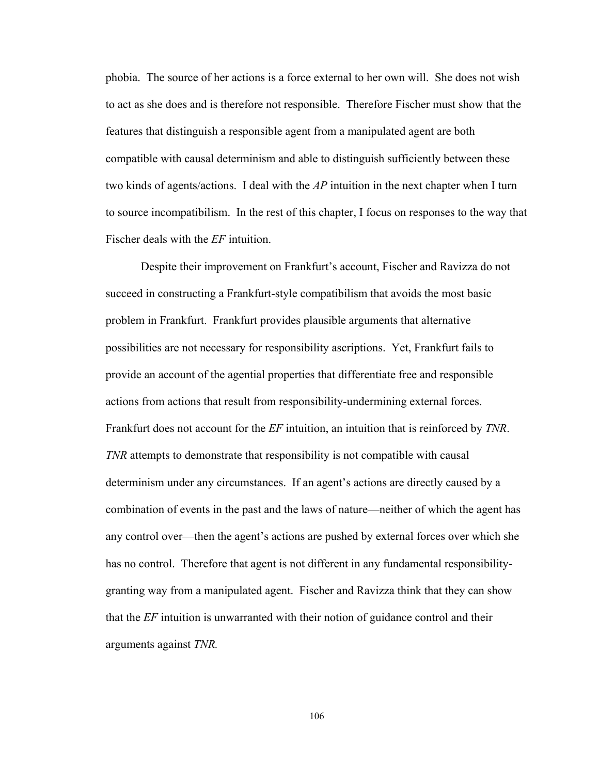phobia. The source of her actions is a force external to her own will. She does not wish to act as she does and is therefore not responsible. Therefore Fischer must show that the features that distinguish a responsible agent from a manipulated agent are both compatible with causal determinism and able to distinguish sufficiently between these two kinds of agents/actions. I deal with the *AP* intuition in the next chapter when I turn to source incompatibilism. In the rest of this chapter, I focus on responses to the way that Fischer deals with the *EF* intuition.

Despite their improvement on Frankfurt's account, Fischer and Ravizza do not succeed in constructing a Frankfurt-style compatibilism that avoids the most basic problem in Frankfurt. Frankfurt provides plausible arguments that alternative possibilities are not necessary for responsibility ascriptions. Yet, Frankfurt fails to provide an account of the agential properties that differentiate free and responsible actions from actions that result from responsibility-undermining external forces. Frankfurt does not account for the *EF* intuition, an intuition that is reinforced by *TNR*. *TNR* attempts to demonstrate that responsibility is not compatible with causal determinism under any circumstances. If an agent's actions are directly caused by a combination of events in the past and the laws of nature—neither of which the agent has any control over—then the agent's actions are pushed by external forces over which she has no control. Therefore that agent is not different in any fundamental responsibilitygranting way from a manipulated agent. Fischer and Ravizza think that they can show that the *EF* intuition is unwarranted with their notion of guidance control and their arguments against *TNR.*

106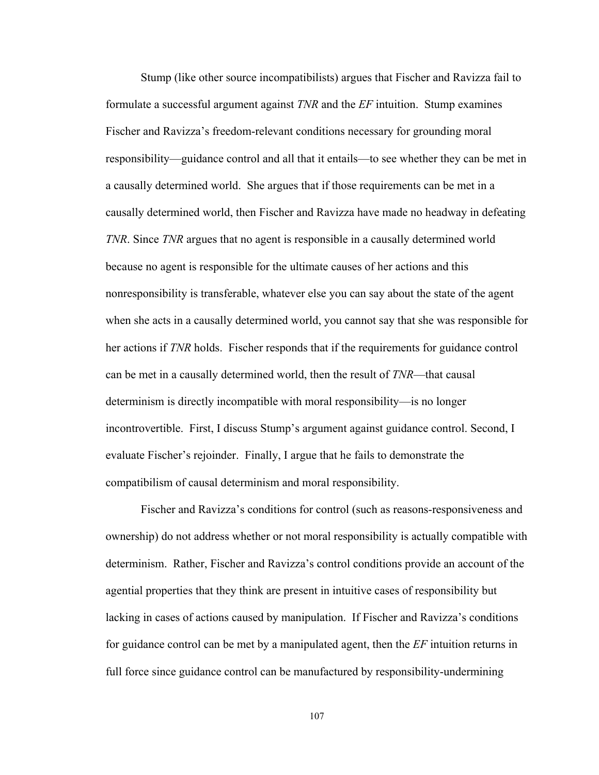Stump (like other source incompatibilists) argues that Fischer and Ravizza fail to formulate a successful argument against *TNR* and the *EF* intuition. Stump examines Fischer and Ravizza's freedom-relevant conditions necessary for grounding moral responsibility—guidance control and all that it entails—to see whether they can be met in a causally determined world. She argues that if those requirements can be met in a causally determined world, then Fischer and Ravizza have made no headway in defeating *TNR*. Since *TNR* argues that no agent is responsible in a causally determined world because no agent is responsible for the ultimate causes of her actions and this nonresponsibility is transferable, whatever else you can say about the state of the agent when she acts in a causally determined world, you cannot say that she was responsible for her actions if *TNR* holds. Fischer responds that if the requirements for guidance control can be met in a causally determined world, then the result of *TNR*—that causal determinism is directly incompatible with moral responsibility—is no longer incontrovertible. First, I discuss Stump's argument against guidance control. Second, I evaluate Fischer's rejoinder. Finally, I argue that he fails to demonstrate the compatibilism of causal determinism and moral responsibility.

Fischer and Ravizza's conditions for control (such as reasons-responsiveness and ownership) do not address whether or not moral responsibility is actually compatible with determinism. Rather, Fischer and Ravizza's control conditions provide an account of the agential properties that they think are present in intuitive cases of responsibility but lacking in cases of actions caused by manipulation. If Fischer and Ravizza's conditions for guidance control can be met by a manipulated agent, then the *EF* intuition returns in full force since guidance control can be manufactured by responsibility-undermining

107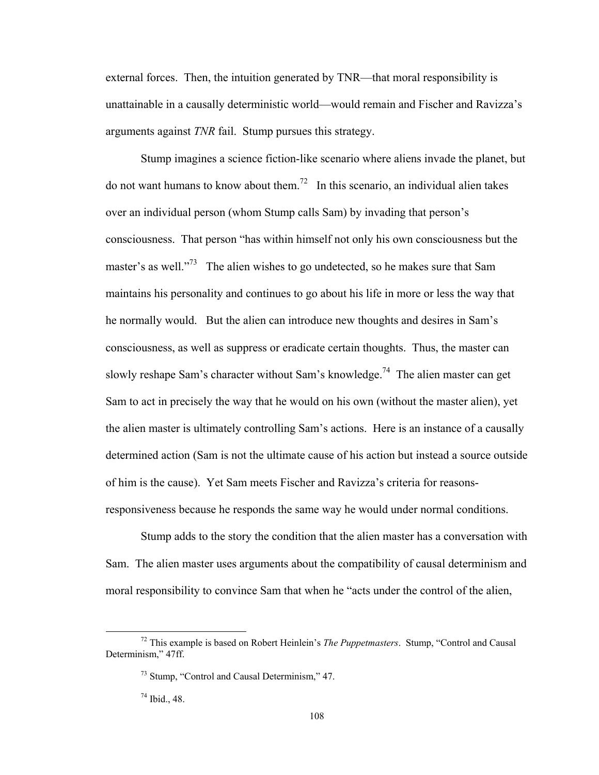external forces. Then, the intuition generated by TNR—that moral responsibility is unattainable in a causally deterministic world—would remain and Fischer and Ravizza's arguments against *TNR* fail. Stump pursues this strategy.

Stump imagines a science fiction-like scenario where aliens invade the planet, but do not want humans to know about them.<sup>72</sup> In this scenario, an individual alien takes over an individual person (whom Stump calls Sam) by invading that person's consciousness. That person "has within himself not only his own consciousness but the master's as well."<sup>73</sup> The alien wishes to go undetected, so he makes sure that Sam maintains his personality and continues to go about his life in more or less the way that he normally would. But the alien can introduce new thoughts and desires in Sam's consciousness, as well as suppress or eradicate certain thoughts. Thus, the master can slowly reshape Sam's character without Sam's knowledge.<sup>74</sup> The alien master can get Sam to act in precisely the way that he would on his own (without the master alien), yet the alien master is ultimately controlling Sam's actions. Here is an instance of a causally determined action (Sam is not the ultimate cause of his action but instead a source outside of him is the cause). Yet Sam meets Fischer and Ravizza's criteria for reasonsresponsiveness because he responds the same way he would under normal conditions.

Stump adds to the story the condition that the alien master has a conversation with Sam. The alien master uses arguments about the compatibility of causal determinism and moral responsibility to convince Sam that when he "acts under the control of the alien,

 72 This example is based on Robert Heinlein's *The Puppetmasters*. Stump, "Control and Causal Determinism," 47ff.

<sup>73</sup> Stump, "Control and Causal Determinism," 47.

 $74$  Ibid., 48.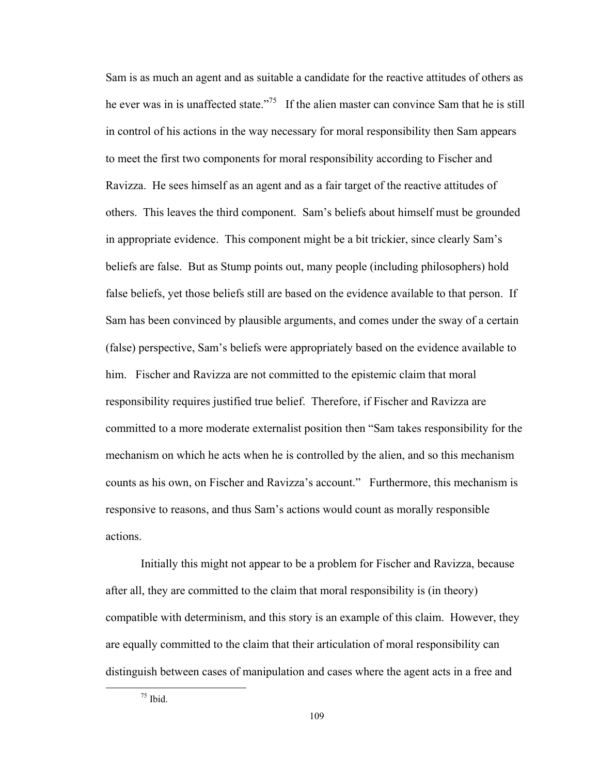Sam is as much an agent and as suitable a candidate for the reactive attitudes of others as he ever was in is unaffected state."<sup>75</sup> If the alien master can convince Sam that he is still in control of his actions in the way necessary for moral responsibility then Sam appears to meet the first two components for moral responsibility according to Fischer and Ravizza. He sees himself as an agent and as a fair target of the reactive attitudes of others. This leaves the third component. Sam's beliefs about himself must be grounded in appropriate evidence. This component might be a bit trickier, since clearly Sam's beliefs are false. But as Stump points out, many people (including philosophers) hold false beliefs, yet those beliefs still are based on the evidence available to that person. If Sam has been convinced by plausible arguments, and comes under the sway of a certain (false) perspective, Sam's beliefs were appropriately based on the evidence available to him. Fischer and Ravizza are not committed to the epistemic claim that moral responsibility requires justified true belief. Therefore, if Fischer and Ravizza are committed to a more moderate externalist position then "Sam takes responsibility for the mechanism on which he acts when he is controlled by the alien, and so this mechanism counts as his own, on Fischer and Ravizza's account." Furthermore, this mechanism is responsive to reasons, and thus Sam's actions would count as morally responsible actions.

Initially this might not appear to be a problem for Fischer and Ravizza, because after all, they are committed to the claim that moral responsibility is (in theory) compatible with determinism, and this story is an example of this claim. However, they are equally committed to the claim that their articulation of moral responsibility can distinguish between cases of manipulation and cases where the agent acts in a free and

 $75$  Ibid.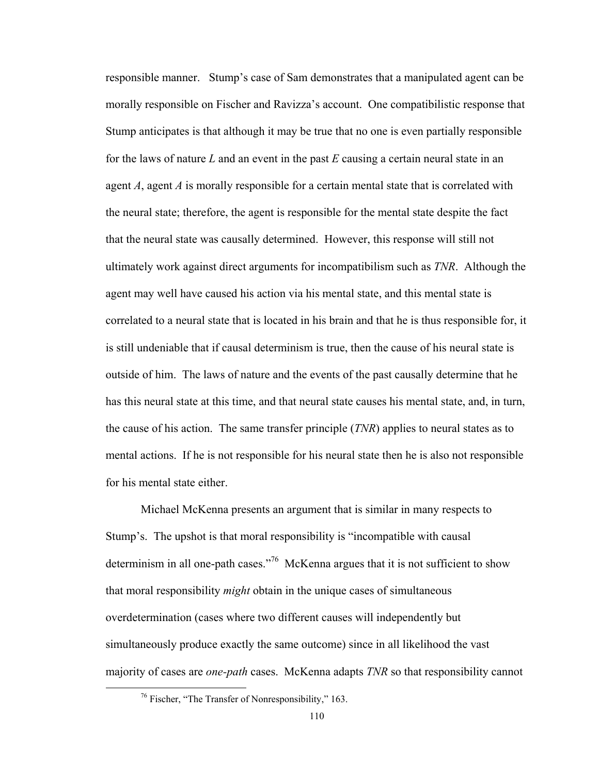responsible manner. Stump's case of Sam demonstrates that a manipulated agent can be morally responsible on Fischer and Ravizza's account. One compatibilistic response that Stump anticipates is that although it may be true that no one is even partially responsible for the laws of nature *L* and an event in the past *E* causing a certain neural state in an agent *A*, agent *A* is morally responsible for a certain mental state that is correlated with the neural state; therefore, the agent is responsible for the mental state despite the fact that the neural state was causally determined. However, this response will still not ultimately work against direct arguments for incompatibilism such as *TNR*. Although the agent may well have caused his action via his mental state, and this mental state is correlated to a neural state that is located in his brain and that he is thus responsible for, it is still undeniable that if causal determinism is true, then the cause of his neural state is outside of him. The laws of nature and the events of the past causally determine that he has this neural state at this time, and that neural state causes his mental state, and, in turn, the cause of his action. The same transfer principle (*TNR*) applies to neural states as to mental actions. If he is not responsible for his neural state then he is also not responsible for his mental state either.

Michael McKenna presents an argument that is similar in many respects to Stump's. The upshot is that moral responsibility is "incompatible with causal determinism in all one-path cases."<sup>76</sup> McKenna argues that it is not sufficient to show that moral responsibility *might* obtain in the unique cases of simultaneous overdetermination (cases where two different causes will independently but simultaneously produce exactly the same outcome) since in all likelihood the vast majority of cases are *one-path* cases. McKenna adapts *TNR* so that responsibility cannot

 76 Fischer, "The Transfer of Nonresponsibility," 163.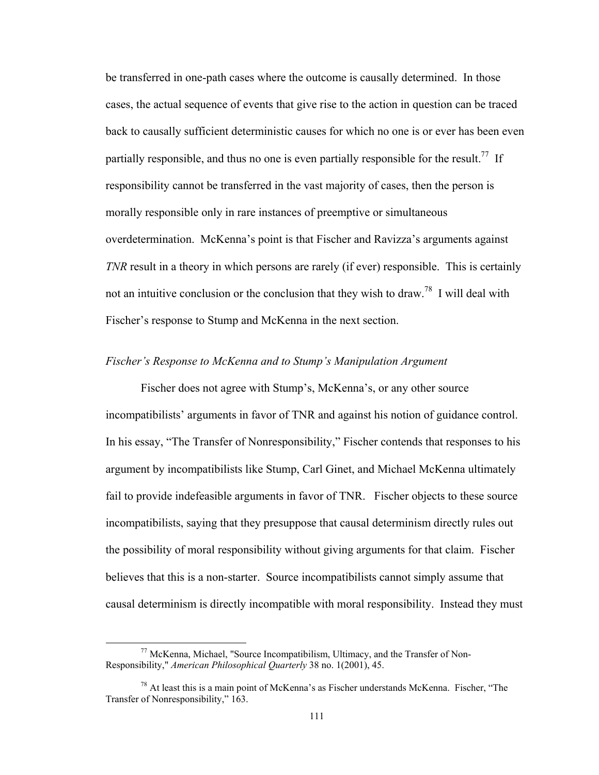be transferred in one-path cases where the outcome is causally determined. In those cases, the actual sequence of events that give rise to the action in question can be traced back to causally sufficient deterministic causes for which no one is or ever has been even partially responsible, and thus no one is even partially responsible for the result.<sup>77</sup> If responsibility cannot be transferred in the vast majority of cases, then the person is morally responsible only in rare instances of preemptive or simultaneous overdetermination. McKenna's point is that Fischer and Ravizza's arguments against *TNR* result in a theory in which persons are rarely (if ever) responsible. This is certainly not an intuitive conclusion or the conclusion that they wish to draw.<sup>78</sup> I will deal with Fischer's response to Stump and McKenna in the next section.

### *Fischer's Response to McKenna and to Stump's Manipulation Argument*

 Fischer does not agree with Stump's, McKenna's, or any other source incompatibilists' arguments in favor of TNR and against his notion of guidance control. In his essay, "The Transfer of Nonresponsibility," Fischer contends that responses to his argument by incompatibilists like Stump, Carl Ginet, and Michael McKenna ultimately fail to provide indefeasible arguments in favor of TNR. Fischer objects to these source incompatibilists, saying that they presuppose that causal determinism directly rules out the possibility of moral responsibility without giving arguments for that claim. Fischer believes that this is a non-starter. Source incompatibilists cannot simply assume that causal determinism is directly incompatible with moral responsibility. Instead they must

 77 McKenna, Michael, "Source Incompatibilism, Ultimacy, and the Transfer of Non-Responsibility," *American Philosophical Quarterly* 38 no. 1(2001), 45.

 $78$  At least this is a main point of McKenna's as Fischer understands McKenna. Fischer, "The Transfer of Nonresponsibility," 163.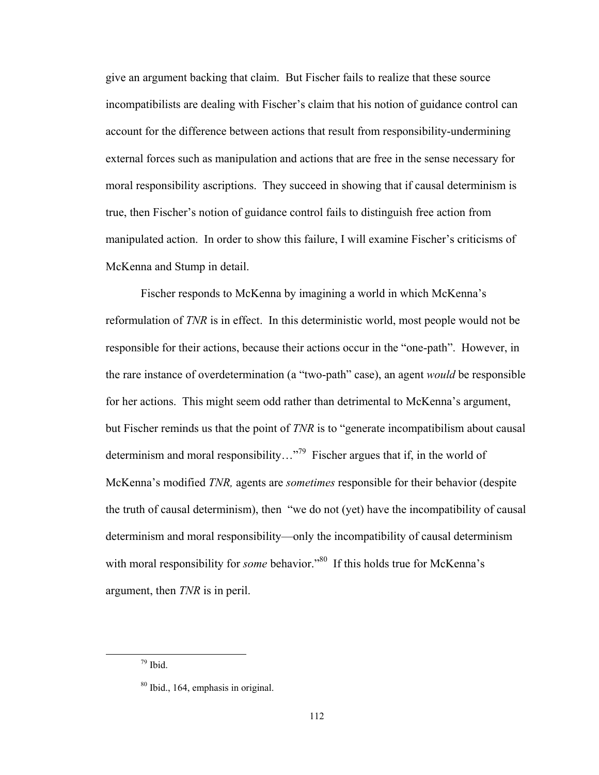give an argument backing that claim. But Fischer fails to realize that these source incompatibilists are dealing with Fischer's claim that his notion of guidance control can account for the difference between actions that result from responsibility-undermining external forces such as manipulation and actions that are free in the sense necessary for moral responsibility ascriptions. They succeed in showing that if causal determinism is true, then Fischer's notion of guidance control fails to distinguish free action from manipulated action. In order to show this failure, I will examine Fischer's criticisms of McKenna and Stump in detail.

 Fischer responds to McKenna by imagining a world in which McKenna's reformulation of *TNR* is in effect. In this deterministic world, most people would not be responsible for their actions, because their actions occur in the "one-path". However, in the rare instance of overdetermination (a "two-path" case), an agent *would* be responsible for her actions. This might seem odd rather than detrimental to McKenna's argument, but Fischer reminds us that the point of *TNR* is to "generate incompatibilism about causal determinism and moral responsibility..."<sup>79</sup> Fischer argues that if, in the world of McKenna's modified *TNR,* agents are *sometimes* responsible for their behavior (despite the truth of causal determinism), then "we do not (yet) have the incompatibility of causal determinism and moral responsibility—only the incompatibility of causal determinism with moral responsibility for *some* behavior."<sup>80</sup> If this holds true for McKenna's argument, then *TNR* is in peril.

 $\frac{79}{10}$  Ibid.

<sup>80</sup> Ibid., 164, emphasis in original.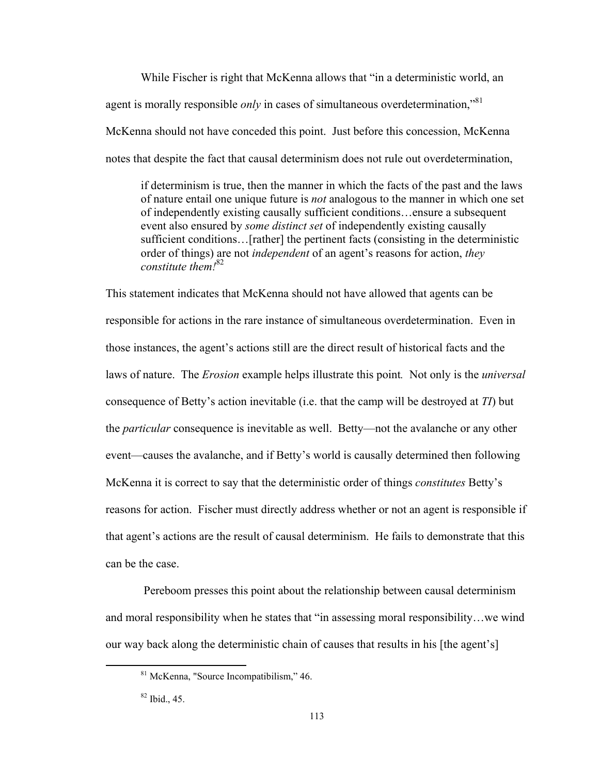While Fischer is right that McKenna allows that "in a deterministic world, an agent is morally responsible *only* in cases of simultaneous overdetermination,"<sup>81</sup> McKenna should not have conceded this point. Just before this concession, McKenna notes that despite the fact that causal determinism does not rule out overdetermination,

if determinism is true, then the manner in which the facts of the past and the laws of nature entail one unique future is *not* analogous to the manner in which one set of independently existing causally sufficient conditions…ensure a subsequent event also ensured by *some distinct set* of independently existing causally sufficient conditions…[rather] the pertinent facts (consisting in the deterministic order of things) are not *independent* of an agent's reasons for action, *they constitute them!*82

This statement indicates that McKenna should not have allowed that agents can be responsible for actions in the rare instance of simultaneous overdetermination. Even in those instances, the agent's actions still are the direct result of historical facts and the laws of nature. The *Erosion* example helps illustrate this point*.* Not only is the *universal* consequence of Betty's action inevitable (i.e. that the camp will be destroyed at *TI*) but the *particular* consequence is inevitable as well. Betty—not the avalanche or any other event—causes the avalanche, and if Betty's world is causally determined then following McKenna it is correct to say that the deterministic order of things *constitutes* Betty's reasons for action. Fischer must directly address whether or not an agent is responsible if that agent's actions are the result of causal determinism. He fails to demonstrate that this can be the case.

 Pereboom presses this point about the relationship between causal determinism and moral responsibility when he states that "in assessing moral responsibility…we wind our way back along the deterministic chain of causes that results in his [the agent's]

 81 McKenna, "Source Incompatibilism," 46.

 $82$  Ibid., 45.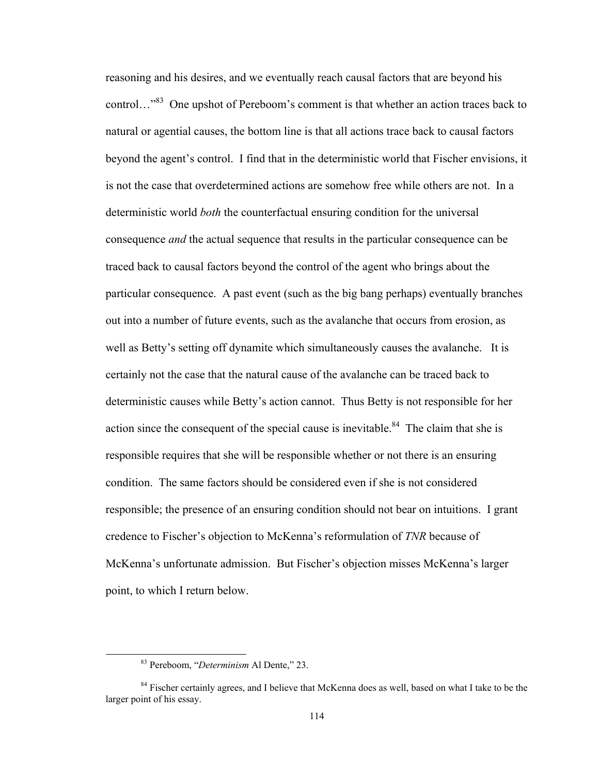reasoning and his desires, and we eventually reach causal factors that are beyond his control…"<sup>83</sup> One upshot of Pereboom's comment is that whether an action traces back to natural or agential causes, the bottom line is that all actions trace back to causal factors beyond the agent's control. I find that in the deterministic world that Fischer envisions, it is not the case that overdetermined actions are somehow free while others are not. In a deterministic world *both* the counterfactual ensuring condition for the universal consequence *and* the actual sequence that results in the particular consequence can be traced back to causal factors beyond the control of the agent who brings about the particular consequence. A past event (such as the big bang perhaps) eventually branches out into a number of future events, such as the avalanche that occurs from erosion, as well as Betty's setting off dynamite which simultaneously causes the avalanche. It is certainly not the case that the natural cause of the avalanche can be traced back to deterministic causes while Betty's action cannot. Thus Betty is not responsible for her action since the consequent of the special cause is inevitable.<sup>84</sup> The claim that she is responsible requires that she will be responsible whether or not there is an ensuring condition. The same factors should be considered even if she is not considered responsible; the presence of an ensuring condition should not bear on intuitions. I grant credence to Fischer's objection to McKenna's reformulation of *TNR* because of McKenna's unfortunate admission. But Fischer's objection misses McKenna's larger point, to which I return below.

 83 Pereboom, "*Determinism* Al Dente," 23.

<sup>&</sup>lt;sup>84</sup> Fischer certainly agrees, and I believe that McKenna does as well, based on what I take to be the larger point of his essay.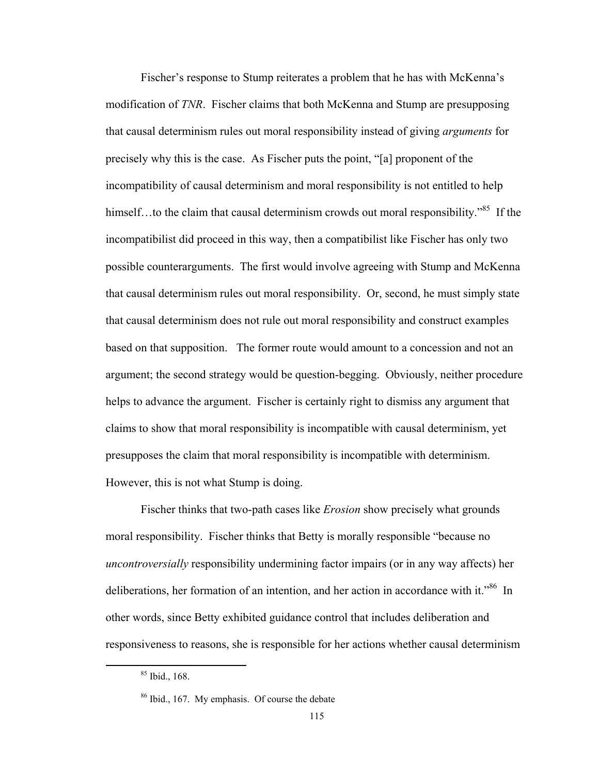Fischer's response to Stump reiterates a problem that he has with McKenna's modification of *TNR*. Fischer claims that both McKenna and Stump are presupposing that causal determinism rules out moral responsibility instead of giving *arguments* for precisely why this is the case. As Fischer puts the point, "[a] proponent of the incompatibility of causal determinism and moral responsibility is not entitled to help himself...to the claim that causal determinism crowds out moral responsibility."<sup>85</sup> If the incompatibilist did proceed in this way, then a compatibilist like Fischer has only two possible counterarguments. The first would involve agreeing with Stump and McKenna that causal determinism rules out moral responsibility. Or, second, he must simply state that causal determinism does not rule out moral responsibility and construct examples based on that supposition. The former route would amount to a concession and not an argument; the second strategy would be question-begging. Obviously, neither procedure helps to advance the argument. Fischer is certainly right to dismiss any argument that claims to show that moral responsibility is incompatible with causal determinism, yet presupposes the claim that moral responsibility is incompatible with determinism. However, this is not what Stump is doing.

Fischer thinks that two-path cases like *Erosion* show precisely what grounds moral responsibility. Fischer thinks that Betty is morally responsible "because no *uncontroversially* responsibility undermining factor impairs (or in any way affects) her deliberations, her formation of an intention, and her action in accordance with it."<sup>86</sup> In other words, since Betty exhibited guidance control that includes deliberation and responsiveness to reasons, she is responsible for her actions whether causal determinism

 85 Ibid., 168.

<sup>&</sup>lt;sup>86</sup> Ibid., 167. My emphasis. Of course the debate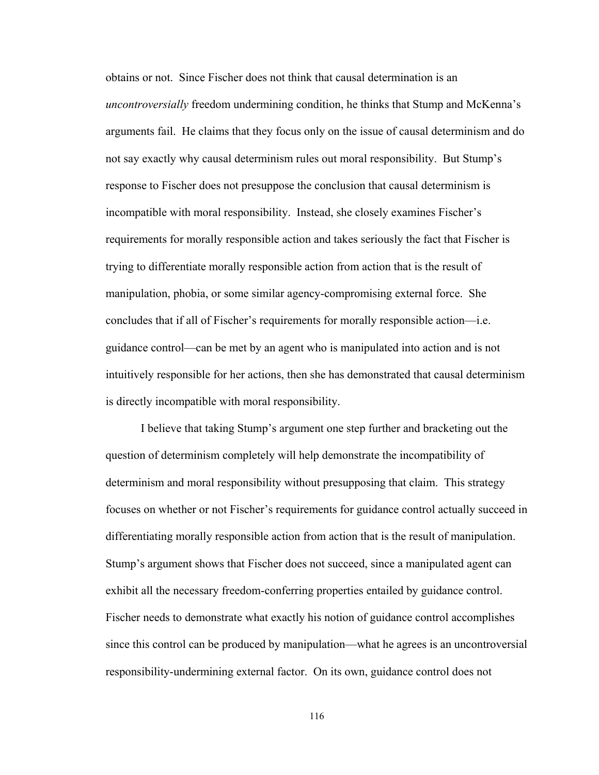obtains or not. Since Fischer does not think that causal determination is an *uncontroversially* freedom undermining condition, he thinks that Stump and McKenna's arguments fail. He claims that they focus only on the issue of causal determinism and do not say exactly why causal determinism rules out moral responsibility. But Stump's response to Fischer does not presuppose the conclusion that causal determinism is incompatible with moral responsibility. Instead, she closely examines Fischer's requirements for morally responsible action and takes seriously the fact that Fischer is trying to differentiate morally responsible action from action that is the result of manipulation, phobia, or some similar agency-compromising external force. She concludes that if all of Fischer's requirements for morally responsible action—i.e. guidance control—can be met by an agent who is manipulated into action and is not intuitively responsible for her actions, then she has demonstrated that causal determinism is directly incompatible with moral responsibility.

I believe that taking Stump's argument one step further and bracketing out the question of determinism completely will help demonstrate the incompatibility of determinism and moral responsibility without presupposing that claim. This strategy focuses on whether or not Fischer's requirements for guidance control actually succeed in differentiating morally responsible action from action that is the result of manipulation. Stump's argument shows that Fischer does not succeed, since a manipulated agent can exhibit all the necessary freedom-conferring properties entailed by guidance control. Fischer needs to demonstrate what exactly his notion of guidance control accomplishes since this control can be produced by manipulation—what he agrees is an uncontroversial responsibility-undermining external factor. On its own, guidance control does not

116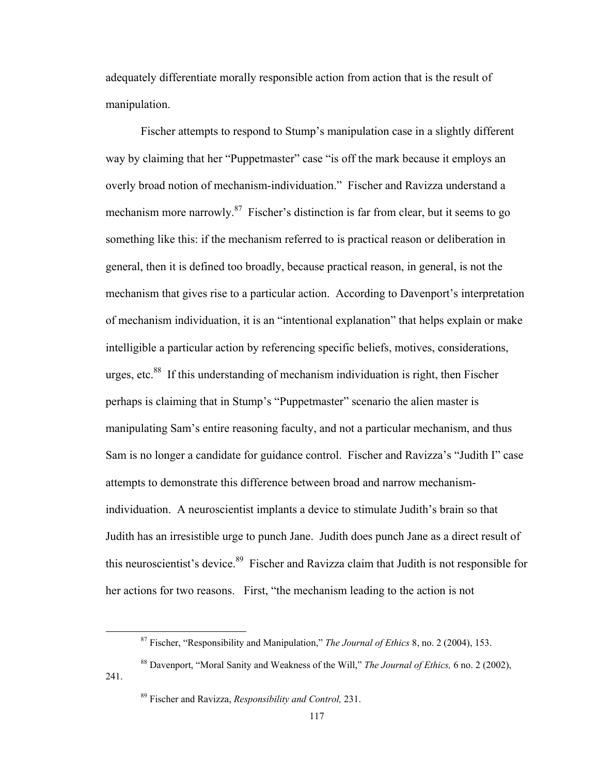adequately differentiate morally responsible action from action that is the result of manipulation.

Fischer attempts to respond to Stump's manipulation case in a slightly different way by claiming that her "Puppetmaster" case "is off the mark because it employs an overly broad notion of mechanism-individuation." Fischer and Ravizza understand a mechanism more narrowly. $87$  Fischer's distinction is far from clear, but it seems to go something like this: if the mechanism referred to is practical reason or deliberation in general, then it is defined too broadly, because practical reason, in general, is not the mechanism that gives rise to a particular action. According to Davenport's interpretation of mechanism individuation, it is an "intentional explanation" that helps explain or make intelligible a particular action by referencing specific beliefs, motives, considerations, urges, etc. $88$  If this understanding of mechanism individuation is right, then Fischer perhaps is claiming that in Stump's "Puppetmaster" scenario the alien master is manipulating Sam's entire reasoning faculty, and not a particular mechanism, and thus Sam is no longer a candidate for guidance control. Fischer and Ravizza's "Judith I" case attempts to demonstrate this difference between broad and narrow mechanismindividuation. A neuroscientist implants a device to stimulate Judith's brain so that Judith has an irresistible urge to punch Jane. Judith does punch Jane as a direct result of this neuroscientist's device.<sup>89</sup> Fischer and Ravizza claim that Judith is not responsible for her actions for two reasons. First, "the mechanism leading to the action is not

 87 Fischer, "Responsibility and Manipulation," *The Journal of Ethics* 8, no. 2 (2004), 153.

<sup>88</sup> Davenport, "Moral Sanity and Weakness of the Will," *The Journal of Ethics,* 6 no. 2 (2002), 241.

<sup>89</sup> Fischer and Ravizza, *Responsibility and Control,* 231.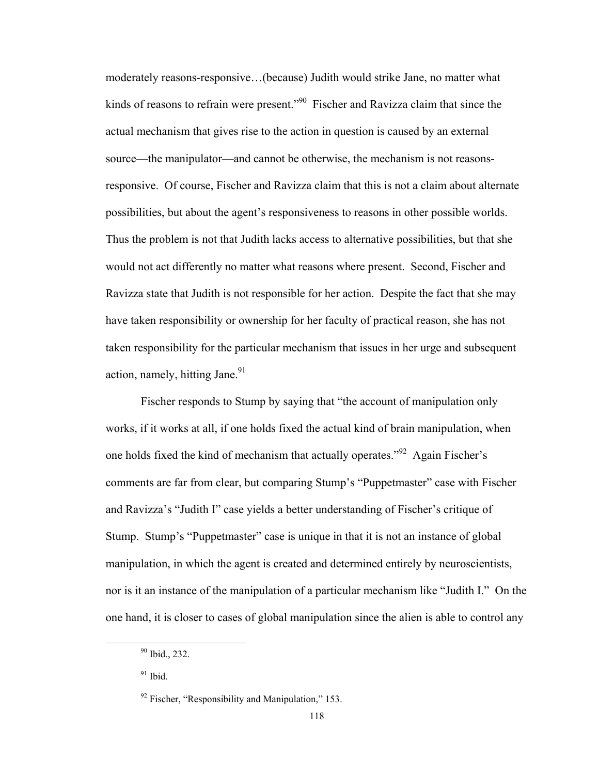moderately reasons-responsive…(because) Judith would strike Jane, no matter what kinds of reasons to refrain were present."<sup>90</sup> Fischer and Ravizza claim that since the actual mechanism that gives rise to the action in question is caused by an external source—the manipulator—and cannot be otherwise, the mechanism is not reasonsresponsive. Of course, Fischer and Ravizza claim that this is not a claim about alternate possibilities, but about the agent's responsiveness to reasons in other possible worlds. Thus the problem is not that Judith lacks access to alternative possibilities, but that she would not act differently no matter what reasons where present. Second, Fischer and Ravizza state that Judith is not responsible for her action. Despite the fact that she may have taken responsibility or ownership for her faculty of practical reason, she has not taken responsibility for the particular mechanism that issues in her urge and subsequent action, namely, hitting Jane. $91$ 

Fischer responds to Stump by saying that "the account of manipulation only works, if it works at all, if one holds fixed the actual kind of brain manipulation, when one holds fixed the kind of mechanism that actually operates."92 Again Fischer's comments are far from clear, but comparing Stump's "Puppetmaster" case with Fischer and Ravizza's "Judith I" case yields a better understanding of Fischer's critique of Stump. Stump's "Puppetmaster" case is unique in that it is not an instance of global manipulation, in which the agent is created and determined entirely by neuroscientists, nor is it an instance of the manipulation of a particular mechanism like "Judith I." On the one hand, it is closer to cases of global manipulation since the alien is able to control any

 90 Ibid., 232.

 $91$  Ibid.

 $92$  Fischer, "Responsibility and Manipulation," 153.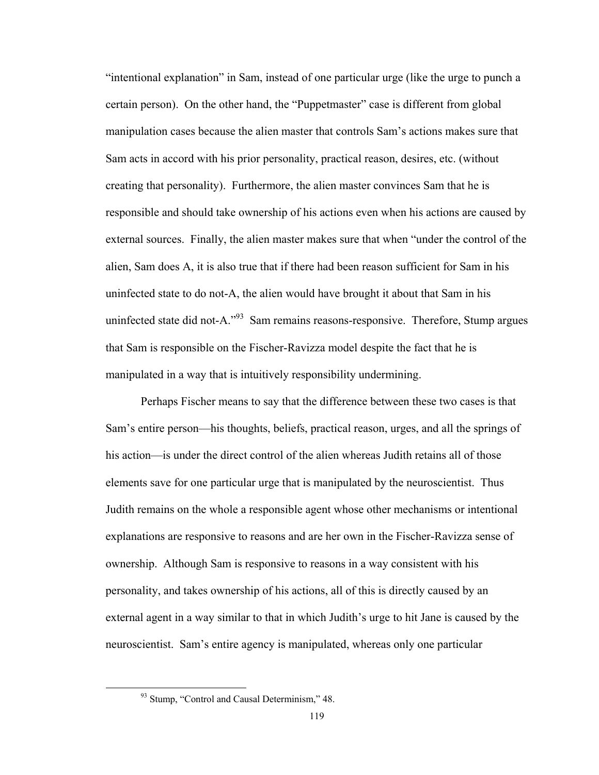"intentional explanation" in Sam, instead of one particular urge (like the urge to punch a certain person). On the other hand, the "Puppetmaster" case is different from global manipulation cases because the alien master that controls Sam's actions makes sure that Sam acts in accord with his prior personality, practical reason, desires, etc. (without creating that personality). Furthermore, the alien master convinces Sam that he is responsible and should take ownership of his actions even when his actions are caused by external sources. Finally, the alien master makes sure that when "under the control of the alien, Sam does A, it is also true that if there had been reason sufficient for Sam in his uninfected state to do not-A, the alien would have brought it about that Sam in his uninfected state did not-A."<sup>93</sup> Sam remains reasons-responsive. Therefore, Stump argues that Sam is responsible on the Fischer-Ravizza model despite the fact that he is manipulated in a way that is intuitively responsibility undermining.

Perhaps Fischer means to say that the difference between these two cases is that Sam's entire person—his thoughts, beliefs, practical reason, urges, and all the springs of his action—is under the direct control of the alien whereas Judith retains all of those elements save for one particular urge that is manipulated by the neuroscientist. Thus Judith remains on the whole a responsible agent whose other mechanisms or intentional explanations are responsive to reasons and are her own in the Fischer-Ravizza sense of ownership. Although Sam is responsive to reasons in a way consistent with his personality, and takes ownership of his actions, all of this is directly caused by an external agent in a way similar to that in which Judith's urge to hit Jane is caused by the neuroscientist. Sam's entire agency is manipulated, whereas only one particular

<sup>&</sup>lt;sup>93</sup> Stump, "Control and Causal Determinism," 48.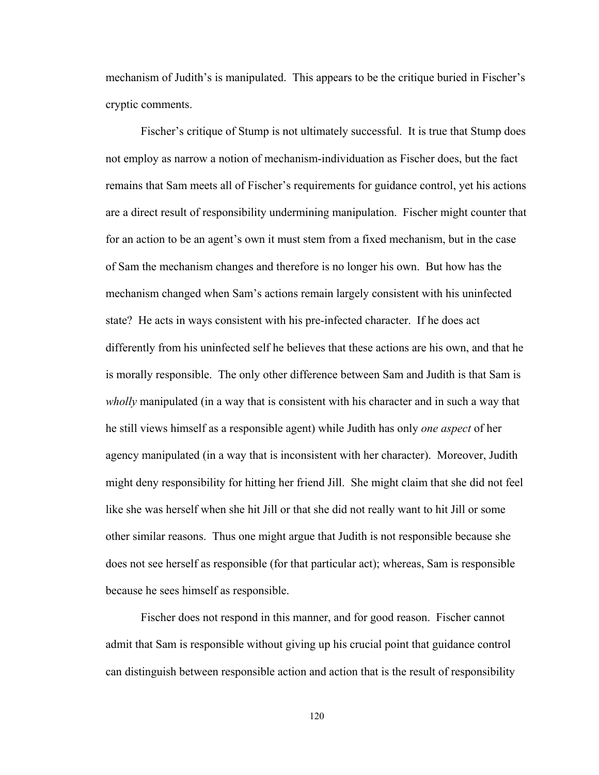mechanism of Judith's is manipulated. This appears to be the critique buried in Fischer's cryptic comments.

Fischer's critique of Stump is not ultimately successful. It is true that Stump does not employ as narrow a notion of mechanism-individuation as Fischer does, but the fact remains that Sam meets all of Fischer's requirements for guidance control, yet his actions are a direct result of responsibility undermining manipulation. Fischer might counter that for an action to be an agent's own it must stem from a fixed mechanism, but in the case of Sam the mechanism changes and therefore is no longer his own. But how has the mechanism changed when Sam's actions remain largely consistent with his uninfected state? He acts in ways consistent with his pre-infected character. If he does act differently from his uninfected self he believes that these actions are his own, and that he is morally responsible. The only other difference between Sam and Judith is that Sam is *wholly* manipulated (in a way that is consistent with his character and in such a way that he still views himself as a responsible agent) while Judith has only *one aspect* of her agency manipulated (in a way that is inconsistent with her character). Moreover, Judith might deny responsibility for hitting her friend Jill. She might claim that she did not feel like she was herself when she hit Jill or that she did not really want to hit Jill or some other similar reasons. Thus one might argue that Judith is not responsible because she does not see herself as responsible (for that particular act); whereas, Sam is responsible because he sees himself as responsible.

Fischer does not respond in this manner, and for good reason. Fischer cannot admit that Sam is responsible without giving up his crucial point that guidance control can distinguish between responsible action and action that is the result of responsibility

120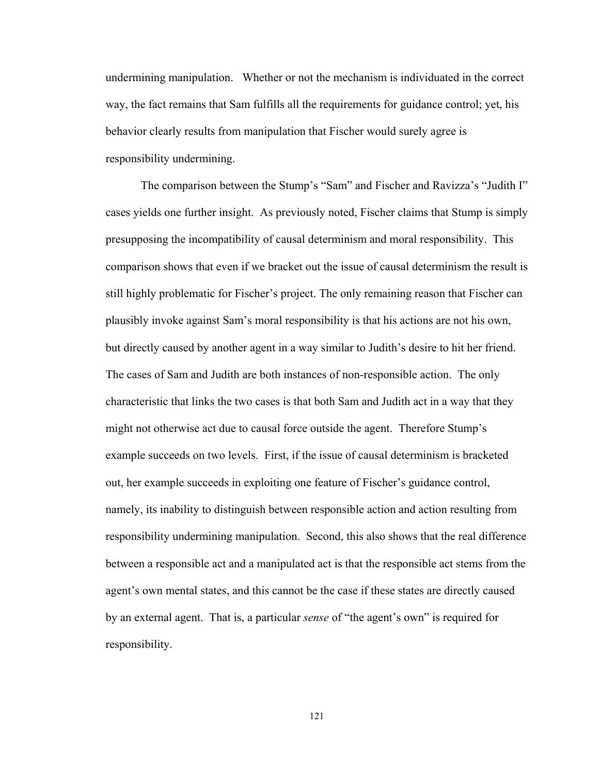undermining manipulation. Whether or not the mechanism is individuated in the correct way, the fact remains that Sam fulfills all the requirements for guidance control; yet, his behavior clearly results from manipulation that Fischer would surely agree is responsibility undermining.

The comparison between the Stump's "Sam" and Fischer and Ravizza's "Judith I" cases yields one further insight. As previously noted, Fischer claims that Stump is simply presupposing the incompatibility of causal determinism and moral responsibility. This comparison shows that even if we bracket out the issue of causal determinism the result is still highly problematic for Fischer's project. The only remaining reason that Fischer can plausibly invoke against Sam's moral responsibility is that his actions are not his own, but directly caused by another agent in a way similar to Judith's desire to hit her friend. The cases of Sam and Judith are both instances of non-responsible action. The only characteristic that links the two cases is that both Sam and Judith act in a way that they might not otherwise act due to causal force outside the agent. Therefore Stump's example succeeds on two levels. First, if the issue of causal determinism is bracketed out, her example succeeds in exploiting one feature of Fischer's guidance control, namely, its inability to distinguish between responsible action and action resulting from responsibility undermining manipulation. Second, this also shows that the real difference between a responsible act and a manipulated act is that the responsible act stems from the agent's own mental states, and this cannot be the case if these states are directly caused by an external agent. That is, a particular *sense* of "the agent's own" is required for responsibility.

121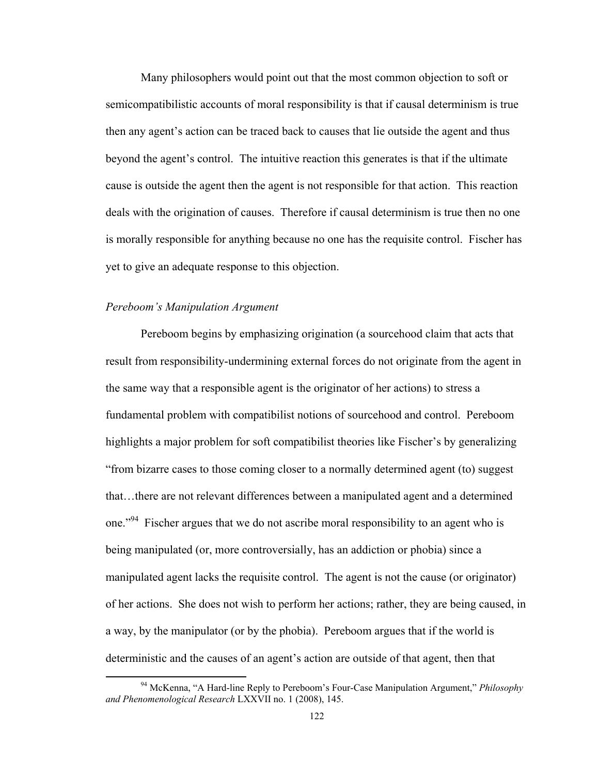Many philosophers would point out that the most common objection to soft or semicompatibilistic accounts of moral responsibility is that if causal determinism is true then any agent's action can be traced back to causes that lie outside the agent and thus beyond the agent's control. The intuitive reaction this generates is that if the ultimate cause is outside the agent then the agent is not responsible for that action. This reaction deals with the origination of causes. Therefore if causal determinism is true then no one is morally responsible for anything because no one has the requisite control. Fischer has yet to give an adequate response to this objection.

### *Pereboom's Manipulation Argument*

Pereboom begins by emphasizing origination (a sourcehood claim that acts that result from responsibility-undermining external forces do not originate from the agent in the same way that a responsible agent is the originator of her actions) to stress a fundamental problem with compatibilist notions of sourcehood and control. Pereboom highlights a major problem for soft compatibilist theories like Fischer's by generalizing "from bizarre cases to those coming closer to a normally determined agent (to) suggest that…there are not relevant differences between a manipulated agent and a determined one."<sup>94</sup> Fischer argues that we do not ascribe moral responsibility to an agent who is being manipulated (or, more controversially, has an addiction or phobia) since a manipulated agent lacks the requisite control. The agent is not the cause (or originator) of her actions. She does not wish to perform her actions; rather, they are being caused, in a way, by the manipulator (or by the phobia). Pereboom argues that if the world is deterministic and the causes of an agent's action are outside of that agent, then that

 94 McKenna, "A Hard-line Reply to Pereboom's Four-Case Manipulation Argument," *Philosophy and Phenomenological Research* LXXVII no. 1 (2008), 145.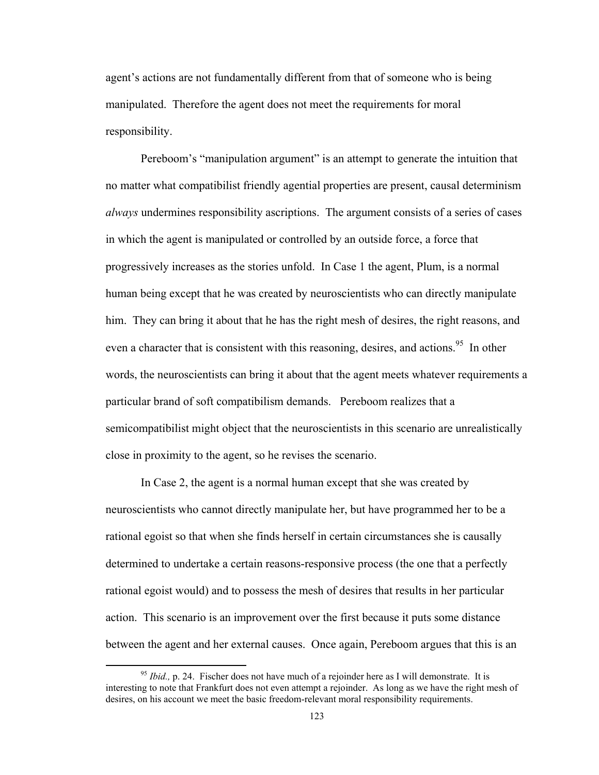agent's actions are not fundamentally different from that of someone who is being manipulated. Therefore the agent does not meet the requirements for moral responsibility.

Pereboom's "manipulation argument" is an attempt to generate the intuition that no matter what compatibilist friendly agential properties are present, causal determinism *always* undermines responsibility ascriptions. The argument consists of a series of cases in which the agent is manipulated or controlled by an outside force, a force that progressively increases as the stories unfold. In Case 1 the agent, Plum, is a normal human being except that he was created by neuroscientists who can directly manipulate him. They can bring it about that he has the right mesh of desires, the right reasons, and even a character that is consistent with this reasoning, desires, and actions.<sup>95</sup> In other words, the neuroscientists can bring it about that the agent meets whatever requirements a particular brand of soft compatibilism demands. Pereboom realizes that a semicompatibilist might object that the neuroscientists in this scenario are unrealistically close in proximity to the agent, so he revises the scenario.

In Case 2, the agent is a normal human except that she was created by neuroscientists who cannot directly manipulate her, but have programmed her to be a rational egoist so that when she finds herself in certain circumstances she is causally determined to undertake a certain reasons-responsive process (the one that a perfectly rational egoist would) and to possess the mesh of desires that results in her particular action. This scenario is an improvement over the first because it puts some distance between the agent and her external causes. Once again, Pereboom argues that this is an

<sup>&</sup>lt;sup>95</sup> *Ibid.*, p. 24. Fischer does not have much of a rejoinder here as I will demonstrate. It is interesting to note that Frankfurt does not even attempt a rejoinder. As long as we have the right mesh of desires, on his account we meet the basic freedom-relevant moral responsibility requirements.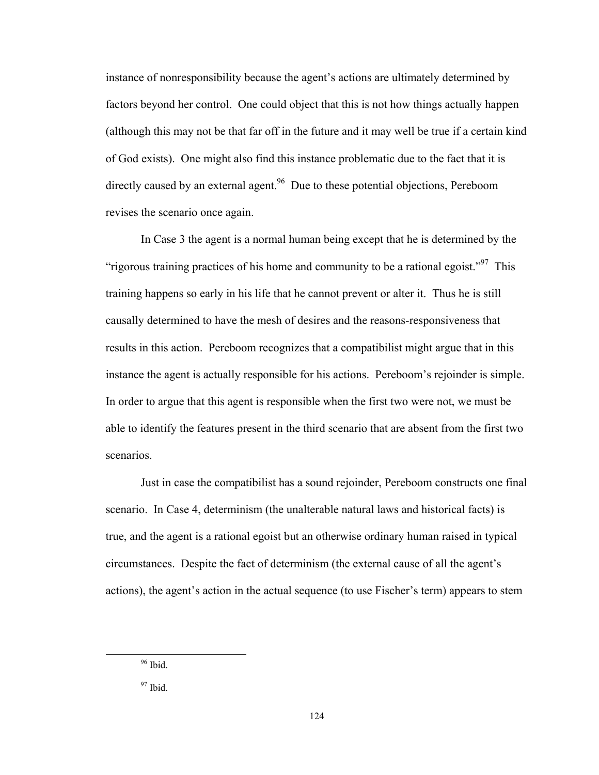instance of nonresponsibility because the agent's actions are ultimately determined by factors beyond her control. One could object that this is not how things actually happen (although this may not be that far off in the future and it may well be true if a certain kind of God exists). One might also find this instance problematic due to the fact that it is directly caused by an external agent.<sup>96</sup> Due to these potential objections, Pereboom revises the scenario once again.

In Case 3 the agent is a normal human being except that he is determined by the "rigorous training practices of his home and community to be a rational egoist."<sup>97</sup> This training happens so early in his life that he cannot prevent or alter it. Thus he is still causally determined to have the mesh of desires and the reasons-responsiveness that results in this action. Pereboom recognizes that a compatibilist might argue that in this instance the agent is actually responsible for his actions. Pereboom's rejoinder is simple. In order to argue that this agent is responsible when the first two were not, we must be able to identify the features present in the third scenario that are absent from the first two scenarios.

Just in case the compatibilist has a sound rejoinder, Pereboom constructs one final scenario. In Case 4, determinism (the unalterable natural laws and historical facts) is true, and the agent is a rational egoist but an otherwise ordinary human raised in typical circumstances. Despite the fact of determinism (the external cause of all the agent's actions), the agent's action in the actual sequence (to use Fischer's term) appears to stem

 $\frac{96}{1}$  Ibid.

 $97$  Ibid.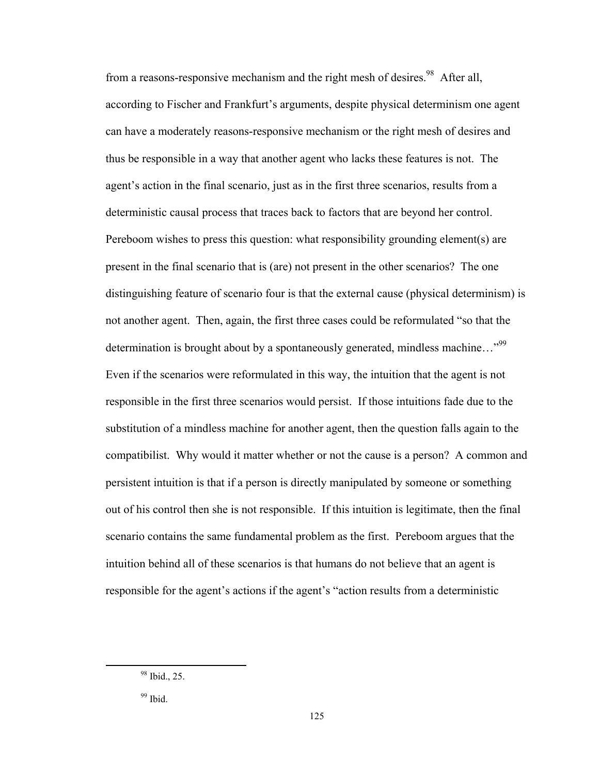from a reasons-responsive mechanism and the right mesh of desires.<sup>98</sup> After all, according to Fischer and Frankfurt's arguments, despite physical determinism one agent can have a moderately reasons-responsive mechanism or the right mesh of desires and thus be responsible in a way that another agent who lacks these features is not. The agent's action in the final scenario, just as in the first three scenarios, results from a deterministic causal process that traces back to factors that are beyond her control. Pereboom wishes to press this question: what responsibility grounding element(s) are present in the final scenario that is (are) not present in the other scenarios? The one distinguishing feature of scenario four is that the external cause (physical determinism) is not another agent. Then, again, the first three cases could be reformulated "so that the determination is brought about by a spontaneously generated, mindless machine..."<sup>99</sup> Even if the scenarios were reformulated in this way, the intuition that the agent is not responsible in the first three scenarios would persist. If those intuitions fade due to the substitution of a mindless machine for another agent, then the question falls again to the compatibilist. Why would it matter whether or not the cause is a person? A common and persistent intuition is that if a person is directly manipulated by someone or something out of his control then she is not responsible. If this intuition is legitimate, then the final scenario contains the same fundamental problem as the first. Pereboom argues that the intuition behind all of these scenarios is that humans do not believe that an agent is responsible for the agent's actions if the agent's "action results from a deterministic

 98 Ibid., 25.

 $99$  Ibid.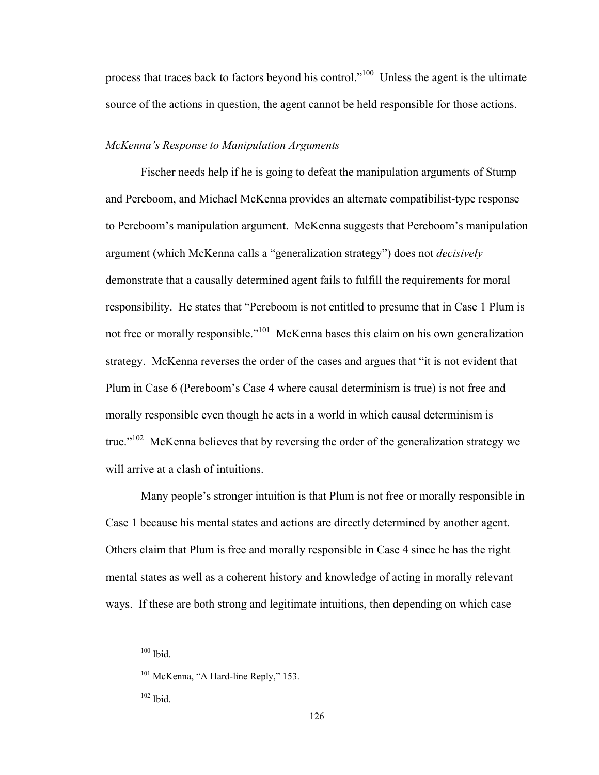process that traces back to factors beyond his control."100 Unless the agent is the ultimate source of the actions in question, the agent cannot be held responsible for those actions.

## *McKenna's Response to Manipulation Arguments*

Fischer needs help if he is going to defeat the manipulation arguments of Stump and Pereboom, and Michael McKenna provides an alternate compatibilist-type response to Pereboom's manipulation argument. McKenna suggests that Pereboom's manipulation argument (which McKenna calls a "generalization strategy") does not *decisively* demonstrate that a causally determined agent fails to fulfill the requirements for moral responsibility. He states that "Pereboom is not entitled to presume that in Case 1 Plum is not free or morally responsible."<sup>101</sup> McKenna bases this claim on his own generalization strategy. McKenna reverses the order of the cases and argues that "it is not evident that Plum in Case 6 (Pereboom's Case 4 where causal determinism is true) is not free and morally responsible even though he acts in a world in which causal determinism is true."<sup>102</sup> McKenna believes that by reversing the order of the generalization strategy we will arrive at a clash of intuitions.

Many people's stronger intuition is that Plum is not free or morally responsible in Case 1 because his mental states and actions are directly determined by another agent. Others claim that Plum is free and morally responsible in Case 4 since he has the right mental states as well as a coherent history and knowledge of acting in morally relevant ways. If these are both strong and legitimate intuitions, then depending on which case

 $100$  Ibid.

<sup>&</sup>lt;sup>101</sup> McKenna, "A Hard-line Reply," 153.

 $102$  Ibid.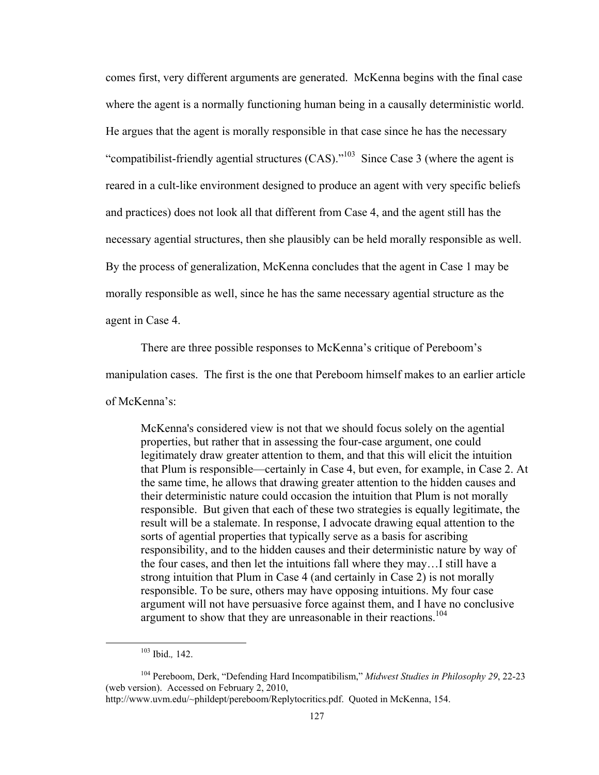comes first, very different arguments are generated. McKenna begins with the final case where the agent is a normally functioning human being in a causally deterministic world. He argues that the agent is morally responsible in that case since he has the necessary "compatibilist-friendly agential structures (CAS)."103 Since Case 3 (where the agent is reared in a cult-like environment designed to produce an agent with very specific beliefs and practices) does not look all that different from Case 4, and the agent still has the necessary agential structures, then she plausibly can be held morally responsible as well. By the process of generalization, McKenna concludes that the agent in Case 1 may be morally responsible as well, since he has the same necessary agential structure as the agent in Case 4.

There are three possible responses to McKenna's critique of Pereboom's manipulation cases. The first is the one that Pereboom himself makes to an earlier article of McKenna's:

McKenna's considered view is not that we should focus solely on the agential properties, but rather that in assessing the four-case argument, one could legitimately draw greater attention to them, and that this will elicit the intuition that Plum is responsible—certainly in Case 4, but even, for example, in Case 2. At the same time, he allows that drawing greater attention to the hidden causes and their deterministic nature could occasion the intuition that Plum is not morally responsible. But given that each of these two strategies is equally legitimate, the result will be a stalemate. In response, I advocate drawing equal attention to the sorts of agential properties that typically serve as a basis for ascribing responsibility, and to the hidden causes and their deterministic nature by way of the four cases, and then let the intuitions fall where they may…I still have a strong intuition that Plum in Case 4 (and certainly in Case 2) is not morally responsible. To be sure, others may have opposing intuitions. My four case argument will not have persuasive force against them, and I have no conclusive argument to show that they are unreasonable in their reactions.<sup>104</sup>

 103 Ibid.*,* 142.

<sup>104</sup> Pereboom, Derk, "Defending Hard Incompatibilism," *Midwest Studies in Philosophy 29*, 22-23 (web version). Accessed on February 2, 2010,

http://www.uvm.edu/~phildept/pereboom/Replytocritics.pdf. Quoted in McKenna, 154.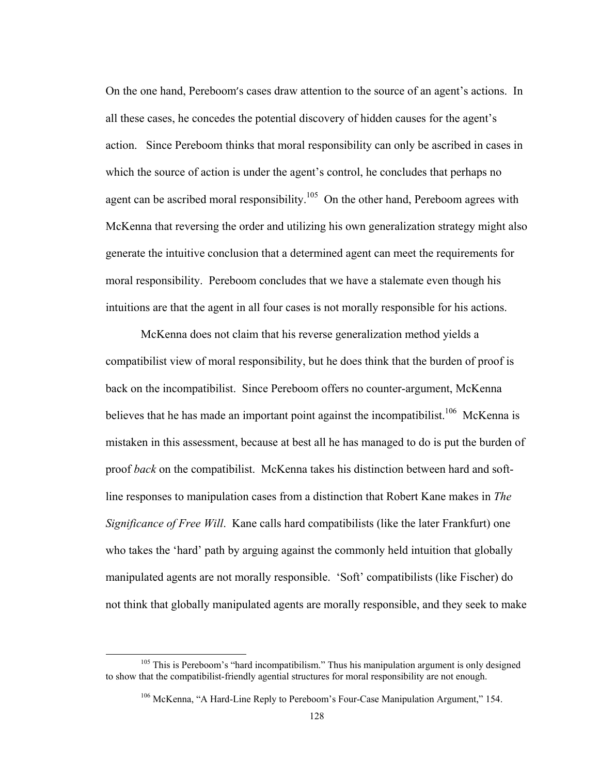On the one hand, Pereboom's cases draw attention to the source of an agent's actions. In all these cases, he concedes the potential discovery of hidden causes for the agent's action. Since Pereboom thinks that moral responsibility can only be ascribed in cases in which the source of action is under the agent's control, he concludes that perhaps no agent can be ascribed moral responsibility.<sup>105</sup> On the other hand, Pereboom agrees with McKenna that reversing the order and utilizing his own generalization strategy might also generate the intuitive conclusion that a determined agent can meet the requirements for moral responsibility. Pereboom concludes that we have a stalemate even though his intuitions are that the agent in all four cases is not morally responsible for his actions.

 McKenna does not claim that his reverse generalization method yields a compatibilist view of moral responsibility, but he does think that the burden of proof is back on the incompatibilist. Since Pereboom offers no counter-argument, McKenna believes that he has made an important point against the incompatibilist.<sup>106</sup> McKenna is mistaken in this assessment, because at best all he has managed to do is put the burden of proof *back* on the compatibilist. McKenna takes his distinction between hard and softline responses to manipulation cases from a distinction that Robert Kane makes in *The Significance of Free Will*. Kane calls hard compatibilists (like the later Frankfurt) one who takes the 'hard' path by arguing against the commonly held intuition that globally manipulated agents are not morally responsible. 'Soft' compatibilists (like Fischer) do not think that globally manipulated agents are morally responsible, and they seek to make

<sup>&</sup>lt;sup>105</sup> This is Pereboom's "hard incompatibilism." Thus his manipulation argument is only designed to show that the compatibilist-friendly agential structures for moral responsibility are not enough.

<sup>&</sup>lt;sup>106</sup> McKenna, "A Hard-Line Reply to Pereboom's Four-Case Manipulation Argument," 154.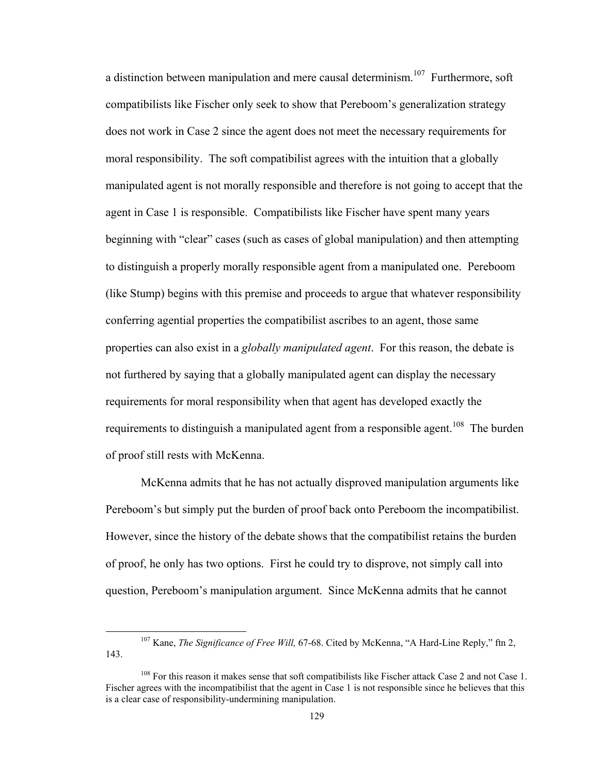a distinction between manipulation and mere causal determinism.<sup>107</sup> Furthermore, soft compatibilists like Fischer only seek to show that Pereboom's generalization strategy does not work in Case 2 since the agent does not meet the necessary requirements for moral responsibility. The soft compatibilist agrees with the intuition that a globally manipulated agent is not morally responsible and therefore is not going to accept that the agent in Case 1 is responsible. Compatibilists like Fischer have spent many years beginning with "clear" cases (such as cases of global manipulation) and then attempting to distinguish a properly morally responsible agent from a manipulated one. Pereboom (like Stump) begins with this premise and proceeds to argue that whatever responsibility conferring agential properties the compatibilist ascribes to an agent, those same properties can also exist in a *globally manipulated agent*. For this reason, the debate is not furthered by saying that a globally manipulated agent can display the necessary requirements for moral responsibility when that agent has developed exactly the requirements to distinguish a manipulated agent from a responsible agent.<sup>108</sup> The burden of proof still rests with McKenna.

 McKenna admits that he has not actually disproved manipulation arguments like Pereboom's but simply put the burden of proof back onto Pereboom the incompatibilist. However, since the history of the debate shows that the compatibilist retains the burden of proof, he only has two options. First he could try to disprove, not simply call into question, Pereboom's manipulation argument. Since McKenna admits that he cannot

 107 Kane, *The Significance of Free Will,* 67-68. Cited by McKenna, "A Hard-Line Reply," ftn 2, 143.

<sup>&</sup>lt;sup>108</sup> For this reason it makes sense that soft compatibilists like Fischer attack Case 2 and not Case 1. Fischer agrees with the incompatibilist that the agent in Case 1 is not responsible since he believes that this is a clear case of responsibility-undermining manipulation.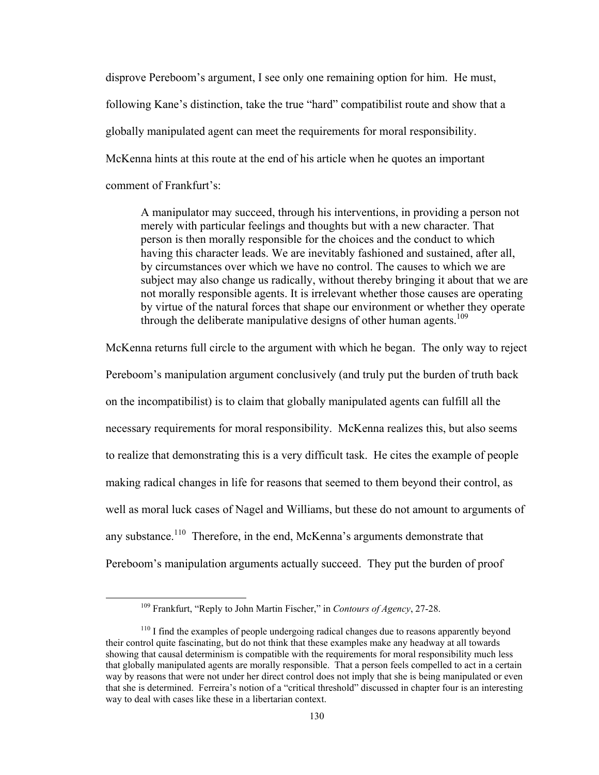disprove Pereboom's argument, I see only one remaining option for him. He must, following Kane's distinction, take the true "hard" compatibilist route and show that a globally manipulated agent can meet the requirements for moral responsibility. McKenna hints at this route at the end of his article when he quotes an important comment of Frankfurt's:

A manipulator may succeed, through his interventions, in providing a person not merely with particular feelings and thoughts but with a new character. That person is then morally responsible for the choices and the conduct to which having this character leads. We are inevitably fashioned and sustained, after all, by circumstances over which we have no control. The causes to which we are subject may also change us radically, without thereby bringing it about that we are not morally responsible agents. It is irrelevant whether those causes are operating by virtue of the natural forces that shape our environment or whether they operate through the deliberate manipulative designs of other human agents.<sup>109</sup>

McKenna returns full circle to the argument with which he began. The only way to reject Pereboom's manipulation argument conclusively (and truly put the burden of truth back on the incompatibilist) is to claim that globally manipulated agents can fulfill all the necessary requirements for moral responsibility. McKenna realizes this, but also seems to realize that demonstrating this is a very difficult task. He cites the example of people making radical changes in life for reasons that seemed to them beyond their control, as well as moral luck cases of Nagel and Williams, but these do not amount to arguments of any substance.<sup>110</sup> Therefore, in the end, McKenna's arguments demonstrate that Pereboom's manipulation arguments actually succeed. They put the burden of proof

 109 Frankfurt, "Reply to John Martin Fischer," in *Contours of Agency*, 27-28.

<sup>&</sup>lt;sup>110</sup> I find the examples of people undergoing radical changes due to reasons apparently beyond their control quite fascinating, but do not think that these examples make any headway at all towards showing that causal determinism is compatible with the requirements for moral responsibility much less that globally manipulated agents are morally responsible. That a person feels compelled to act in a certain way by reasons that were not under her direct control does not imply that she is being manipulated or even that she is determined. Ferreira's notion of a "critical threshold" discussed in chapter four is an interesting way to deal with cases like these in a libertarian context.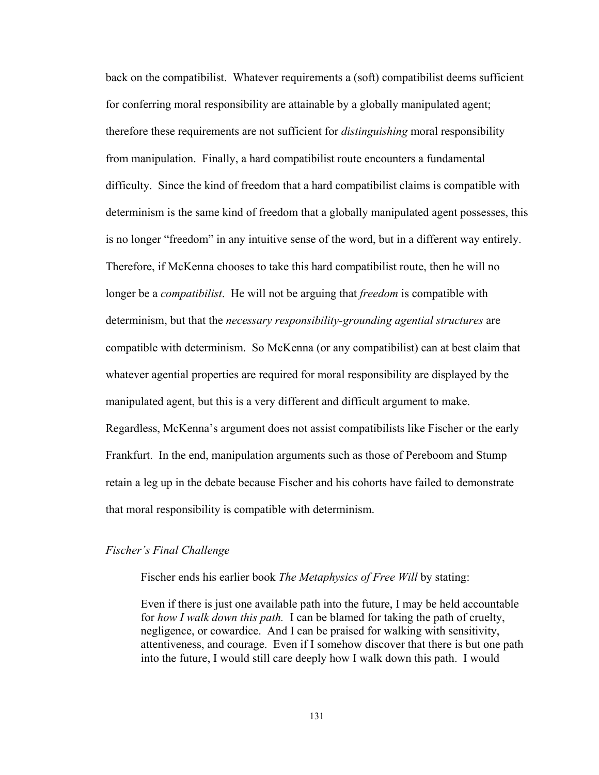back on the compatibilist. Whatever requirements a (soft) compatibilist deems sufficient for conferring moral responsibility are attainable by a globally manipulated agent; therefore these requirements are not sufficient for *distinguishing* moral responsibility from manipulation. Finally, a hard compatibilist route encounters a fundamental difficulty. Since the kind of freedom that a hard compatibilist claims is compatible with determinism is the same kind of freedom that a globally manipulated agent possesses, this is no longer "freedom" in any intuitive sense of the word, but in a different way entirely. Therefore, if McKenna chooses to take this hard compatibilist route, then he will no longer be a *compatibilist*. He will not be arguing that *freedom* is compatible with determinism, but that the *necessary responsibility-grounding agential structures* are compatible with determinism. So McKenna (or any compatibilist) can at best claim that whatever agential properties are required for moral responsibility are displayed by the manipulated agent, but this is a very different and difficult argument to make. Regardless, McKenna's argument does not assist compatibilists like Fischer or the early Frankfurt. In the end, manipulation arguments such as those of Pereboom and Stump retain a leg up in the debate because Fischer and his cohorts have failed to demonstrate that moral responsibility is compatible with determinism.

#### *Fischer's Final Challenge*

Fischer ends his earlier book *The Metaphysics of Free Will* by stating:

Even if there is just one available path into the future, I may be held accountable for *how I walk down this path.* I can be blamed for taking the path of cruelty, negligence, or cowardice. And I can be praised for walking with sensitivity, attentiveness, and courage. Even if I somehow discover that there is but one path into the future, I would still care deeply how I walk down this path. I would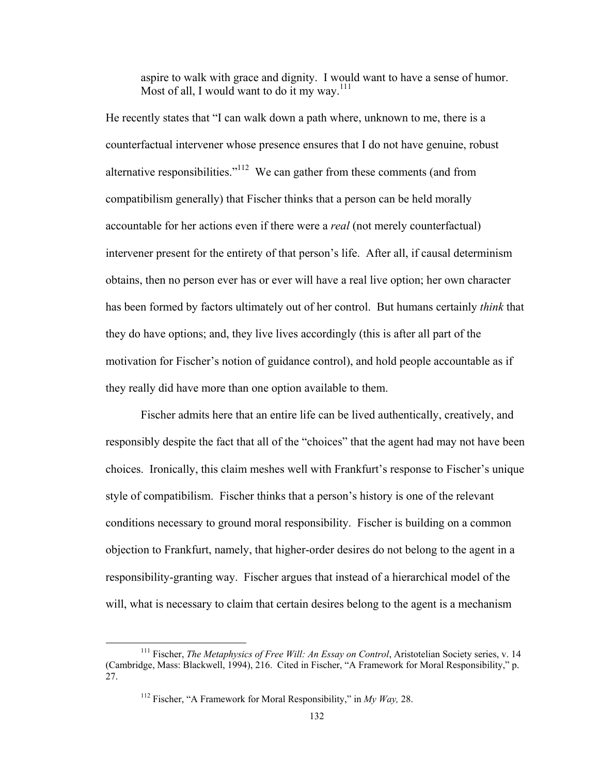aspire to walk with grace and dignity. I would want to have a sense of humor. Most of all, I would want to do it my way.<sup>111</sup>

He recently states that "I can walk down a path where, unknown to me, there is a counterfactual intervener whose presence ensures that I do not have genuine, robust alternative responsibilities."112 We can gather from these comments (and from compatibilism generally) that Fischer thinks that a person can be held morally accountable for her actions even if there were a *real* (not merely counterfactual) intervener present for the entirety of that person's life. After all, if causal determinism obtains, then no person ever has or ever will have a real live option; her own character has been formed by factors ultimately out of her control. But humans certainly *think* that they do have options; and, they live lives accordingly (this is after all part of the motivation for Fischer's notion of guidance control), and hold people accountable as if they really did have more than one option available to them.

Fischer admits here that an entire life can be lived authentically, creatively, and responsibly despite the fact that all of the "choices" that the agent had may not have been choices. Ironically, this claim meshes well with Frankfurt's response to Fischer's unique style of compatibilism. Fischer thinks that a person's history is one of the relevant conditions necessary to ground moral responsibility. Fischer is building on a common objection to Frankfurt, namely, that higher-order desires do not belong to the agent in a responsibility-granting way. Fischer argues that instead of a hierarchical model of the will, what is necessary to claim that certain desires belong to the agent is a mechanism

 111 Fischer, *The Metaphysics of Free Will: An Essay on Control*, Aristotelian Society series, v. 14 (Cambridge, Mass: Blackwell, 1994), 216. Cited in Fischer, "A Framework for Moral Responsibility," p. 27.

<sup>112</sup> Fischer, "A Framework for Moral Responsibility," in *My Way,* 28.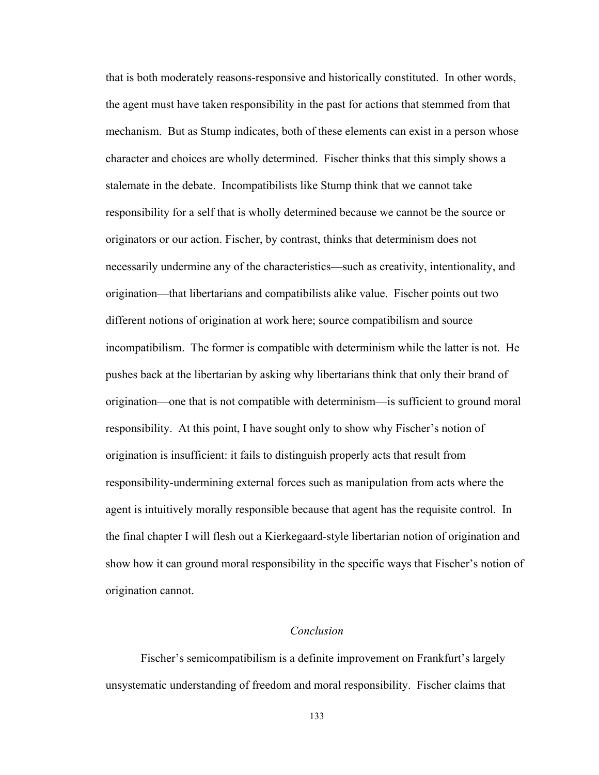that is both moderately reasons-responsive and historically constituted. In other words, the agent must have taken responsibility in the past for actions that stemmed from that mechanism. But as Stump indicates, both of these elements can exist in a person whose character and choices are wholly determined. Fischer thinks that this simply shows a stalemate in the debate. Incompatibilists like Stump think that we cannot take responsibility for a self that is wholly determined because we cannot be the source or originators or our action. Fischer, by contrast, thinks that determinism does not necessarily undermine any of the characteristics—such as creativity, intentionality, and origination—that libertarians and compatibilists alike value. Fischer points out two different notions of origination at work here; source compatibilism and source incompatibilism. The former is compatible with determinism while the latter is not. He pushes back at the libertarian by asking why libertarians think that only their brand of origination—one that is not compatible with determinism—is sufficient to ground moral responsibility. At this point, I have sought only to show why Fischer's notion of origination is insufficient: it fails to distinguish properly acts that result from responsibility-undermining external forces such as manipulation from acts where the agent is intuitively morally responsible because that agent has the requisite control. In the final chapter I will flesh out a Kierkegaard-style libertarian notion of origination and show how it can ground moral responsibility in the specific ways that Fischer's notion of origination cannot.

### *Conclusion*

Fischer's semicompatibilism is a definite improvement on Frankfurt's largely unsystematic understanding of freedom and moral responsibility. Fischer claims that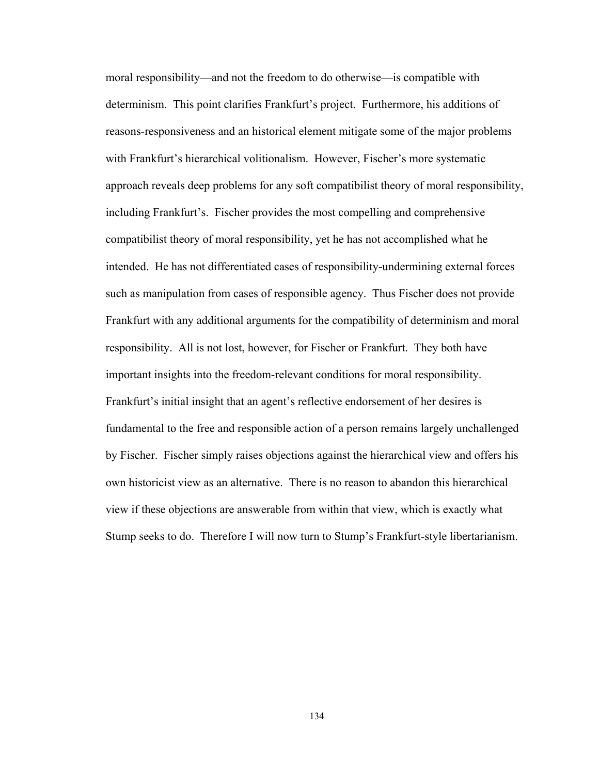moral responsibility—and not the freedom to do otherwise—is compatible with determinism. This point clarifies Frankfurt's project. Furthermore, his additions of reasons-responsiveness and an historical element mitigate some of the major problems with Frankfurt's hierarchical volitionalism. However, Fischer's more systematic approach reveals deep problems for any soft compatibilist theory of moral responsibility, including Frankfurt's. Fischer provides the most compelling and comprehensive compatibilist theory of moral responsibility, yet he has not accomplished what he intended. He has not differentiated cases of responsibility-undermining external forces such as manipulation from cases of responsible agency. Thus Fischer does not provide Frankfurt with any additional arguments for the compatibility of determinism and moral responsibility. All is not lost, however, for Fischer or Frankfurt. They both have important insights into the freedom-relevant conditions for moral responsibility. Frankfurt's initial insight that an agent's reflective endorsement of her desires is fundamental to the free and responsible action of a person remains largely unchallenged by Fischer. Fischer simply raises objections against the hierarchical view and offers his own historicist view as an alternative. There is no reason to abandon this hierarchical view if these objections are answerable from within that view, which is exactly what Stump seeks to do. Therefore I will now turn to Stump's Frankfurt-style libertarianism.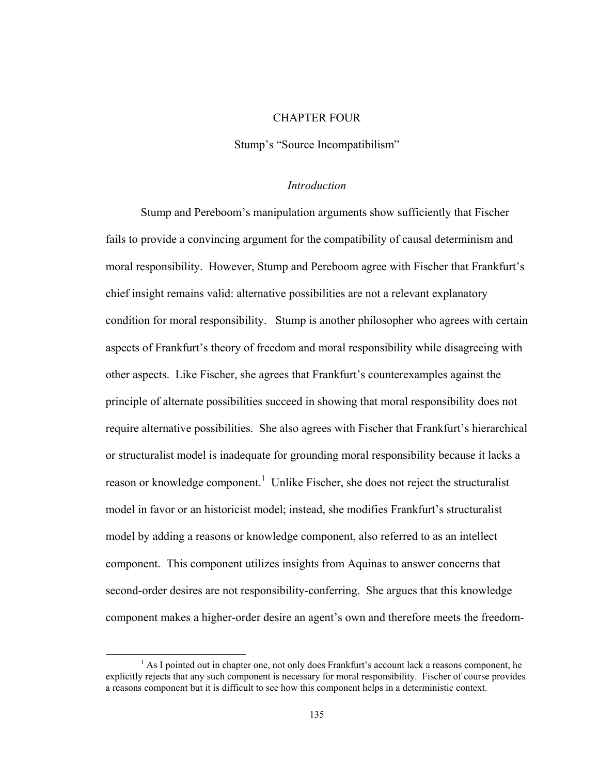### CHAPTER FOUR

Stump's "Source Incompatibilism"

### *Introduction*

Stump and Pereboom's manipulation arguments show sufficiently that Fischer fails to provide a convincing argument for the compatibility of causal determinism and moral responsibility. However, Stump and Pereboom agree with Fischer that Frankfurt's chief insight remains valid: alternative possibilities are not a relevant explanatory condition for moral responsibility. Stump is another philosopher who agrees with certain aspects of Frankfurt's theory of freedom and moral responsibility while disagreeing with other aspects. Like Fischer, she agrees that Frankfurt's counterexamples against the principle of alternate possibilities succeed in showing that moral responsibility does not require alternative possibilities. She also agrees with Fischer that Frankfurt's hierarchical or structuralist model is inadequate for grounding moral responsibility because it lacks a reason or knowledge component.<sup>1</sup> Unlike Fischer, she does not reject the structuralist model in favor or an historicist model; instead, she modifies Frankfurt's structuralist model by adding a reasons or knowledge component, also referred to as an intellect component. This component utilizes insights from Aquinas to answer concerns that second-order desires are not responsibility-conferring. She argues that this knowledge component makes a higher-order desire an agent's own and therefore meets the freedom-

<sup>&</sup>lt;sup>1</sup> As I pointed out in chapter one, not only does Frankfurt's account lack a reasons component, he explicitly rejects that any such component is necessary for moral responsibility. Fischer of course provides a reasons component but it is difficult to see how this component helps in a deterministic context.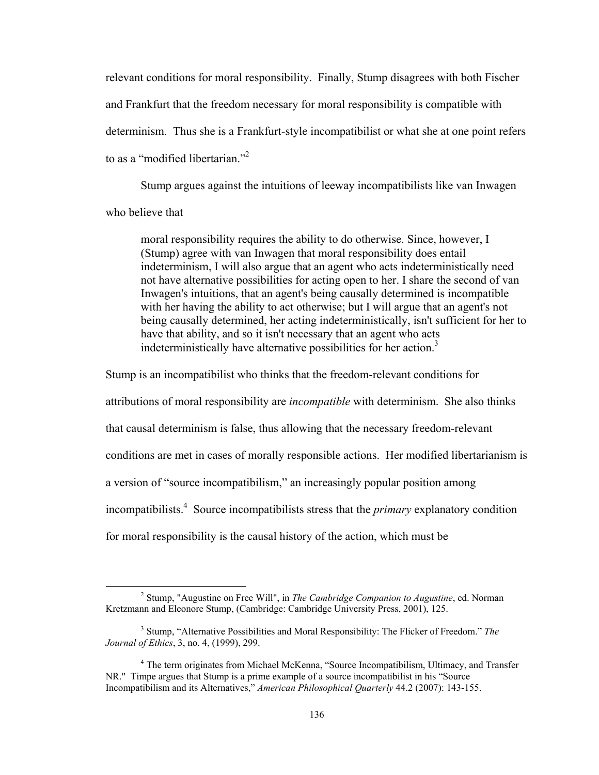relevant conditions for moral responsibility. Finally, Stump disagrees with both Fischer and Frankfurt that the freedom necessary for moral responsibility is compatible with determinism. Thus she is a Frankfurt-style incompatibilist or what she at one point refers to as a "modified libertarian."<sup>2</sup>

Stump argues against the intuitions of leeway incompatibilists like van Inwagen who believe that

moral responsibility requires the ability to do otherwise. Since, however, I (Stump) agree with van Inwagen that moral responsibility does entail indeterminism, I will also argue that an agent who acts indeterministically need not have alternative possibilities for acting open to her. I share the second of van Inwagen's intuitions, that an agent's being causally determined is incompatible with her having the ability to act otherwise; but I will argue that an agent's not being causally determined, her acting indeterministically, isn't sufficient for her to have that ability, and so it isn't necessary that an agent who acts indeterministically have alternative possibilities for her action.<sup>3</sup>

Stump is an incompatibilist who thinks that the freedom-relevant conditions for

attributions of moral responsibility are *incompatible* with determinism. She also thinks

that causal determinism is false, thus allowing that the necessary freedom-relevant

conditions are met in cases of morally responsible actions. Her modified libertarianism is

a version of "source incompatibilism," an increasingly popular position among

incompatibilists.<sup>4</sup> Source incompatibilists stress that the *primary* explanatory condition

for moral responsibility is the causal history of the action, which must be

 <sup>2</sup> Stump, "Augustine on Free Will", in *The Cambridge Companion to Augustine*, ed. Norman Kretzmann and Eleonore Stump, (Cambridge: Cambridge University Press, 2001), 125.

<sup>3</sup> Stump, "Alternative Possibilities and Moral Responsibility: The Flicker of Freedom." *The Journal of Ethics*, 3, no. 4, (1999), 299.

<sup>&</sup>lt;sup>4</sup> The term originates from Michael McKenna, "Source Incompatibilism, Ultimacy, and Transfer NR." Timpe argues that Stump is a prime example of a source incompatibilist in his "Source Incompatibilism and its Alternatives," *American Philosophical Quarterly* 44.2 (2007): 143-155.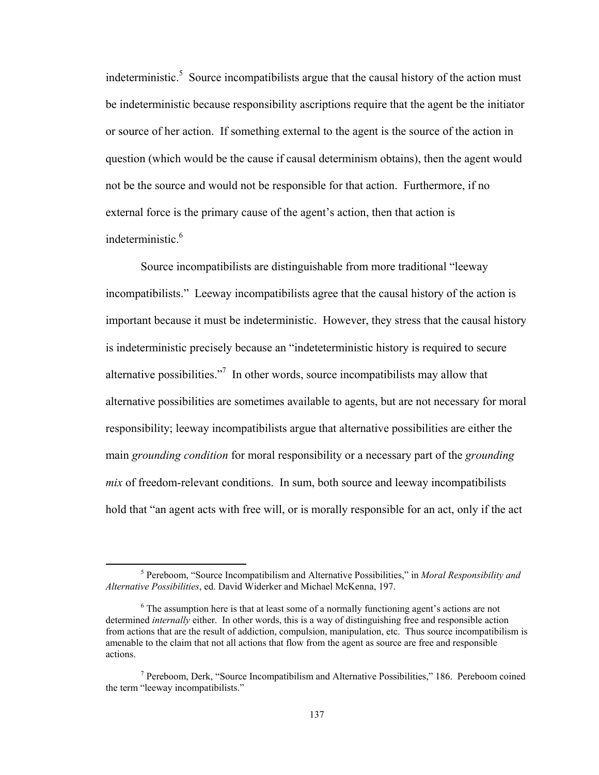indeterministic.<sup>5</sup> Source incompatibilists argue that the causal history of the action must be indeterministic because responsibility ascriptions require that the agent be the initiator or source of her action. If something external to the agent is the source of the action in question (which would be the cause if causal determinism obtains), then the agent would not be the source and would not be responsible for that action. Furthermore, if no external force is the primary cause of the agent's action, then that action is indeterministic.<sup>6</sup>

Source incompatibilists are distinguishable from more traditional "leeway incompatibilists." Leeway incompatibilists agree that the causal history of the action is important because it must be indeterministic. However, they stress that the causal history is indeterministic precisely because an "indeteterministic history is required to secure alternative possibilities."<sup>7</sup> In other words, source incompatibilists may allow that alternative possibilities are sometimes available to agents, but are not necessary for moral responsibility; leeway incompatibilists argue that alternative possibilities are either the main *grounding condition* for moral responsibility or a necessary part of the *grounding mix* of freedom-relevant conditions. In sum, both source and leeway incompatibilists hold that "an agent acts with free will, or is morally responsible for an act, only if the act

 <sup>5</sup> Pereboom, "Source Incompatibilism and Alternative Possibilities," in *Moral Responsibility and Alternative Possibilities*, ed. David Widerker and Michael McKenna, 197.

<sup>&</sup>lt;sup>6</sup> The assumption here is that at least some of a normally functioning agent's actions are not determined *internally* either. In other words, this is a way of distinguishing free and responsible action from actions that are the result of addiction, compulsion, manipulation, etc. Thus source incompatibilism is amenable to the claim that not all actions that flow from the agent as source are free and responsible actions.

<sup>&</sup>lt;sup>7</sup> Pereboom, Derk, "Source Incompatibilism and Alternative Possibilities," 186. Pereboom coined the term "leeway incompatibilists."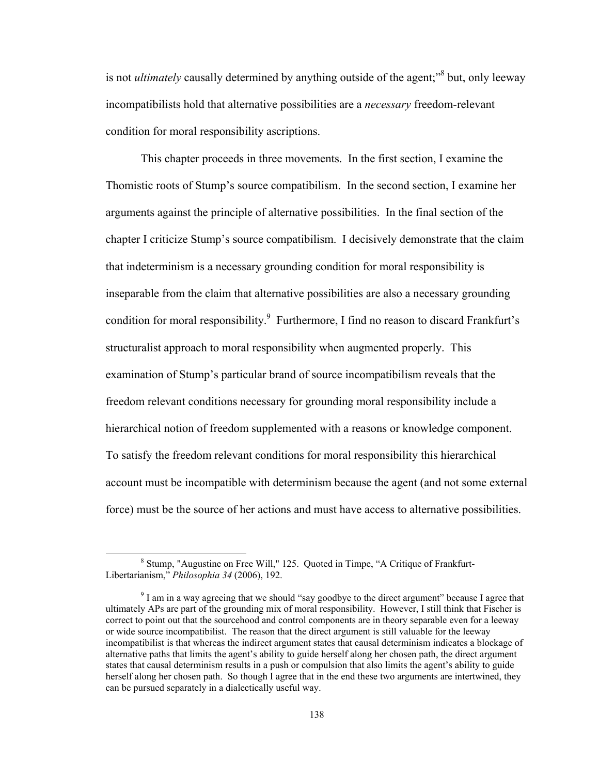is not *ultimately* causally determined by anything outside of the agent;<sup>38</sup> but, only leeway incompatibilists hold that alternative possibilities are a *necessary* freedom-relevant condition for moral responsibility ascriptions.

 This chapter proceeds in three movements. In the first section, I examine the Thomistic roots of Stump's source compatibilism. In the second section, I examine her arguments against the principle of alternative possibilities. In the final section of the chapter I criticize Stump's source compatibilism. I decisively demonstrate that the claim that indeterminism is a necessary grounding condition for moral responsibility is inseparable from the claim that alternative possibilities are also a necessary grounding condition for moral responsibility.<sup>9</sup> Furthermore, I find no reason to discard Frankfurt's structuralist approach to moral responsibility when augmented properly. This examination of Stump's particular brand of source incompatibilism reveals that the freedom relevant conditions necessary for grounding moral responsibility include a hierarchical notion of freedom supplemented with a reasons or knowledge component. To satisfy the freedom relevant conditions for moral responsibility this hierarchical account must be incompatible with determinism because the agent (and not some external force) must be the source of her actions and must have access to alternative possibilities.

<sup>&</sup>lt;sup>8</sup> Stump, "Augustine on Free Will," 125. Quoted in Timpe, "A Critique of Frankfurt-Libertarianism," *Philosophia 34* (2006), 192.

 $9^9$  I am in a way agreeing that we should "say goodbye to the direct argument" because I agree that ultimately APs are part of the grounding mix of moral responsibility. However, I still think that Fischer is correct to point out that the sourcehood and control components are in theory separable even for a leeway or wide source incompatibilist. The reason that the direct argument is still valuable for the leeway incompatibilist is that whereas the indirect argument states that causal determinism indicates a blockage of alternative paths that limits the agent's ability to guide herself along her chosen path, the direct argument states that causal determinism results in a push or compulsion that also limits the agent's ability to guide herself along her chosen path. So though I agree that in the end these two arguments are intertwined, they can be pursued separately in a dialectically useful way.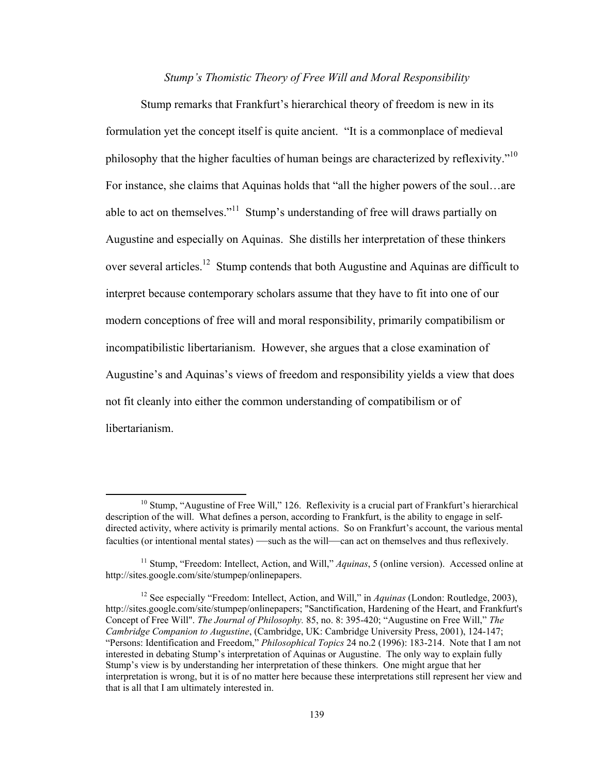### *Stump's Thomistic Theory of Free Will and Moral Responsibility*

Stump remarks that Frankfurt's hierarchical theory of freedom is new in its formulation yet the concept itself is quite ancient. "It is a commonplace of medieval philosophy that the higher faculties of human beings are characterized by reflexivity."10 For instance, she claims that Aquinas holds that "all the higher powers of the soul…are able to act on themselves."11 Stump's understanding of free will draws partially on Augustine and especially on Aquinas. She distills her interpretation of these thinkers over several articles.<sup>12</sup> Stump contends that both Augustine and Aquinas are difficult to interpret because contemporary scholars assume that they have to fit into one of our modern conceptions of free will and moral responsibility, primarily compatibilism or incompatibilistic libertarianism. However, she argues that a close examination of Augustine's and Aquinas's views of freedom and responsibility yields a view that does not fit cleanly into either the common understanding of compatibilism or of libertarianism.

<sup>&</sup>lt;sup>10</sup> Stump, "Augustine of Free Will," 126. Reflexivity is a crucial part of Frankfurt's hierarchical description of the will. What defines a person, according to Frankfurt, is the ability to engage in selfdirected activity, where activity is primarily mental actions. So on Frankfurt's account, the various mental faculties (or intentional mental states) —such as the will—can act on themselves and thus reflexively.

<sup>11</sup> Stump, "Freedom: Intellect, Action, and Will," *Aquinas*, 5 (online version). Accessed online at http://sites.google.com/site/stumpep/onlinepapers.

<sup>12</sup> See especially "Freedom: Intellect, Action, and Will," in *Aquinas* (London: Routledge, 2003), http://sites.google.com/site/stumpep/onlinepapers; "Sanctification, Hardening of the Heart, and Frankfurt's Concept of Free Will". *The Journal of Philosophy.* 85, no. 8: 395-420; "Augustine on Free Will," *The Cambridge Companion to Augustine*, (Cambridge, UK: Cambridge University Press, 2001), 124-147; "Persons: Identification and Freedom," *Philosophical Topics* 24 no.2 (1996): 183-214. Note that I am not interested in debating Stump's interpretation of Aquinas or Augustine. The only way to explain fully Stump's view is by understanding her interpretation of these thinkers. One might argue that her interpretation is wrong, but it is of no matter here because these interpretations still represent her view and that is all that I am ultimately interested in.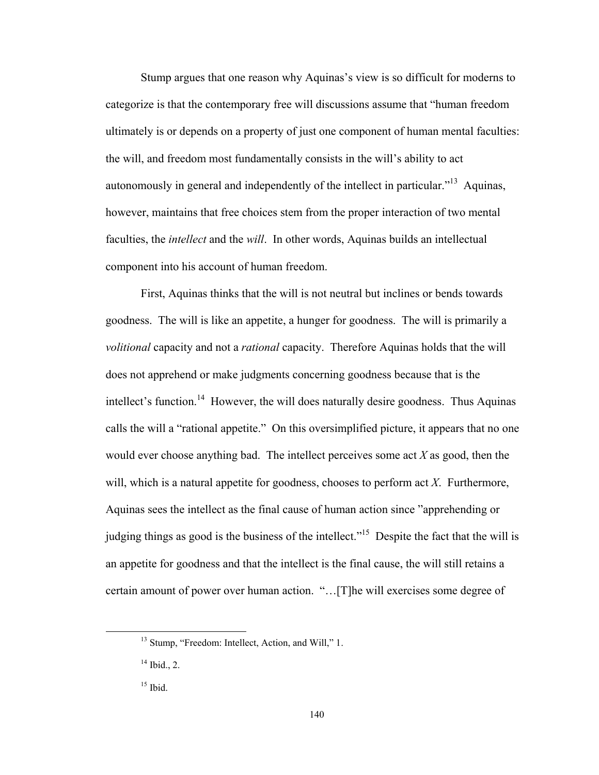Stump argues that one reason why Aquinas's view is so difficult for moderns to categorize is that the contemporary free will discussions assume that "human freedom ultimately is or depends on a property of just one component of human mental faculties: the will, and freedom most fundamentally consists in the will's ability to act autonomously in general and independently of the intellect in particular.<sup>"13</sup> Aquinas, however, maintains that free choices stem from the proper interaction of two mental faculties, the *intellect* and the *will*. In other words, Aquinas builds an intellectual component into his account of human freedom.

First, Aquinas thinks that the will is not neutral but inclines or bends towards goodness. The will is like an appetite, a hunger for goodness. The will is primarily a *volitional* capacity and not a *rational* capacity. Therefore Aquinas holds that the will does not apprehend or make judgments concerning goodness because that is the intellect's function.<sup>14</sup> However, the will does naturally desire goodness. Thus Aquinas calls the will a "rational appetite." On this oversimplified picture, it appears that no one would ever choose anything bad. The intellect perceives some act *X* as good, then the will, which is a natural appetite for goodness, chooses to perform act *X*. Furthermore, Aquinas sees the intellect as the final cause of human action since "apprehending or judging things as good is the business of the intellect."<sup>15</sup> Despite the fact that the will is an appetite for goodness and that the intellect is the final cause, the will still retains a certain amount of power over human action. "…[T]he will exercises some degree of

<sup>&</sup>lt;sup>13</sup> Stump, "Freedom: Intellect, Action, and Will," 1.

 $14$  Ibid., 2.

<sup>15</sup> Ibid.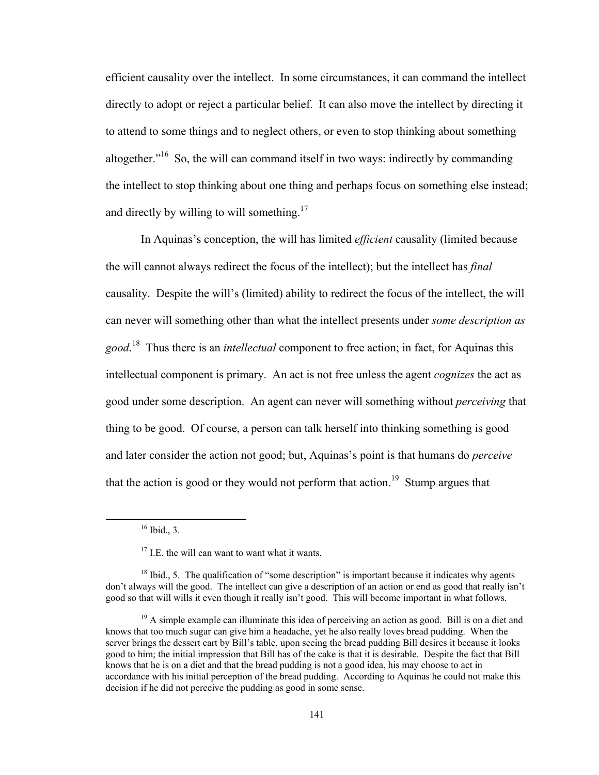efficient causality over the intellect. In some circumstances, it can command the intellect directly to adopt or reject a particular belief. It can also move the intellect by directing it to attend to some things and to neglect others, or even to stop thinking about something altogether."16 So, the will can command itself in two ways: indirectly by commanding the intellect to stop thinking about one thing and perhaps focus on something else instead; and directly by willing to will something.<sup>17</sup>

In Aquinas's conception, the will has limited *efficient* causality (limited because the will cannot always redirect the focus of the intellect); but the intellect has *final* causality. Despite the will's (limited) ability to redirect the focus of the intellect, the will can never will something other than what the intellect presents under *some description as good*. 18 Thus there is an *intellectual* component to free action; in fact, for Aquinas this intellectual component is primary. An act is not free unless the agent *cognizes* the act as good under some description. An agent can never will something without *perceiving* that thing to be good. Of course, a person can talk herself into thinking something is good and later consider the action not good; but, Aquinas's point is that humans do *perceive* that the action is good or they would not perform that action.<sup>19</sup> Stump argues that

 $16$  Ibid., 3.

 $17$  I.E. the will can want to want what it wants.

 $18$  Ibid., 5. The qualification of "some description" is important because it indicates why agents don't always will the good. The intellect can give a description of an action or end as good that really isn't good so that will wills it even though it really isn't good. This will become important in what follows.

 $19$  A simple example can illuminate this idea of perceiving an action as good. Bill is on a diet and knows that too much sugar can give him a headache, yet he also really loves bread pudding. When the server brings the dessert cart by Bill's table, upon seeing the bread pudding Bill desires it because it looks good to him; the initial impression that Bill has of the cake is that it is desirable. Despite the fact that Bill knows that he is on a diet and that the bread pudding is not a good idea, his may choose to act in accordance with his initial perception of the bread pudding. According to Aquinas he could not make this decision if he did not perceive the pudding as good in some sense.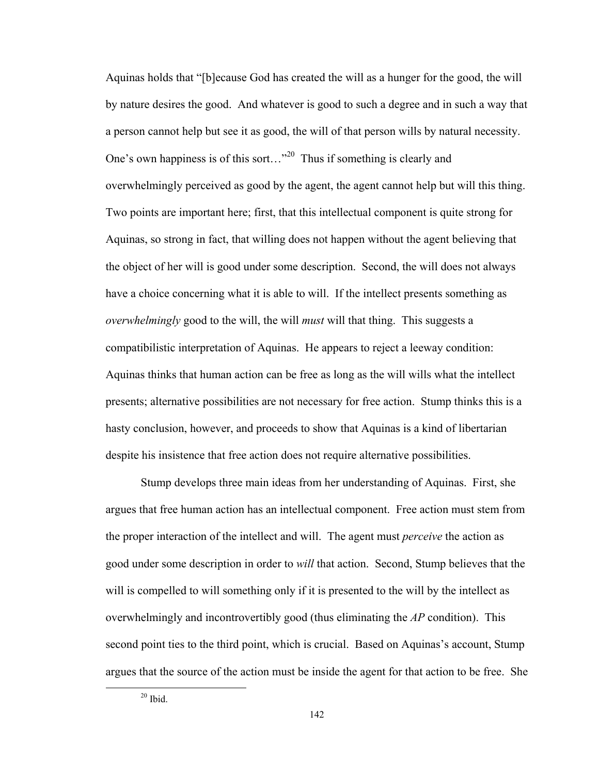Aquinas holds that "[b]ecause God has created the will as a hunger for the good, the will by nature desires the good. And whatever is good to such a degree and in such a way that a person cannot help but see it as good, the will of that person wills by natural necessity. One's own happiness is of this sort..."<sup>20</sup> Thus if something is clearly and overwhelmingly perceived as good by the agent, the agent cannot help but will this thing. Two points are important here; first, that this intellectual component is quite strong for Aquinas, so strong in fact, that willing does not happen without the agent believing that the object of her will is good under some description. Second, the will does not always have a choice concerning what it is able to will. If the intellect presents something as *overwhelmingly* good to the will, the will *must* will that thing. This suggests a compatibilistic interpretation of Aquinas. He appears to reject a leeway condition: Aquinas thinks that human action can be free as long as the will wills what the intellect presents; alternative possibilities are not necessary for free action. Stump thinks this is a hasty conclusion, however, and proceeds to show that Aquinas is a kind of libertarian despite his insistence that free action does not require alternative possibilities.

Stump develops three main ideas from her understanding of Aquinas. First, she argues that free human action has an intellectual component. Free action must stem from the proper interaction of the intellect and will. The agent must *perceive* the action as good under some description in order to *will* that action. Second, Stump believes that the will is compelled to will something only if it is presented to the will by the intellect as overwhelmingly and incontrovertibly good (thus eliminating the *AP* condition). This second point ties to the third point, which is crucial. Based on Aquinas's account, Stump argues that the source of the action must be inside the agent for that action to be free. She

 20 Ibid.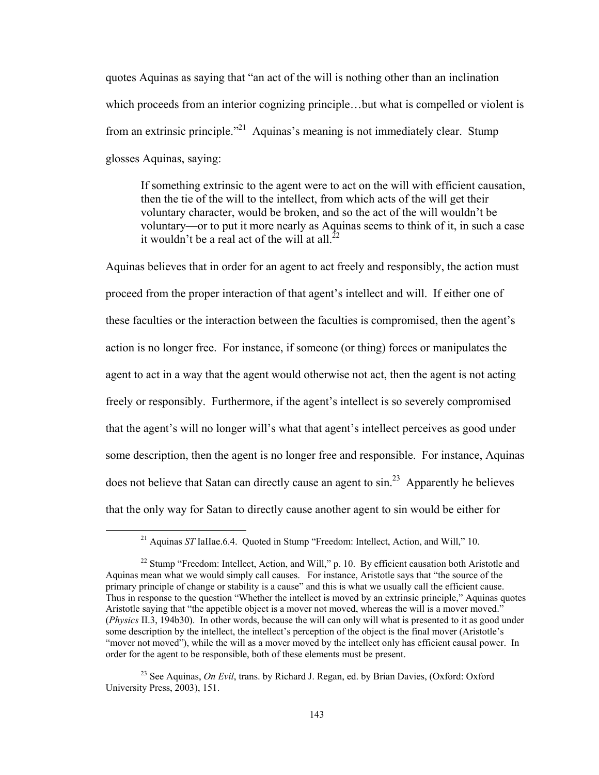quotes Aquinas as saying that "an act of the will is nothing other than an inclination which proceeds from an interior cognizing principle...but what is compelled or violent is from an extrinsic principle."<sup>21</sup> Aquinas's meaning is not immediately clear. Stump glosses Aquinas, saying:

If something extrinsic to the agent were to act on the will with efficient causation, then the tie of the will to the intellect, from which acts of the will get their voluntary character, would be broken, and so the act of the will wouldn't be voluntary—or to put it more nearly as Aquinas seems to think of it, in such a case it wouldn't be a real act of the will at all. $^{22}$ 

Aquinas believes that in order for an agent to act freely and responsibly, the action must proceed from the proper interaction of that agent's intellect and will. If either one of these faculties or the interaction between the faculties is compromised, then the agent's action is no longer free. For instance, if someone (or thing) forces or manipulates the agent to act in a way that the agent would otherwise not act, then the agent is not acting freely or responsibly. Furthermore, if the agent's intellect is so severely compromised that the agent's will no longer will's what that agent's intellect perceives as good under some description, then the agent is no longer free and responsible. For instance, Aquinas does not believe that Satan can directly cause an agent to  $\sin^{23}$  Apparently he believes that the only way for Satan to directly cause another agent to sin would be either for

<sup>&</sup>lt;sup>21</sup> Aquinas *ST* IaIIae.6.4. Quoted in Stump "Freedom: Intellect, Action, and Will," 10.

<sup>&</sup>lt;sup>22</sup> Stump "Freedom: Intellect, Action, and Will," p. 10. By efficient causation both Aristotle and Aquinas mean what we would simply call causes. For instance, Aristotle says that "the source of the primary principle of change or stability is a cause" and this is what we usually call the efficient cause. Thus in response to the question "Whether the intellect is moved by an extrinsic principle," Aquinas quotes Aristotle saying that "the appetible object is a mover not moved, whereas the will is a mover moved." (*Physics* II.3, 194b30). In other words, because the will can only will what is presented to it as good under some description by the intellect, the intellect's perception of the object is the final mover (Aristotle's "mover not moved"), while the will as a mover moved by the intellect only has efficient causal power. In order for the agent to be responsible, both of these elements must be present.

<sup>&</sup>lt;sup>23</sup> See Aquinas, *On Evil*, trans. by Richard J. Regan, ed. by Brian Davies, (Oxford: Oxford University Press, 2003), 151.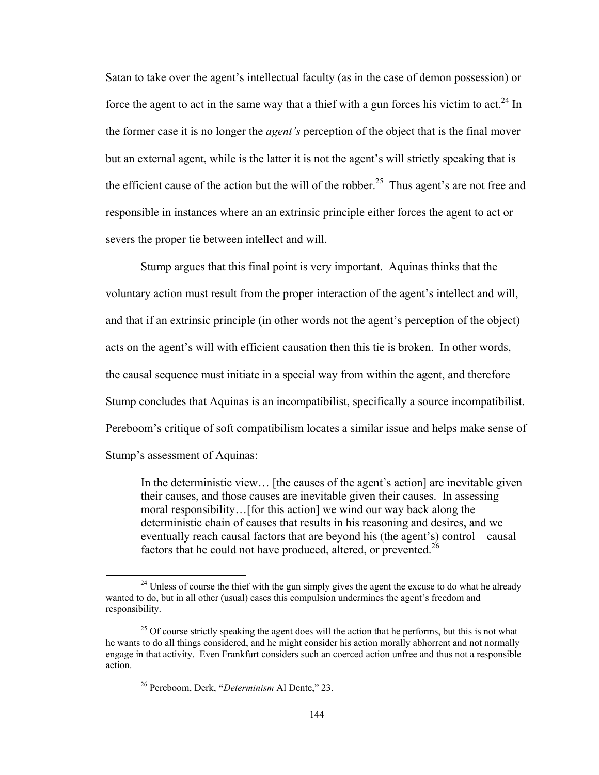Satan to take over the agent's intellectual faculty (as in the case of demon possession) or force the agent to act in the same way that a thief with a gun forces his victim to act.<sup>24</sup> In the former case it is no longer the *agent's* perception of the object that is the final mover but an external agent, while is the latter it is not the agent's will strictly speaking that is the efficient cause of the action but the will of the robber.<sup>25</sup> Thus agent's are not free and responsible in instances where an an extrinsic principle either forces the agent to act or severs the proper tie between intellect and will.

Stump argues that this final point is very important. Aquinas thinks that the voluntary action must result from the proper interaction of the agent's intellect and will, and that if an extrinsic principle (in other words not the agent's perception of the object) acts on the agent's will with efficient causation then this tie is broken. In other words, the causal sequence must initiate in a special way from within the agent, and therefore Stump concludes that Aquinas is an incompatibilist, specifically a source incompatibilist. Pereboom's critique of soft compatibilism locates a similar issue and helps make sense of Stump's assessment of Aquinas:

In the deterministic view… [the causes of the agent's action] are inevitable given their causes, and those causes are inevitable given their causes. In assessing moral responsibility…[for this action] we wind our way back along the deterministic chain of causes that results in his reasoning and desires, and we eventually reach causal factors that are beyond his (the agent's) control—causal factors that he could not have produced, altered, or prevented.<sup>26</sup>

 $24$  Unless of course the thief with the gun simply gives the agent the excuse to do what he already wanted to do, but in all other (usual) cases this compulsion undermines the agent's freedom and responsibility.

<sup>&</sup>lt;sup>25</sup> Of course strictly speaking the agent does will the action that he performs, but this is not what he wants to do all things considered, and he might consider his action morally abhorrent and not normally engage in that activity. Even Frankfurt considers such an coerced action unfree and thus not a responsible action.

<sup>26</sup> Pereboom, Derk, **"***Determinism* Al Dente," 23.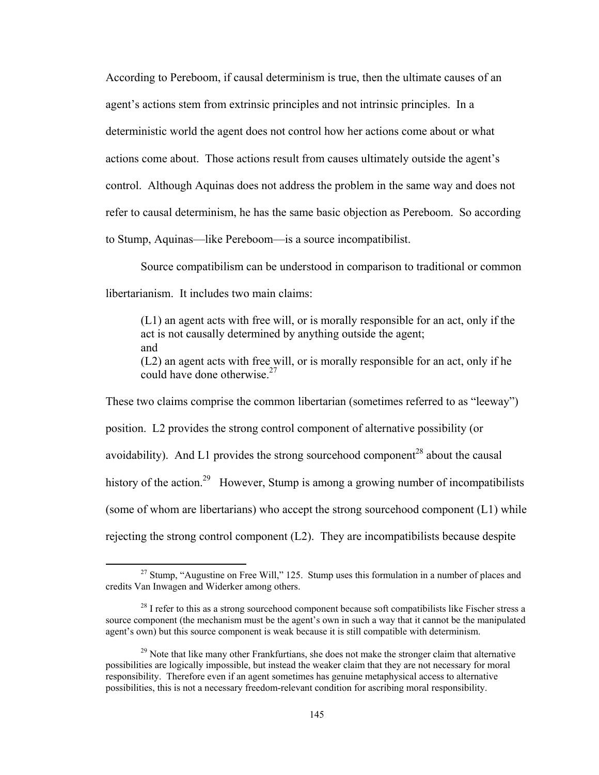According to Pereboom, if causal determinism is true, then the ultimate causes of an agent's actions stem from extrinsic principles and not intrinsic principles. In a deterministic world the agent does not control how her actions come about or what actions come about. Those actions result from causes ultimately outside the agent's control. Although Aquinas does not address the problem in the same way and does not refer to causal determinism, he has the same basic objection as Pereboom. So according to Stump, Aquinas—like Pereboom—is a source incompatibilist.

Source compatibilism can be understood in comparison to traditional or common libertarianism. It includes two main claims:

(L1) an agent acts with free will, or is morally responsible for an act, only if the act is not causally determined by anything outside the agent; and (L2) an agent acts with free will, or is morally responsible for an act, only if he could have done otherwise. $27$ 

These two claims comprise the common libertarian (sometimes referred to as "leeway") position. L2 provides the strong control component of alternative possibility (or avoidability). And L1 provides the strong sourcehood component<sup>28</sup> about the causal history of the action.<sup>29</sup> However, Stump is among a growing number of incompatibilists (some of whom are libertarians) who accept the strong sourcehood component (L1) while rejecting the strong control component (L2). They are incompatibilists because despite

 $27$  Stump, "Augustine on Free Will," 125. Stump uses this formulation in a number of places and credits Van Inwagen and Widerker among others.

 $28$  I refer to this as a strong sourcehood component because soft compatibilists like Fischer stress a source component (the mechanism must be the agent's own in such a way that it cannot be the manipulated agent's own) but this source component is weak because it is still compatible with determinism.

 $29$  Note that like many other Frankfurtians, she does not make the stronger claim that alternative possibilities are logically impossible, but instead the weaker claim that they are not necessary for moral responsibility. Therefore even if an agent sometimes has genuine metaphysical access to alternative possibilities, this is not a necessary freedom-relevant condition for ascribing moral responsibility.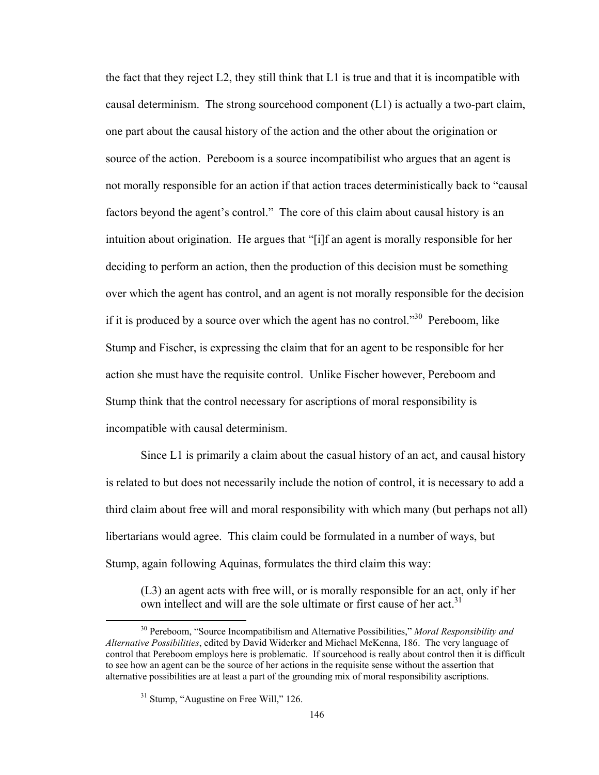the fact that they reject  $L2$ , they still think that  $L1$  is true and that it is incompatible with causal determinism. The strong sourcehood component  $(L1)$  is actually a two-part claim, one part about the causal history of the action and the other about the origination or source of the action. Pereboom is a source incompatibilist who argues that an agent is not morally responsible for an action if that action traces deterministically back to "causal factors beyond the agent's control." The core of this claim about causal history is an intuition about origination. He argues that "[i]f an agent is morally responsible for her deciding to perform an action, then the production of this decision must be something over which the agent has control, and an agent is not morally responsible for the decision if it is produced by a source over which the agent has no control.<sup> $30$ </sup> Pereboom, like Stump and Fischer, is expressing the claim that for an agent to be responsible for her action she must have the requisite control. Unlike Fischer however, Pereboom and Stump think that the control necessary for ascriptions of moral responsibility is incompatible with causal determinism.

Since L1 is primarily a claim about the casual history of an act, and causal history is related to but does not necessarily include the notion of control, it is necessary to add a third claim about free will and moral responsibility with which many (but perhaps not all) libertarians would agree. This claim could be formulated in a number of ways, but Stump, again following Aquinas, formulates the third claim this way:

(L3) an agent acts with free will, or is morally responsible for an act, only if her own intellect and will are the sole ultimate or first cause of her act.<sup>31</sup>

 30 Pereboom, "Source Incompatibilism and Alternative Possibilities," *Moral Responsibility and Alternative Possibilities*, edited by David Widerker and Michael McKenna, 186. The very language of control that Pereboom employs here is problematic. If sourcehood is really about control then it is difficult to see how an agent can be the source of her actions in the requisite sense without the assertion that alternative possibilities are at least a part of the grounding mix of moral responsibility ascriptions.

 $31$  Stump, "Augustine on Free Will," 126.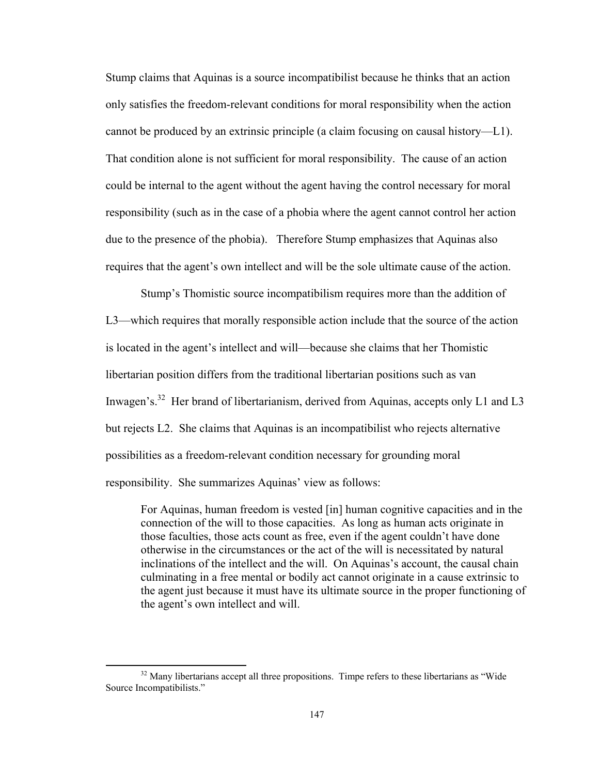Stump claims that Aquinas is a source incompatibilist because he thinks that an action only satisfies the freedom-relevant conditions for moral responsibility when the action cannot be produced by an extrinsic principle (a claim focusing on causal history—L1). That condition alone is not sufficient for moral responsibility. The cause of an action could be internal to the agent without the agent having the control necessary for moral responsibility (such as in the case of a phobia where the agent cannot control her action due to the presence of the phobia). Therefore Stump emphasizes that Aquinas also requires that the agent's own intellect and will be the sole ultimate cause of the action.

Stump's Thomistic source incompatibilism requires more than the addition of L3—which requires that morally responsible action include that the source of the action is located in the agent's intellect and will—because she claims that her Thomistic libertarian position differs from the traditional libertarian positions such as van Inwagen's.<sup>32</sup> Her brand of libertarianism, derived from Aquinas, accepts only L1 and L3 but rejects L2. She claims that Aquinas is an incompatibilist who rejects alternative possibilities as a freedom-relevant condition necessary for grounding moral responsibility. She summarizes Aquinas' view as follows:

For Aquinas, human freedom is vested [in] human cognitive capacities and in the connection of the will to those capacities. As long as human acts originate in those faculties, those acts count as free, even if the agent couldn't have done otherwise in the circumstances or the act of the will is necessitated by natural inclinations of the intellect and the will. On Aquinas's account, the causal chain culminating in a free mental or bodily act cannot originate in a cause extrinsic to the agent just because it must have its ultimate source in the proper functioning of the agent's own intellect and will.

<sup>&</sup>lt;sup>32</sup> Many libertarians accept all three propositions. Timpe refers to these libertarians as "Wide" Source Incompatibilists."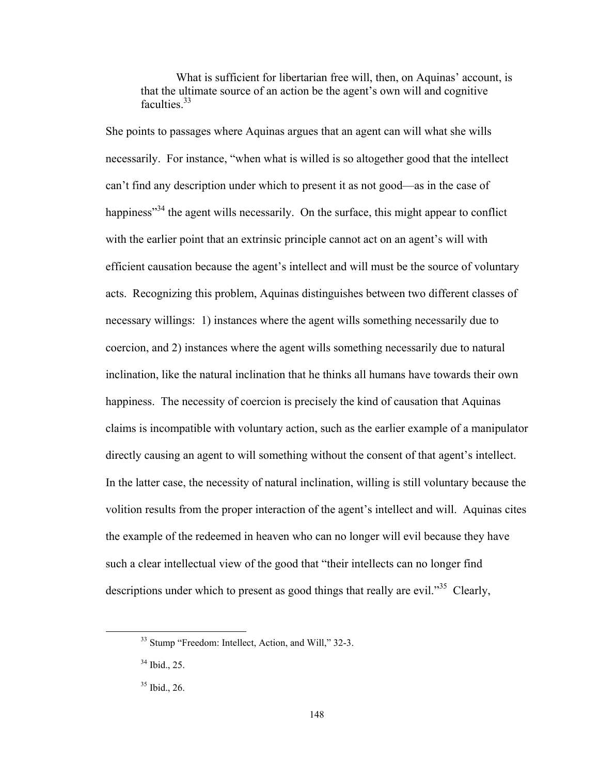What is sufficient for libertarian free will, then, on Aquinas' account, is that the ultimate source of an action be the agent's own will and cognitive faculties<sup>33</sup>

She points to passages where Aquinas argues that an agent can will what she wills necessarily. For instance, "when what is willed is so altogether good that the intellect can't find any description under which to present it as not good—as in the case of happiness<sup>34</sup> the agent wills necessarily. On the surface, this might appear to conflict with the earlier point that an extrinsic principle cannot act on an agent's will with efficient causation because the agent's intellect and will must be the source of voluntary acts. Recognizing this problem, Aquinas distinguishes between two different classes of necessary willings: 1) instances where the agent wills something necessarily due to coercion, and 2) instances where the agent wills something necessarily due to natural inclination, like the natural inclination that he thinks all humans have towards their own happiness. The necessity of coercion is precisely the kind of causation that Aquinas claims is incompatible with voluntary action, such as the earlier example of a manipulator directly causing an agent to will something without the consent of that agent's intellect. In the latter case, the necessity of natural inclination, willing is still voluntary because the volition results from the proper interaction of the agent's intellect and will. Aquinas cites the example of the redeemed in heaven who can no longer will evil because they have such a clear intellectual view of the good that "their intellects can no longer find descriptions under which to present as good things that really are evil.<sup>35</sup> Clearly,

<sup>&</sup>lt;sup>33</sup> Stump "Freedom: Intellect, Action, and Will," 32-3.

<sup>34</sup> Ibid., 25.

<sup>35</sup> Ibid., 26.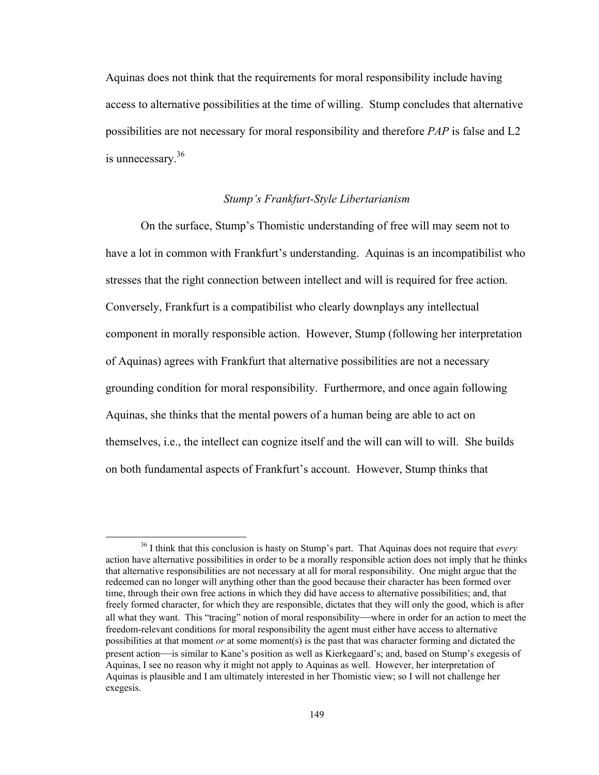Aquinas does not think that the requirements for moral responsibility include having access to alternative possibilities at the time of willing. Stump concludes that alternative possibilities are not necessary for moral responsibility and therefore *PAP* is false and L2 is unnecessary.36

## *Stump's Frankfurt-Style Libertarianism*

On the surface, Stump's Thomistic understanding of free will may seem not to have a lot in common with Frankfurt's understanding. Aquinas is an incompatibilist who stresses that the right connection between intellect and will is required for free action. Conversely, Frankfurt is a compatibilist who clearly downplays any intellectual component in morally responsible action. However, Stump (following her interpretation of Aquinas) agrees with Frankfurt that alternative possibilities are not a necessary grounding condition for moral responsibility. Furthermore, and once again following Aquinas, she thinks that the mental powers of a human being are able to act on themselves, i.e., the intellect can cognize itself and the will can will to will. She builds on both fundamental aspects of Frankfurt's account. However, Stump thinks that

 36 I think that this conclusion is hasty on Stump's part. That Aquinas does not require that *every* action have alternative possibilities in order to be a morally responsible action does not imply that he thinks that alternative responsibilities are not necessary at all for moral responsibility. One might argue that the redeemed can no longer will anything other than the good because their character has been formed over time, through their own free actions in which they did have access to alternative possibilities; and, that freely formed character, for which they are responsible, dictates that they will only the good, which is after all what they want. This "tracing" notion of moral responsibility—where in order for an action to meet the freedom-relevant conditions for moral responsibility the agent must either have access to alternative possibilities at that moment *or* at some moment(s) is the past that was character forming and dictated the present action—is similar to Kane's position as well as Kierkegaard's; and, based on Stump's exegesis of Aquinas, I see no reason why it might not apply to Aquinas as well. However, her interpretation of Aquinas is plausible and I am ultimately interested in her Thomistic view; so I will not challenge her exegesis.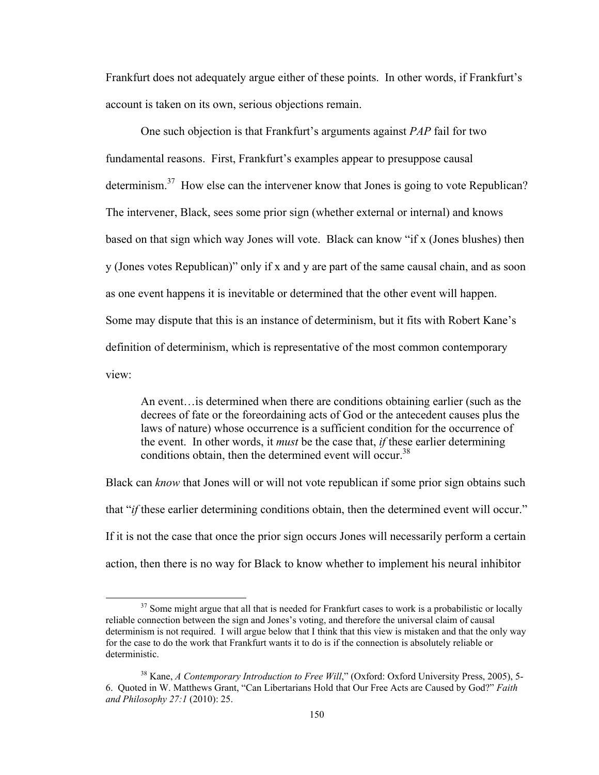Frankfurt does not adequately argue either of these points. In other words, if Frankfurt's account is taken on its own, serious objections remain.

One such objection is that Frankfurt's arguments against *PAP* fail for two fundamental reasons. First, Frankfurt's examples appear to presuppose causal determinism.<sup>37</sup> How else can the intervener know that Jones is going to vote Republican? The intervener, Black, sees some prior sign (whether external or internal) and knows based on that sign which way Jones will vote. Black can know "if x (Jones blushes) then y (Jones votes Republican)" only if x and y are part of the same causal chain, and as soon as one event happens it is inevitable or determined that the other event will happen. Some may dispute that this is an instance of determinism, but it fits with Robert Kane's definition of determinism, which is representative of the most common contemporary view:

An event…is determined when there are conditions obtaining earlier (such as the decrees of fate or the foreordaining acts of God or the antecedent causes plus the laws of nature) whose occurrence is a sufficient condition for the occurrence of the event. In other words, it *must* be the case that, *if* these earlier determining conditions obtain, then the determined event will occur.<sup>38</sup>

Black can *know* that Jones will or will not vote republican if some prior sign obtains such that "*if* these earlier determining conditions obtain, then the determined event will occur." If it is not the case that once the prior sign occurs Jones will necessarily perform a certain action, then there is no way for Black to know whether to implement his neural inhibitor

 $37$  Some might argue that all that is needed for Frankfurt cases to work is a probabilistic or locally reliable connection between the sign and Jones's voting, and therefore the universal claim of causal determinism is not required. I will argue below that I think that this view is mistaken and that the only way for the case to do the work that Frankfurt wants it to do is if the connection is absolutely reliable or deterministic.

<sup>&</sup>lt;sup>38</sup> Kane, *A Contemporary Introduction to Free Will*," (Oxford: Oxford University Press, 2005), 5-6. Quoted in W. Matthews Grant, "Can Libertarians Hold that Our Free Acts are Caused by God?" *Faith and Philosophy 27:1* (2010): 25.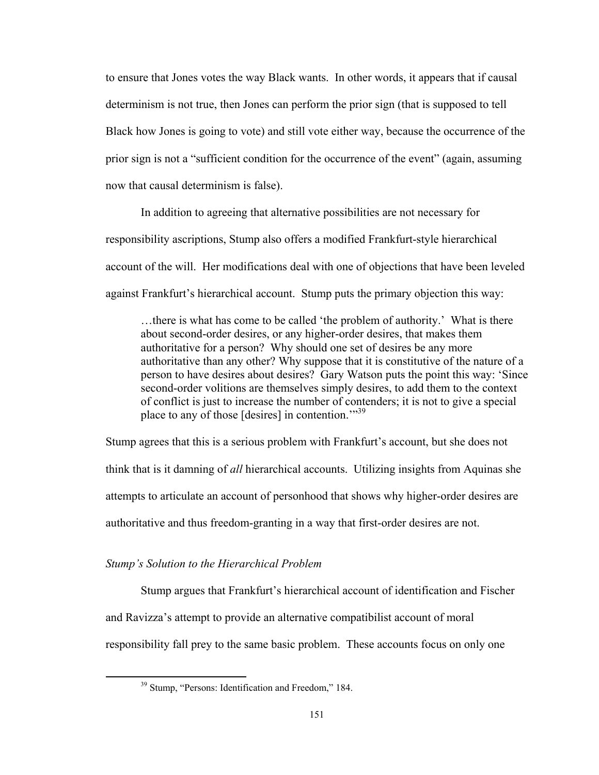to ensure that Jones votes the way Black wants. In other words, it appears that if causal determinism is not true, then Jones can perform the prior sign (that is supposed to tell Black how Jones is going to vote) and still vote either way, because the occurrence of the prior sign is not a "sufficient condition for the occurrence of the event" (again, assuming now that causal determinism is false).

In addition to agreeing that alternative possibilities are not necessary for responsibility ascriptions, Stump also offers a modified Frankfurt-style hierarchical account of the will. Her modifications deal with one of objections that have been leveled against Frankfurt's hierarchical account. Stump puts the primary objection this way:

…there is what has come to be called 'the problem of authority.' What is there about second-order desires, or any higher-order desires, that makes them authoritative for a person? Why should one set of desires be any more authoritative than any other? Why suppose that it is constitutive of the nature of a person to have desires about desires? Gary Watson puts the point this way: 'Since second-order volitions are themselves simply desires, to add them to the context of conflict is just to increase the number of contenders; it is not to give a special place to any of those [desires] in contention."<sup>39</sup>

Stump agrees that this is a serious problem with Frankfurt's account, but she does not think that is it damning of *all* hierarchical accounts. Utilizing insights from Aquinas she attempts to articulate an account of personhood that shows why higher-order desires are authoritative and thus freedom-granting in a way that first-order desires are not.

#### *Stump's Solution to the Hierarchical Problem*

Stump argues that Frankfurt's hierarchical account of identification and Fischer and Ravizza's attempt to provide an alternative compatibilist account of moral responsibility fall prey to the same basic problem. These accounts focus on only one

<sup>&</sup>lt;sup>39</sup> Stump, "Persons: Identification and Freedom," 184.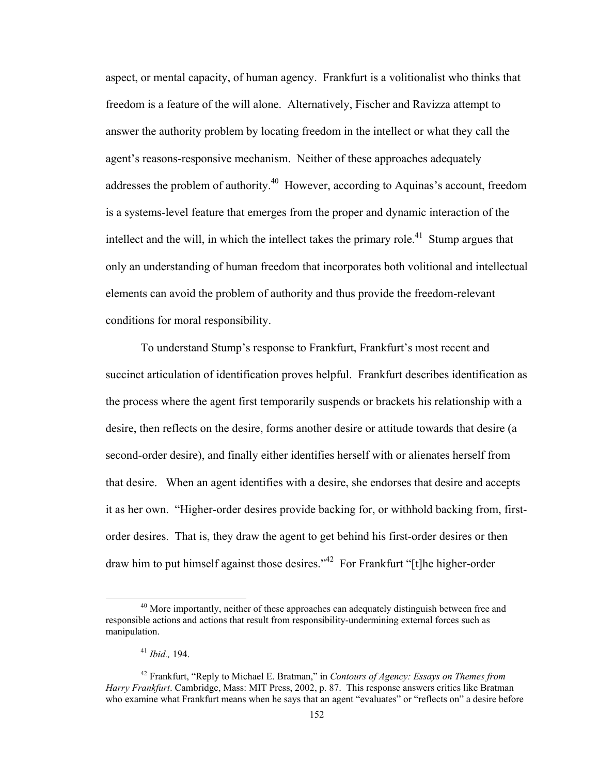aspect, or mental capacity, of human agency. Frankfurt is a volitionalist who thinks that freedom is a feature of the will alone. Alternatively, Fischer and Ravizza attempt to answer the authority problem by locating freedom in the intellect or what they call the agent's reasons-responsive mechanism. Neither of these approaches adequately addresses the problem of authority.<sup>40</sup> However, according to Aquinas's account, freedom is a systems-level feature that emerges from the proper and dynamic interaction of the intellect and the will, in which the intellect takes the primary role.<sup>41</sup> Stump argues that only an understanding of human freedom that incorporates both volitional and intellectual elements can avoid the problem of authority and thus provide the freedom-relevant conditions for moral responsibility.

To understand Stump's response to Frankfurt, Frankfurt's most recent and succinct articulation of identification proves helpful. Frankfurt describes identification as the process where the agent first temporarily suspends or brackets his relationship with a desire, then reflects on the desire, forms another desire or attitude towards that desire (a second-order desire), and finally either identifies herself with or alienates herself from that desire. When an agent identifies with a desire, she endorses that desire and accepts it as her own. "Higher-order desires provide backing for, or withhold backing from, firstorder desires. That is, they draw the agent to get behind his first-order desires or then draw him to put himself against those desires."42 For Frankfurt "[t]he higher-order

 $40$  More importantly, neither of these approaches can adequately distinguish between free and responsible actions and actions that result from responsibility-undermining external forces such as manipulation.

<sup>41</sup> *Ibid.,* 194.

<sup>42</sup> Frankfurt, "Reply to Michael E. Bratman," in *Contours of Agency: Essays on Themes from Harry Frankfurt*. Cambridge, Mass: MIT Press, 2002, p. 87. This response answers critics like Bratman who examine what Frankfurt means when he says that an agent "evaluates" or "reflects on" a desire before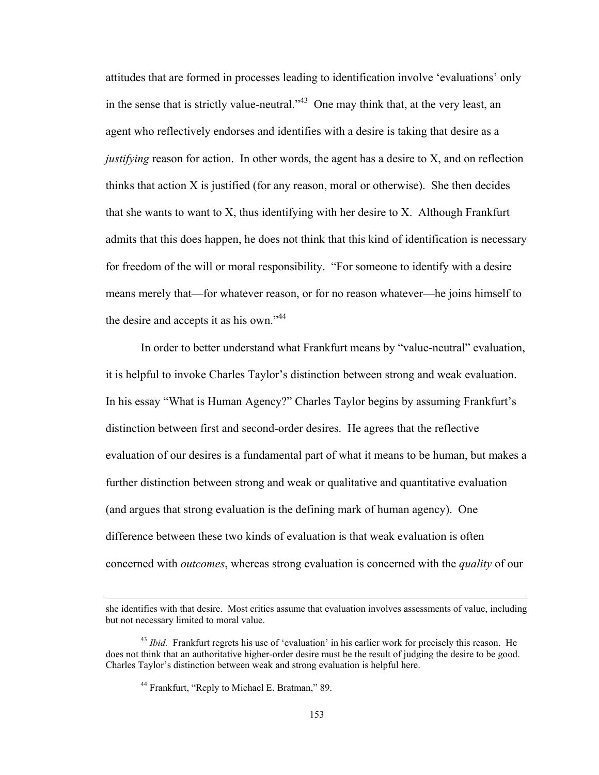attitudes that are formed in processes leading to identification involve 'evaluations' only in the sense that is strictly value-neutral."<sup>43</sup> One may think that, at the very least, an agent who reflectively endorses and identifies with a desire is taking that desire as a *justifying* reason for action. In other words, the agent has a desire to X, and on reflection thinks that action X is justified (for any reason, moral or otherwise). She then decides that she wants to want to X, thus identifying with her desire to X. Although Frankfurt admits that this does happen, he does not think that this kind of identification is necessary for freedom of the will or moral responsibility. "For someone to identify with a desire means merely that—for whatever reason, or for no reason whatever—he joins himself to the desire and accepts it as his own."<sup>44</sup>

In order to better understand what Frankfurt means by "value-neutral" evaluation, it is helpful to invoke Charles Taylor's distinction between strong and weak evaluation. In his essay "What is Human Agency?" Charles Taylor begins by assuming Frankfurt's distinction between first and second-order desires. He agrees that the reflective evaluation of our desires is a fundamental part of what it means to be human, but makes a further distinction between strong and weak or qualitative and quantitative evaluation (and argues that strong evaluation is the defining mark of human agency). One difference between these two kinds of evaluation is that weak evaluation is often concerned with *outcomes*, whereas strong evaluation is concerned with the *quality* of our

<sup>&</sup>lt;u> 1989 - Johann Stoff, amerikansk politiker (d. 1989)</u> she identifies with that desire. Most critics assume that evaluation involves assessments of value, including but not necessary limited to moral value.

<sup>&</sup>lt;sup>43</sup> *Ibid.* Frankfurt regrets his use of 'evaluation' in his earlier work for precisely this reason. He does not think that an authoritative higher-order desire must be the result of judging the desire to be good. Charles Taylor's distinction between weak and strong evaluation is helpful here.

<sup>44</sup> Frankfurt, "Reply to Michael E. Bratman," 89.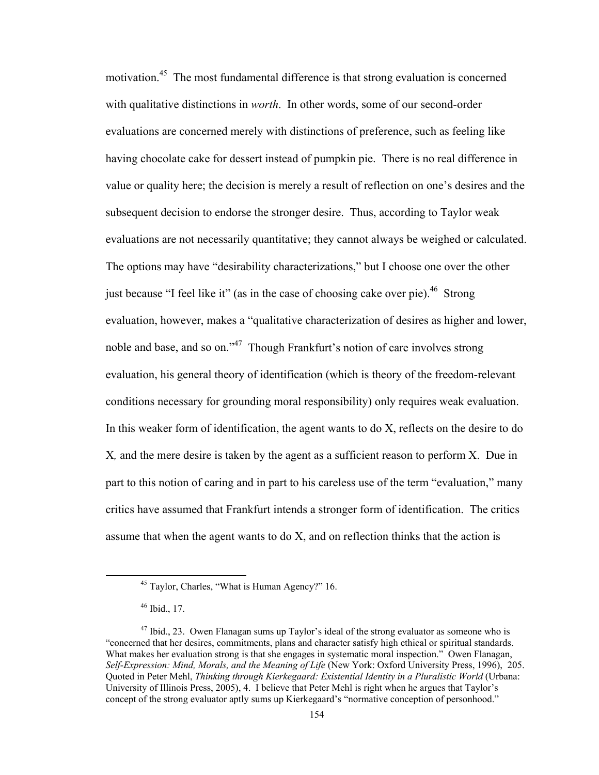motivation.45 The most fundamental difference is that strong evaluation is concerned with qualitative distinctions in *worth*. In other words, some of our second-order evaluations are concerned merely with distinctions of preference, such as feeling like having chocolate cake for dessert instead of pumpkin pie. There is no real difference in value or quality here; the decision is merely a result of reflection on one's desires and the subsequent decision to endorse the stronger desire. Thus, according to Taylor weak evaluations are not necessarily quantitative; they cannot always be weighed or calculated. The options may have "desirability characterizations," but I choose one over the other just because "I feel like it" (as in the case of choosing cake over pie).<sup>46</sup> Strong evaluation, however, makes a "qualitative characterization of desires as higher and lower, noble and base, and so on."47 Though Frankfurt's notion of care involves strong evaluation, his general theory of identification (which is theory of the freedom-relevant conditions necessary for grounding moral responsibility) only requires weak evaluation. In this weaker form of identification, the agent wants to do X, reflects on the desire to do X*,* and the mere desire is taken by the agent as a sufficient reason to perform X. Due in part to this notion of caring and in part to his careless use of the term "evaluation," many critics have assumed that Frankfurt intends a stronger form of identification. The critics assume that when the agent wants to do X, and on reflection thinks that the action is

 45 Taylor, Charles, "What is Human Agency?" 16.

<sup>46</sup> Ibid., 17.

 $47$  Ibid., 23. Owen Flanagan sums up Taylor's ideal of the strong evaluator as someone who is "concerned that her desires, commitments, plans and character satisfy high ethical or spiritual standards. What makes her evaluation strong is that she engages in systematic moral inspection." Owen Flanagan, *Self-Expression: Mind, Morals, and the Meaning of Life* (New York: Oxford University Press, 1996), 205. Quoted in Peter Mehl, *Thinking through Kierkegaard: Existential Identity in a Pluralistic World* (Urbana: University of Illinois Press, 2005), 4. I believe that Peter Mehl is right when he argues that Taylor's concept of the strong evaluator aptly sums up Kierkegaard's "normative conception of personhood."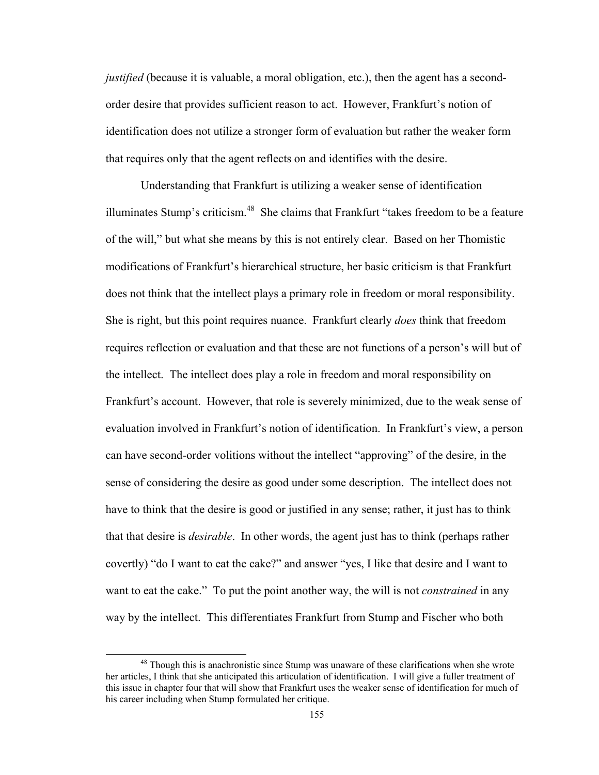*justified* (because it is valuable, a moral obligation, etc.), then the agent has a secondorder desire that provides sufficient reason to act. However, Frankfurt's notion of identification does not utilize a stronger form of evaluation but rather the weaker form that requires only that the agent reflects on and identifies with the desire.

Understanding that Frankfurt is utilizing a weaker sense of identification illuminates Stump's criticism.<sup>48</sup> She claims that Frankfurt "takes freedom to be a feature of the will," but what she means by this is not entirely clear. Based on her Thomistic modifications of Frankfurt's hierarchical structure, her basic criticism is that Frankfurt does not think that the intellect plays a primary role in freedom or moral responsibility. She is right, but this point requires nuance. Frankfurt clearly *does* think that freedom requires reflection or evaluation and that these are not functions of a person's will but of the intellect. The intellect does play a role in freedom and moral responsibility on Frankfurt's account. However, that role is severely minimized, due to the weak sense of evaluation involved in Frankfurt's notion of identification. In Frankfurt's view, a person can have second-order volitions without the intellect "approving" of the desire, in the sense of considering the desire as good under some description. The intellect does not have to think that the desire is good or justified in any sense; rather, it just has to think that that desire is *desirable*. In other words, the agent just has to think (perhaps rather covertly) "do I want to eat the cake?" and answer "yes, I like that desire and I want to want to eat the cake." To put the point another way, the will is not *constrained* in any way by the intellect. This differentiates Frankfurt from Stump and Fischer who both

<sup>&</sup>lt;sup>48</sup> Though this is anachronistic since Stump was unaware of these clarifications when she wrote her articles, I think that she anticipated this articulation of identification. I will give a fuller treatment of this issue in chapter four that will show that Frankfurt uses the weaker sense of identification for much of his career including when Stump formulated her critique.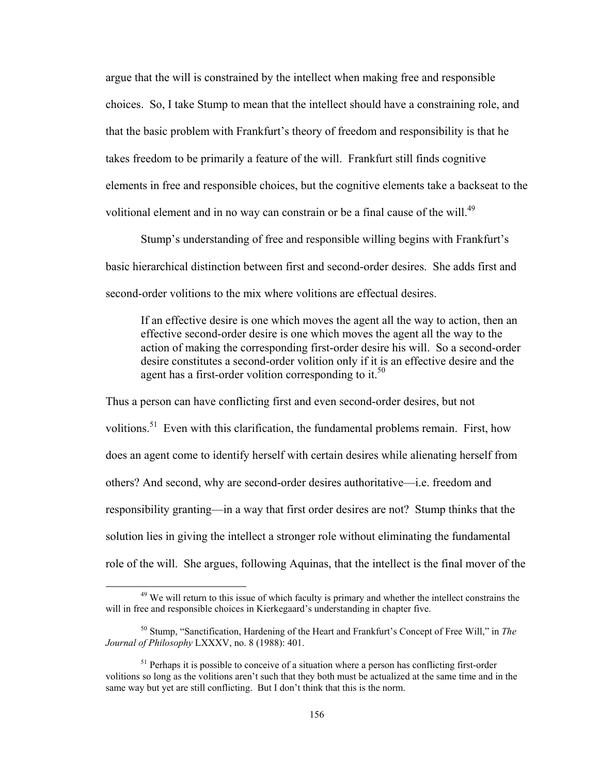argue that the will is constrained by the intellect when making free and responsible choices. So, I take Stump to mean that the intellect should have a constraining role, and that the basic problem with Frankfurt's theory of freedom and responsibility is that he takes freedom to be primarily a feature of the will. Frankfurt still finds cognitive elements in free and responsible choices, but the cognitive elements take a backseat to the volitional element and in no way can constrain or be a final cause of the will.<sup>49</sup>

Stump's understanding of free and responsible willing begins with Frankfurt's basic hierarchical distinction between first and second-order desires. She adds first and second-order volitions to the mix where volitions are effectual desires.

If an effective desire is one which moves the agent all the way to action, then an effective second-order desire is one which moves the agent all the way to the action of making the corresponding first-order desire his will. So a second-order desire constitutes a second-order volition only if it is an effective desire and the agent has a first-order volition corresponding to it.<sup>50</sup>

Thus a person can have conflicting first and even second-order desires, but not volitions.<sup>51</sup> Even with this clarification, the fundamental problems remain. First, how does an agent come to identify herself with certain desires while alienating herself from others? And second, why are second-order desires authoritative—i.e. freedom and responsibility granting—in a way that first order desires are not? Stump thinks that the solution lies in giving the intellect a stronger role without eliminating the fundamental role of the will. She argues, following Aquinas, that the intellect is the final mover of the

<sup>&</sup>lt;sup>49</sup> We will return to this issue of which faculty is primary and whether the intellect constrains the will in free and responsible choices in Kierkegaard's understanding in chapter five.

<sup>50</sup> Stump, "Sanctification, Hardening of the Heart and Frankfurt's Concept of Free Will," in *The Journal of Philosophy* LXXXV, no. 8 (1988): 401.

 $<sup>51</sup>$  Perhaps it is possible to conceive of a situation where a person has conflicting first-order</sup> volitions so long as the volitions aren't such that they both must be actualized at the same time and in the same way but yet are still conflicting. But I don't think that this is the norm.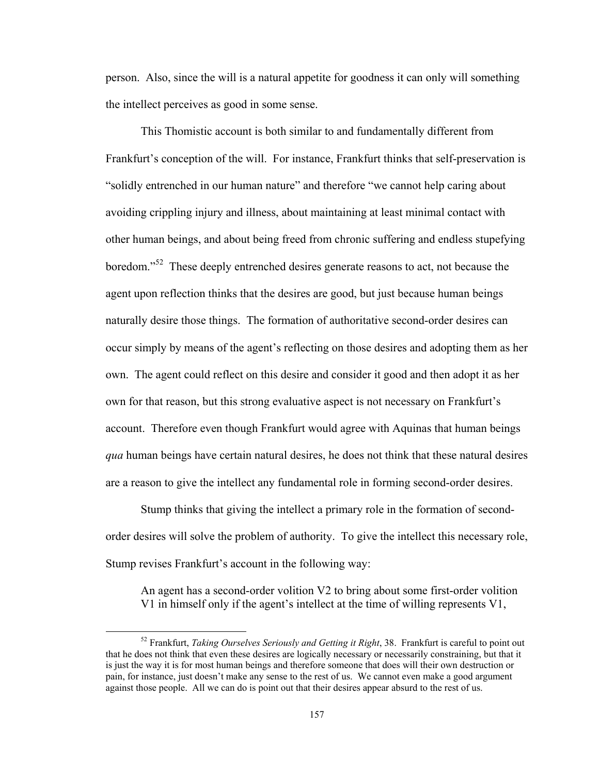person. Also, since the will is a natural appetite for goodness it can only will something the intellect perceives as good in some sense.

This Thomistic account is both similar to and fundamentally different from Frankfurt's conception of the will. For instance, Frankfurt thinks that self-preservation is "solidly entrenched in our human nature" and therefore "we cannot help caring about avoiding crippling injury and illness, about maintaining at least minimal contact with other human beings, and about being freed from chronic suffering and endless stupefying boredom."<sup>52</sup> These deeply entrenched desires generate reasons to act, not because the agent upon reflection thinks that the desires are good, but just because human beings naturally desire those things. The formation of authoritative second-order desires can occur simply by means of the agent's reflecting on those desires and adopting them as her own. The agent could reflect on this desire and consider it good and then adopt it as her own for that reason, but this strong evaluative aspect is not necessary on Frankfurt's account. Therefore even though Frankfurt would agree with Aquinas that human beings *qua* human beings have certain natural desires, he does not think that these natural desires are a reason to give the intellect any fundamental role in forming second-order desires.

Stump thinks that giving the intellect a primary role in the formation of secondorder desires will solve the problem of authority. To give the intellect this necessary role, Stump revises Frankfurt's account in the following way:

An agent has a second-order volition V2 to bring about some first-order volition V1 in himself only if the agent's intellect at the time of willing represents V1,

 52 Frankfurt, *Taking Ourselves Seriously and Getting it Right*, 38. Frankfurt is careful to point out that he does not think that even these desires are logically necessary or necessarily constraining, but that it is just the way it is for most human beings and therefore someone that does will their own destruction or pain, for instance, just doesn't make any sense to the rest of us. We cannot even make a good argument against those people. All we can do is point out that their desires appear absurd to the rest of us.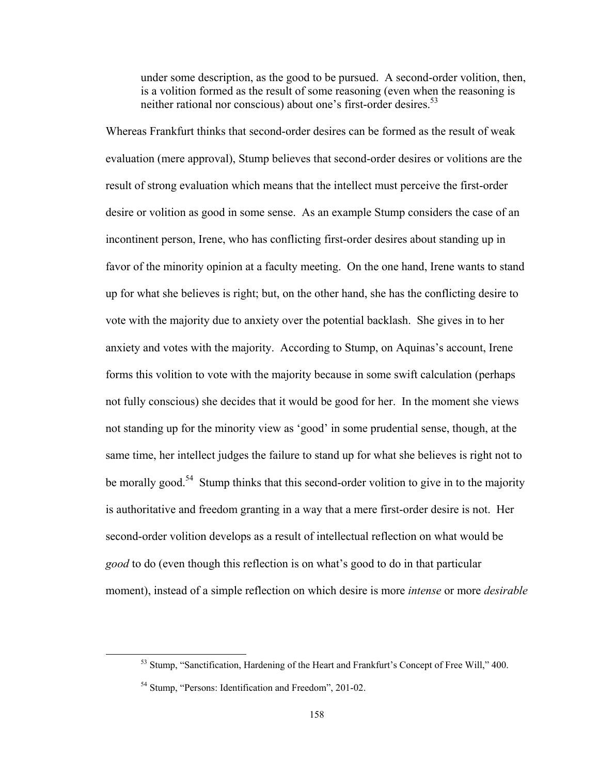under some description, as the good to be pursued. A second-order volition, then, is a volition formed as the result of some reasoning (even when the reasoning is neither rational nor conscious) about one's first-order desires.<sup>53</sup>

Whereas Frankfurt thinks that second-order desires can be formed as the result of weak evaluation (mere approval), Stump believes that second-order desires or volitions are the result of strong evaluation which means that the intellect must perceive the first-order desire or volition as good in some sense. As an example Stump considers the case of an incontinent person, Irene, who has conflicting first-order desires about standing up in favor of the minority opinion at a faculty meeting. On the one hand, Irene wants to stand up for what she believes is right; but, on the other hand, she has the conflicting desire to vote with the majority due to anxiety over the potential backlash. She gives in to her anxiety and votes with the majority. According to Stump, on Aquinas's account, Irene forms this volition to vote with the majority because in some swift calculation (perhaps not fully conscious) she decides that it would be good for her. In the moment she views not standing up for the minority view as 'good' in some prudential sense, though, at the same time, her intellect judges the failure to stand up for what she believes is right not to be morally good.<sup>54</sup> Stump thinks that this second-order volition to give in to the majority is authoritative and freedom granting in a way that a mere first-order desire is not. Her second-order volition develops as a result of intellectual reflection on what would be *good* to do (even though this reflection is on what's good to do in that particular moment), instead of a simple reflection on which desire is more *intense* or more *desirable*

<sup>&</sup>lt;sup>53</sup> Stump, "Sanctification, Hardening of the Heart and Frankfurt's Concept of Free Will," 400.

<sup>54</sup> Stump, "Persons: Identification and Freedom", 201-02.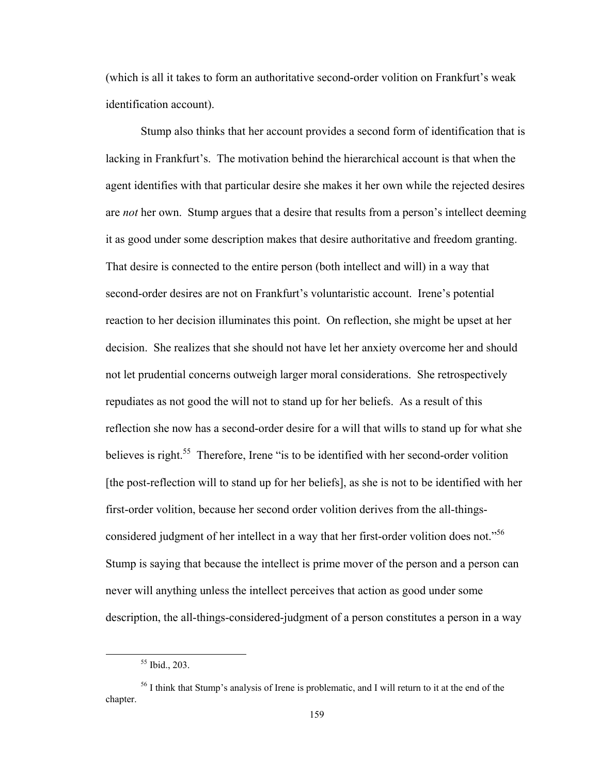(which is all it takes to form an authoritative second-order volition on Frankfurt's weak identification account).

Stump also thinks that her account provides a second form of identification that is lacking in Frankfurt's. The motivation behind the hierarchical account is that when the agent identifies with that particular desire she makes it her own while the rejected desires are *not* her own. Stump argues that a desire that results from a person's intellect deeming it as good under some description makes that desire authoritative and freedom granting. That desire is connected to the entire person (both intellect and will) in a way that second-order desires are not on Frankfurt's voluntaristic account. Irene's potential reaction to her decision illuminates this point. On reflection, she might be upset at her decision. She realizes that she should not have let her anxiety overcome her and should not let prudential concerns outweigh larger moral considerations. She retrospectively repudiates as not good the will not to stand up for her beliefs. As a result of this reflection she now has a second-order desire for a will that wills to stand up for what she believes is right.<sup>55</sup> Therefore, Irene "is to be identified with her second-order volition [the post-reflection will to stand up for her beliefs], as she is not to be identified with her first-order volition, because her second order volition derives from the all-thingsconsidered judgment of her intellect in a way that her first-order volition does not."<sup>56</sup> Stump is saying that because the intellect is prime mover of the person and a person can never will anything unless the intellect perceives that action as good under some description, the all-things-considered-judgment of a person constitutes a person in a way

 55 Ibid., 203.

<sup>&</sup>lt;sup>56</sup> I think that Stump's analysis of Irene is problematic, and I will return to it at the end of the chapter.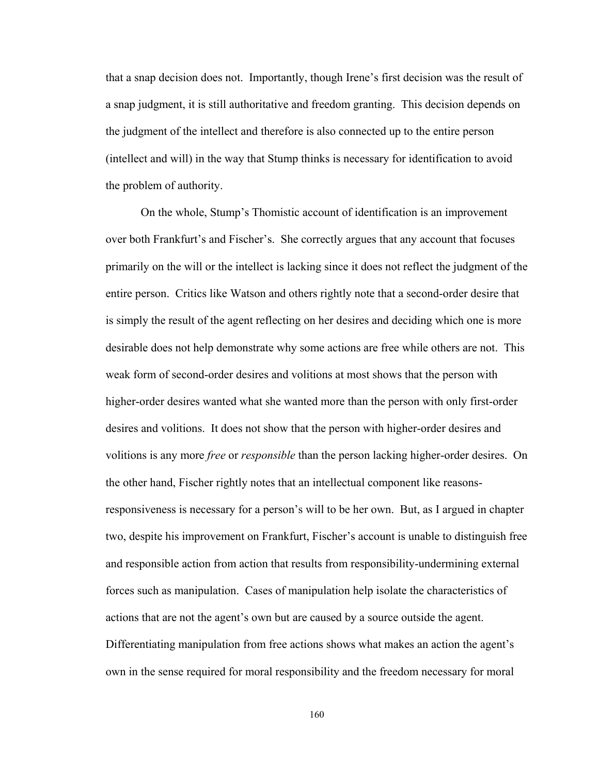that a snap decision does not. Importantly, though Irene's first decision was the result of a snap judgment, it is still authoritative and freedom granting. This decision depends on the judgment of the intellect and therefore is also connected up to the entire person (intellect and will) in the way that Stump thinks is necessary for identification to avoid the problem of authority.

On the whole, Stump's Thomistic account of identification is an improvement over both Frankfurt's and Fischer's. She correctly argues that any account that focuses primarily on the will or the intellect is lacking since it does not reflect the judgment of the entire person. Critics like Watson and others rightly note that a second-order desire that is simply the result of the agent reflecting on her desires and deciding which one is more desirable does not help demonstrate why some actions are free while others are not. This weak form of second-order desires and volitions at most shows that the person with higher-order desires wanted what she wanted more than the person with only first-order desires and volitions. It does not show that the person with higher-order desires and volitions is any more *free* or *responsible* than the person lacking higher-order desires. On the other hand, Fischer rightly notes that an intellectual component like reasonsresponsiveness is necessary for a person's will to be her own. But, as I argued in chapter two, despite his improvement on Frankfurt, Fischer's account is unable to distinguish free and responsible action from action that results from responsibility-undermining external forces such as manipulation. Cases of manipulation help isolate the characteristics of actions that are not the agent's own but are caused by a source outside the agent. Differentiating manipulation from free actions shows what makes an action the agent's own in the sense required for moral responsibility and the freedom necessary for moral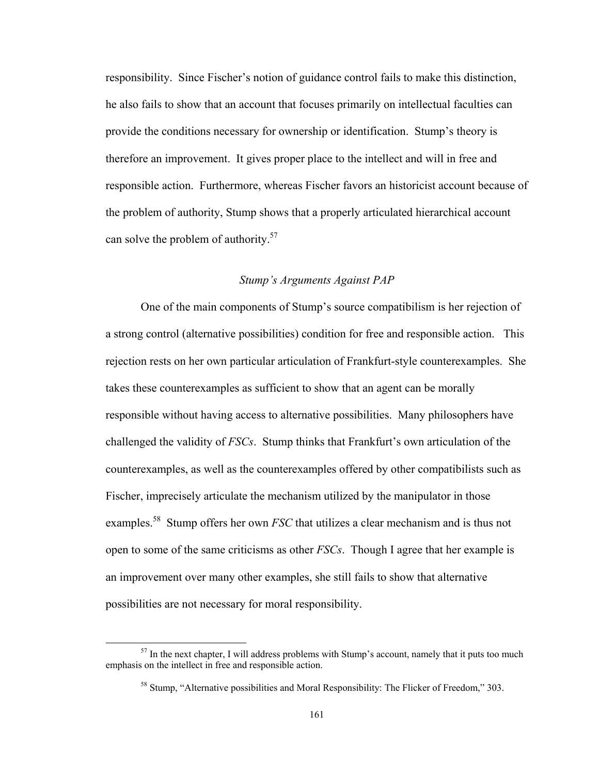responsibility. Since Fischer's notion of guidance control fails to make this distinction, he also fails to show that an account that focuses primarily on intellectual faculties can provide the conditions necessary for ownership or identification. Stump's theory is therefore an improvement. It gives proper place to the intellect and will in free and responsible action. Furthermore, whereas Fischer favors an historicist account because of the problem of authority, Stump shows that a properly articulated hierarchical account can solve the problem of authority.<sup>57</sup>

# *Stump's Arguments Against PAP*

One of the main components of Stump's source compatibilism is her rejection of a strong control (alternative possibilities) condition for free and responsible action. This rejection rests on her own particular articulation of Frankfurt-style counterexamples. She takes these counterexamples as sufficient to show that an agent can be morally responsible without having access to alternative possibilities. Many philosophers have challenged the validity of *FSCs*. Stump thinks that Frankfurt's own articulation of the counterexamples, as well as the counterexamples offered by other compatibilists such as Fischer, imprecisely articulate the mechanism utilized by the manipulator in those examples.<sup>58</sup> Stump offers her own *FSC* that utilizes a clear mechanism and is thus not open to some of the same criticisms as other *FSCs*. Though I agree that her example is an improvement over many other examples, she still fails to show that alternative possibilities are not necessary for moral responsibility.

 $57$  In the next chapter, I will address problems with Stump's account, namely that it puts too much emphasis on the intellect in free and responsible action.

<sup>&</sup>lt;sup>58</sup> Stump, "Alternative possibilities and Moral Responsibility: The Flicker of Freedom," 303.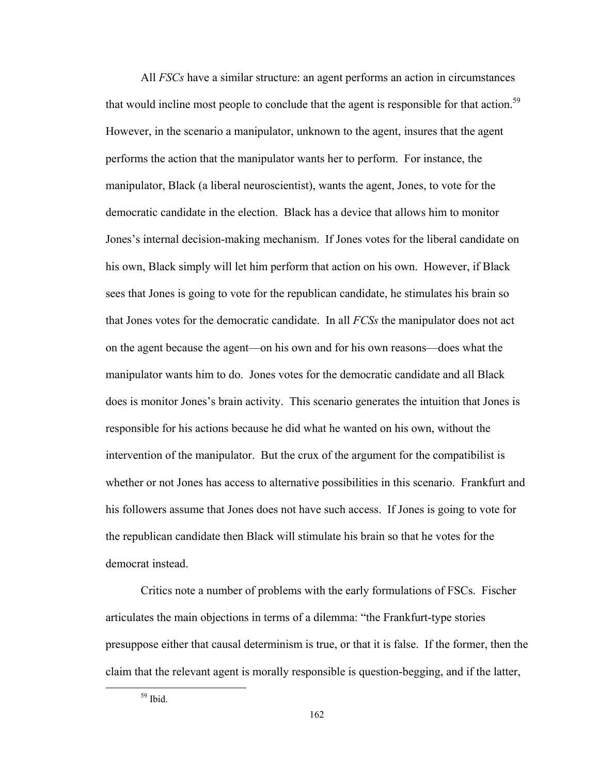All *FSCs* have a similar structure: an agent performs an action in circumstances that would incline most people to conclude that the agent is responsible for that action.<sup>59</sup> However, in the scenario a manipulator, unknown to the agent, insures that the agent performs the action that the manipulator wants her to perform. For instance, the manipulator, Black (a liberal neuroscientist), wants the agent, Jones, to vote for the democratic candidate in the election. Black has a device that allows him to monitor Jones's internal decision-making mechanism. If Jones votes for the liberal candidate on his own, Black simply will let him perform that action on his own. However, if Black sees that Jones is going to vote for the republican candidate, he stimulates his brain so that Jones votes for the democratic candidate. In all *FCSs* the manipulator does not act on the agent because the agent—on his own and for his own reasons—does what the manipulator wants him to do. Jones votes for the democratic candidate and all Black does is monitor Jones's brain activity. This scenario generates the intuition that Jones is responsible for his actions because he did what he wanted on his own, without the intervention of the manipulator. But the crux of the argument for the compatibilist is whether or not Jones has access to alternative possibilities in this scenario. Frankfurt and his followers assume that Jones does not have such access. If Jones is going to vote for the republican candidate then Black will stimulate his brain so that he votes for the democrat instead.

Critics note a number of problems with the early formulations of FSCs. Fischer articulates the main objections in terms of a dilemma: "the Frankfurt-type stories presuppose either that causal determinism is true, or that it is false. If the former, then the claim that the relevant agent is morally responsible is question-begging, and if the latter,

 $59$  Ibid.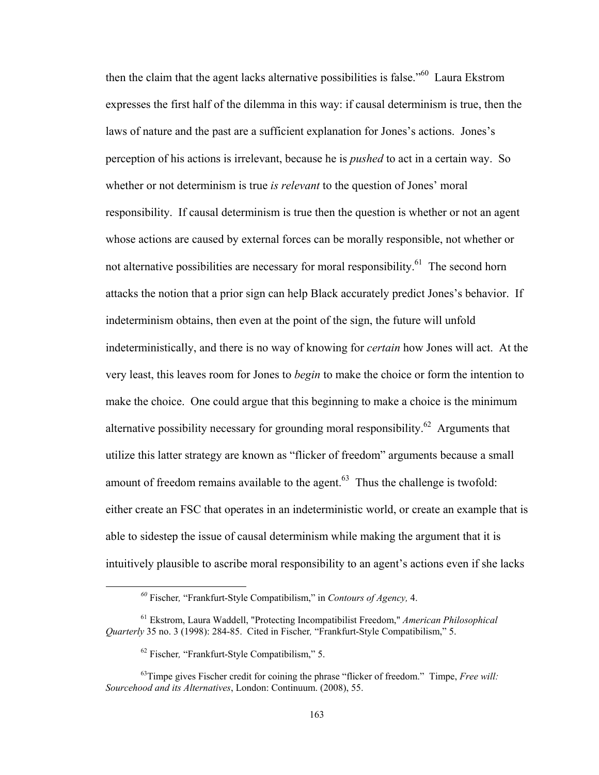then the claim that the agent lacks alternative possibilities is false."60 Laura Ekstrom expresses the first half of the dilemma in this way: if causal determinism is true, then the laws of nature and the past are a sufficient explanation for Jones's actions. Jones's perception of his actions is irrelevant, because he is *pushed* to act in a certain way. So whether or not determinism is true *is relevant* to the question of Jones' moral responsibility. If causal determinism is true then the question is whether or not an agent whose actions are caused by external forces can be morally responsible, not whether or not alternative possibilities are necessary for moral responsibility.<sup>61</sup> The second horn attacks the notion that a prior sign can help Black accurately predict Jones's behavior. If indeterminism obtains, then even at the point of the sign, the future will unfold indeterministically, and there is no way of knowing for *certain* how Jones will act. At the very least, this leaves room for Jones to *begin* to make the choice or form the intention to make the choice. One could argue that this beginning to make a choice is the minimum alternative possibility necessary for grounding moral responsibility.<sup>62</sup> Arguments that utilize this latter strategy are known as "flicker of freedom" arguments because a small amount of freedom remains available to the agent. $63$  Thus the challenge is twofold: either create an FSC that operates in an indeterministic world, or create an example that is able to sidestep the issue of causal determinism while making the argument that it is intuitively plausible to ascribe moral responsibility to an agent's actions even if she lacks

 *<sup>60</sup>* Fischer*,* "Frankfurt-Style Compatibilism," in *Contours of Agency,* 4.

<sup>61</sup> Ekstrom, Laura Waddell, "Protecting Incompatibilist Freedom," *American Philosophical Quarterly* 35 no. 3 (1998): 284-85. Cited in Fischer*,* "Frankfurt-Style Compatibilism," 5.

<sup>62</sup> Fischer*,* "Frankfurt-Style Compatibilism," 5.

<sup>63</sup>Timpe gives Fischer credit for coining the phrase "flicker of freedom." Timpe, *Free will: Sourcehood and its Alternatives*, London: Continuum. (2008), 55.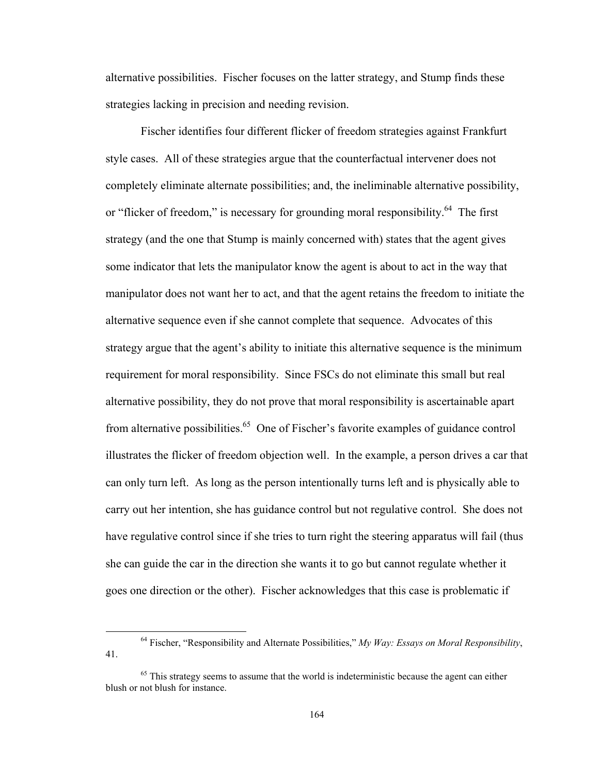alternative possibilities. Fischer focuses on the latter strategy, and Stump finds these strategies lacking in precision and needing revision.

Fischer identifies four different flicker of freedom strategies against Frankfurt style cases. All of these strategies argue that the counterfactual intervener does not completely eliminate alternate possibilities; and, the ineliminable alternative possibility, or "flicker of freedom," is necessary for grounding moral responsibility.<sup>64</sup> The first strategy (and the one that Stump is mainly concerned with) states that the agent gives some indicator that lets the manipulator know the agent is about to act in the way that manipulator does not want her to act, and that the agent retains the freedom to initiate the alternative sequence even if she cannot complete that sequence. Advocates of this strategy argue that the agent's ability to initiate this alternative sequence is the minimum requirement for moral responsibility. Since FSCs do not eliminate this small but real alternative possibility, they do not prove that moral responsibility is ascertainable apart from alternative possibilities.<sup>65</sup> One of Fischer's favorite examples of guidance control illustrates the flicker of freedom objection well. In the example, a person drives a car that can only turn left. As long as the person intentionally turns left and is physically able to carry out her intention, she has guidance control but not regulative control. She does not have regulative control since if she tries to turn right the steering apparatus will fail (thus she can guide the car in the direction she wants it to go but cannot regulate whether it goes one direction or the other). Fischer acknowledges that this case is problematic if

 64 Fischer, "Responsibility and Alternate Possibilities," *My Way: Essays on Moral Responsibility*, 41.

 $<sup>65</sup>$  This strategy seems to assume that the world is indeterministic because the agent can either</sup> blush or not blush for instance.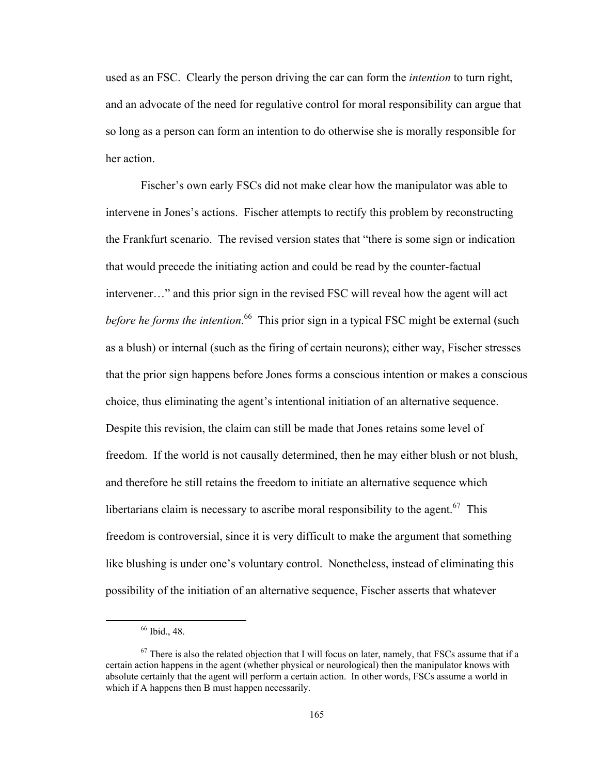used as an FSC. Clearly the person driving the car can form the *intention* to turn right, and an advocate of the need for regulative control for moral responsibility can argue that so long as a person can form an intention to do otherwise she is morally responsible for her action.

Fischer's own early FSCs did not make clear how the manipulator was able to intervene in Jones's actions. Fischer attempts to rectify this problem by reconstructing the Frankfurt scenario. The revised version states that "there is some sign or indication that would precede the initiating action and could be read by the counter-factual intervener…" and this prior sign in the revised FSC will reveal how the agent will act before he forms the intention.<sup>66</sup> This prior sign in a typical FSC might be external (such as a blush) or internal (such as the firing of certain neurons); either way, Fischer stresses that the prior sign happens before Jones forms a conscious intention or makes a conscious choice, thus eliminating the agent's intentional initiation of an alternative sequence. Despite this revision, the claim can still be made that Jones retains some level of freedom. If the world is not causally determined, then he may either blush or not blush, and therefore he still retains the freedom to initiate an alternative sequence which libertarians claim is necessary to ascribe moral responsibility to the agent.<sup>67</sup> This freedom is controversial, since it is very difficult to make the argument that something like blushing is under one's voluntary control. Nonetheless, instead of eliminating this possibility of the initiation of an alternative sequence, Fischer asserts that whatever

 66 Ibid., 48.

 $67$  There is also the related objection that I will focus on later, namely, that FSCs assume that if a certain action happens in the agent (whether physical or neurological) then the manipulator knows with absolute certainly that the agent will perform a certain action. In other words, FSCs assume a world in which if A happens then B must happen necessarily.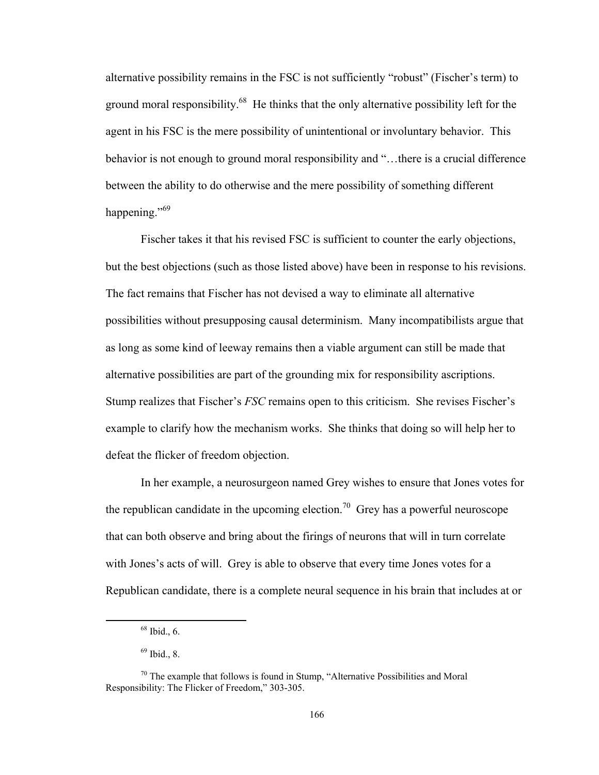alternative possibility remains in the FSC is not sufficiently "robust" (Fischer's term) to ground moral responsibility.<sup>68</sup> He thinks that the only alternative possibility left for the agent in his FSC is the mere possibility of unintentional or involuntary behavior. This behavior is not enough to ground moral responsibility and "…there is a crucial difference between the ability to do otherwise and the mere possibility of something different happening."<sup>69</sup>

Fischer takes it that his revised FSC is sufficient to counter the early objections, but the best objections (such as those listed above) have been in response to his revisions. The fact remains that Fischer has not devised a way to eliminate all alternative possibilities without presupposing causal determinism. Many incompatibilists argue that as long as some kind of leeway remains then a viable argument can still be made that alternative possibilities are part of the grounding mix for responsibility ascriptions. Stump realizes that Fischer's *FSC* remains open to this criticism. She revises Fischer's example to clarify how the mechanism works. She thinks that doing so will help her to defeat the flicker of freedom objection.

In her example, a neurosurgeon named Grey wishes to ensure that Jones votes for the republican candidate in the upcoming election.<sup>70</sup> Grey has a powerful neuroscope that can both observe and bring about the firings of neurons that will in turn correlate with Jones's acts of will. Grey is able to observe that every time Jones votes for a Republican candidate, there is a complete neural sequence in his brain that includes at or

 $68$  Ibid., 6.

 $69$  Ibid., 8.

 $70$  The example that follows is found in Stump, "Alternative Possibilities and Moral Responsibility: The Flicker of Freedom," 303-305.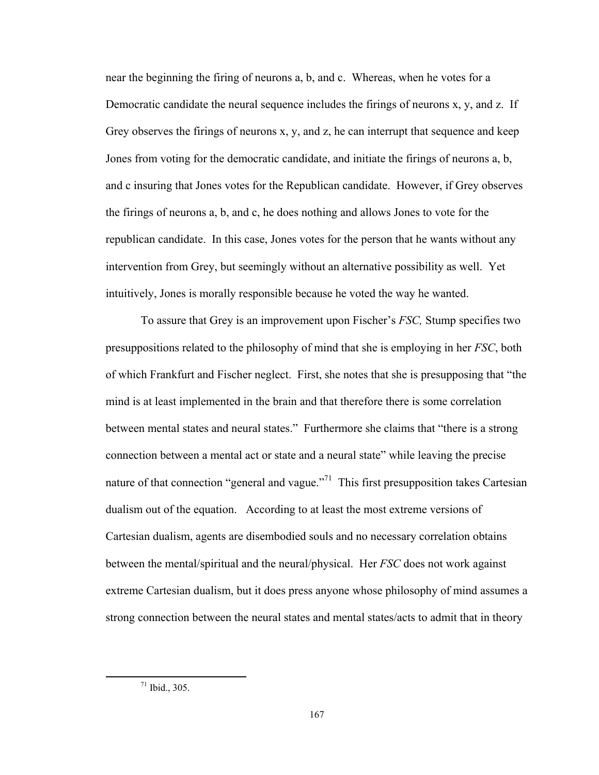near the beginning the firing of neurons a, b, and c. Whereas, when he votes for a Democratic candidate the neural sequence includes the firings of neurons x, y, and z. If Grey observes the firings of neurons x, y, and z, he can interrupt that sequence and keep Jones from voting for the democratic candidate, and initiate the firings of neurons a, b, and c insuring that Jones votes for the Republican candidate. However, if Grey observes the firings of neurons a, b, and c, he does nothing and allows Jones to vote for the republican candidate. In this case, Jones votes for the person that he wants without any intervention from Grey, but seemingly without an alternative possibility as well. Yet intuitively, Jones is morally responsible because he voted the way he wanted.

To assure that Grey is an improvement upon Fischer's *FSC,* Stump specifies two presuppositions related to the philosophy of mind that she is employing in her *FSC*, both of which Frankfurt and Fischer neglect. First, she notes that she is presupposing that "the mind is at least implemented in the brain and that therefore there is some correlation between mental states and neural states." Furthermore she claims that "there is a strong connection between a mental act or state and a neural state" while leaving the precise nature of that connection "general and vague."<sup>71</sup> This first presupposition takes Cartesian dualism out of the equation. According to at least the most extreme versions of Cartesian dualism, agents are disembodied souls and no necessary correlation obtains between the mental/spiritual and the neural/physical. Her *FSC* does not work against extreme Cartesian dualism, but it does press anyone whose philosophy of mind assumes a strong connection between the neural states and mental states/acts to admit that in theory

 71 Ibid., 305.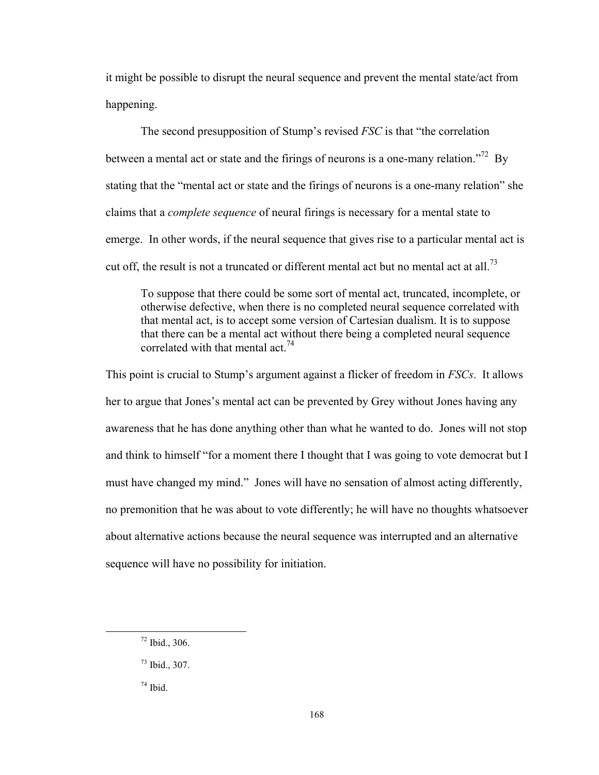it might be possible to disrupt the neural sequence and prevent the mental state/act from happening.

The second presupposition of Stump's revised *FSC* is that "the correlation between a mental act or state and the firings of neurons is a one-many relation.<sup>772</sup> By stating that the "mental act or state and the firings of neurons is a one-many relation" she claims that a *complete sequence* of neural firings is necessary for a mental state to emerge. In other words, if the neural sequence that gives rise to a particular mental act is cut off, the result is not a truncated or different mental act but no mental act at all.<sup>73</sup>

To suppose that there could be some sort of mental act, truncated, incomplete, or otherwise defective, when there is no completed neural sequence correlated with that mental act, is to accept some version of Cartesian dualism. It is to suppose that there can be a mental act without there being a completed neural sequence correlated with that mental act.<sup>74</sup>

This point is crucial to Stump's argument against a flicker of freedom in *FSCs*. It allows her to argue that Jones's mental act can be prevented by Grey without Jones having any awareness that he has done anything other than what he wanted to do. Jones will not stop and think to himself "for a moment there I thought that I was going to vote democrat but I must have changed my mind." Jones will have no sensation of almost acting differently, no premonition that he was about to vote differently; he will have no thoughts whatsoever about alternative actions because the neural sequence was interrupted and an alternative sequence will have no possibility for initiation.

 $72$  Ibid., 306.

<sup>73</sup> Ibid., 307.

 $74$  Ibid.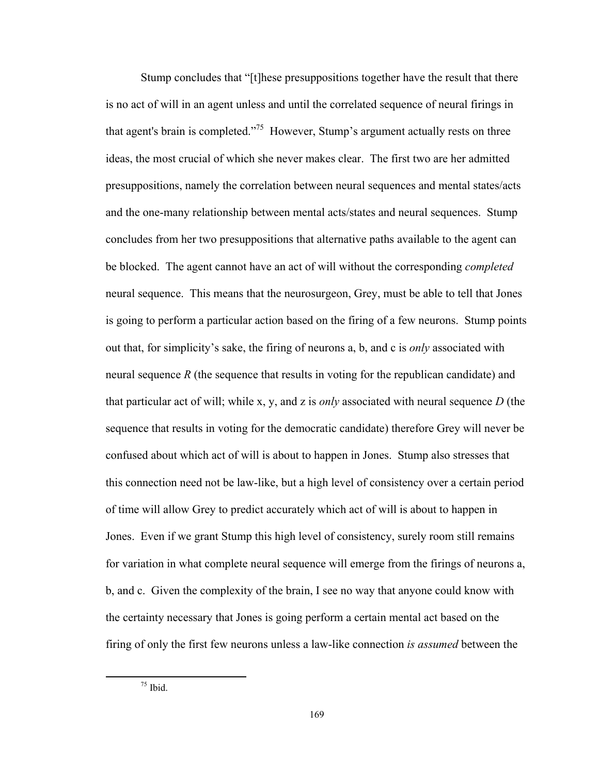Stump concludes that "[t]hese presuppositions together have the result that there is no act of will in an agent unless and until the correlated sequence of neural firings in that agent's brain is completed."75 However, Stump's argument actually rests on three ideas, the most crucial of which she never makes clear. The first two are her admitted presuppositions, namely the correlation between neural sequences and mental states/acts and the one-many relationship between mental acts/states and neural sequences. Stump concludes from her two presuppositions that alternative paths available to the agent can be blocked. The agent cannot have an act of will without the corresponding *completed* neural sequence. This means that the neurosurgeon, Grey, must be able to tell that Jones is going to perform a particular action based on the firing of a few neurons. Stump points out that, for simplicity's sake, the firing of neurons a, b, and c is *only* associated with neural sequence *R* (the sequence that results in voting for the republican candidate) and that particular act of will; while x, y, and z is *only* associated with neural sequence *D* (the sequence that results in voting for the democratic candidate) therefore Grey will never be confused about which act of will is about to happen in Jones. Stump also stresses that this connection need not be law-like, but a high level of consistency over a certain period of time will allow Grey to predict accurately which act of will is about to happen in Jones. Even if we grant Stump this high level of consistency, surely room still remains for variation in what complete neural sequence will emerge from the firings of neurons a, b, and c. Given the complexity of the brain, I see no way that anyone could know with the certainty necessary that Jones is going perform a certain mental act based on the firing of only the first few neurons unless a law-like connection *is assumed* between the

 $75$  Ibid.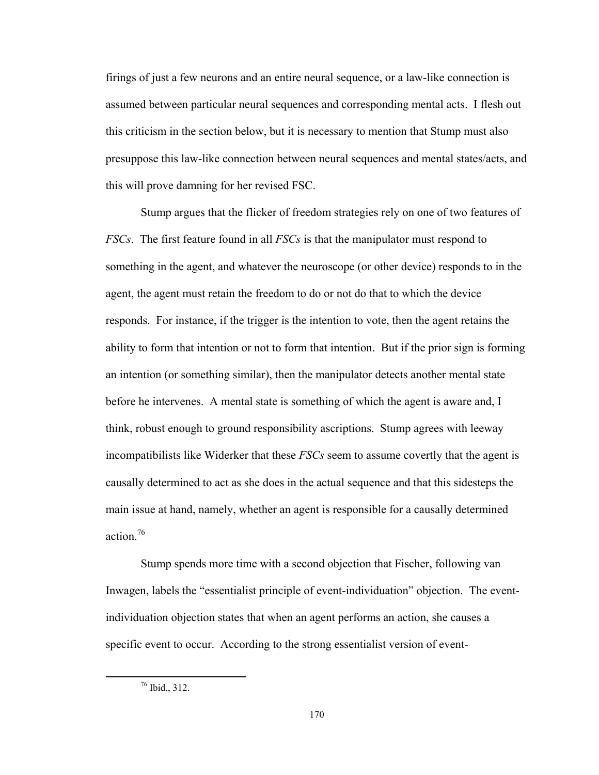firings of just a few neurons and an entire neural sequence, or a law-like connection is assumed between particular neural sequences and corresponding mental acts. I flesh out this criticism in the section below, but it is necessary to mention that Stump must also presuppose this law-like connection between neural sequences and mental states/acts, and this will prove damning for her revised FSC.

Stump argues that the flicker of freedom strategies rely on one of two features of *FSCs*. The first feature found in all *FSCs* is that the manipulator must respond to something in the agent, and whatever the neuroscope (or other device) responds to in the agent, the agent must retain the freedom to do or not do that to which the device responds. For instance, if the trigger is the intention to vote, then the agent retains the ability to form that intention or not to form that intention. But if the prior sign is forming an intention (or something similar), then the manipulator detects another mental state before he intervenes. A mental state is something of which the agent is aware and, I think, robust enough to ground responsibility ascriptions. Stump agrees with leeway incompatibilists like Widerker that these *FSCs* seem to assume covertly that the agent is causally determined to act as she does in the actual sequence and that this sidesteps the main issue at hand, namely, whether an agent is responsible for a causally determined action.76

Stump spends more time with a second objection that Fischer, following van Inwagen, labels the "essentialist principle of event-individuation" objection. The eventindividuation objection states that when an agent performs an action, she causes a specific event to occur. According to the strong essentialist version of event-

 76 Ibid., 312.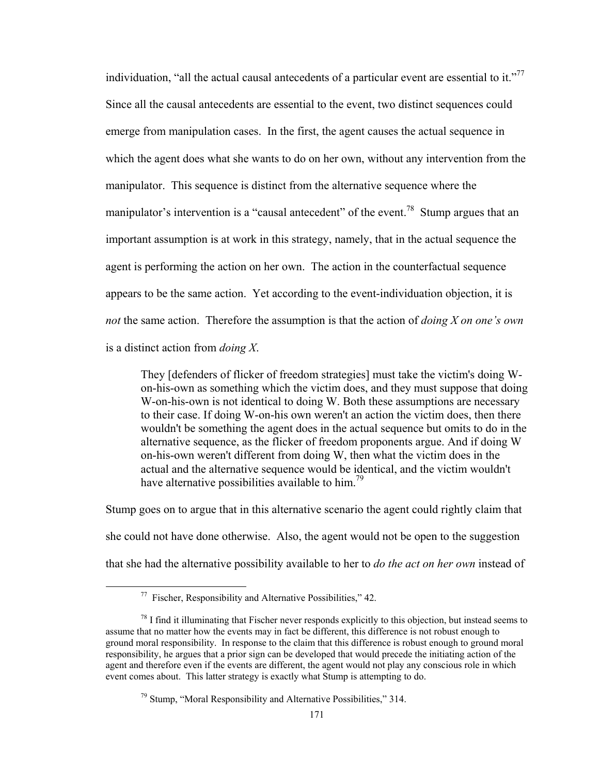individuation, "all the actual causal antecedents of a particular event are essential to it."<sup>77</sup> Since all the causal antecedents are essential to the event, two distinct sequences could emerge from manipulation cases. In the first, the agent causes the actual sequence in which the agent does what she wants to do on her own, without any intervention from the manipulator. This sequence is distinct from the alternative sequence where the manipulator's intervention is a "causal antecedent" of the event.<sup>78</sup> Stump argues that an important assumption is at work in this strategy, namely, that in the actual sequence the agent is performing the action on her own. The action in the counterfactual sequence appears to be the same action. Yet according to the event-individuation objection, it is *not* the same action. Therefore the assumption is that the action of *doing X on one's own* is a distinct action from *doing X*.

They [defenders of flicker of freedom strategies] must take the victim's doing Won-his-own as something which the victim does, and they must suppose that doing W-on-his-own is not identical to doing W. Both these assumptions are necessary to their case. If doing W-on-his own weren't an action the victim does, then there wouldn't be something the agent does in the actual sequence but omits to do in the alternative sequence, as the flicker of freedom proponents argue. And if doing W on-his-own weren't different from doing W, then what the victim does in the actual and the alternative sequence would be identical, and the victim wouldn't have alternative possibilities available to  $\lim_{n \to \infty}$ 

Stump goes on to argue that in this alternative scenario the agent could rightly claim that she could not have done otherwise. Also, the agent would not be open to the suggestion that she had the alternative possibility available to her to *do the act on her own* instead of

 $77$  Fischer, Responsibility and Alternative Possibilities," 42.

 $78$  I find it illuminating that Fischer never responds explicitly to this objection, but instead seems to assume that no matter how the events may in fact be different, this difference is not robust enough to ground moral responsibility. In response to the claim that this difference is robust enough to ground moral responsibility, he argues that a prior sign can be developed that would precede the initiating action of the agent and therefore even if the events are different, the agent would not play any conscious role in which event comes about. This latter strategy is exactly what Stump is attempting to do.

<sup>79</sup> Stump, "Moral Responsibility and Alternative Possibilities," 314.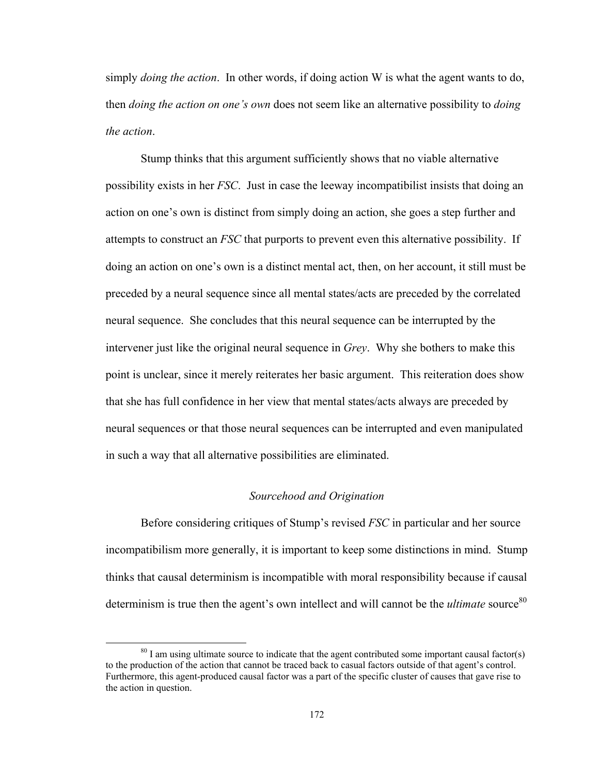simply *doing the action*. In other words, if doing action W is what the agent wants to do, then *doing the action on one's own* does not seem like an alternative possibility to *doing the action*.

Stump thinks that this argument sufficiently shows that no viable alternative possibility exists in her *FSC*. Just in case the leeway incompatibilist insists that doing an action on one's own is distinct from simply doing an action, she goes a step further and attempts to construct an *FSC* that purports to prevent even this alternative possibility. If doing an action on one's own is a distinct mental act, then, on her account, it still must be preceded by a neural sequence since all mental states/acts are preceded by the correlated neural sequence. She concludes that this neural sequence can be interrupted by the intervener just like the original neural sequence in *Grey*. Why she bothers to make this point is unclear, since it merely reiterates her basic argument. This reiteration does show that she has full confidence in her view that mental states/acts always are preceded by neural sequences or that those neural sequences can be interrupted and even manipulated in such a way that all alternative possibilities are eliminated.

## *Sourcehood and Origination*

Before considering critiques of Stump's revised *FSC* in particular and her source incompatibilism more generally, it is important to keep some distinctions in mind. Stump thinks that causal determinism is incompatible with moral responsibility because if causal determinism is true then the agent's own intellect and will cannot be the *ultimate* source<sup>80</sup>

 $80$  I am using ultimate source to indicate that the agent contributed some important causal factor(s) to the production of the action that cannot be traced back to casual factors outside of that agent's control. Furthermore, this agent-produced causal factor was a part of the specific cluster of causes that gave rise to the action in question.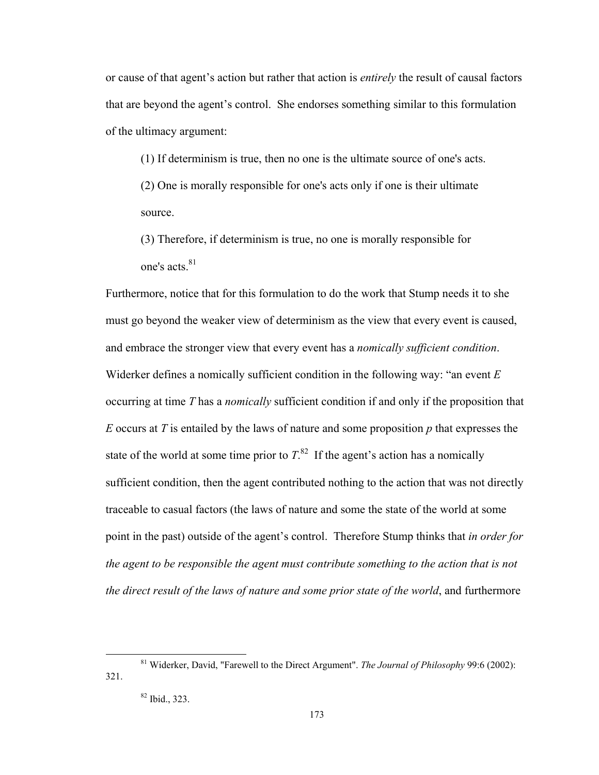or cause of that agent's action but rather that action is *entirely* the result of causal factors that are beyond the agent's control. She endorses something similar to this formulation of the ultimacy argument:

(1) If determinism is true, then no one is the ultimate source of one's acts.

(2) One is morally responsible for one's acts only if one is their ultimate source.

(3) Therefore, if determinism is true, no one is morally responsible for one's acts.<sup>81</sup>

Furthermore, notice that for this formulation to do the work that Stump needs it to she must go beyond the weaker view of determinism as the view that every event is caused, and embrace the stronger view that every event has a *nomically sufficient condition*. Widerker defines a nomically sufficient condition in the following way: "an event *E* occurring at time *T* has a *nomically* sufficient condition if and only if the proposition that *E* occurs at *T* is entailed by the laws of nature and some proposition *p* that expresses the state of the world at some time prior to  $T<sup>82</sup>$ . If the agent's action has a nomically sufficient condition, then the agent contributed nothing to the action that was not directly traceable to casual factors (the laws of nature and some the state of the world at some point in the past) outside of the agent's control. Therefore Stump thinks that *in order for the agent to be responsible the agent must contribute something to the action that is not the direct result of the laws of nature and some prior state of the world*, and furthermore

 81 Widerker, David, "Farewell to the Direct Argument". *The Journal of Philosophy* 99:6 (2002): 321.

<sup>82</sup> Ibid., 323.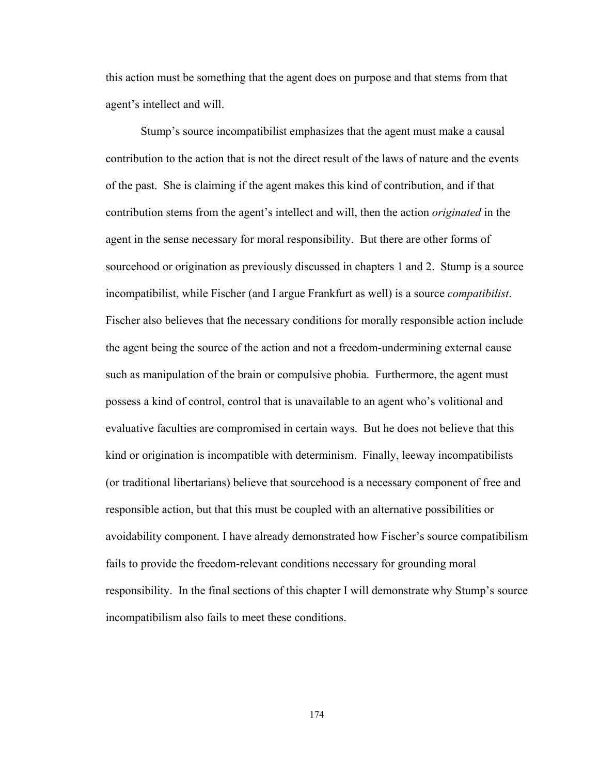this action must be something that the agent does on purpose and that stems from that agent's intellect and will.

 Stump's source incompatibilist emphasizes that the agent must make a causal contribution to the action that is not the direct result of the laws of nature and the events of the past. She is claiming if the agent makes this kind of contribution, and if that contribution stems from the agent's intellect and will, then the action *originated* in the agent in the sense necessary for moral responsibility. But there are other forms of sourcehood or origination as previously discussed in chapters 1 and 2. Stump is a source incompatibilist, while Fischer (and I argue Frankfurt as well) is a source *compatibilist*. Fischer also believes that the necessary conditions for morally responsible action include the agent being the source of the action and not a freedom-undermining external cause such as manipulation of the brain or compulsive phobia. Furthermore, the agent must possess a kind of control, control that is unavailable to an agent who's volitional and evaluative faculties are compromised in certain ways. But he does not believe that this kind or origination is incompatible with determinism. Finally, leeway incompatibilists (or traditional libertarians) believe that sourcehood is a necessary component of free and responsible action, but that this must be coupled with an alternative possibilities or avoidability component. I have already demonstrated how Fischer's source compatibilism fails to provide the freedom-relevant conditions necessary for grounding moral responsibility. In the final sections of this chapter I will demonstrate why Stump's source incompatibilism also fails to meet these conditions.

174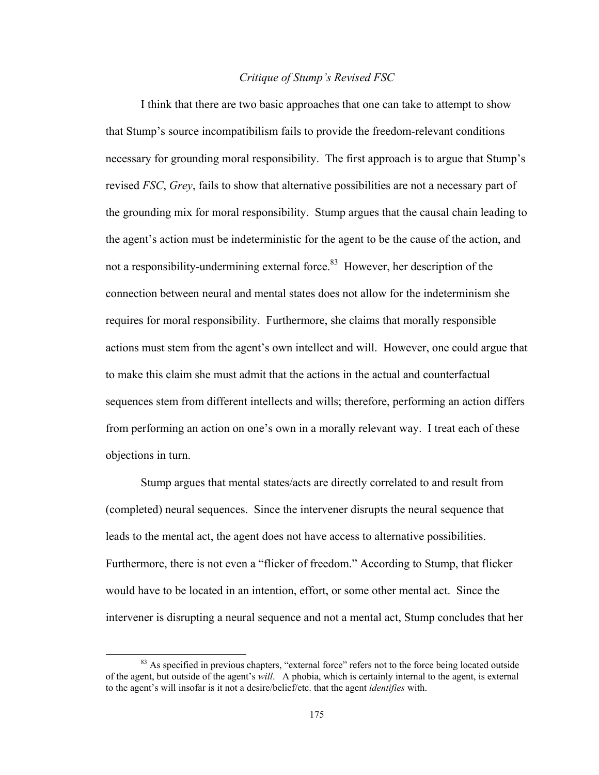## *Critique of Stump's Revised FSC*

I think that there are two basic approaches that one can take to attempt to show that Stump's source incompatibilism fails to provide the freedom-relevant conditions necessary for grounding moral responsibility. The first approach is to argue that Stump's revised *FSC*, *Grey*, fails to show that alternative possibilities are not a necessary part of the grounding mix for moral responsibility. Stump argues that the causal chain leading to the agent's action must be indeterministic for the agent to be the cause of the action, and not a responsibility-undermining external force.<sup>83</sup> However, her description of the connection between neural and mental states does not allow for the indeterminism she requires for moral responsibility. Furthermore, she claims that morally responsible actions must stem from the agent's own intellect and will. However, one could argue that to make this claim she must admit that the actions in the actual and counterfactual sequences stem from different intellects and wills; therefore, performing an action differs from performing an action on one's own in a morally relevant way. I treat each of these objections in turn.

Stump argues that mental states/acts are directly correlated to and result from (completed) neural sequences. Since the intervener disrupts the neural sequence that leads to the mental act, the agent does not have access to alternative possibilities. Furthermore, there is not even a "flicker of freedom." According to Stump, that flicker would have to be located in an intention, effort, or some other mental act. Since the intervener is disrupting a neural sequence and not a mental act, Stump concludes that her

<sup>&</sup>lt;sup>83</sup> As specified in previous chapters, "external force" refers not to the force being located outside of the agent, but outside of the agent's *will*. A phobia, which is certainly internal to the agent, is external to the agent's will insofar is it not a desire/belief/etc. that the agent *identifies* with.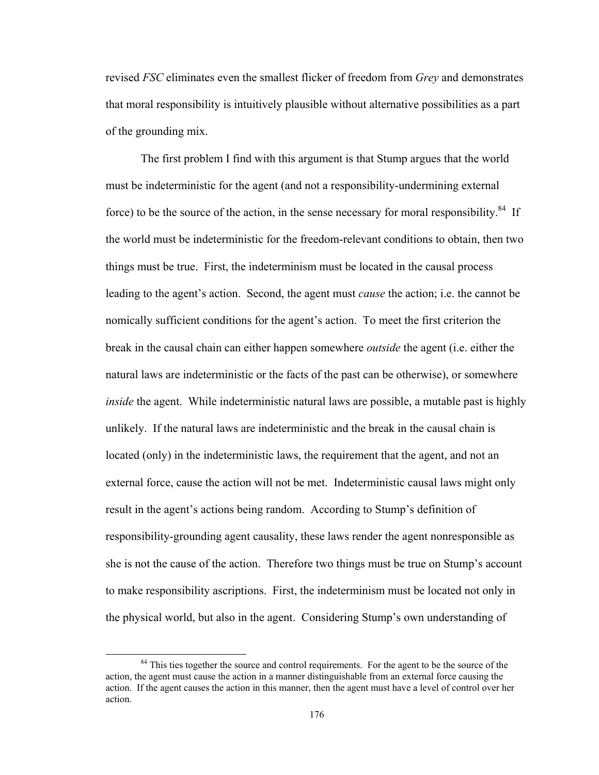revised *FSC* eliminates even the smallest flicker of freedom from *Grey* and demonstrates that moral responsibility is intuitively plausible without alternative possibilities as a part of the grounding mix.

The first problem I find with this argument is that Stump argues that the world must be indeterministic for the agent (and not a responsibility-undermining external force) to be the source of the action, in the sense necessary for moral responsibility.<sup>84</sup> If the world must be indeterministic for the freedom-relevant conditions to obtain, then two things must be true. First, the indeterminism must be located in the causal process leading to the agent's action. Second, the agent must *cause* the action; i.e. the cannot be nomically sufficient conditions for the agent's action. To meet the first criterion the break in the causal chain can either happen somewhere *outside* the agent (i.e. either the natural laws are indeterministic or the facts of the past can be otherwise), or somewhere *inside* the agent. While indeterministic natural laws are possible, a mutable past is highly unlikely. If the natural laws are indeterministic and the break in the causal chain is located (only) in the indeterministic laws, the requirement that the agent, and not an external force, cause the action will not be met. Indeterministic causal laws might only result in the agent's actions being random. According to Stump's definition of responsibility-grounding agent causality, these laws render the agent nonresponsible as she is not the cause of the action. Therefore two things must be true on Stump's account to make responsibility ascriptions. First, the indeterminism must be located not only in the physical world, but also in the agent. Considering Stump's own understanding of

<sup>&</sup>lt;sup>84</sup> This ties together the source and control requirements. For the agent to be the source of the action, the agent must cause the action in a manner distinguishable from an external force causing the action. If the agent causes the action in this manner, then the agent must have a level of control over her action.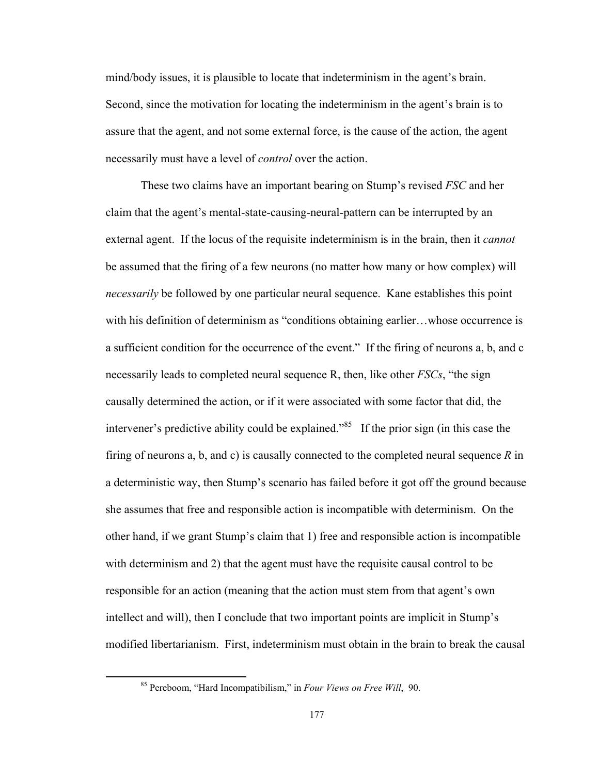mind/body issues, it is plausible to locate that indeterminism in the agent's brain. Second, since the motivation for locating the indeterminism in the agent's brain is to assure that the agent, and not some external force, is the cause of the action, the agent necessarily must have a level of *control* over the action.

These two claims have an important bearing on Stump's revised *FSC* and her claim that the agent's mental-state-causing-neural-pattern can be interrupted by an external agent. If the locus of the requisite indeterminism is in the brain, then it *cannot* be assumed that the firing of a few neurons (no matter how many or how complex) will *necessarily* be followed by one particular neural sequence. Kane establishes this point with his definition of determinism as "conditions obtaining earlier...whose occurrence is a sufficient condition for the occurrence of the event." If the firing of neurons a, b, and c necessarily leads to completed neural sequence R, then, like other *FSCs*, "the sign causally determined the action, or if it were associated with some factor that did, the intervener's predictive ability could be explained."85 If the prior sign (in this case the firing of neurons a, b, and c) is causally connected to the completed neural sequence *R* in a deterministic way, then Stump's scenario has failed before it got off the ground because she assumes that free and responsible action is incompatible with determinism. On the other hand, if we grant Stump's claim that 1) free and responsible action is incompatible with determinism and 2) that the agent must have the requisite causal control to be responsible for an action (meaning that the action must stem from that agent's own intellect and will), then I conclude that two important points are implicit in Stump's modified libertarianism. First, indeterminism must obtain in the brain to break the causal

 85 Pereboom, "Hard Incompatibilism," in *Four Views on Free Will*, 90.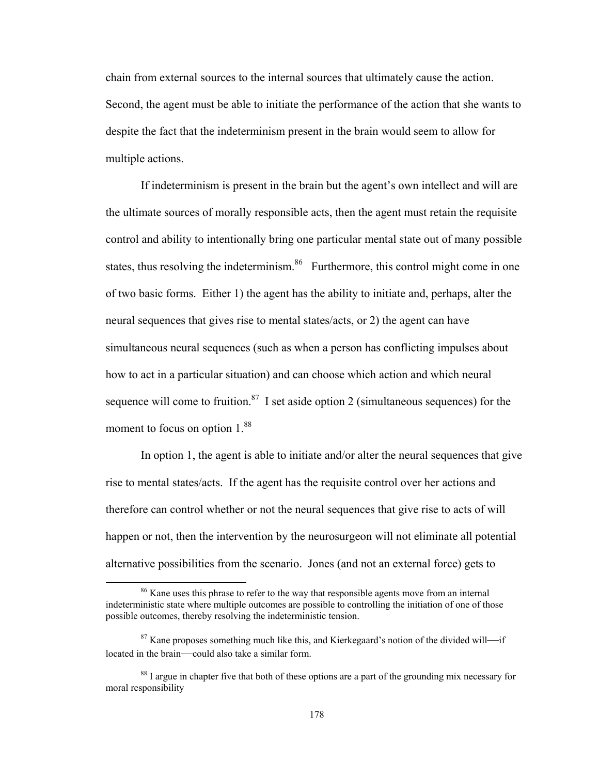chain from external sources to the internal sources that ultimately cause the action. Second, the agent must be able to initiate the performance of the action that she wants to despite the fact that the indeterminism present in the brain would seem to allow for multiple actions.

If indeterminism is present in the brain but the agent's own intellect and will are the ultimate sources of morally responsible acts, then the agent must retain the requisite control and ability to intentionally bring one particular mental state out of many possible states, thus resolving the indeterminism.<sup>86</sup> Furthermore, this control might come in one of two basic forms. Either 1) the agent has the ability to initiate and, perhaps, alter the neural sequences that gives rise to mental states/acts, or 2) the agent can have simultaneous neural sequences (such as when a person has conflicting impulses about how to act in a particular situation) and can choose which action and which neural sequence will come to fruition.<sup>87</sup> I set aside option 2 (simultaneous sequences) for the moment to focus on option  $1.^{88}$ 

In option 1, the agent is able to initiate and/or alter the neural sequences that give rise to mental states/acts. If the agent has the requisite control over her actions and therefore can control whether or not the neural sequences that give rise to acts of will happen or not, then the intervention by the neurosurgeon will not eliminate all potential alternative possibilities from the scenario. Jones (and not an external force) gets to

<sup>&</sup>lt;sup>86</sup> Kane uses this phrase to refer to the way that responsible agents move from an internal indeterministic state where multiple outcomes are possible to controlling the initiation of one of those possible outcomes, thereby resolving the indeterministic tension.

<sup>&</sup>lt;sup>87</sup> Kane proposes something much like this, and Kierkegaard's notion of the divided will—if located in the brain—could also take a similar form.

<sup>&</sup>lt;sup>88</sup> I argue in chapter five that both of these options are a part of the grounding mix necessary for moral responsibility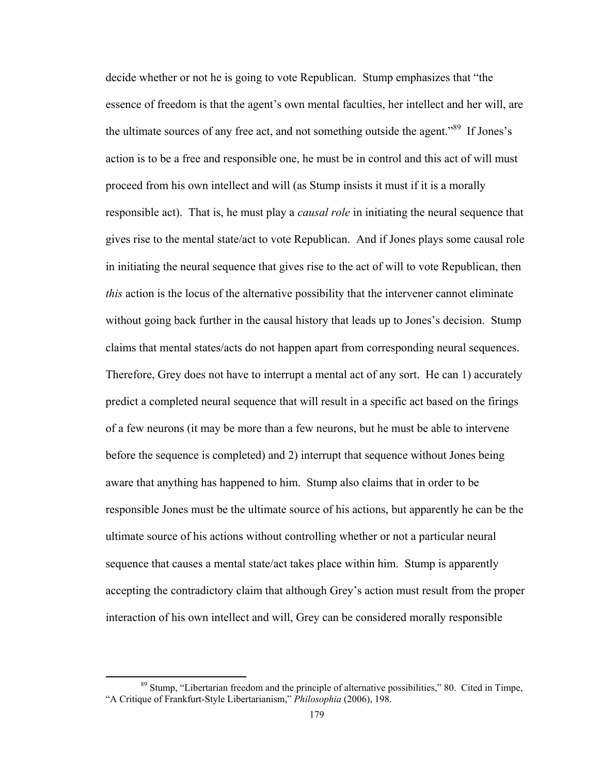decide whether or not he is going to vote Republican. Stump emphasizes that "the essence of freedom is that the agent's own mental faculties, her intellect and her will, are the ultimate sources of any free act, and not something outside the agent."<sup>89</sup> If Jones's action is to be a free and responsible one, he must be in control and this act of will must proceed from his own intellect and will (as Stump insists it must if it is a morally responsible act). That is, he must play a *causal role* in initiating the neural sequence that gives rise to the mental state/act to vote Republican. And if Jones plays some causal role in initiating the neural sequence that gives rise to the act of will to vote Republican, then *this* action is the locus of the alternative possibility that the intervener cannot eliminate without going back further in the causal history that leads up to Jones's decision. Stump claims that mental states/acts do not happen apart from corresponding neural sequences. Therefore, Grey does not have to interrupt a mental act of any sort. He can 1) accurately predict a completed neural sequence that will result in a specific act based on the firings of a few neurons (it may be more than a few neurons, but he must be able to intervene before the sequence is completed) and 2) interrupt that sequence without Jones being aware that anything has happened to him. Stump also claims that in order to be responsible Jones must be the ultimate source of his actions, but apparently he can be the ultimate source of his actions without controlling whether or not a particular neural sequence that causes a mental state/act takes place within him. Stump is apparently accepting the contradictory claim that although Grey's action must result from the proper interaction of his own intellect and will, Grey can be considered morally responsible

<sup>&</sup>lt;sup>89</sup> Stump, "Libertarian freedom and the principle of alternative possibilities," 80. Cited in Timpe, "A Critique of Frankfurt-Style Libertarianism," *Philosophia* (2006), 198.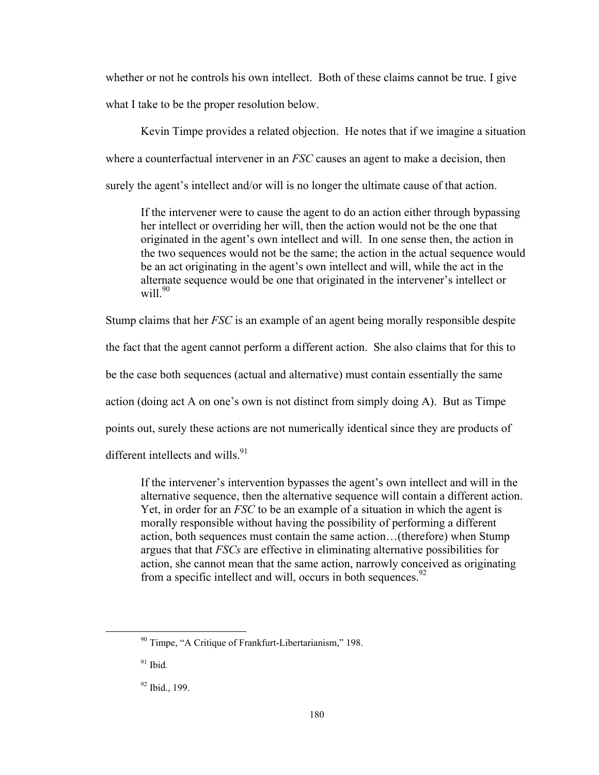whether or not he controls his own intellect. Both of these claims cannot be true. I give what I take to be the proper resolution below.

Kevin Timpe provides a related objection. He notes that if we imagine a situation where a counterfactual intervener in an *FSC* causes an agent to make a decision, then surely the agent's intellect and/or will is no longer the ultimate cause of that action.

If the intervener were to cause the agent to do an action either through bypassing her intellect or overriding her will, then the action would not be the one that originated in the agent's own intellect and will. In one sense then, the action in the two sequences would not be the same; the action in the actual sequence would be an act originating in the agent's own intellect and will, while the act in the alternate sequence would be one that originated in the intervener's intellect or will $^{90}$ 

Stump claims that her *FSC* is an example of an agent being morally responsible despite

the fact that the agent cannot perform a different action. She also claims that for this to

be the case both sequences (actual and alternative) must contain essentially the same

action (doing act A on one's own is not distinct from simply doing A). But as Timpe

points out, surely these actions are not numerically identical since they are products of

different intellects and wills.  $91$ 

If the intervener's intervention bypasses the agent's own intellect and will in the alternative sequence, then the alternative sequence will contain a different action. Yet, in order for an *FSC* to be an example of a situation in which the agent is morally responsible without having the possibility of performing a different action, both sequences must contain the same action…(therefore) when Stump argues that that *FSCs* are effective in eliminating alternative possibilities for action, she cannot mean that the same action, narrowly conceived as originating from a specific intellect and will, occurs in both sequences. $92$ 

 90 Timpe, "A Critique of Frankfurt-Libertarianism," 198.

<sup>91</sup> Ibid*.*

<sup>92</sup> Ibid., 199.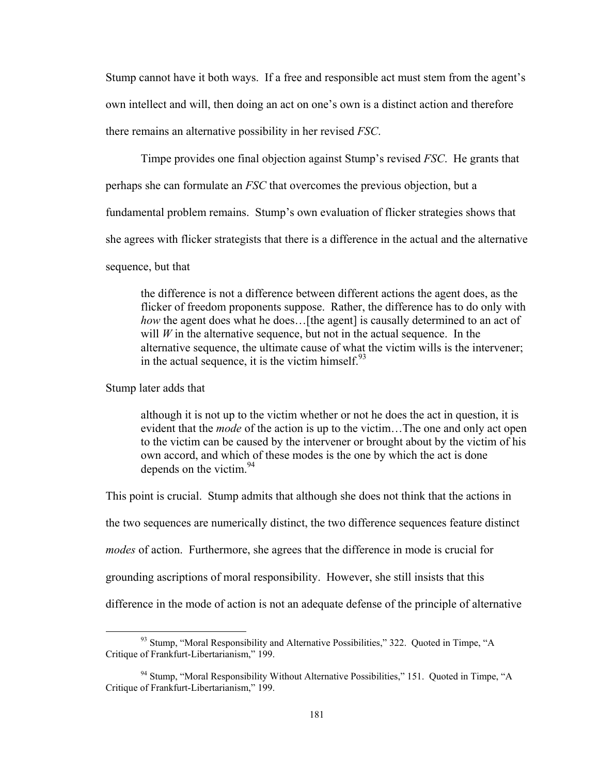Stump cannot have it both ways. If a free and responsible act must stem from the agent's own intellect and will, then doing an act on one's own is a distinct action and therefore there remains an alternative possibility in her revised *FSC*.

Timpe provides one final objection against Stump's revised *FSC*. He grants that

perhaps she can formulate an *FSC* that overcomes the previous objection, but a

fundamental problem remains. Stump's own evaluation of flicker strategies shows that

she agrees with flicker strategists that there is a difference in the actual and the alternative

sequence, but that

the difference is not a difference between different actions the agent does, as the flicker of freedom proponents suppose. Rather, the difference has to do only with *how* the agent does what he does...[the agent] is causally determined to an act of will  $W$  in the alternative sequence, but not in the actual sequence. In the alternative sequence, the ultimate cause of what the victim wills is the intervener; in the actual sequence, it is the victim himself. $93$ 

Stump later adds that

although it is not up to the victim whether or not he does the act in question, it is evident that the *mode* of the action is up to the victim…The one and only act open to the victim can be caused by the intervener or brought about by the victim of his own accord, and which of these modes is the one by which the act is done depends on the victim.  $94$ 

This point is crucial. Stump admits that although she does not think that the actions in the two sequences are numerically distinct, the two difference sequences feature distinct *modes* of action. Furthermore, she agrees that the difference in mode is crucial for grounding ascriptions of moral responsibility. However, she still insists that this difference in the mode of action is not an adequate defense of the principle of alternative

 $93$  Stump, "Moral Responsibility and Alternative Possibilities," 322. Quoted in Timpe, "A Critique of Frankfurt-Libertarianism," 199.

<sup>&</sup>lt;sup>94</sup> Stump, "Moral Responsibility Without Alternative Possibilities," 151. Quoted in Timpe, "A Critique of Frankfurt-Libertarianism," 199.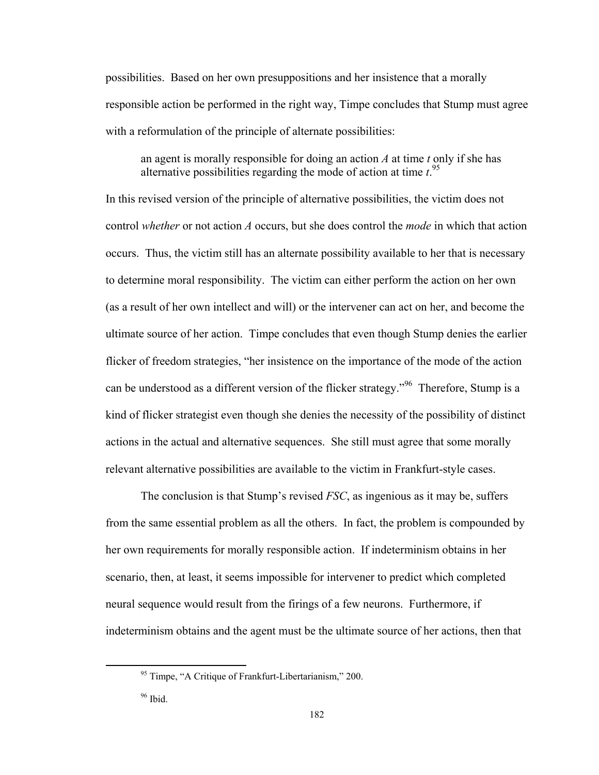possibilities. Based on her own presuppositions and her insistence that a morally responsible action be performed in the right way, Timpe concludes that Stump must agree with a reformulation of the principle of alternate possibilities:

an agent is morally responsible for doing an action *A* at time *t* only if she has alternative possibilities regarding the mode of action at time *t*. 95

In this revised version of the principle of alternative possibilities, the victim does not control *whether* or not action *A* occurs, but she does control the *mode* in which that action occurs. Thus, the victim still has an alternate possibility available to her that is necessary to determine moral responsibility. The victim can either perform the action on her own (as a result of her own intellect and will) or the intervener can act on her, and become the ultimate source of her action. Timpe concludes that even though Stump denies the earlier flicker of freedom strategies, "her insistence on the importance of the mode of the action can be understood as a different version of the flicker strategy."<sup>96</sup> Therefore, Stump is a kind of flicker strategist even though she denies the necessity of the possibility of distinct actions in the actual and alternative sequences. She still must agree that some morally relevant alternative possibilities are available to the victim in Frankfurt-style cases.

The conclusion is that Stump's revised *FSC*, as ingenious as it may be, suffers from the same essential problem as all the others. In fact, the problem is compounded by her own requirements for morally responsible action. If indeterminism obtains in her scenario, then, at least, it seems impossible for intervener to predict which completed neural sequence would result from the firings of a few neurons. Furthermore, if indeterminism obtains and the agent must be the ultimate source of her actions, then that

 95 Timpe, "A Critique of Frankfurt-Libertarianism," 200.

 $96$  Ibid.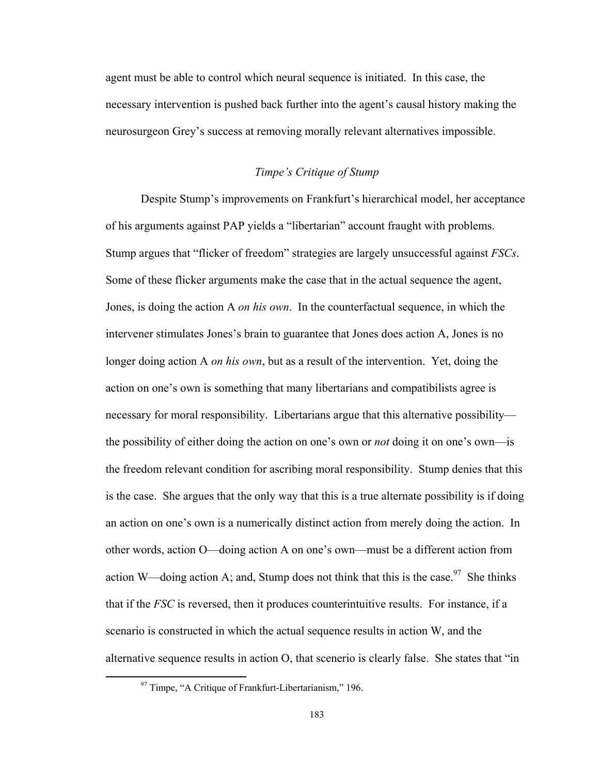agent must be able to control which neural sequence is initiated. In this case, the necessary intervention is pushed back further into the agent's causal history making the neurosurgeon Grey's success at removing morally relevant alternatives impossible.

# *Timpe's Critique of Stump*

Despite Stump's improvements on Frankfurt's hierarchical model, her acceptance of his arguments against PAP yields a "libertarian" account fraught with problems. Stump argues that "flicker of freedom" strategies are largely unsuccessful against *FSCs*. Some of these flicker arguments make the case that in the actual sequence the agent, Jones, is doing the action A *on his own*. In the counterfactual sequence, in which the intervener stimulates Jones's brain to guarantee that Jones does action A, Jones is no longer doing action A *on his own*, but as a result of the intervention. Yet, doing the action on one's own is something that many libertarians and compatibilists agree is necessary for moral responsibility. Libertarians argue that this alternative possibility the possibility of either doing the action on one's own or *not* doing it on one's own—is the freedom relevant condition for ascribing moral responsibility. Stump denies that this is the case. She argues that the only way that this is a true alternate possibility is if doing an action on one's own is a numerically distinct action from merely doing the action. In other words, action O—doing action A on one's own—must be a different action from action W—doing action A; and, Stump does not think that this is the case.<sup>97</sup> She thinks that if the *FSC* is reversed, then it produces counterintuitive results. For instance, if a scenario is constructed in which the actual sequence results in action W, and the alternative sequence results in action O, that scenerio is clearly false. She states that "in

 $97$  Timpe, "A Critique of Frankfurt-Libertarianism," 196.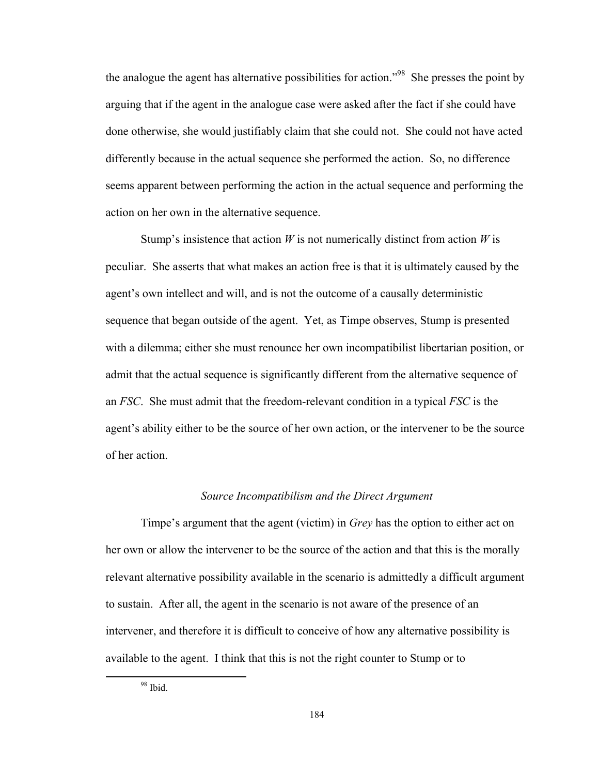the analogue the agent has alternative possibilities for action."98 She presses the point by arguing that if the agent in the analogue case were asked after the fact if she could have done otherwise, she would justifiably claim that she could not. She could not have acted differently because in the actual sequence she performed the action. So, no difference seems apparent between performing the action in the actual sequence and performing the action on her own in the alternative sequence.

Stump's insistence that action *W* is not numerically distinct from action *W* is peculiar. She asserts that what makes an action free is that it is ultimately caused by the agent's own intellect and will, and is not the outcome of a causally deterministic sequence that began outside of the agent. Yet, as Timpe observes, Stump is presented with a dilemma; either she must renounce her own incompatibilist libertarian position, or admit that the actual sequence is significantly different from the alternative sequence of an *FSC*. She must admit that the freedom-relevant condition in a typical *FSC* is the agent's ability either to be the source of her own action, or the intervener to be the source of her action.

## *Source Incompatibilism and the Direct Argument*

Timpe's argument that the agent (victim) in *Grey* has the option to either act on her own or allow the intervener to be the source of the action and that this is the morally relevant alternative possibility available in the scenario is admittedly a difficult argument to sustain. After all, the agent in the scenario is not aware of the presence of an intervener, and therefore it is difficult to conceive of how any alternative possibility is available to the agent. I think that this is not the right counter to Stump or to

 98 Ibid.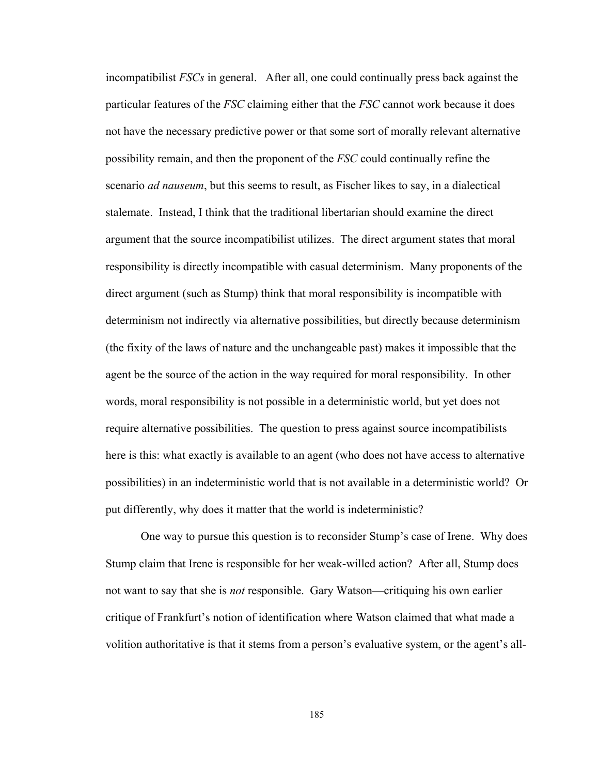incompatibilist *FSCs* in general. After all, one could continually press back against the particular features of the *FSC* claiming either that the *FSC* cannot work because it does not have the necessary predictive power or that some sort of morally relevant alternative possibility remain, and then the proponent of the *FSC* could continually refine the scenario *ad nauseum*, but this seems to result, as Fischer likes to say, in a dialectical stalemate. Instead, I think that the traditional libertarian should examine the direct argument that the source incompatibilist utilizes. The direct argument states that moral responsibility is directly incompatible with casual determinism. Many proponents of the direct argument (such as Stump) think that moral responsibility is incompatible with determinism not indirectly via alternative possibilities, but directly because determinism (the fixity of the laws of nature and the unchangeable past) makes it impossible that the agent be the source of the action in the way required for moral responsibility. In other words, moral responsibility is not possible in a deterministic world, but yet does not require alternative possibilities. The question to press against source incompatibilists here is this: what exactly is available to an agent (who does not have access to alternative possibilities) in an indeterministic world that is not available in a deterministic world? Or put differently, why does it matter that the world is indeterministic?

One way to pursue this question is to reconsider Stump's case of Irene. Why does Stump claim that Irene is responsible for her weak-willed action? After all, Stump does not want to say that she is *not* responsible. Gary Watson—critiquing his own earlier critique of Frankfurt's notion of identification where Watson claimed that what made a volition authoritative is that it stems from a person's evaluative system, or the agent's all-

185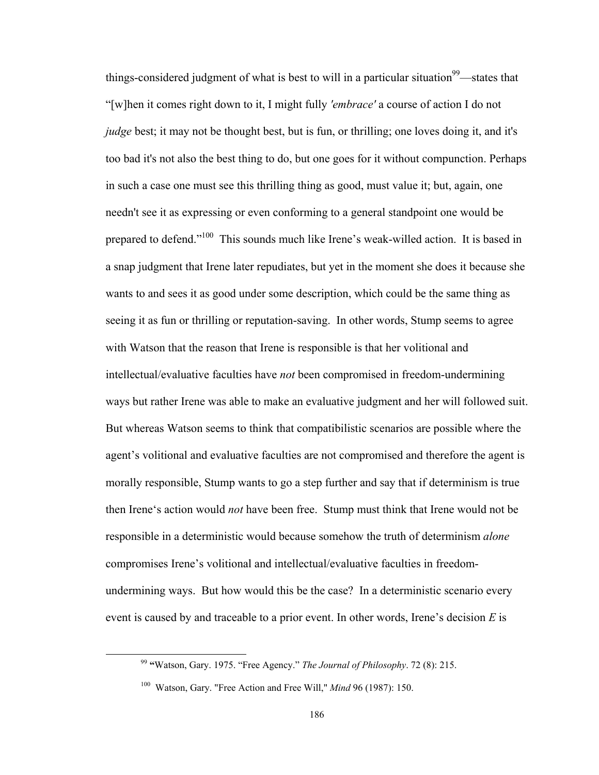things-considered judgment of what is best to will in a particular situation<sup>99</sup>—states that "[w]hen it comes right down to it, I might fully *'embrace'* a course of action I do not *judge* best; it may not be thought best, but is fun, or thrilling; one loves doing it, and it's too bad it's not also the best thing to do, but one goes for it without compunction. Perhaps in such a case one must see this thrilling thing as good, must value it; but, again, one needn't see it as expressing or even conforming to a general standpoint one would be prepared to defend."100 This sounds much like Irene's weak-willed action. It is based in a snap judgment that Irene later repudiates, but yet in the moment she does it because she wants to and sees it as good under some description, which could be the same thing as seeing it as fun or thrilling or reputation-saving. In other words, Stump seems to agree with Watson that the reason that Irene is responsible is that her volitional and intellectual/evaluative faculties have *not* been compromised in freedom-undermining ways but rather Irene was able to make an evaluative judgment and her will followed suit. But whereas Watson seems to think that compatibilistic scenarios are possible where the agent's volitional and evaluative faculties are not compromised and therefore the agent is morally responsible, Stump wants to go a step further and say that if determinism is true then Irene's action would *not* have been free. Stump must think that Irene would not be responsible in a deterministic would because somehow the truth of determinism *alone* compromises Irene's volitional and intellectual/evaluative faculties in freedomundermining ways. But how would this be the case? In a deterministic scenario every event is caused by and traceable to a prior event. In other words, Irene's decision *E* is

 <sup>99</sup> **"**Watson, Gary. 1975. "Free Agency." *The Journal of Philosophy*. 72 (8): 215.

<sup>100</sup> Watson, Gary. "Free Action and Free Will," *Mind* 96 (1987): 150.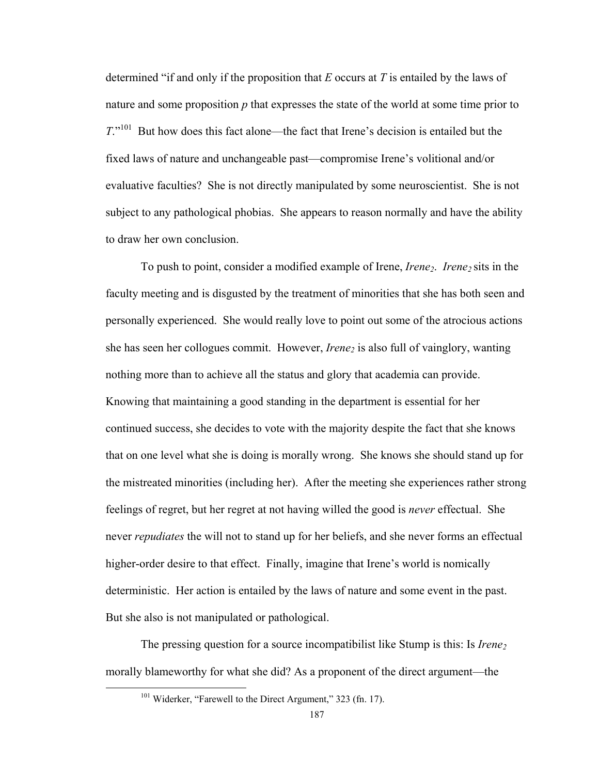determined "if and only if the proposition that *E* occurs at *T* is entailed by the laws of nature and some proposition *p* that expresses the state of the world at some time prior to *T*."<sup>101</sup> But how does this fact alone—the fact that Irene's decision is entailed but the fixed laws of nature and unchangeable past—compromise Irene's volitional and/or evaluative faculties? She is not directly manipulated by some neuroscientist. She is not subject to any pathological phobias. She appears to reason normally and have the ability to draw her own conclusion.

To push to point, consider a modified example of Irene, *Irene<sub>2</sub>*. *Irene<sub>2</sub>* sits in the faculty meeting and is disgusted by the treatment of minorities that she has both seen and personally experienced. She would really love to point out some of the atrocious actions she has seen her collogues commit. However, *Irene*<sub>2</sub> is also full of vainglory, wanting nothing more than to achieve all the status and glory that academia can provide. Knowing that maintaining a good standing in the department is essential for her continued success, she decides to vote with the majority despite the fact that she knows that on one level what she is doing is morally wrong. She knows she should stand up for the mistreated minorities (including her). After the meeting she experiences rather strong feelings of regret, but her regret at not having willed the good is *never* effectual. She never *repudiates* the will not to stand up for her beliefs, and she never forms an effectual higher-order desire to that effect. Finally, imagine that Irene's world is nomically deterministic. Her action is entailed by the laws of nature and some event in the past. But she also is not manipulated or pathological.

The pressing question for a source incompatibilist like Stump is this: Is *Irene*<sub>2</sub> morally blameworthy for what she did? As a proponent of the direct argument—the

<sup>&</sup>lt;sup>101</sup> Widerker, "Farewell to the Direct Argument," 323 (fn. 17).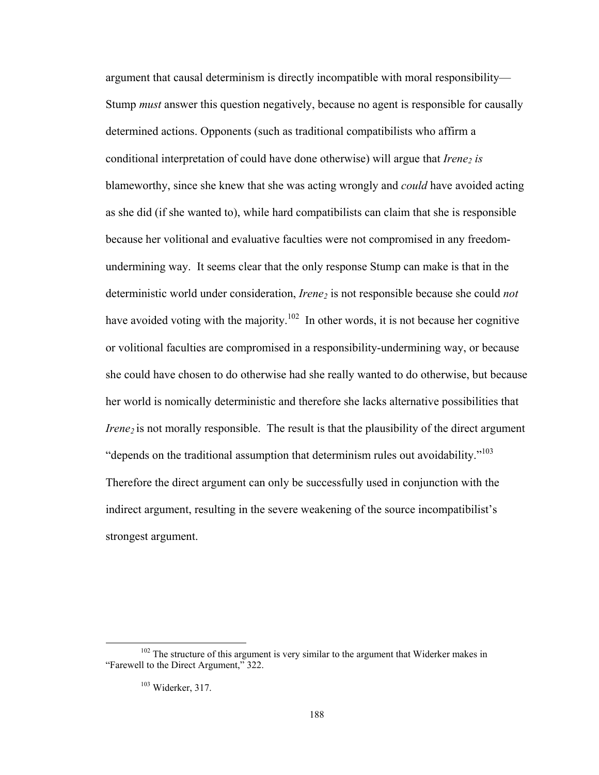argument that causal determinism is directly incompatible with moral responsibility— Stump *must* answer this question negatively, because no agent is responsible for causally determined actions. Opponents (such as traditional compatibilists who affirm a conditional interpretation of could have done otherwise) will argue that *Irene<sub>2</sub> is* blameworthy, since she knew that she was acting wrongly and *could* have avoided acting as she did (if she wanted to), while hard compatibilists can claim that she is responsible because her volitional and evaluative faculties were not compromised in any freedomundermining way. It seems clear that the only response Stump can make is that in the deterministic world under consideration, *Irene<sub>2</sub>* is not responsible because she could *not* have avoided voting with the majority.<sup>102</sup> In other words, it is not because her cognitive or volitional faculties are compromised in a responsibility-undermining way, or because she could have chosen to do otherwise had she really wanted to do otherwise, but because her world is nomically deterministic and therefore she lacks alternative possibilities that *Irene<sub>2</sub>* is not morally responsible. The result is that the plausibility of the direct argument "depends on the traditional assumption that determinism rules out avoidability."<sup>103</sup> Therefore the direct argument can only be successfully used in conjunction with the indirect argument, resulting in the severe weakening of the source incompatibilist's strongest argument.

 $102$  The structure of this argument is very similar to the argument that Widerker makes in "Farewell to the Direct Argument," 322.

<sup>103</sup> Widerker, 317.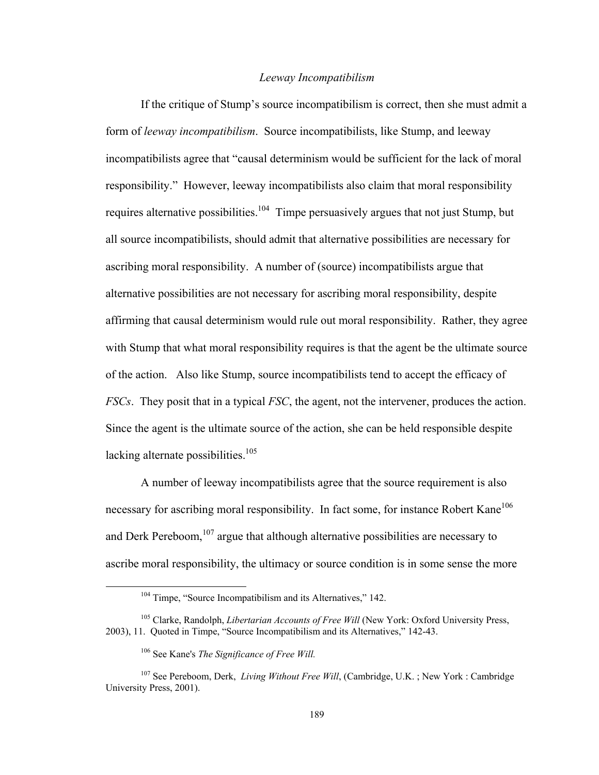### *Leeway Incompatibilism*

If the critique of Stump's source incompatibilism is correct, then she must admit a form of *leeway incompatibilism*. Source incompatibilists, like Stump, and leeway incompatibilists agree that "causal determinism would be sufficient for the lack of moral responsibility." However, leeway incompatibilists also claim that moral responsibility requires alternative possibilities.<sup>104</sup> Timpe persuasively argues that not just Stump, but all source incompatibilists, should admit that alternative possibilities are necessary for ascribing moral responsibility. A number of (source) incompatibilists argue that alternative possibilities are not necessary for ascribing moral responsibility, despite affirming that causal determinism would rule out moral responsibility. Rather, they agree with Stump that what moral responsibility requires is that the agent be the ultimate source of the action. Also like Stump, source incompatibilists tend to accept the efficacy of *FSCs*. They posit that in a typical *FSC*, the agent, not the intervener, produces the action. Since the agent is the ultimate source of the action, she can be held responsible despite lacking alternate possibilities.<sup>105</sup>

A number of leeway incompatibilists agree that the source requirement is also necessary for ascribing moral responsibility. In fact some, for instance Robert Kane<sup>106</sup> and Derk Pereboom,  $107$  argue that although alternative possibilities are necessary to ascribe moral responsibility, the ultimacy or source condition is in some sense the more

<sup>&</sup>lt;sup>104</sup> Timpe, "Source Incompatibilism and its Alternatives," 142.

<sup>105</sup> Clarke, Randolph, *Libertarian Accounts of Free Will* (New York: Oxford University Press, 2003), 11. Quoted in Timpe, "Source Incompatibilism and its Alternatives," 142-43.

<sup>106</sup> See Kane's *The Significance of Free Will.* 

<sup>107</sup> See Pereboom, Derk, *Living Without Free Will*, (Cambridge, U.K. ; New York : Cambridge University Press, 2001).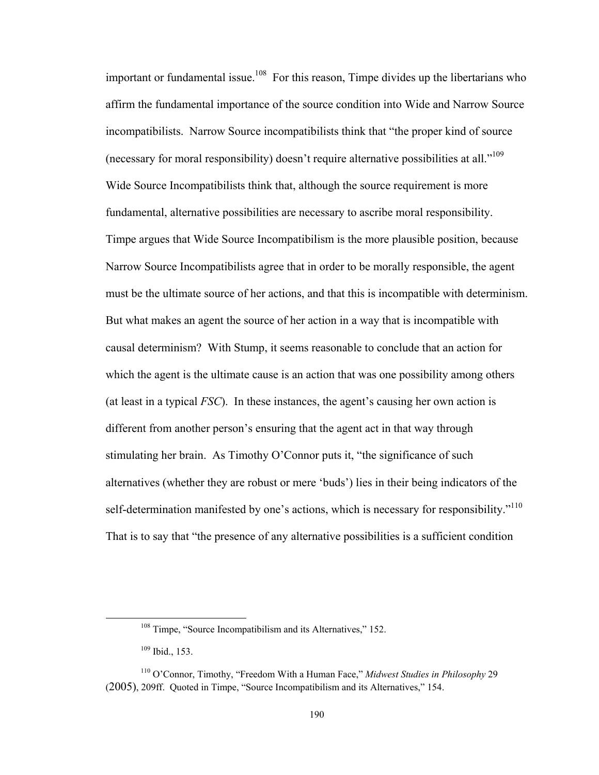important or fundamental issue.<sup>108</sup> For this reason, Timpe divides up the libertarians who affirm the fundamental importance of the source condition into Wide and Narrow Source incompatibilists. Narrow Source incompatibilists think that "the proper kind of source (necessary for moral responsibility) doesn't require alternative possibilities at all."<sup>109</sup> Wide Source Incompatibilists think that, although the source requirement is more fundamental, alternative possibilities are necessary to ascribe moral responsibility. Timpe argues that Wide Source Incompatibilism is the more plausible position, because Narrow Source Incompatibilists agree that in order to be morally responsible, the agent must be the ultimate source of her actions, and that this is incompatible with determinism. But what makes an agent the source of her action in a way that is incompatible with causal determinism? With Stump, it seems reasonable to conclude that an action for which the agent is the ultimate cause is an action that was one possibility among others (at least in a typical *FSC*). In these instances, the agent's causing her own action is different from another person's ensuring that the agent act in that way through stimulating her brain. As Timothy O'Connor puts it, "the significance of such alternatives (whether they are robust or mere 'buds') lies in their being indicators of the self-determination manifested by one's actions, which is necessary for responsibility."<sup>110</sup> That is to say that "the presence of any alternative possibilities is a sufficient condition

 $108$  Timpe, "Source Incompatibilism and its Alternatives," 152.

<sup>109</sup> Ibid., 153.

<sup>110</sup> O'Connor, Timothy, "Freedom With a Human Face," *Midwest Studies in Philosophy* 29 (2005), 209ff. Quoted in Timpe, "Source Incompatibilism and its Alternatives," 154.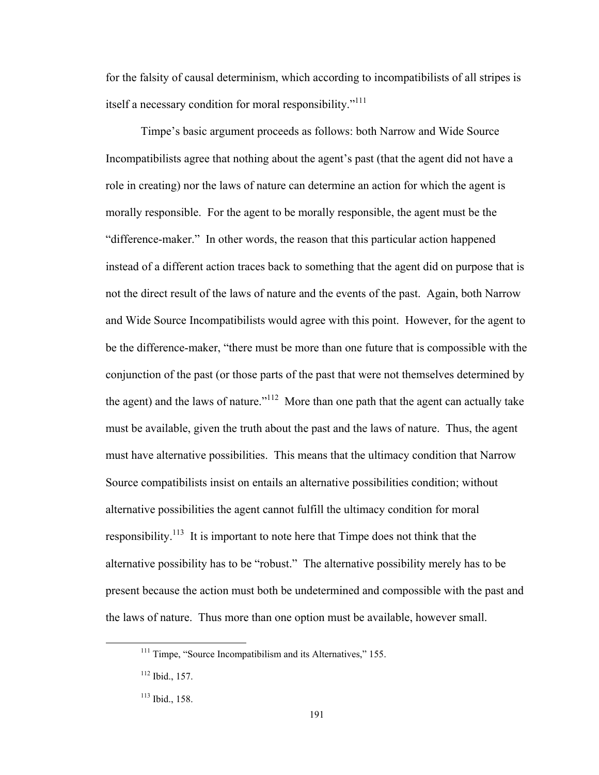for the falsity of causal determinism, which according to incompatibilists of all stripes is itself a necessary condition for moral responsibility."<sup>111</sup>

Timpe's basic argument proceeds as follows: both Narrow and Wide Source Incompatibilists agree that nothing about the agent's past (that the agent did not have a role in creating) nor the laws of nature can determine an action for which the agent is morally responsible. For the agent to be morally responsible, the agent must be the "difference-maker." In other words, the reason that this particular action happened instead of a different action traces back to something that the agent did on purpose that is not the direct result of the laws of nature and the events of the past. Again, both Narrow and Wide Source Incompatibilists would agree with this point. However, for the agent to be the difference-maker, "there must be more than one future that is compossible with the conjunction of the past (or those parts of the past that were not themselves determined by the agent) and the laws of nature."<sup>112</sup> More than one path that the agent can actually take must be available, given the truth about the past and the laws of nature. Thus, the agent must have alternative possibilities. This means that the ultimacy condition that Narrow Source compatibilists insist on entails an alternative possibilities condition; without alternative possibilities the agent cannot fulfill the ultimacy condition for moral responsibility.<sup>113</sup> It is important to note here that Timpe does not think that the alternative possibility has to be "robust." The alternative possibility merely has to be present because the action must both be undetermined and compossible with the past and the laws of nature. Thus more than one option must be available, however small.

 $111$  Timpe, "Source Incompatibilism and its Alternatives," 155.

<sup>112</sup> Ibid., 157.

<sup>113</sup> Ibid., 158.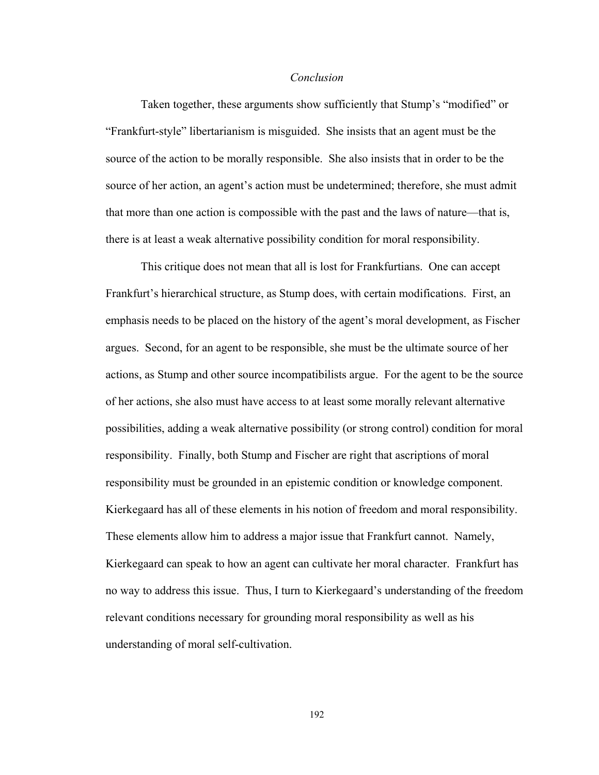#### *Conclusion*

Taken together, these arguments show sufficiently that Stump's "modified" or "Frankfurt-style" libertarianism is misguided. She insists that an agent must be the source of the action to be morally responsible. She also insists that in order to be the source of her action, an agent's action must be undetermined; therefore, she must admit that more than one action is compossible with the past and the laws of nature—that is, there is at least a weak alternative possibility condition for moral responsibility.

This critique does not mean that all is lost for Frankfurtians. One can accept Frankfurt's hierarchical structure, as Stump does, with certain modifications. First, an emphasis needs to be placed on the history of the agent's moral development, as Fischer argues. Second, for an agent to be responsible, she must be the ultimate source of her actions, as Stump and other source incompatibilists argue. For the agent to be the source of her actions, she also must have access to at least some morally relevant alternative possibilities, adding a weak alternative possibility (or strong control) condition for moral responsibility. Finally, both Stump and Fischer are right that ascriptions of moral responsibility must be grounded in an epistemic condition or knowledge component. Kierkegaard has all of these elements in his notion of freedom and moral responsibility. These elements allow him to address a major issue that Frankfurt cannot. Namely, Kierkegaard can speak to how an agent can cultivate her moral character. Frankfurt has no way to address this issue. Thus, I turn to Kierkegaard's understanding of the freedom relevant conditions necessary for grounding moral responsibility as well as his understanding of moral self-cultivation.

192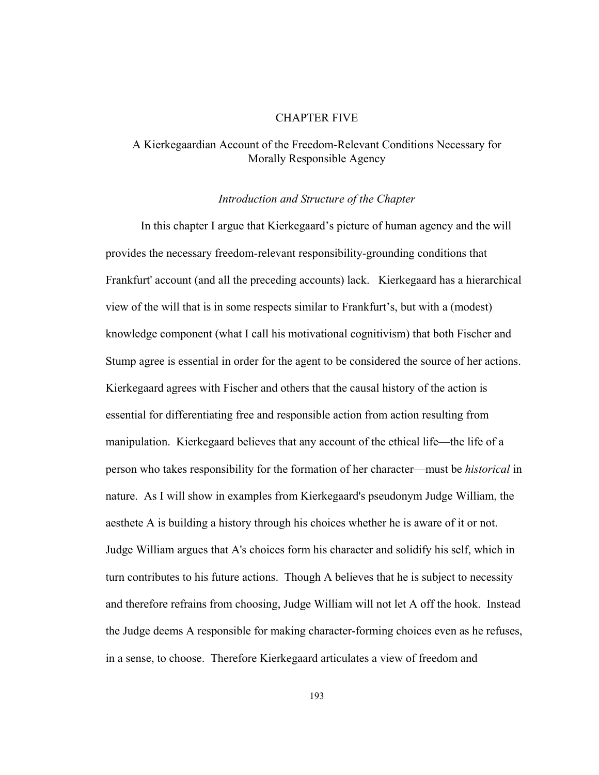### CHAPTER FIVE

# A Kierkegaardian Account of the Freedom-Relevant Conditions Necessary for Morally Responsible Agency

### *Introduction and Structure of the Chapter*

In this chapter I argue that Kierkegaard's picture of human agency and the will provides the necessary freedom-relevant responsibility-grounding conditions that Frankfurt' account (and all the preceding accounts) lack. Kierkegaard has a hierarchical view of the will that is in some respects similar to Frankfurt's, but with a (modest) knowledge component (what I call his motivational cognitivism) that both Fischer and Stump agree is essential in order for the agent to be considered the source of her actions. Kierkegaard agrees with Fischer and others that the causal history of the action is essential for differentiating free and responsible action from action resulting from manipulation. Kierkegaard believes that any account of the ethical life—the life of a person who takes responsibility for the formation of her character—must be *historical* in nature. As I will show in examples from Kierkegaard's pseudonym Judge William, the aesthete A is building a history through his choices whether he is aware of it or not. Judge William argues that A's choices form his character and solidify his self, which in turn contributes to his future actions. Though A believes that he is subject to necessity and therefore refrains from choosing, Judge William will not let A off the hook. Instead the Judge deems A responsible for making character-forming choices even as he refuses, in a sense, to choose. Therefore Kierkegaard articulates a view of freedom and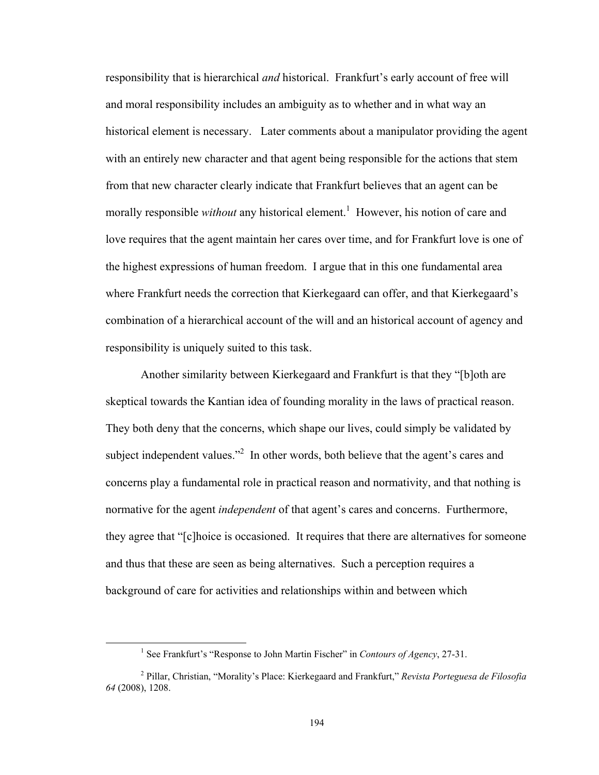responsibility that is hierarchical *and* historical. Frankfurt's early account of free will and moral responsibility includes an ambiguity as to whether and in what way an historical element is necessary. Later comments about a manipulator providing the agent with an entirely new character and that agent being responsible for the actions that stem from that new character clearly indicate that Frankfurt believes that an agent can be morally responsible *without* any historical element.<sup>1</sup> However, his notion of care and love requires that the agent maintain her cares over time, and for Frankfurt love is one of the highest expressions of human freedom. I argue that in this one fundamental area where Frankfurt needs the correction that Kierkegaard can offer, and that Kierkegaard's combination of a hierarchical account of the will and an historical account of agency and responsibility is uniquely suited to this task.

Another similarity between Kierkegaard and Frankfurt is that they "[b]oth are skeptical towards the Kantian idea of founding morality in the laws of practical reason. They both deny that the concerns, which shape our lives, could simply be validated by subject independent values. $\mathbb{R}^2$  In other words, both believe that the agent's cares and concerns play a fundamental role in practical reason and normativity, and that nothing is normative for the agent *independent* of that agent's cares and concerns. Furthermore, they agree that "[c]hoice is occasioned. It requires that there are alternatives for someone and thus that these are seen as being alternatives. Such a perception requires a background of care for activities and relationships within and between which

 <sup>1</sup> See Frankfurt's "Response to John Martin Fischer" in *Contours of Agency*, 27-31.

<sup>2</sup> Pillar, Christian, "Morality's Place: Kierkegaard and Frankfurt," *Revista Porteguesa de Filosofia 64* (2008), 1208.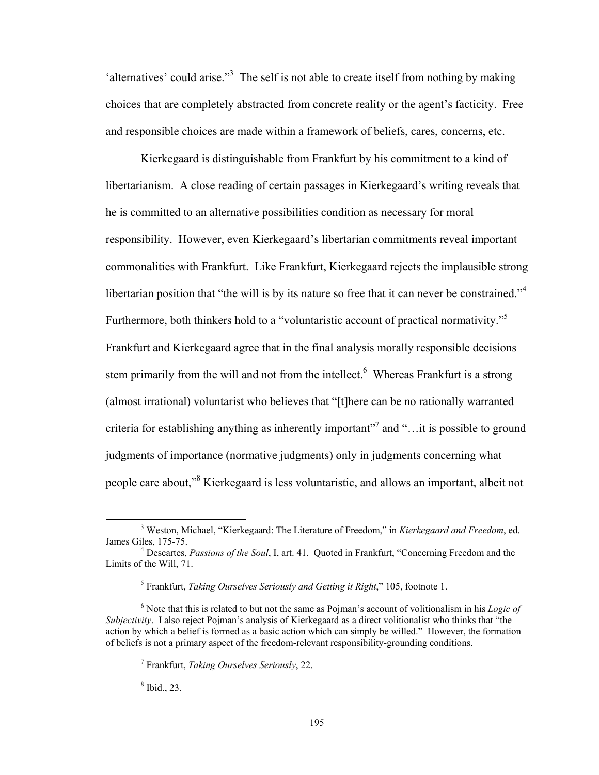'alternatives' could arise."<sup>3</sup> The self is not able to create itself from nothing by making choices that are completely abstracted from concrete reality or the agent's facticity. Free and responsible choices are made within a framework of beliefs, cares, concerns, etc.

Kierkegaard is distinguishable from Frankfurt by his commitment to a kind of libertarianism. A close reading of certain passages in Kierkegaard's writing reveals that he is committed to an alternative possibilities condition as necessary for moral responsibility. However, even Kierkegaard's libertarian commitments reveal important commonalities with Frankfurt. Like Frankfurt, Kierkegaard rejects the implausible strong libertarian position that "the will is by its nature so free that it can never be constrained."<sup>4</sup> Furthermore, both thinkers hold to a "voluntaristic account of practical normativity."<sup>5</sup> Frankfurt and Kierkegaard agree that in the final analysis morally responsible decisions stem primarily from the will and not from the intellect.<sup>6</sup> Whereas Frankfurt is a strong (almost irrational) voluntarist who believes that "[t]here can be no rationally warranted criteria for establishing anything as inherently important"<sup>7</sup> and "... it is possible to ground judgments of importance (normative judgments) only in judgments concerning what people care about,"<sup>8</sup> Kierkegaard is less voluntaristic, and allows an important, albeit not

8 Ibid., 23.

 <sup>3</sup> Weston, Michael, "Kierkegaard: The Literature of Freedom," in *Kierkegaard and Freedom*, ed. James Giles, 175-75. 4

Descartes, *Passions of the Soul*, I, art. 41. Quoted in Frankfurt, "Concerning Freedom and the Limits of the Will, 71.

<sup>5</sup> Frankfurt, *Taking Ourselves Seriously and Getting it Right*," 105, footnote 1.

<sup>6</sup> Note that this is related to but not the same as Pojman's account of volitionalism in his *Logic of Subjectivity*. I also reject Pojman's analysis of Kierkegaard as a direct volitionalist who thinks that "the action by which a belief is formed as a basic action which can simply be willed." However, the formation of beliefs is not a primary aspect of the freedom-relevant responsibility-grounding conditions.

<sup>7</sup> Frankfurt, *Taking Ourselves Seriously*, 22.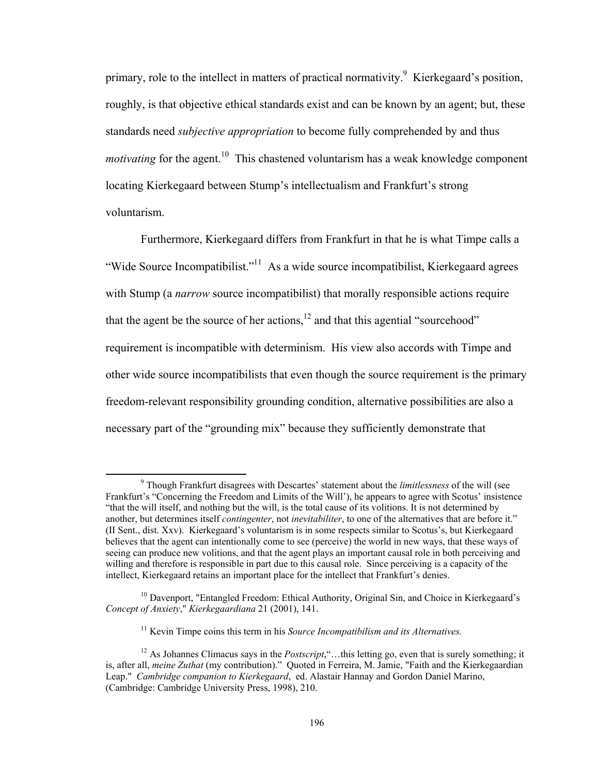primary, role to the intellect in matters of practical normativity.<sup>9</sup> Kierkegaard's position, roughly, is that objective ethical standards exist and can be known by an agent; but, these standards need *subjective appropriation* to become fully comprehended by and thus *motivating* for the agent.<sup>10</sup> This chastened voluntarism has a weak knowledge component locating Kierkegaard between Stump's intellectualism and Frankfurt's strong voluntarism.

Furthermore, Kierkegaard differs from Frankfurt in that he is what Timpe calls a "Wide Source Incompatibilist."<sup>11</sup> As a wide source incompatibilist, Kierkegaard agrees with Stump (a *narrow* source incompatibilist) that morally responsible actions require that the agent be the source of her actions, $12$  and that this agential "sourcehood" requirement is incompatible with determinism. His view also accords with Timpe and other wide source incompatibilists that even though the source requirement is the primary freedom-relevant responsibility grounding condition, alternative possibilities are also a necessary part of the "grounding mix" because they sufficiently demonstrate that

 <sup>9</sup> Though Frankfurt disagrees with Descartes' statement about the *limitlessness* of the will (see Frankfurt's "Concerning the Freedom and Limits of the Will'), he appears to agree with Scotus' insistence "that the will itself, and nothing but the will, is the total cause of its volitions. It is not determined by another, but determines itself *contingenter*, not *inevitabiliter*, to one of the alternatives that are before it." (II Sent., dist. Xxv). Kierkegaard's voluntarism is in some respects similar to Scotus's, but Kierkegaard believes that the agent can intentionally come to see (perceive) the world in new ways, that these ways of seeing can produce new volitions, and that the agent plays an important causal role in both perceiving and willing and therefore is responsible in part due to this causal role. Since perceiving is a capacity of the intellect, Kierkegaard retains an important place for the intellect that Frankfurt's denies.

<sup>&</sup>lt;sup>10</sup> Davenport, "Entangled Freedom: Ethical Authority, Original Sin, and Choice in Kierkegaard's *Concept of Anxiety*," *Kierkegaardiana* 21 (2001), 141.

<sup>&</sup>lt;sup>11</sup> Kevin Timpe coins this term in his *Source Incompatibilism and its Alternatives*.

<sup>&</sup>lt;sup>12</sup> As Johannes Climacus says in the *Postscript*,"...this letting go, even that is surely something; it is, after all, *meine Zuthat* (my contribution)." Quoted in Ferreira, M. Jamie, "Faith and the Kierkegaardian Leap." *Cambridge companion to Kierkegaard*, ed. Alastair Hannay and Gordon Daniel Marino, (Cambridge: Cambridge University Press, 1998), 210.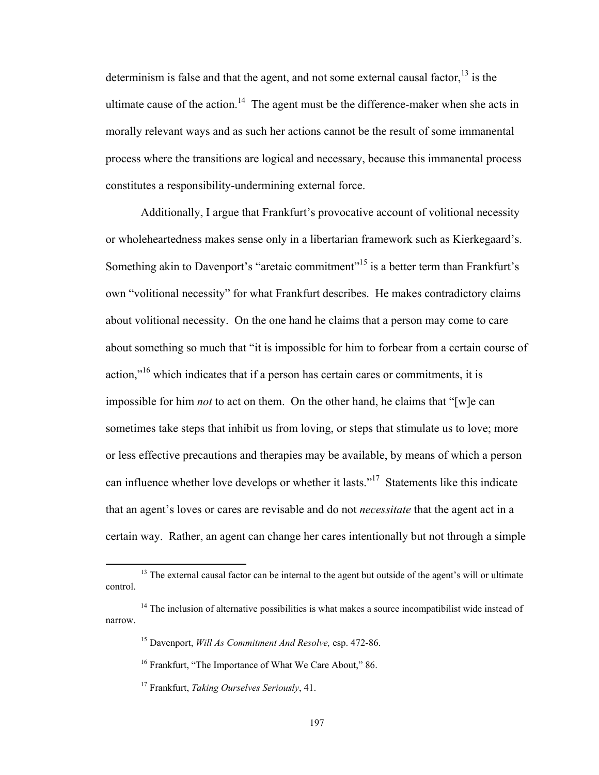determinism is false and that the agent, and not some external causal factor, $13$  is the ultimate cause of the action.<sup>14</sup> The agent must be the difference-maker when she acts in morally relevant ways and as such her actions cannot be the result of some immanental process where the transitions are logical and necessary, because this immanental process constitutes a responsibility-undermining external force.

Additionally, I argue that Frankfurt's provocative account of volitional necessity or wholeheartedness makes sense only in a libertarian framework such as Kierkegaard's. Something akin to Davenport's "aretaic commitment"<sup>15</sup> is a better term than Frankfurt's own "volitional necessity" for what Frankfurt describes. He makes contradictory claims about volitional necessity. On the one hand he claims that a person may come to care about something so much that "it is impossible for him to forbear from a certain course of action, $\mathbf{r}^{16}$  which indicates that if a person has certain cares or commitments, it is impossible for him *not* to act on them. On the other hand, he claims that "[w]e can sometimes take steps that inhibit us from loving, or steps that stimulate us to love; more or less effective precautions and therapies may be available, by means of which a person can influence whether love develops or whether it lasts."17 Statements like this indicate that an agent's loves or cares are revisable and do not *necessitate* that the agent act in a certain way. Rather, an agent can change her cares intentionally but not through a simple

 $<sup>13</sup>$  The external causal factor can be internal to the agent but outside of the agent's will or ultimate</sup> control.

 $14$  The inclusion of alternative possibilities is what makes a source incompatibilist wide instead of narrow.

<sup>15</sup> Davenport, *Will As Commitment And Resolve,* esp. 472-86.

<sup>&</sup>lt;sup>16</sup> Frankfurt, "The Importance of What We Care About," 86.

<sup>17</sup> Frankfurt, *Taking Ourselves Seriously*, 41.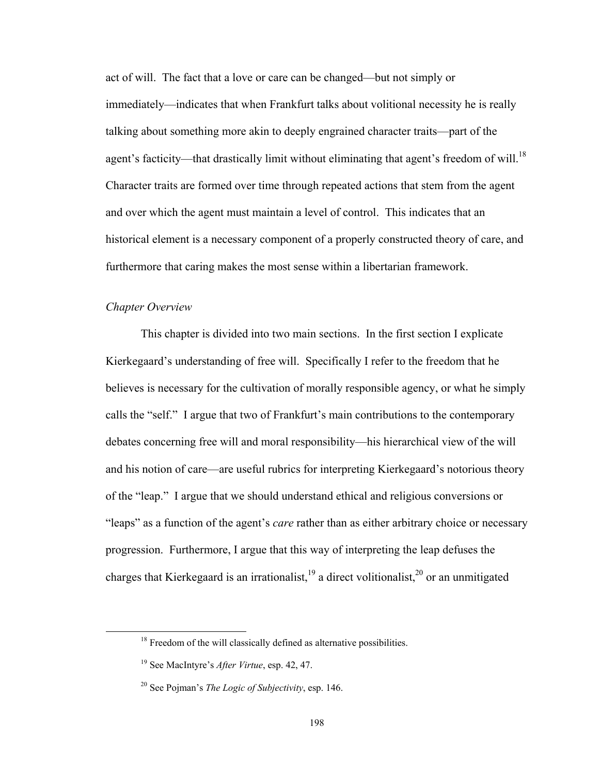act of will. The fact that a love or care can be changed—but not simply or immediately—indicates that when Frankfurt talks about volitional necessity he is really talking about something more akin to deeply engrained character traits—part of the agent's facticity—that drastically limit without eliminating that agent's freedom of will.<sup>18</sup> Character traits are formed over time through repeated actions that stem from the agent and over which the agent must maintain a level of control. This indicates that an historical element is a necessary component of a properly constructed theory of care, and furthermore that caring makes the most sense within a libertarian framework.

### *Chapter Overview*

This chapter is divided into two main sections. In the first section I explicate Kierkegaard's understanding of free will. Specifically I refer to the freedom that he believes is necessary for the cultivation of morally responsible agency, or what he simply calls the "self." I argue that two of Frankfurt's main contributions to the contemporary debates concerning free will and moral responsibility—his hierarchical view of the will and his notion of care—are useful rubrics for interpreting Kierkegaard's notorious theory of the "leap." I argue that we should understand ethical and religious conversions or "leaps" as a function of the agent's *care* rather than as either arbitrary choice or necessary progression. Furthermore, I argue that this way of interpreting the leap defuses the charges that Kierkegaard is an irrationalist,  $19$  a direct volitionalist,  $20$  or an unmitigated

<sup>&</sup>lt;sup>18</sup> Freedom of the will classically defined as alternative possibilities.

<sup>19</sup> See MacIntyre's *After Virtue*, esp. 42, 47.

<sup>20</sup> See Pojman's *The Logic of Subjectivity*, esp. 146.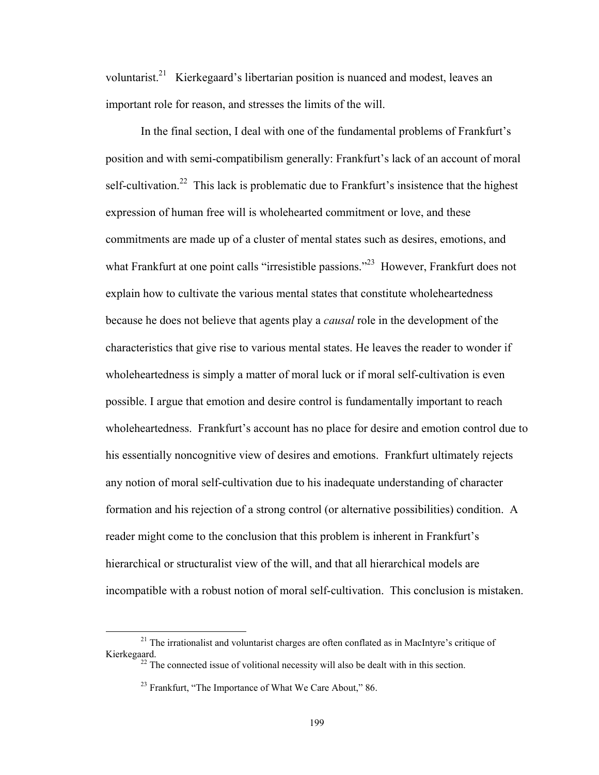voluntarist.<sup>21</sup> Kierkegaard's libertarian position is nuanced and modest, leaves an important role for reason, and stresses the limits of the will.

In the final section, I deal with one of the fundamental problems of Frankfurt's position and with semi-compatibilism generally: Frankfurt's lack of an account of moral self-cultivation.<sup>22</sup> This lack is problematic due to Frankfurt's insistence that the highest expression of human free will is wholehearted commitment or love, and these commitments are made up of a cluster of mental states such as desires, emotions, and what Frankfurt at one point calls "irresistible passions."<sup>23</sup> However, Frankfurt does not explain how to cultivate the various mental states that constitute wholeheartedness because he does not believe that agents play a *causal* role in the development of the characteristics that give rise to various mental states. He leaves the reader to wonder if wholeheartedness is simply a matter of moral luck or if moral self-cultivation is even possible. I argue that emotion and desire control is fundamentally important to reach wholeheartedness. Frankfurt's account has no place for desire and emotion control due to his essentially noncognitive view of desires and emotions. Frankfurt ultimately rejects any notion of moral self-cultivation due to his inadequate understanding of character formation and his rejection of a strong control (or alternative possibilities) condition. A reader might come to the conclusion that this problem is inherent in Frankfurt's hierarchical or structuralist view of the will, and that all hierarchical models are incompatible with a robust notion of moral self-cultivation. This conclusion is mistaken.

 $^{21}$  The irrationalist and voluntarist charges are often conflated as in MacIntyre's critique of Kierkegaard.

 $^{22}$  The connected issue of volitional necessity will also be dealt with in this section.

<sup>&</sup>lt;sup>23</sup> Frankfurt, "The Importance of What We Care About," 86.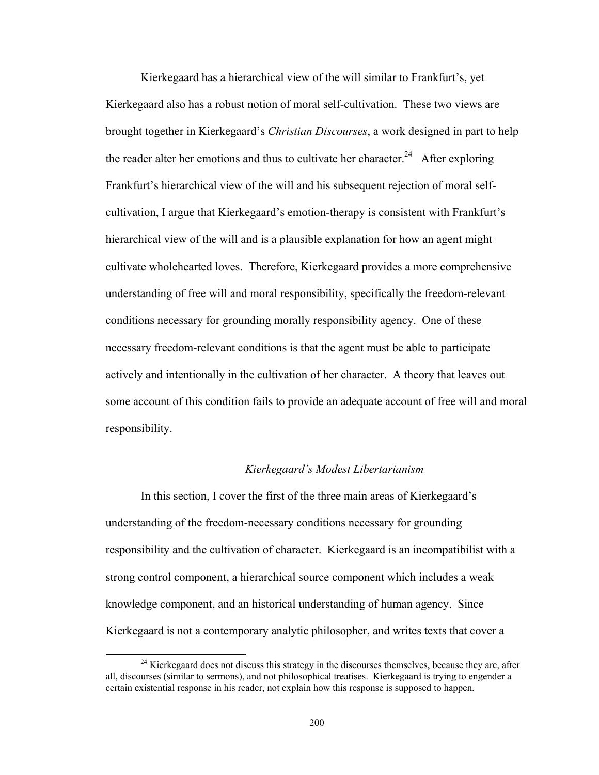Kierkegaard has a hierarchical view of the will similar to Frankfurt's, yet Kierkegaard also has a robust notion of moral self-cultivation. These two views are brought together in Kierkegaard's *Christian Discourses*, a work designed in part to help the reader alter her emotions and thus to cultivate her character.<sup>24</sup> After exploring Frankfurt's hierarchical view of the will and his subsequent rejection of moral selfcultivation, I argue that Kierkegaard's emotion-therapy is consistent with Frankfurt's hierarchical view of the will and is a plausible explanation for how an agent might cultivate wholehearted loves. Therefore, Kierkegaard provides a more comprehensive understanding of free will and moral responsibility, specifically the freedom-relevant conditions necessary for grounding morally responsibility agency. One of these necessary freedom-relevant conditions is that the agent must be able to participate actively and intentionally in the cultivation of her character. A theory that leaves out some account of this condition fails to provide an adequate account of free will and moral responsibility.

## *Kierkegaard's Modest Libertarianism*

In this section, I cover the first of the three main areas of Kierkegaard's understanding of the freedom-necessary conditions necessary for grounding responsibility and the cultivation of character. Kierkegaard is an incompatibilist with a strong control component, a hierarchical source component which includes a weak knowledge component, and an historical understanding of human agency. Since Kierkegaard is not a contemporary analytic philosopher, and writes texts that cover a

 $24$  Kierkegaard does not discuss this strategy in the discourses themselves, because they are, after all, discourses (similar to sermons), and not philosophical treatises. Kierkegaard is trying to engender a certain existential response in his reader, not explain how this response is supposed to happen.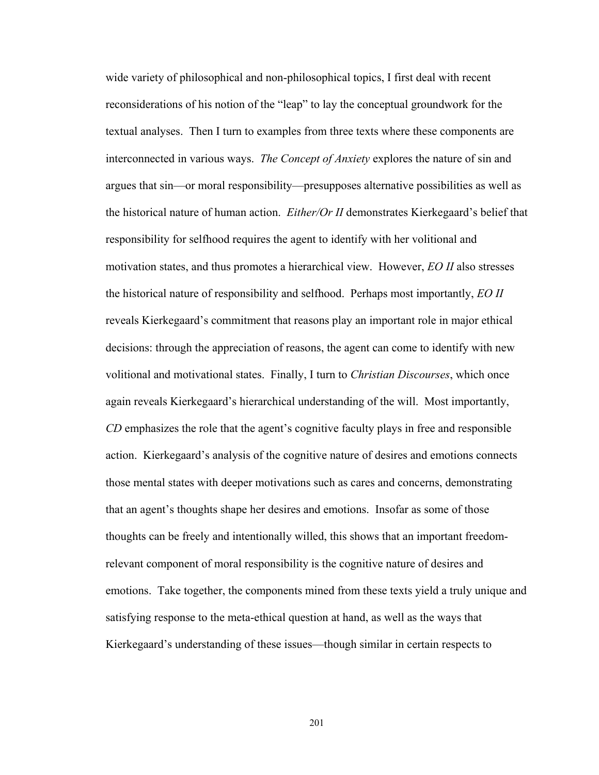wide variety of philosophical and non-philosophical topics, I first deal with recent reconsiderations of his notion of the "leap" to lay the conceptual groundwork for the textual analyses. Then I turn to examples from three texts where these components are interconnected in various ways. *The Concept of Anxiety* explores the nature of sin and argues that sin—or moral responsibility—presupposes alternative possibilities as well as the historical nature of human action. *Either/Or II* demonstrates Kierkegaard's belief that responsibility for selfhood requires the agent to identify with her volitional and motivation states, and thus promotes a hierarchical view. However, *EO II* also stresses the historical nature of responsibility and selfhood. Perhaps most importantly, *EO II*  reveals Kierkegaard's commitment that reasons play an important role in major ethical decisions: through the appreciation of reasons, the agent can come to identify with new volitional and motivational states. Finally, I turn to *Christian Discourses*, which once again reveals Kierkegaard's hierarchical understanding of the will. Most importantly, *CD* emphasizes the role that the agent's cognitive faculty plays in free and responsible action. Kierkegaard's analysis of the cognitive nature of desires and emotions connects those mental states with deeper motivations such as cares and concerns, demonstrating that an agent's thoughts shape her desires and emotions. Insofar as some of those thoughts can be freely and intentionally willed, this shows that an important freedomrelevant component of moral responsibility is the cognitive nature of desires and emotions. Take together, the components mined from these texts yield a truly unique and satisfying response to the meta-ethical question at hand, as well as the ways that Kierkegaard's understanding of these issues—though similar in certain respects to

201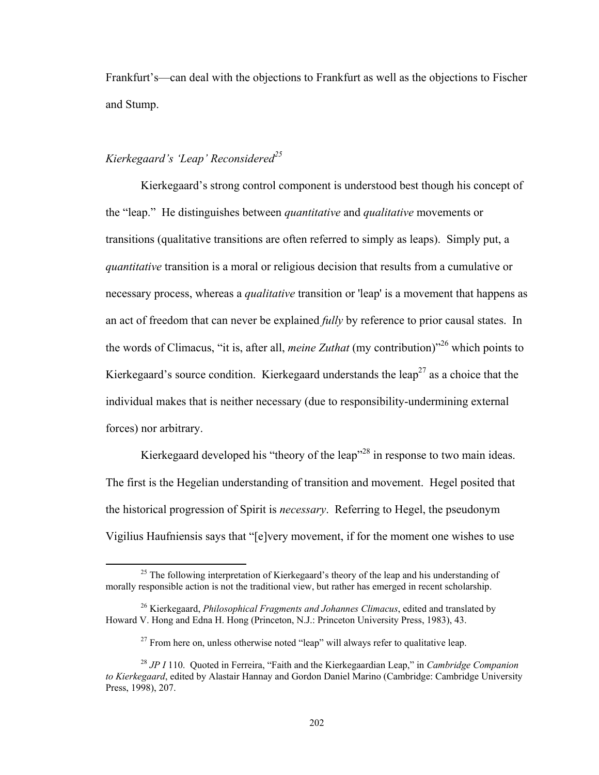Frankfurt's—can deal with the objections to Frankfurt as well as the objections to Fischer and Stump.

# *Kierkegaard's 'Leap' Reconsidered25*

Kierkegaard's strong control component is understood best though his concept of the "leap." He distinguishes between *quantitative* and *qualitative* movements or transitions (qualitative transitions are often referred to simply as leaps). Simply put, a *quantitative* transition is a moral or religious decision that results from a cumulative or necessary process, whereas a *qualitative* transition or 'leap' is a movement that happens as an act of freedom that can never be explained *fully* by reference to prior causal states. In the words of Climacus, "it is, after all, *meine Zuthat* (my contribution)"26 which points to Kierkegaard's source condition. Kierkegaard understands the leap<sup>27</sup> as a choice that the individual makes that is neither necessary (due to responsibility-undermining external forces) nor arbitrary.

Kierkegaard developed his "theory of the leap"<sup>28</sup> in response to two main ideas. The first is the Hegelian understanding of transition and movement. Hegel posited that the historical progression of Spirit is *necessary*. Referring to Hegel, the pseudonym Vigilius Haufniensis says that "[e]very movement, if for the moment one wishes to use

 $^{25}$  The following interpretation of Kierkegaard's theory of the leap and his understanding of morally responsible action is not the traditional view, but rather has emerged in recent scholarship.

<sup>26</sup> Kierkegaard, *Philosophical Fragments and Johannes Climacus*, edited and translated by Howard V. Hong and Edna H. Hong (Princeton, N.J.: Princeton University Press, 1983), 43.

 $27$  From here on, unless otherwise noted "leap" will always refer to qualitative leap.

<sup>28</sup> *JP I* 110. Quoted in Ferreira, "Faith and the Kierkegaardian Leap," in *Cambridge Companion to Kierkegaard*, edited by Alastair Hannay and Gordon Daniel Marino (Cambridge: Cambridge University Press, 1998), 207.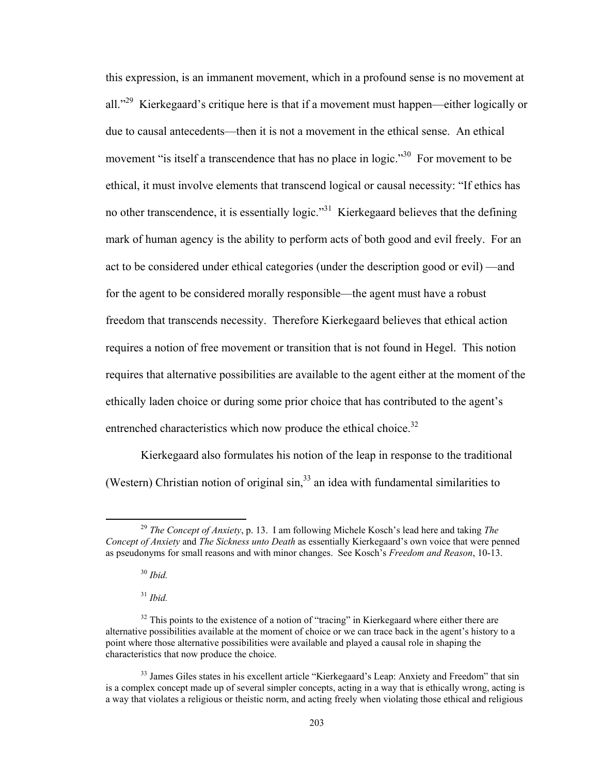this expression, is an immanent movement, which in a profound sense is no movement at all."<sup>29</sup> Kierkegaard's critique here is that if a movement must happen—either logically or due to causal antecedents—then it is not a movement in the ethical sense. An ethical movement "is itself a transcendence that has no place in logic."<sup>30</sup> For movement to be ethical, it must involve elements that transcend logical or causal necessity: "If ethics has no other transcendence, it is essentially logic."<sup>31</sup> Kierkegaard believes that the defining mark of human agency is the ability to perform acts of both good and evil freely. For an act to be considered under ethical categories (under the description good or evil) —and for the agent to be considered morally responsible—the agent must have a robust freedom that transcends necessity. Therefore Kierkegaard believes that ethical action requires a notion of free movement or transition that is not found in Hegel. This notion requires that alternative possibilities are available to the agent either at the moment of the ethically laden choice or during some prior choice that has contributed to the agent's entrenched characteristics which now produce the ethical choice.<sup>32</sup>

Kierkegaard also formulates his notion of the leap in response to the traditional (Western) Christian notion of original  $\sin^{33}$  an idea with fundamental similarities to

 <sup>29</sup> *The Concept of Anxiety*, p. 13. I am following Michele Kosch's lead here and taking *The Concept of Anxiety* and *The Sickness unto Death* as essentially Kierkegaard's own voice that were penned as pseudonyms for small reasons and with minor changes. See Kosch's *Freedom and Reason*, 10-13.

<sup>30</sup> *Ibid.*

<sup>31</sup> *Ibid.*

<sup>&</sup>lt;sup>32</sup> This points to the existence of a notion of "tracing" in Kierkegaard where either there are alternative possibilities available at the moment of choice or we can trace back in the agent's history to a point where those alternative possibilities were available and played a causal role in shaping the characteristics that now produce the choice.

<sup>&</sup>lt;sup>33</sup> James Giles states in his excellent article "Kierkegaard's Leap: Anxiety and Freedom" that sin is a complex concept made up of several simpler concepts, acting in a way that is ethically wrong, acting is a way that violates a religious or theistic norm, and acting freely when violating those ethical and religious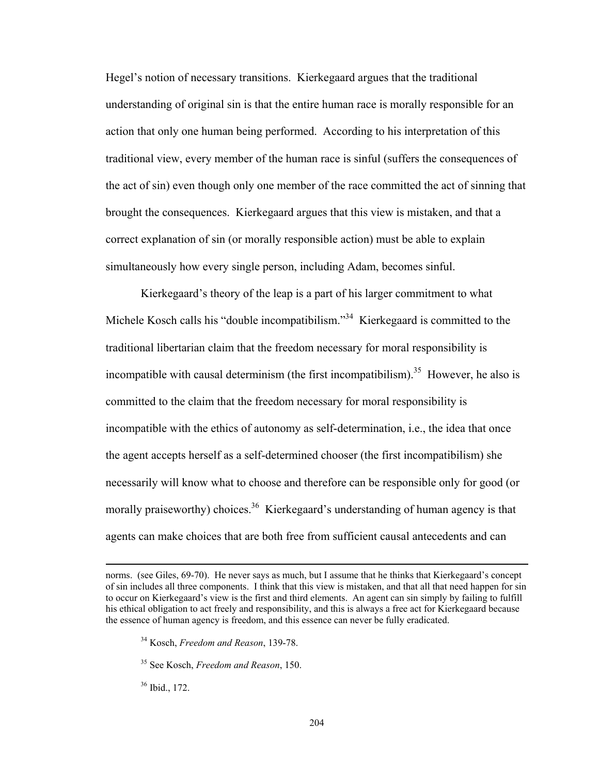Hegel's notion of necessary transitions. Kierkegaard argues that the traditional understanding of original sin is that the entire human race is morally responsible for an action that only one human being performed. According to his interpretation of this traditional view, every member of the human race is sinful (suffers the consequences of the act of sin) even though only one member of the race committed the act of sinning that brought the consequences. Kierkegaard argues that this view is mistaken, and that a correct explanation of sin (or morally responsible action) must be able to explain simultaneously how every single person, including Adam, becomes sinful.

Kierkegaard's theory of the leap is a part of his larger commitment to what Michele Kosch calls his "double incompatibilism."<sup>34</sup> Kierkegaard is committed to the traditional libertarian claim that the freedom necessary for moral responsibility is incompatible with causal determinism (the first incompatibilism).<sup>35</sup> However, he also is committed to the claim that the freedom necessary for moral responsibility is incompatible with the ethics of autonomy as self-determination, i.e., the idea that once the agent accepts herself as a self-determined chooser (the first incompatibilism) she necessarily will know what to choose and therefore can be responsible only for good (or morally praiseworthy) choices.<sup>36</sup> Kierkegaard's understanding of human agency is that agents can make choices that are both free from sufficient causal antecedents and can

<u> 1989 - Johann Stoff, amerikansk politiker (d. 1989)</u>

36 Ibid., 172.

norms. (see Giles, 69-70). He never says as much, but I assume that he thinks that Kierkegaard's concept of sin includes all three components. I think that this view is mistaken, and that all that need happen for sin to occur on Kierkegaard's view is the first and third elements. An agent can sin simply by failing to fulfill his ethical obligation to act freely and responsibility, and this is always a free act for Kierkegaard because the essence of human agency is freedom, and this essence can never be fully eradicated.

<sup>34</sup> Kosch, *Freedom and Reason*, 139-78.

<sup>35</sup> See Kosch, *Freedom and Reason*, 150.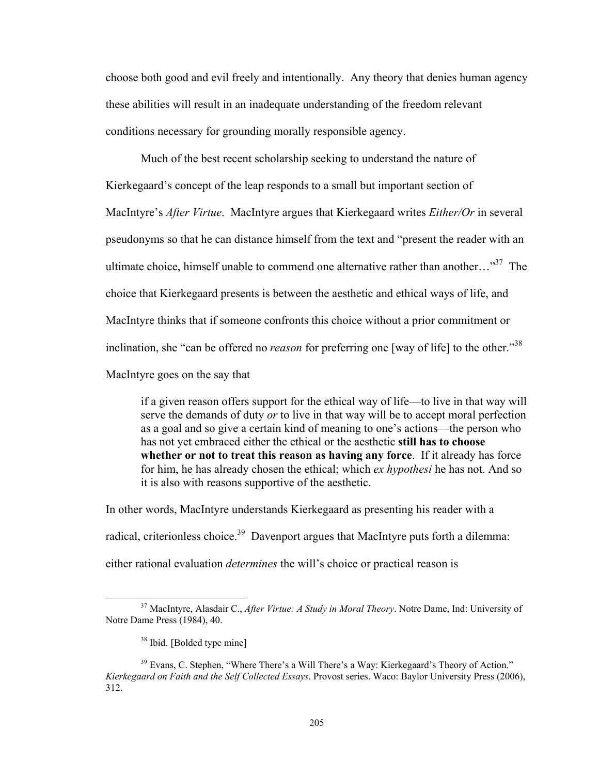choose both good and evil freely and intentionally. Any theory that denies human agency these abilities will result in an inadequate understanding of the freedom relevant conditions necessary for grounding morally responsible agency.

Much of the best recent scholarship seeking to understand the nature of Kierkegaard's concept of the leap responds to a small but important section of MacIntyre's *After Virtue*. MacIntyre argues that Kierkegaard writes *Either/Or* in several pseudonyms so that he can distance himself from the text and "present the reader with an ultimate choice, himself unable to commend one alternative rather than another... $^{37}$  The choice that Kierkegaard presents is between the aesthetic and ethical ways of life, and MacIntyre thinks that if someone confronts this choice without a prior commitment or inclination, she "can be offered no *reason* for preferring one [way of life] to the other."<sup>38</sup> MacIntyre goes on the say that

if a given reason offers support for the ethical way of life—to live in that way will serve the demands of duty *or* to live in that way will be to accept moral perfection as a goal and so give a certain kind of meaning to one's actions—the person who has not yet embraced either the ethical or the aesthetic **still has to choose whether or not to treat this reason as having any force**. If it already has force for him, he has already chosen the ethical; which *ex hypothesi* he has not. And so it is also with reasons supportive of the aesthetic.

In other words, MacIntyre understands Kierkegaard as presenting his reader with a radical, criterionless choice.<sup>39</sup> Davenport argues that MacIntyre puts forth a dilemma: either rational evaluation *determines* the will's choice or practical reason is

 37 MacIntyre, Alasdair C., *After Virtue: A Study in Moral Theory*. Notre Dame, Ind: University of Notre Dame Press (1984), 40.

<sup>38</sup> Ibid. [Bolded type mine]

<sup>&</sup>lt;sup>39</sup> Evans, C. Stephen, "Where There's a Will There's a Way: Kierkegaard's Theory of Action." *Kierkegaard on Faith and the Self Collected Essays*. Provost series. Waco: Baylor University Press (2006), 312.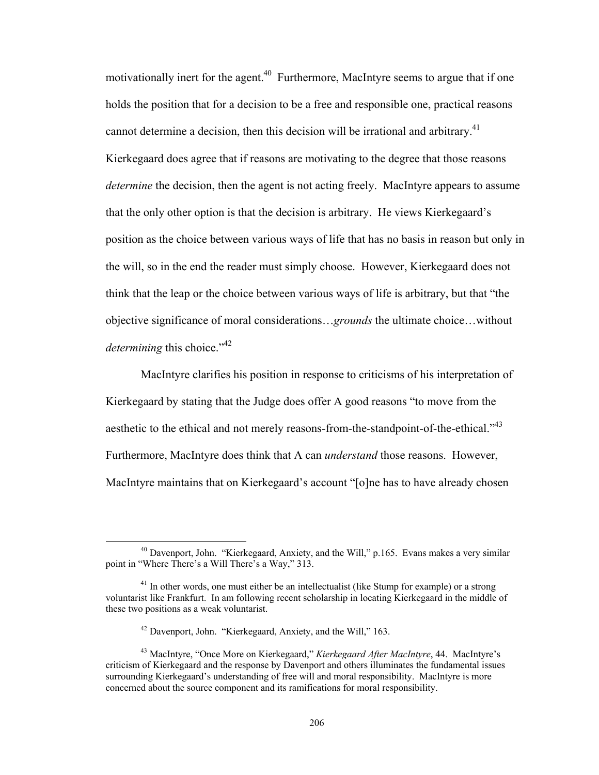motivationally inert for the agent.<sup>40</sup> Furthermore, MacIntyre seems to argue that if one holds the position that for a decision to be a free and responsible one, practical reasons cannot determine a decision, then this decision will be irrational and arbitrary.<sup>41</sup> Kierkegaard does agree that if reasons are motivating to the degree that those reasons *determine* the decision, then the agent is not acting freely. MacIntyre appears to assume that the only other option is that the decision is arbitrary. He views Kierkegaard's position as the choice between various ways of life that has no basis in reason but only in the will, so in the end the reader must simply choose. However, Kierkegaard does not think that the leap or the choice between various ways of life is arbitrary, but that "the objective significance of moral considerations…*grounds* the ultimate choice…without *determining this choice.*"<sup>42</sup>

MacIntyre clarifies his position in response to criticisms of his interpretation of Kierkegaard by stating that the Judge does offer A good reasons "to move from the aesthetic to the ethical and not merely reasons-from-the-standpoint-of-the-ethical."<sup>43</sup> Furthermore, MacIntyre does think that A can *understand* those reasons. However, MacIntyre maintains that on Kierkegaard's account "[o]ne has to have already chosen

 40 Davenport, John. "Kierkegaard, Anxiety, and the Will," p.165. Evans makes a very similar point in "Where There's a Will There's a Way," 313.

 $41$  In other words, one must either be an intellectualist (like Stump for example) or a strong voluntarist like Frankfurt. In am following recent scholarship in locating Kierkegaard in the middle of these two positions as a weak voluntarist.

<sup>42</sup> Davenport, John. "Kierkegaard, Anxiety, and the Will," 163.

<sup>43</sup> MacIntyre, "Once More on Kierkegaard," *Kierkegaard After MacIntyre*, 44. MacIntyre's criticism of Kierkegaard and the response by Davenport and others illuminates the fundamental issues surrounding Kierkegaard's understanding of free will and moral responsibility. MacIntyre is more concerned about the source component and its ramifications for moral responsibility.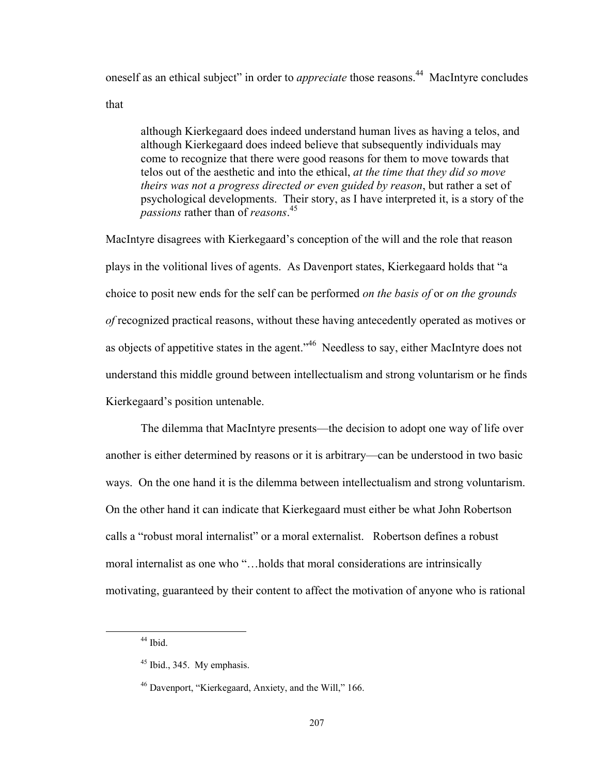oneself as an ethical subject" in order to *appreciate* those reasons.<sup>44</sup> MacIntyre concludes

that

although Kierkegaard does indeed understand human lives as having a telos, and although Kierkegaard does indeed believe that subsequently individuals may come to recognize that there were good reasons for them to move towards that telos out of the aesthetic and into the ethical, *at the time that they did so move theirs was not a progress directed or even guided by reason*, but rather a set of psychological developments. Their story, as I have interpreted it, is a story of the *passions* rather than of *reasons*. 45

MacIntyre disagrees with Kierkegaard's conception of the will and the role that reason plays in the volitional lives of agents. As Davenport states, Kierkegaard holds that "a choice to posit new ends for the self can be performed *on the basis of* or *on the grounds of* recognized practical reasons, without these having antecedently operated as motives or as objects of appetitive states in the agent.<sup>146</sup> Needless to say, either MacIntyre does not understand this middle ground between intellectualism and strong voluntarism or he finds Kierkegaard's position untenable.

The dilemma that MacIntyre presents—the decision to adopt one way of life over another is either determined by reasons or it is arbitrary—can be understood in two basic ways. On the one hand it is the dilemma between intellectualism and strong voluntarism. On the other hand it can indicate that Kierkegaard must either be what John Robertson calls a "robust moral internalist" or a moral externalist. Robertson defines a robust moral internalist as one who "…holds that moral considerations are intrinsically motivating, guaranteed by their content to affect the motivation of anyone who is rational

 44 Ibid.

<sup>45</sup> Ibid., 345. My emphasis.

<sup>46</sup> Davenport, "Kierkegaard, Anxiety, and the Will," 166.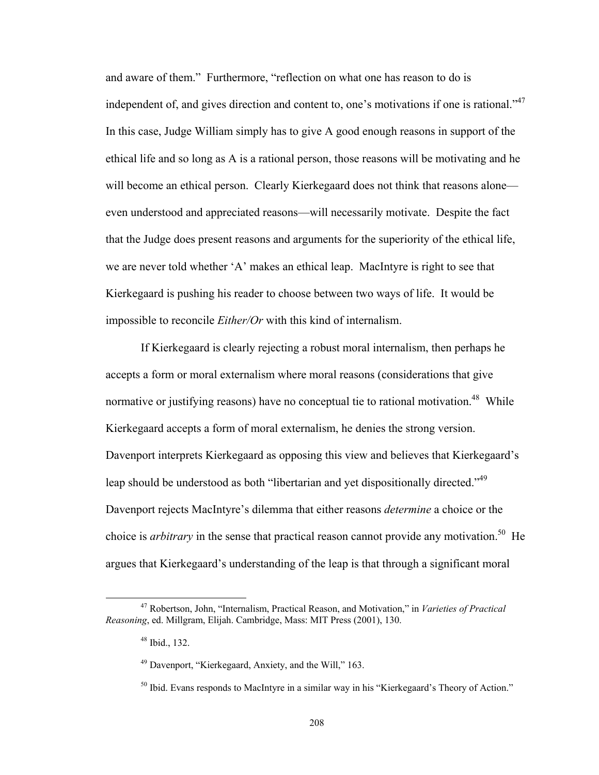and aware of them." Furthermore, "reflection on what one has reason to do is independent of, and gives direction and content to, one's motivations if one is rational."<sup>47</sup> In this case, Judge William simply has to give A good enough reasons in support of the ethical life and so long as A is a rational person, those reasons will be motivating and he will become an ethical person. Clearly Kierkegaard does not think that reasons alone even understood and appreciated reasons—will necessarily motivate. Despite the fact that the Judge does present reasons and arguments for the superiority of the ethical life, we are never told whether 'A' makes an ethical leap. MacIntyre is right to see that Kierkegaard is pushing his reader to choose between two ways of life. It would be impossible to reconcile *Either/Or* with this kind of internalism.

If Kierkegaard is clearly rejecting a robust moral internalism, then perhaps he accepts a form or moral externalism where moral reasons (considerations that give normative or justifying reasons) have no conceptual tie to rational motivation.<sup>48</sup> While Kierkegaard accepts a form of moral externalism, he denies the strong version. Davenport interprets Kierkegaard as opposing this view and believes that Kierkegaard's leap should be understood as both "libertarian and yet dispositionally directed."<sup>49</sup> Davenport rejects MacIntyre's dilemma that either reasons *determine* a choice or the choice is *arbitrary* in the sense that practical reason cannot provide any motivation.<sup>50</sup> He argues that Kierkegaard's understanding of the leap is that through a significant moral

 47 Robertson, John, "Internalism, Practical Reason, and Motivation," in *Varieties of Practical Reasoning*, ed. Millgram, Elijah. Cambridge, Mass: MIT Press (2001), 130.

<sup>48</sup> Ibid., 132.

<sup>49</sup> Davenport, "Kierkegaard, Anxiety, and the Will," 163.

<sup>&</sup>lt;sup>50</sup> Ibid. Evans responds to MacIntyre in a similar way in his "Kierkegaard's Theory of Action."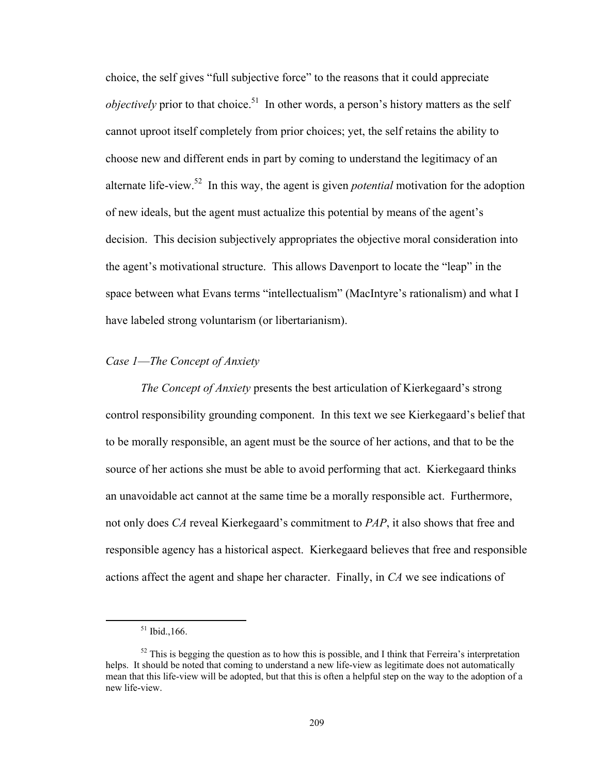choice, the self gives "full subjective force" to the reasons that it could appreciate *objectively* prior to that choice.<sup>51</sup> In other words, a person's history matters as the self cannot uproot itself completely from prior choices; yet, the self retains the ability to choose new and different ends in part by coming to understand the legitimacy of an alternate life-view.52 In this way, the agent is given *potential* motivation for the adoption of new ideals, but the agent must actualize this potential by means of the agent's decision. This decision subjectively appropriates the objective moral consideration into the agent's motivational structure. This allows Davenport to locate the "leap" in the space between what Evans terms "intellectualism" (MacIntyre's rationalism) and what I have labeled strong voluntarism (or libertarianism).

## *Case 1*—*The Concept of Anxiety*

*The Concept of Anxiety* presents the best articulation of Kierkegaard's strong control responsibility grounding component. In this text we see Kierkegaard's belief that to be morally responsible, an agent must be the source of her actions, and that to be the source of her actions she must be able to avoid performing that act. Kierkegaard thinks an unavoidable act cannot at the same time be a morally responsible act. Furthermore, not only does *CA* reveal Kierkegaard's commitment to *PAP*, it also shows that free and responsible agency has a historical aspect. Kierkegaard believes that free and responsible actions affect the agent and shape her character. Finally, in *CA* we see indications of

 51 Ibid.,166.

 $52$  This is begging the question as to how this is possible, and I think that Ferreira's interpretation helps. It should be noted that coming to understand a new life-view as legitimate does not automatically mean that this life-view will be adopted, but that this is often a helpful step on the way to the adoption of a new life-view.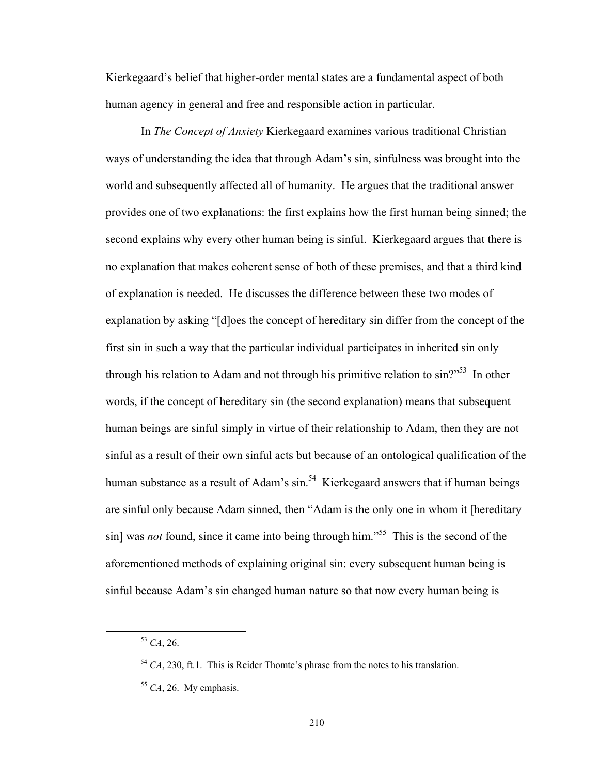Kierkegaard's belief that higher-order mental states are a fundamental aspect of both human agency in general and free and responsible action in particular.

In *The Concept of Anxiety* Kierkegaard examines various traditional Christian ways of understanding the idea that through Adam's sin, sinfulness was brought into the world and subsequently affected all of humanity. He argues that the traditional answer provides one of two explanations: the first explains how the first human being sinned; the second explains why every other human being is sinful. Kierkegaard argues that there is no explanation that makes coherent sense of both of these premises, and that a third kind of explanation is needed. He discusses the difference between these two modes of explanation by asking "[d]oes the concept of hereditary sin differ from the concept of the first sin in such a way that the particular individual participates in inherited sin only through his relation to Adam and not through his primitive relation to  $\sin^{7.53}$  In other words, if the concept of hereditary sin (the second explanation) means that subsequent human beings are sinful simply in virtue of their relationship to Adam, then they are not sinful as a result of their own sinful acts but because of an ontological qualification of the human substance as a result of Adam's  $\sin^{54}$  Kierkegaard answers that if human beings are sinful only because Adam sinned, then "Adam is the only one in whom it [hereditary sin] was *not* found, since it came into being through him."<sup>55</sup> This is the second of the aforementioned methods of explaining original sin: every subsequent human being is sinful because Adam's sin changed human nature so that now every human being is

 <sup>53</sup> *CA*, 26.

<sup>&</sup>lt;sup>54</sup> *CA*, 230, ft.1. This is Reider Thomte's phrase from the notes to his translation.

<sup>&</sup>lt;sup>55</sup> *CA*, 26. My emphasis.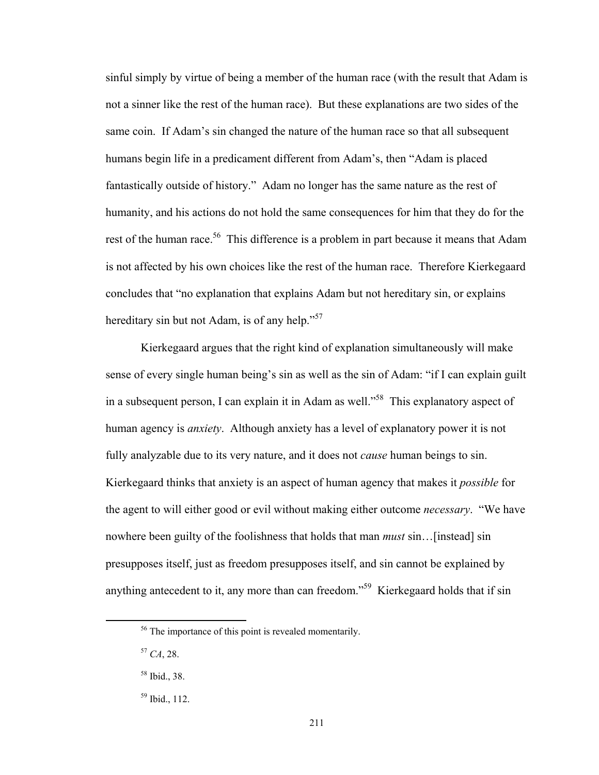sinful simply by virtue of being a member of the human race (with the result that Adam is not a sinner like the rest of the human race). But these explanations are two sides of the same coin. If Adam's sin changed the nature of the human race so that all subsequent humans begin life in a predicament different from Adam's, then "Adam is placed fantastically outside of history." Adam no longer has the same nature as the rest of humanity, and his actions do not hold the same consequences for him that they do for the rest of the human race.<sup>56</sup> This difference is a problem in part because it means that Adam is not affected by his own choices like the rest of the human race. Therefore Kierkegaard concludes that "no explanation that explains Adam but not hereditary sin, or explains hereditary sin but not Adam, is of any help."<sup>57</sup>

Kierkegaard argues that the right kind of explanation simultaneously will make sense of every single human being's sin as well as the sin of Adam: "if I can explain guilt in a subsequent person, I can explain it in Adam as well.<sup>558</sup> This explanatory aspect of human agency is *anxiety*. Although anxiety has a level of explanatory power it is not fully analyzable due to its very nature, and it does not *cause* human beings to sin. Kierkegaard thinks that anxiety is an aspect of human agency that makes it *possible* for the agent to will either good or evil without making either outcome *necessary*. "We have nowhere been guilty of the foolishness that holds that man *must* sin…[instead] sin presupposes itself, just as freedom presupposes itself, and sin cannot be explained by anything antecedent to it, any more than can freedom."<sup>59</sup> Kierkegaard holds that if sin

 56 The importance of this point is revealed momentarily.

<sup>57</sup> *CA*, 28.

<sup>58</sup> Ibid., 38.

<sup>59</sup> Ibid., 112.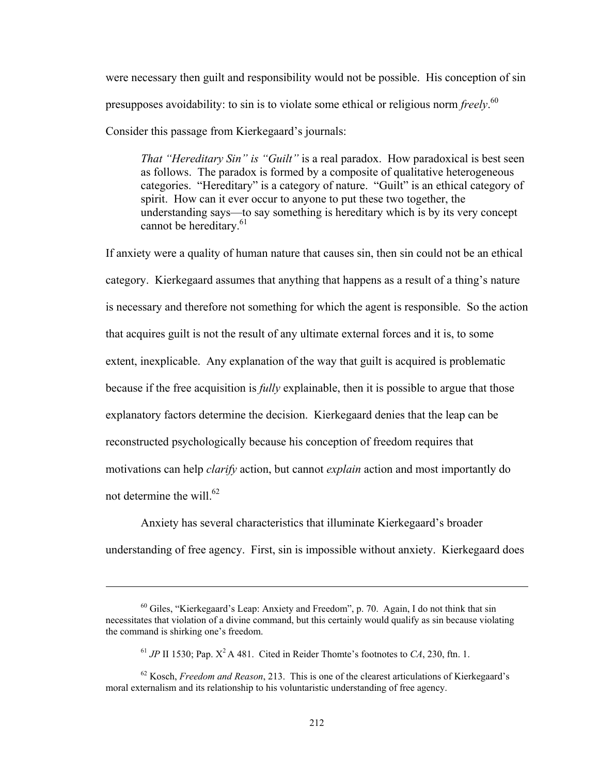were necessary then guilt and responsibility would not be possible. His conception of sin presupposes avoidability: to sin is to violate some ethical or religious norm *freely*. 60 Consider this passage from Kierkegaard's journals:

*That "Hereditary Sin" is "Guilt"* is a real paradox. How paradoxical is best seen as follows. The paradox is formed by a composite of qualitative heterogeneous categories. "Hereditary" is a category of nature. "Guilt" is an ethical category of spirit. How can it ever occur to anyone to put these two together, the understanding says—to say something is hereditary which is by its very concept cannot be hereditary.<sup>61</sup>

If anxiety were a quality of human nature that causes sin, then sin could not be an ethical category. Kierkegaard assumes that anything that happens as a result of a thing's nature is necessary and therefore not something for which the agent is responsible. So the action that acquires guilt is not the result of any ultimate external forces and it is, to some extent, inexplicable. Any explanation of the way that guilt is acquired is problematic because if the free acquisition is *fully* explainable, then it is possible to argue that those explanatory factors determine the decision. Kierkegaard denies that the leap can be reconstructed psychologically because his conception of freedom requires that motivations can help *clarify* action, but cannot *explain* action and most importantly do not determine the will.<sup>62</sup>

Anxiety has several characteristics that illuminate Kierkegaard's broader understanding of free agency. First, sin is impossible without anxiety. Kierkegaard does

<u> 1989 - Johann Stoff, amerikansk politiker (d. 1989)</u>

<sup>60</sup> Giles, "Kierkegaard's Leap: Anxiety and Freedom", p. 70. Again, I do not think that sin necessitates that violation of a divine command, but this certainly would qualify as sin because violating the command is shirking one's freedom.

<sup>&</sup>lt;sup>61</sup> *JP* II 1530; Pap.  $X^2A$  481. Cited in Reider Thomte's footnotes to *CA*, 230, ftn. 1.

<sup>62</sup> Kosch, *Freedom and Reason*, 213. This is one of the clearest articulations of Kierkegaard's moral externalism and its relationship to his voluntaristic understanding of free agency.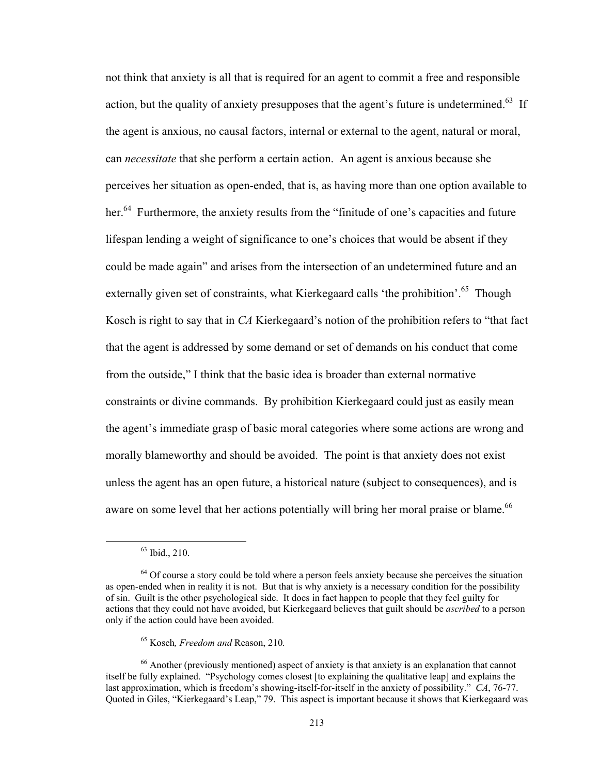not think that anxiety is all that is required for an agent to commit a free and responsible action, but the quality of anxiety presupposes that the agent's future is undetermined.<sup>63</sup> If the agent is anxious, no causal factors, internal or external to the agent, natural or moral, can *necessitate* that she perform a certain action. An agent is anxious because she perceives her situation as open-ended, that is, as having more than one option available to her.<sup>64</sup> Furthermore, the anxiety results from the "finitude of one's capacities and future lifespan lending a weight of significance to one's choices that would be absent if they could be made again" and arises from the intersection of an undetermined future and an externally given set of constraints, what Kierkegaard calls 'the prohibition'.<sup>65</sup> Though Kosch is right to say that in *CA* Kierkegaard's notion of the prohibition refers to "that fact that the agent is addressed by some demand or set of demands on his conduct that come from the outside," I think that the basic idea is broader than external normative constraints or divine commands. By prohibition Kierkegaard could just as easily mean the agent's immediate grasp of basic moral categories where some actions are wrong and morally blameworthy and should be avoided. The point is that anxiety does not exist unless the agent has an open future, a historical nature (subject to consequences), and is aware on some level that her actions potentially will bring her moral praise or blame.<sup>66</sup>

 63 Ibid., 210.

<sup>&</sup>lt;sup>64</sup> Of course a story could be told where a person feels anxiety because she perceives the situation as open-ended when in reality it is not. But that is why anxiety is a necessary condition for the possibility of sin. Guilt is the other psychological side. It does in fact happen to people that they feel guilty for actions that they could not have avoided, but Kierkegaard believes that guilt should be *ascribed* to a person only if the action could have been avoided.

<sup>65</sup> Kosch*, Freedom and* Reason, 210*.* 

<sup>66</sup> Another (previously mentioned) aspect of anxiety is that anxiety is an explanation that cannot itself be fully explained. "Psychology comes closest [to explaining the qualitative leap] and explains the last approximation, which is freedom's showing-itself-for-itself in the anxiety of possibility." *CA*, 76-77. Quoted in Giles, "Kierkegaard's Leap," 79. This aspect is important because it shows that Kierkegaard was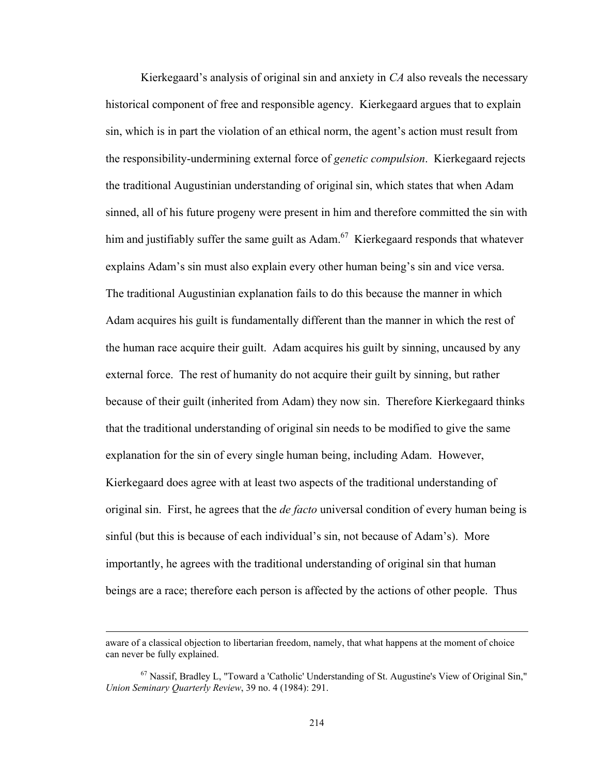Kierkegaard's analysis of original sin and anxiety in *CA* also reveals the necessary historical component of free and responsible agency. Kierkegaard argues that to explain sin, which is in part the violation of an ethical norm, the agent's action must result from the responsibility-undermining external force of *genetic compulsion*. Kierkegaard rejects the traditional Augustinian understanding of original sin, which states that when Adam sinned, all of his future progeny were present in him and therefore committed the sin with him and justifiably suffer the same guilt as  $Adam<sup>67</sup>$  Kierkegaard responds that whatever explains Adam's sin must also explain every other human being's sin and vice versa. The traditional Augustinian explanation fails to do this because the manner in which Adam acquires his guilt is fundamentally different than the manner in which the rest of the human race acquire their guilt. Adam acquires his guilt by sinning, uncaused by any external force. The rest of humanity do not acquire their guilt by sinning, but rather because of their guilt (inherited from Adam) they now sin. Therefore Kierkegaard thinks that the traditional understanding of original sin needs to be modified to give the same explanation for the sin of every single human being, including Adam. However, Kierkegaard does agree with at least two aspects of the traditional understanding of original sin. First, he agrees that the *de facto* universal condition of every human being is sinful (but this is because of each individual's sin, not because of Adam's). More importantly, he agrees with the traditional understanding of original sin that human beings are a race; therefore each person is affected by the actions of other people. Thus

<u> 1989 - Johann Stoff, amerikansk politiker (d. 1989)</u>

aware of a classical objection to libertarian freedom, namely, that what happens at the moment of choice can never be fully explained.

 $67$  Nassif, Bradley L, "Toward a 'Catholic' Understanding of St. Augustine's View of Original Sin," *Union Seminary Quarterly Review*, 39 no. 4 (1984): 291.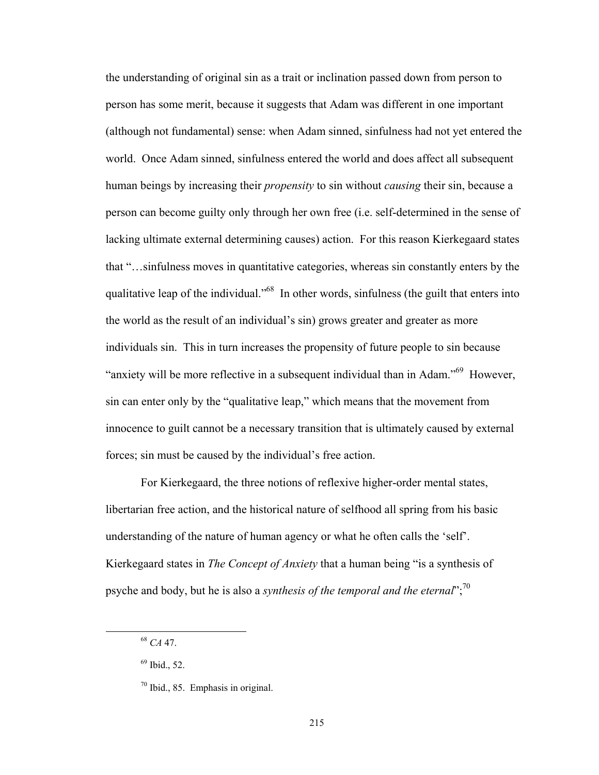the understanding of original sin as a trait or inclination passed down from person to person has some merit, because it suggests that Adam was different in one important (although not fundamental) sense: when Adam sinned, sinfulness had not yet entered the world. Once Adam sinned, sinfulness entered the world and does affect all subsequent human beings by increasing their *propensity* to sin without *causing* their sin, because a person can become guilty only through her own free (i.e. self-determined in the sense of lacking ultimate external determining causes) action. For this reason Kierkegaard states that "…sinfulness moves in quantitative categories, whereas sin constantly enters by the qualitative leap of the individual."<sup>68</sup> In other words, sinfulness (the guilt that enters into the world as the result of an individual's sin) grows greater and greater as more individuals sin. This in turn increases the propensity of future people to sin because "anxiety will be more reflective in a subsequent individual than in Adam."<sup>69</sup> However, sin can enter only by the "qualitative leap," which means that the movement from innocence to guilt cannot be a necessary transition that is ultimately caused by external forces; sin must be caused by the individual's free action.

For Kierkegaard, the three notions of reflexive higher-order mental states, libertarian free action, and the historical nature of selfhood all spring from his basic understanding of the nature of human agency or what he often calls the 'self'. Kierkegaard states in *The Concept of Anxiety* that a human being "is a synthesis of psyche and body, but he is also a *synthesis of the temporal and the eternal*";70

 <sup>68</sup> *CA* 47.

<sup>69</sup> Ibid., 52.

 $70$  Ibid., 85. Emphasis in original.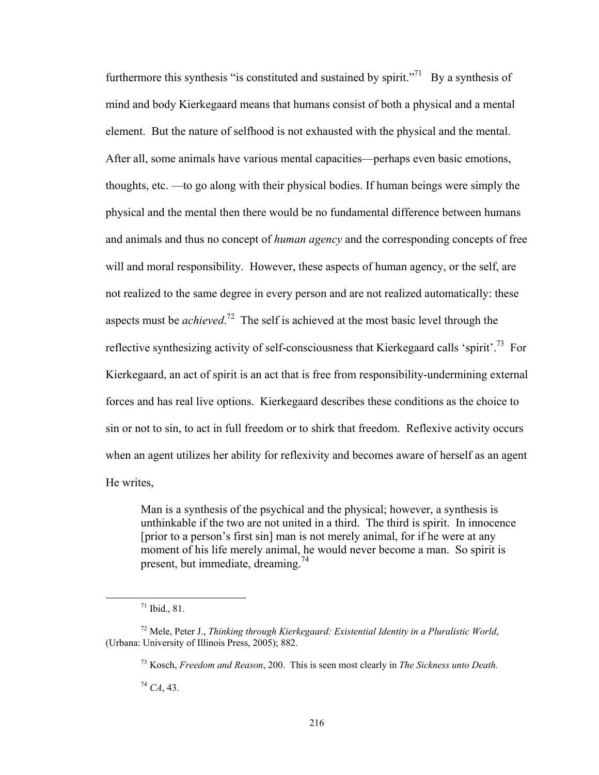furthermore this synthesis "is constituted and sustained by spirit."<sup>71</sup> By a synthesis of mind and body Kierkegaard means that humans consist of both a physical and a mental element. But the nature of selfhood is not exhausted with the physical and the mental. After all, some animals have various mental capacities—perhaps even basic emotions, thoughts, etc. —to go along with their physical bodies. If human beings were simply the physical and the mental then there would be no fundamental difference between humans and animals and thus no concept of *human agency* and the corresponding concepts of free will and moral responsibility. However, these aspects of human agency, or the self, are not realized to the same degree in every person and are not realized automatically: these aspects must be *achieved*. 72 The self is achieved at the most basic level through the reflective synthesizing activity of self-consciousness that Kierkegaard calls 'spirit'.<sup>73</sup> For Kierkegaard, an act of spirit is an act that is free from responsibility-undermining external forces and has real live options. Kierkegaard describes these conditions as the choice to sin or not to sin, to act in full freedom or to shirk that freedom. Reflexive activity occurs when an agent utilizes her ability for reflexivity and becomes aware of herself as an agent He writes,

Man is a synthesis of the psychical and the physical; however, a synthesis is unthinkable if the two are not united in a third. The third is spirit. In innocence [prior to a person's first sin] man is not merely animal, for if he were at any moment of his life merely animal, he would never become a man. So spirit is present, but immediate, dreaming.<sup>74</sup>

<sup>74</sup> *CA*, 43.

 $71$  Ibid., 81.

<sup>72</sup> Mele, Peter J., *Thinking through Kierkegaard: Existential Identity in a Pluralistic World*, (Urbana: University of Illinois Press, 2005); 882.

<sup>73</sup> Kosch, *Freedom and Reason*, 200. This is seen most clearly in *The Sickness unto Death.*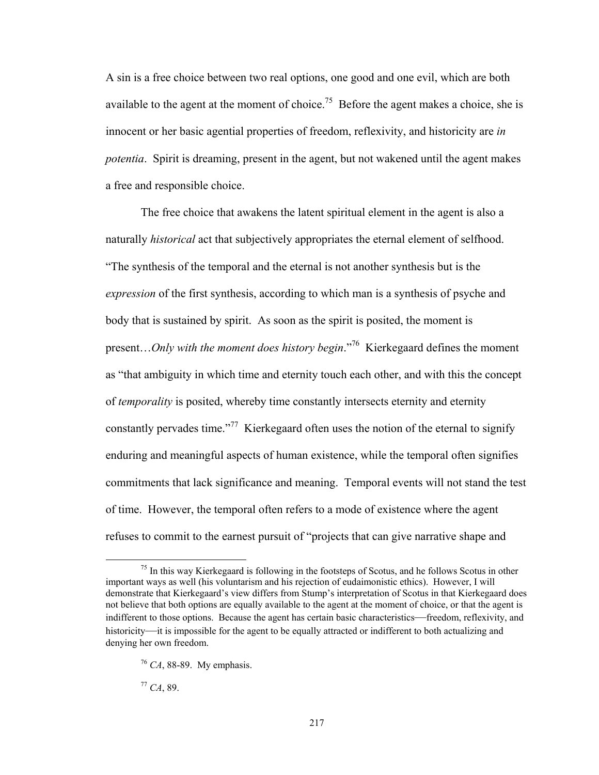A sin is a free choice between two real options, one good and one evil, which are both available to the agent at the moment of choice.<sup>75</sup> Before the agent makes a choice, she is innocent or her basic agential properties of freedom, reflexivity, and historicity are *in potentia*. Spirit is dreaming, present in the agent, but not wakened until the agent makes a free and responsible choice.

The free choice that awakens the latent spiritual element in the agent is also a naturally *historical* act that subjectively appropriates the eternal element of selfhood. "The synthesis of the temporal and the eternal is not another synthesis but is the *expression* of the first synthesis, according to which man is a synthesis of psyche and body that is sustained by spirit. As soon as the spirit is posited, the moment is present…*Only with the moment does history begin*."76 Kierkegaard defines the moment as "that ambiguity in which time and eternity touch each other, and with this the concept of *temporality* is posited, whereby time constantly intersects eternity and eternity constantly pervades time."<sup>77</sup> Kierkegaard often uses the notion of the eternal to signify enduring and meaningful aspects of human existence, while the temporal often signifies commitments that lack significance and meaning. Temporal events will not stand the test of time. However, the temporal often refers to a mode of existence where the agent refuses to commit to the earnest pursuit of "projects that can give narrative shape and

<sup>77</sup> *CA*, 89.

 $<sup>75</sup>$  In this way Kierkegaard is following in the footsteps of Scotus, and he follows Scotus in other</sup> important ways as well (his voluntarism and his rejection of eudaimonistic ethics). However, I will demonstrate that Kierkegaard's view differs from Stump's interpretation of Scotus in that Kierkegaard does not believe that both options are equally available to the agent at the moment of choice, or that the agent is indifferent to those options. Because the agent has certain basic characteristics—freedom, reflexivity, and historicity—it is impossible for the agent to be equally attracted or indifferent to both actualizing and denying her own freedom.

<sup>76</sup> *CA*, 88-89. My emphasis.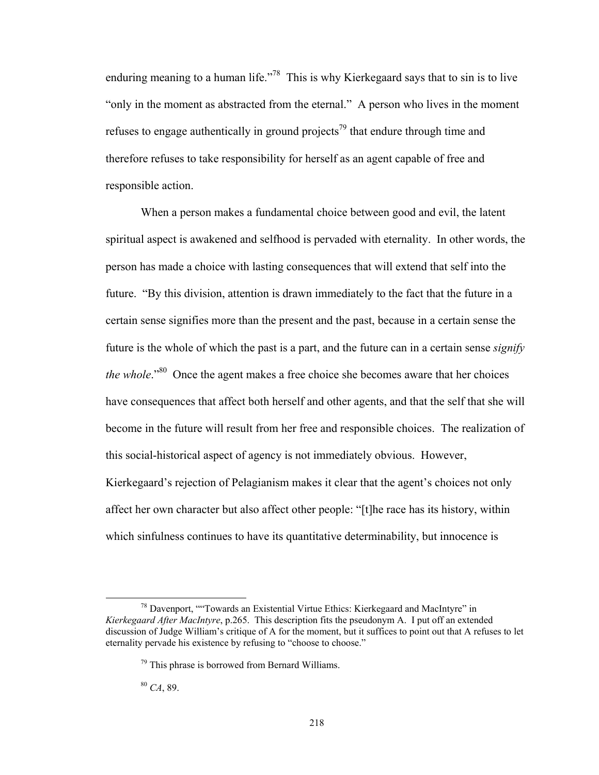enduring meaning to a human life."<sup>78</sup> This is why Kierkegaard says that to sin is to live "only in the moment as abstracted from the eternal." A person who lives in the moment refuses to engage authentically in ground projects<sup>79</sup> that endure through time and therefore refuses to take responsibility for herself as an agent capable of free and responsible action.

When a person makes a fundamental choice between good and evil, the latent spiritual aspect is awakened and selfhood is pervaded with eternality. In other words, the person has made a choice with lasting consequences that will extend that self into the future. "By this division, attention is drawn immediately to the fact that the future in a certain sense signifies more than the present and the past, because in a certain sense the future is the whole of which the past is a part, and the future can in a certain sense *signify the whole*.<sup>"80</sup> Once the agent makes a free choice she becomes aware that her choices have consequences that affect both herself and other agents, and that the self that she will become in the future will result from her free and responsible choices. The realization of this social-historical aspect of agency is not immediately obvious. However, Kierkegaard's rejection of Pelagianism makes it clear that the agent's choices not only affect her own character but also affect other people: "[t]he race has its history, within which sinfulness continues to have its quantitative determinability, but innocence is

<sup>80</sup> *CA*, 89.

 $78$  Davenport, "Towards an Existential Virtue Ethics: Kierkegaard and MacIntyre" in *Kierkegaard After MacIntyre*, p.265. This description fits the pseudonym A. I put off an extended discussion of Judge William's critique of A for the moment, but it suffices to point out that A refuses to let eternality pervade his existence by refusing to "choose to choose."

 $79$  This phrase is borrowed from Bernard Williams.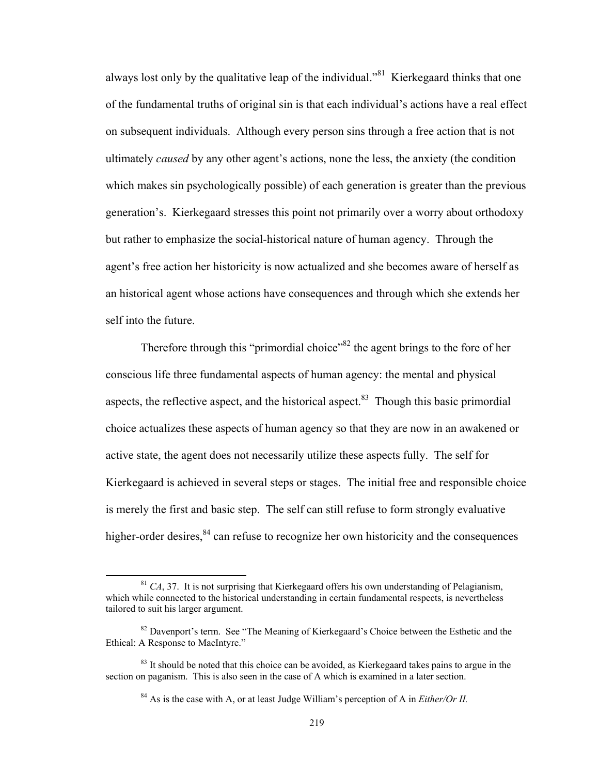always lost only by the qualitative leap of the individual."<sup>81</sup> Kierkegaard thinks that one of the fundamental truths of original sin is that each individual's actions have a real effect on subsequent individuals. Although every person sins through a free action that is not ultimately *caused* by any other agent's actions, none the less, the anxiety (the condition which makes sin psychologically possible) of each generation is greater than the previous generation's. Kierkegaard stresses this point not primarily over a worry about orthodoxy but rather to emphasize the social-historical nature of human agency. Through the agent's free action her historicity is now actualized and she becomes aware of herself as an historical agent whose actions have consequences and through which she extends her self into the future.

Therefore through this "primordial choice"<sup>82</sup> the agent brings to the fore of her conscious life three fundamental aspects of human agency: the mental and physical aspects, the reflective aspect, and the historical aspect. $83$  Though this basic primordial choice actualizes these aspects of human agency so that they are now in an awakened or active state, the agent does not necessarily utilize these aspects fully. The self for Kierkegaard is achieved in several steps or stages. The initial free and responsible choice is merely the first and basic step. The self can still refuse to form strongly evaluative higher-order desires,  $84$  can refuse to recognize her own historicity and the consequences

 $81 \text{ } CA$ , 37. It is not surprising that Kierkegaard offers his own understanding of Pelagianism, which while connected to the historical understanding in certain fundamental respects, is nevertheless tailored to suit his larger argument.

 $82$  Davenport's term. See "The Meaning of Kierkegaard's Choice between the Esthetic and the Ethical: A Response to MacIntyre."

<sup>&</sup>lt;sup>83</sup> It should be noted that this choice can be avoided, as Kierkegaard takes pains to argue in the section on paganism. This is also seen in the case of A which is examined in a later section.

<sup>84</sup> As is the case with A, or at least Judge William's perception of A in *Either/Or II.*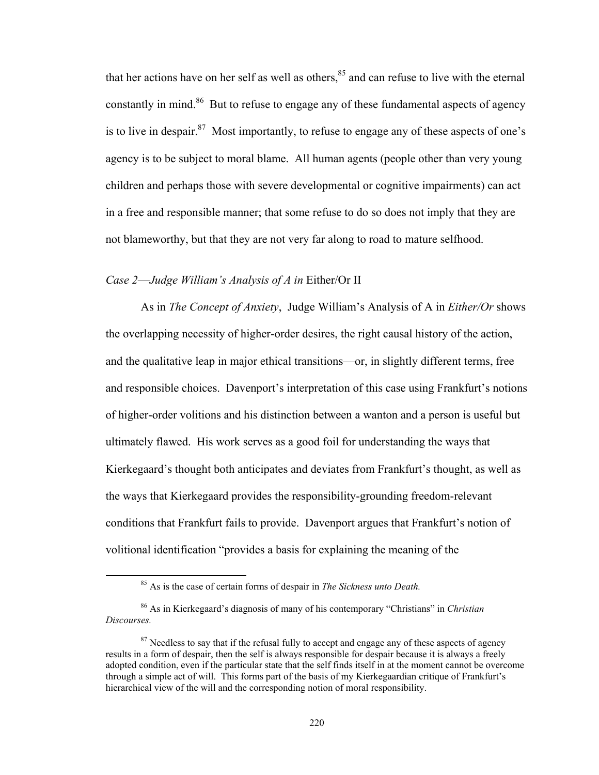that her actions have on her self as well as others,<sup>85</sup> and can refuse to live with the eternal constantly in mind.<sup>86</sup> But to refuse to engage any of these fundamental aspects of agency is to live in despair.<sup>87</sup> Most importantly, to refuse to engage any of these aspects of one's agency is to be subject to moral blame. All human agents (people other than very young children and perhaps those with severe developmental or cognitive impairments) can act in a free and responsible manner; that some refuse to do so does not imply that they are not blameworthy, but that they are not very far along to road to mature selfhood.

## *Case 2*—*Judge William's Analysis of A in* Either/Or II

As in *The Concept of Anxiety*, Judge William's Analysis of A in *Either/Or* shows the overlapping necessity of higher-order desires, the right causal history of the action, and the qualitative leap in major ethical transitions—or, in slightly different terms, free and responsible choices. Davenport's interpretation of this case using Frankfurt's notions of higher-order volitions and his distinction between a wanton and a person is useful but ultimately flawed. His work serves as a good foil for understanding the ways that Kierkegaard's thought both anticipates and deviates from Frankfurt's thought, as well as the ways that Kierkegaard provides the responsibility-grounding freedom-relevant conditions that Frankfurt fails to provide. Davenport argues that Frankfurt's notion of volitional identification "provides a basis for explaining the meaning of the

 85 As is the case of certain forms of despair in *The Sickness unto Death.* 

<sup>86</sup> As in Kierkegaard's diagnosis of many of his contemporary "Christians" in *Christian Discourses.*

<sup>&</sup>lt;sup>87</sup> Needless to say that if the refusal fully to accept and engage any of these aspects of agency results in a form of despair, then the self is always responsible for despair because it is always a freely adopted condition, even if the particular state that the self finds itself in at the moment cannot be overcome through a simple act of will. This forms part of the basis of my Kierkegaardian critique of Frankfurt's hierarchical view of the will and the corresponding notion of moral responsibility.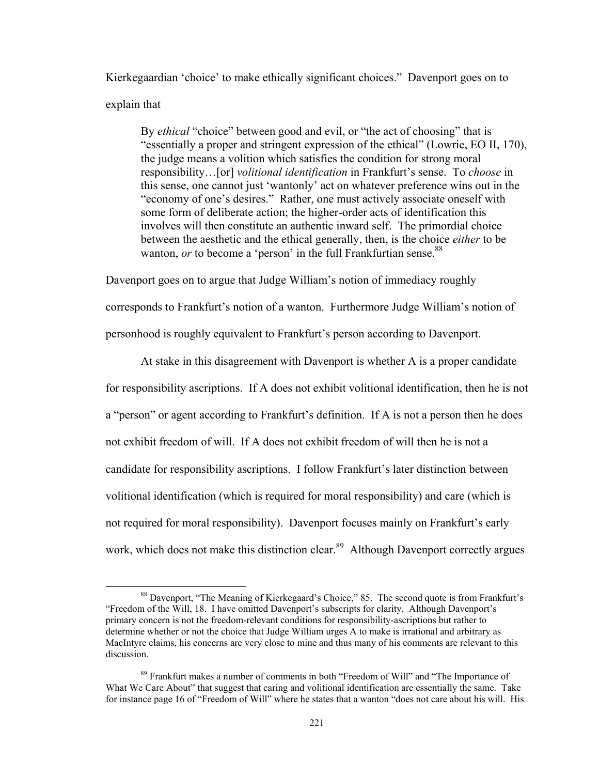Kierkegaardian 'choice' to make ethically significant choices." Davenport goes on to explain that

By *ethical* "choice" between good and evil, or "the act of choosing" that is "essentially a proper and stringent expression of the ethical" (Lowrie, EO II, 170), the judge means a volition which satisfies the condition for strong moral responsibility…[or] *volitional identification* in Frankfurt's sense. To *choose* in this sense, one cannot just 'wantonly' act on whatever preference wins out in the "economy of one's desires." Rather, one must actively associate oneself with some form of deliberate action; the higher-order acts of identification this involves will then constitute an authentic inward self. The primordial choice between the aesthetic and the ethical generally, then, is the choice *either* to be wanton, *or* to become a 'person' in the full Frankfurtian sense.<sup>88</sup>

Davenport goes on to argue that Judge William's notion of immediacy roughly corresponds to Frankfurt's notion of a wanton. Furthermore Judge William's notion of personhood is roughly equivalent to Frankfurt's person according to Davenport.

At stake in this disagreement with Davenport is whether A is a proper candidate for responsibility ascriptions. If A does not exhibit volitional identification, then he is not a "person" or agent according to Frankfurt's definition. If A is not a person then he does not exhibit freedom of will. If A does not exhibit freedom of will then he is not a candidate for responsibility ascriptions. I follow Frankfurt's later distinction between volitional identification (which is required for moral responsibility) and care (which is not required for moral responsibility). Davenport focuses mainly on Frankfurt's early work, which does not make this distinction clear.<sup>89</sup> Although Davenport correctly argues

<sup>&</sup>lt;sup>88</sup> Davenport, "The Meaning of Kierkegaard's Choice," 85. The second quote is from Frankfurt's "Freedom of the Will, 18. I have omitted Davenport's subscripts for clarity. Although Davenport's primary concern is not the freedom-relevant conditions for responsibility-ascriptions but rather to determine whether or not the choice that Judge William urges A to make is irrational and arbitrary as MacIntyre claims, his concerns are very close to mine and thus many of his comments are relevant to this discussion.

<sup>&</sup>lt;sup>89</sup> Frankfurt makes a number of comments in both "Freedom of Will" and "The Importance of What We Care About" that suggest that caring and volitional identification are essentially the same. Take for instance page 16 of "Freedom of Will" where he states that a wanton "does not care about his will. His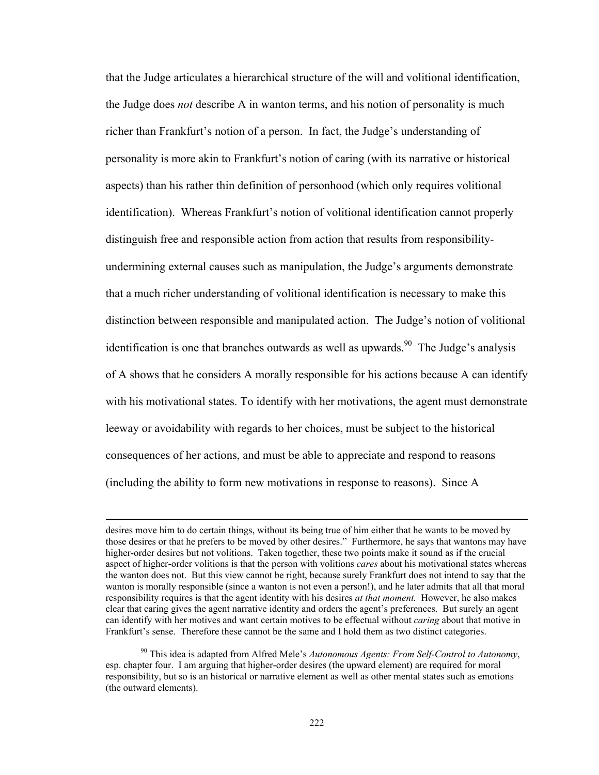that the Judge articulates a hierarchical structure of the will and volitional identification, the Judge does *not* describe A in wanton terms, and his notion of personality is much richer than Frankfurt's notion of a person. In fact, the Judge's understanding of personality is more akin to Frankfurt's notion of caring (with its narrative or historical aspects) than his rather thin definition of personhood (which only requires volitional identification). Whereas Frankfurt's notion of volitional identification cannot properly distinguish free and responsible action from action that results from responsibilityundermining external causes such as manipulation, the Judge's arguments demonstrate that a much richer understanding of volitional identification is necessary to make this distinction between responsible and manipulated action. The Judge's notion of volitional identification is one that branches outwards as well as upwards.<sup>90</sup> The Judge's analysis of A shows that he considers A morally responsible for his actions because A can identify with his motivational states. To identify with her motivations, the agent must demonstrate leeway or avoidability with regards to her choices, must be subject to the historical consequences of her actions, and must be able to appreciate and respond to reasons (including the ability to form new motivations in response to reasons). Since A

<u> 1989 - Johann Stoff, amerikansk politiker (d. 1989)</u>

desires move him to do certain things, without its being true of him either that he wants to be moved by those desires or that he prefers to be moved by other desires." Furthermore, he says that wantons may have higher-order desires but not volitions. Taken together, these two points make it sound as if the crucial aspect of higher-order volitions is that the person with volitions *cares* about his motivational states whereas the wanton does not. But this view cannot be right, because surely Frankfurt does not intend to say that the wanton is morally responsible (since a wanton is not even a person!), and he later admits that all that moral responsibility requires is that the agent identity with his desires *at that moment.* However, he also makes clear that caring gives the agent narrative identity and orders the agent's preferences. But surely an agent can identify with her motives and want certain motives to be effectual without *caring* about that motive in Frankfurt's sense. Therefore these cannot be the same and I hold them as two distinct categories.

<sup>90</sup> This idea is adapted from Alfred Mele's *Autonomous Agents: From Self-Control to Autonomy*, esp. chapter four. I am arguing that higher-order desires (the upward element) are required for moral responsibility, but so is an historical or narrative element as well as other mental states such as emotions (the outward elements).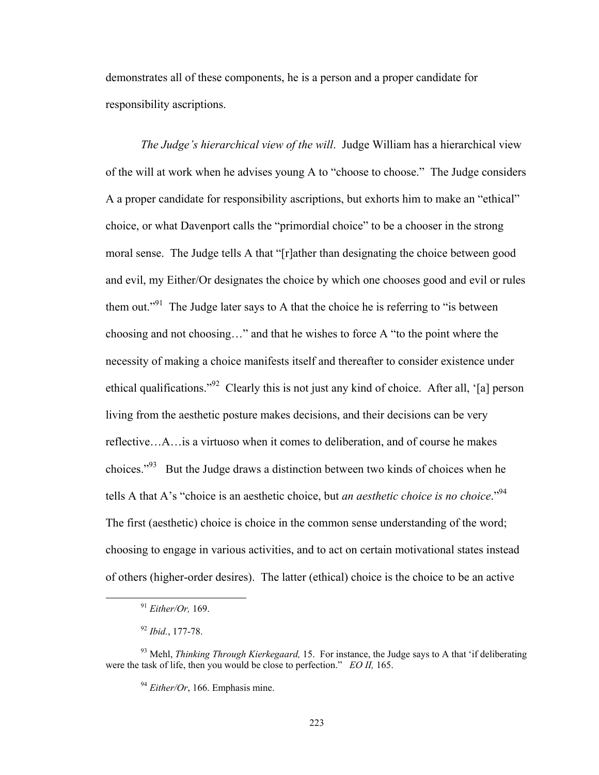demonstrates all of these components, he is a person and a proper candidate for responsibility ascriptions.

*The Judge's hierarchical view of the will*. Judge William has a hierarchical view of the will at work when he advises young A to "choose to choose." The Judge considers A a proper candidate for responsibility ascriptions, but exhorts him to make an "ethical" choice, or what Davenport calls the "primordial choice" to be a chooser in the strong moral sense. The Judge tells A that "[r]ather than designating the choice between good and evil, my Either/Or designates the choice by which one chooses good and evil or rules them out."<sup>91</sup> The Judge later says to A that the choice he is referring to "is between" choosing and not choosing…" and that he wishes to force A "to the point where the necessity of making a choice manifests itself and thereafter to consider existence under ethical qualifications."<sup>92</sup> Clearly this is not just any kind of choice. After all, '[a] person living from the aesthetic posture makes decisions, and their decisions can be very reflective…A…is a virtuoso when it comes to deliberation, and of course he makes choices."<sup>93</sup> But the Judge draws a distinction between two kinds of choices when he tells A that A's "choice is an aesthetic choice, but *an aesthetic choice is no choice*."94 The first (aesthetic) choice is choice in the common sense understanding of the word; choosing to engage in various activities, and to act on certain motivational states instead of others (higher-order desires). The latter (ethical) choice is the choice to be an active

 <sup>91</sup> *Either/Or,* 169.

<sup>92</sup> *Ibid.*, 177-78.

<sup>93</sup> Mehl, *Thinking Through Kierkegaard,* 15. For instance, the Judge says to A that 'if deliberating were the task of life, then you would be close to perfection." *EO II,* 165.

<sup>&</sup>lt;sup>94</sup> *Either/Or*, 166. Emphasis mine.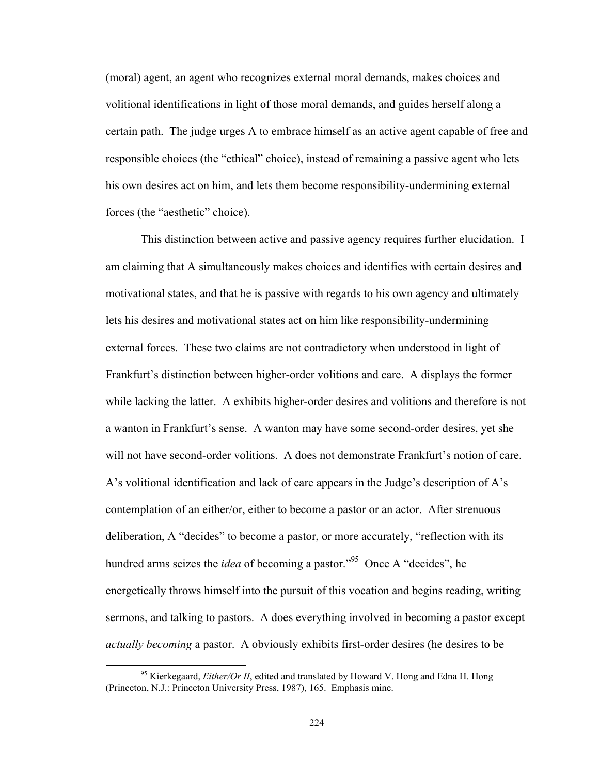(moral) agent, an agent who recognizes external moral demands, makes choices and volitional identifications in light of those moral demands, and guides herself along a certain path. The judge urges A to embrace himself as an active agent capable of free and responsible choices (the "ethical" choice), instead of remaining a passive agent who lets his own desires act on him, and lets them become responsibility-undermining external forces (the "aesthetic" choice).

This distinction between active and passive agency requires further elucidation. I am claiming that A simultaneously makes choices and identifies with certain desires and motivational states, and that he is passive with regards to his own agency and ultimately lets his desires and motivational states act on him like responsibility-undermining external forces. These two claims are not contradictory when understood in light of Frankfurt's distinction between higher-order volitions and care. A displays the former while lacking the latter. A exhibits higher-order desires and volitions and therefore is not a wanton in Frankfurt's sense. A wanton may have some second-order desires, yet she will not have second-order volitions. A does not demonstrate Frankfurt's notion of care. A's volitional identification and lack of care appears in the Judge's description of A's contemplation of an either/or, either to become a pastor or an actor. After strenuous deliberation, A "decides" to become a pastor, or more accurately, "reflection with its hundred arms seizes the *idea* of becoming a pastor."<sup>95</sup> Once A "decides", he energetically throws himself into the pursuit of this vocation and begins reading, writing sermons, and talking to pastors. A does everything involved in becoming a pastor except *actually becoming* a pastor. A obviously exhibits first-order desires (he desires to be

<sup>&</sup>lt;sup>95</sup> Kierkegaard, *Either/Or II*, edited and translated by Howard V. Hong and Edna H. Hong (Princeton, N.J.: Princeton University Press, 1987), 165. Emphasis mine.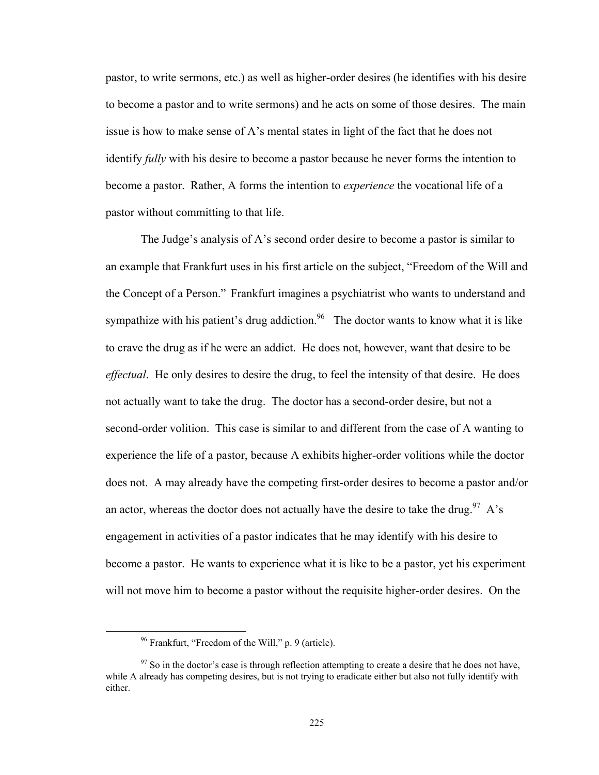pastor, to write sermons, etc.) as well as higher-order desires (he identifies with his desire to become a pastor and to write sermons) and he acts on some of those desires. The main issue is how to make sense of A's mental states in light of the fact that he does not identify *fully* with his desire to become a pastor because he never forms the intention to become a pastor. Rather, A forms the intention to *experience* the vocational life of a pastor without committing to that life.

The Judge's analysis of A's second order desire to become a pastor is similar to an example that Frankfurt uses in his first article on the subject, "Freedom of the Will and the Concept of a Person." Frankfurt imagines a psychiatrist who wants to understand and sympathize with his patient's drug addiction.<sup>96</sup> The doctor wants to know what it is like to crave the drug as if he were an addict. He does not, however, want that desire to be *effectual*. He only desires to desire the drug, to feel the intensity of that desire. He does not actually want to take the drug. The doctor has a second-order desire, but not a second-order volition. This case is similar to and different from the case of A wanting to experience the life of a pastor, because A exhibits higher-order volitions while the doctor does not. A may already have the competing first-order desires to become a pastor and/or an actor, whereas the doctor does not actually have the desire to take the drug.<sup>97</sup> A's engagement in activities of a pastor indicates that he may identify with his desire to become a pastor. He wants to experience what it is like to be a pastor, yet his experiment will not move him to become a pastor without the requisite higher-order desires. On the

 96 Frankfurt, "Freedom of the Will," p. 9 (article).

 $97$  So in the doctor's case is through reflection attempting to create a desire that he does not have, while A already has competing desires, but is not trying to eradicate either but also not fully identify with either.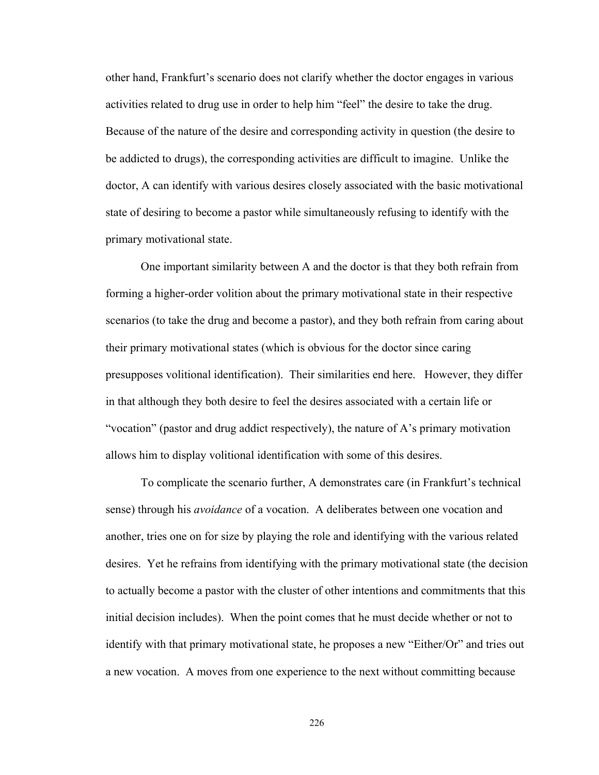other hand, Frankfurt's scenario does not clarify whether the doctor engages in various activities related to drug use in order to help him "feel" the desire to take the drug. Because of the nature of the desire and corresponding activity in question (the desire to be addicted to drugs), the corresponding activities are difficult to imagine. Unlike the doctor, A can identify with various desires closely associated with the basic motivational state of desiring to become a pastor while simultaneously refusing to identify with the primary motivational state.

One important similarity between A and the doctor is that they both refrain from forming a higher-order volition about the primary motivational state in their respective scenarios (to take the drug and become a pastor), and they both refrain from caring about their primary motivational states (which is obvious for the doctor since caring presupposes volitional identification). Their similarities end here. However, they differ in that although they both desire to feel the desires associated with a certain life or "vocation" (pastor and drug addict respectively), the nature of A's primary motivation allows him to display volitional identification with some of this desires.

To complicate the scenario further, A demonstrates care (in Frankfurt's technical sense) through his *avoidance* of a vocation. A deliberates between one vocation and another, tries one on for size by playing the role and identifying with the various related desires. Yet he refrains from identifying with the primary motivational state (the decision to actually become a pastor with the cluster of other intentions and commitments that this initial decision includes). When the point comes that he must decide whether or not to identify with that primary motivational state, he proposes a new "Either/Or" and tries out a new vocation. A moves from one experience to the next without committing because

226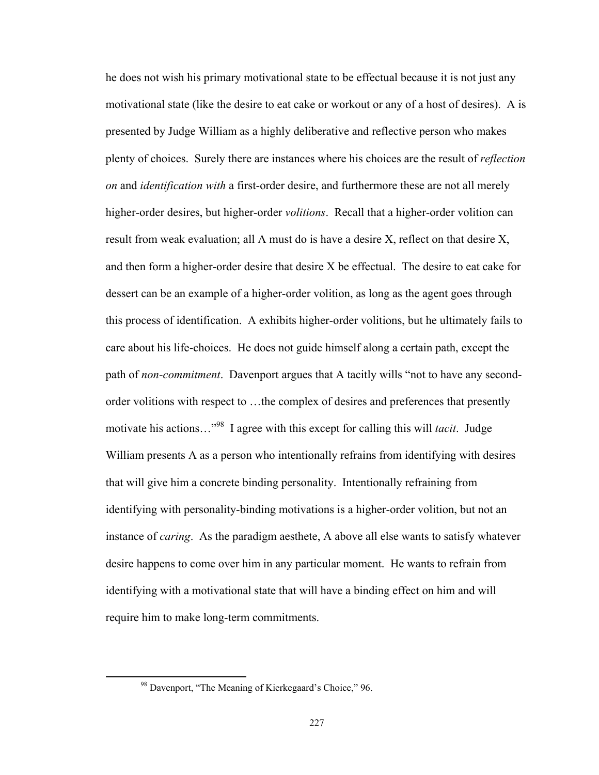he does not wish his primary motivational state to be effectual because it is not just any motivational state (like the desire to eat cake or workout or any of a host of desires). A is presented by Judge William as a highly deliberative and reflective person who makes plenty of choices. Surely there are instances where his choices are the result of *reflection on* and *identification with* a first-order desire, and furthermore these are not all merely higher-order desires, but higher-order *volitions*. Recall that a higher-order volition can result from weak evaluation; all A must do is have a desire X, reflect on that desire X, and then form a higher-order desire that desire X be effectual. The desire to eat cake for dessert can be an example of a higher-order volition, as long as the agent goes through this process of identification. A exhibits higher-order volitions, but he ultimately fails to care about his life-choices. He does not guide himself along a certain path, except the path of *non-commitment*. Davenport argues that A tacitly wills "not to have any secondorder volitions with respect to …the complex of desires and preferences that presently motivate his actions…"98 I agree with this except for calling this will *tacit*. Judge William presents A as a person who intentionally refrains from identifying with desires that will give him a concrete binding personality. Intentionally refraining from identifying with personality-binding motivations is a higher-order volition, but not an instance of *caring*. As the paradigm aesthete, A above all else wants to satisfy whatever desire happens to come over him in any particular moment. He wants to refrain from identifying with a motivational state that will have a binding effect on him and will require him to make long-term commitments.

 98 Davenport, "The Meaning of Kierkegaard's Choice," 96.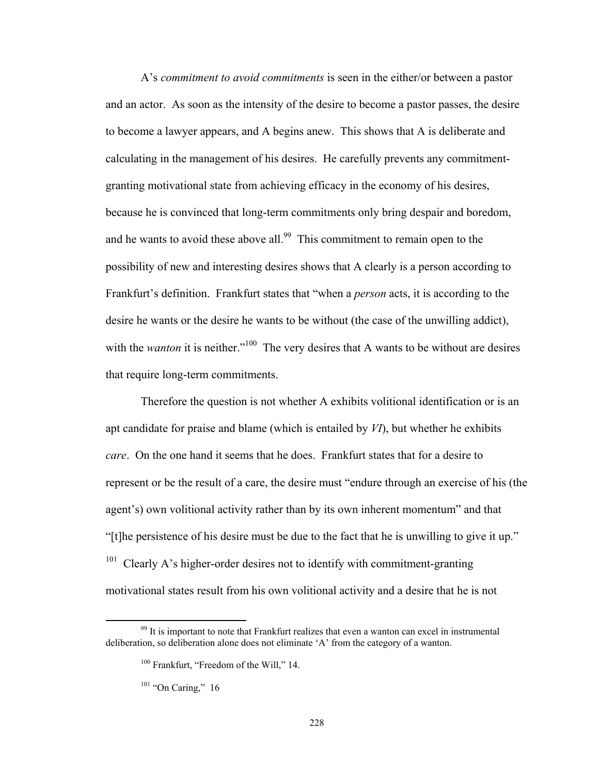A's *commitment to avoid commitments* is seen in the either/or between a pastor and an actor. As soon as the intensity of the desire to become a pastor passes, the desire to become a lawyer appears, and A begins anew. This shows that A is deliberate and calculating in the management of his desires. He carefully prevents any commitmentgranting motivational state from achieving efficacy in the economy of his desires, because he is convinced that long-term commitments only bring despair and boredom, and he wants to avoid these above all.<sup>99</sup> This commitment to remain open to the possibility of new and interesting desires shows that A clearly is a person according to Frankfurt's definition. Frankfurt states that "when a *person* acts, it is according to the desire he wants or the desire he wants to be without (the case of the unwilling addict), with the *wanton* it is neither."<sup>100</sup> The very desires that A wants to be without are desires that require long-term commitments.

Therefore the question is not whether A exhibits volitional identification or is an apt candidate for praise and blame (which is entailed by *VI*), but whether he exhibits *care*. On the one hand it seems that he does. Frankfurt states that for a desire to represent or be the result of a care, the desire must "endure through an exercise of his (the agent's) own volitional activity rather than by its own inherent momentum" and that "[t]he persistence of his desire must be due to the fact that he is unwilling to give it up."  $101$  Clearly A's higher-order desires not to identify with commitment-granting motivational states result from his own volitional activity and a desire that he is not

 $99$  It is important to note that Frankfurt realizes that even a wanton can excel in instrumental deliberation, so deliberation alone does not eliminate 'A' from the category of a wanton.

<sup>&</sup>lt;sup>100</sup> Frankfurt, "Freedom of the Will," 14.

<sup>&</sup>lt;sup>101</sup> "On Caring," 16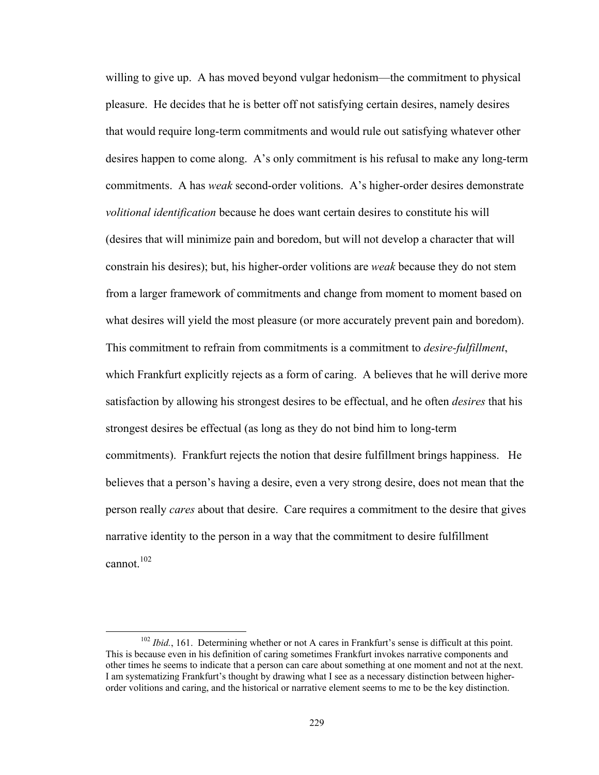willing to give up. A has moved beyond vulgar hedonism—the commitment to physical pleasure. He decides that he is better off not satisfying certain desires, namely desires that would require long-term commitments and would rule out satisfying whatever other desires happen to come along. A's only commitment is his refusal to make any long-term commitments. A has *weak* second-order volitions. A's higher-order desires demonstrate *volitional identification* because he does want certain desires to constitute his will (desires that will minimize pain and boredom, but will not develop a character that will constrain his desires); but, his higher-order volitions are *weak* because they do not stem from a larger framework of commitments and change from moment to moment based on what desires will yield the most pleasure (or more accurately prevent pain and boredom). This commitment to refrain from commitments is a commitment to *desire-fulfillment*, which Frankfurt explicitly rejects as a form of caring. A believes that he will derive more satisfaction by allowing his strongest desires to be effectual, and he often *desires* that his strongest desires be effectual (as long as they do not bind him to long-term commitments). Frankfurt rejects the notion that desire fulfillment brings happiness. He believes that a person's having a desire, even a very strong desire, does not mean that the person really *cares* about that desire. Care requires a commitment to the desire that gives narrative identity to the person in a way that the commitment to desire fulfillment cannot. $102$ 

<sup>&</sup>lt;sup>102</sup> *Ibid.*, 161. Determining whether or not A cares in Frankfurt's sense is difficult at this point. This is because even in his definition of caring sometimes Frankfurt invokes narrative components and other times he seems to indicate that a person can care about something at one moment and not at the next. I am systematizing Frankfurt's thought by drawing what I see as a necessary distinction between higherorder volitions and caring, and the historical or narrative element seems to me to be the key distinction.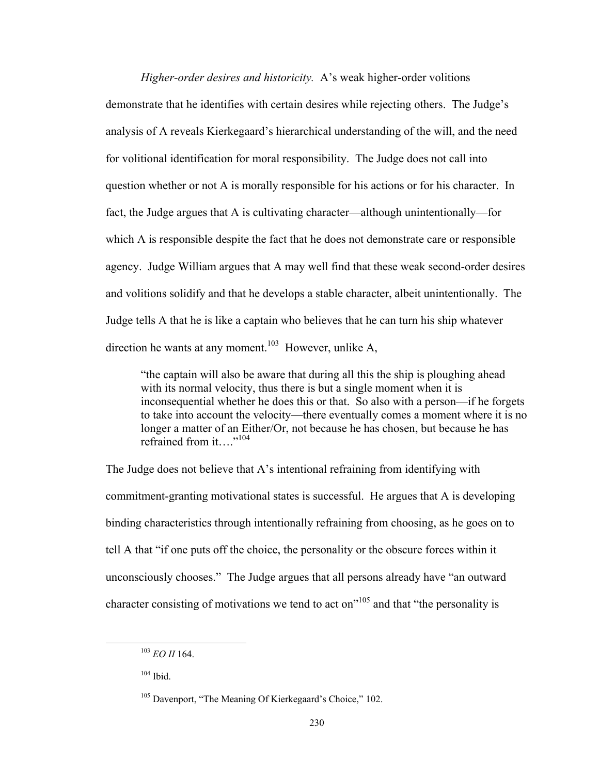*Higher-order desires and historicity.* A's weak higher-order volitions demonstrate that he identifies with certain desires while rejecting others. The Judge's analysis of A reveals Kierkegaard's hierarchical understanding of the will, and the need for volitional identification for moral responsibility. The Judge does not call into question whether or not A is morally responsible for his actions or for his character. In fact, the Judge argues that A is cultivating character—although unintentionally—for which A is responsible despite the fact that he does not demonstrate care or responsible agency. Judge William argues that A may well find that these weak second-order desires and volitions solidify and that he develops a stable character, albeit unintentionally. The Judge tells A that he is like a captain who believes that he can turn his ship whatever direction he wants at any moment.<sup>103</sup> However, unlike A,

"the captain will also be aware that during all this the ship is ploughing ahead with its normal velocity, thus there is but a single moment when it is inconsequential whether he does this or that. So also with a person—if he forgets to take into account the velocity—there eventually comes a moment where it is no longer a matter of an Either/Or, not because he has chosen, but because he has refrained from it…."104

The Judge does not believe that A's intentional refraining from identifying with commitment-granting motivational states is successful. He argues that A is developing binding characteristics through intentionally refraining from choosing, as he goes on to tell A that "if one puts off the choice, the personality or the obscure forces within it unconsciously chooses." The Judge argues that all persons already have "an outward character consisting of motivations we tend to act on<sup> $105$ </sup> and that "the personality is

 <sup>103</sup> *EO II* 164.

 $104$  Ibid.

<sup>&</sup>lt;sup>105</sup> Davenport, "The Meaning Of Kierkegaard's Choice," 102.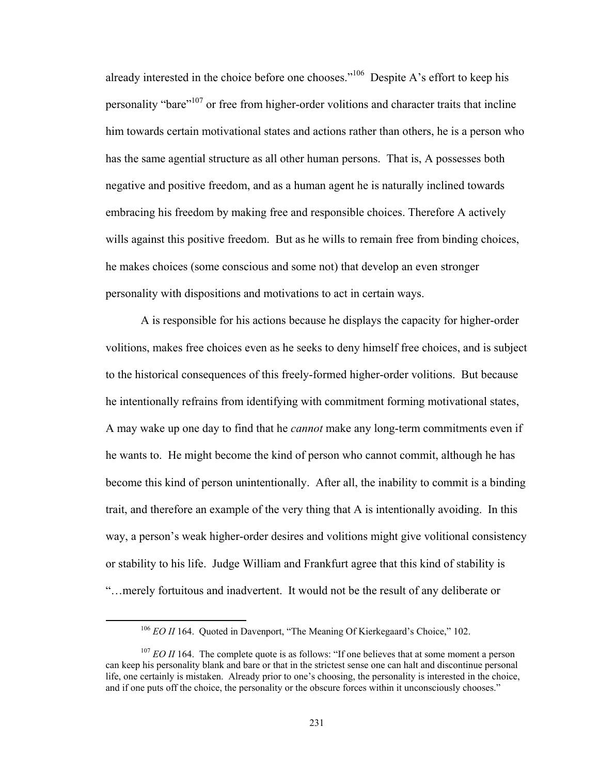already interested in the choice before one chooses."106 Despite A's effort to keep his personality "bare"<sup>107</sup> or free from higher-order volitions and character traits that incline him towards certain motivational states and actions rather than others, he is a person who has the same agential structure as all other human persons. That is, A possesses both negative and positive freedom, and as a human agent he is naturally inclined towards embracing his freedom by making free and responsible choices. Therefore A actively wills against this positive freedom. But as he wills to remain free from binding choices, he makes choices (some conscious and some not) that develop an even stronger personality with dispositions and motivations to act in certain ways.

A is responsible for his actions because he displays the capacity for higher-order volitions, makes free choices even as he seeks to deny himself free choices, and is subject to the historical consequences of this freely-formed higher-order volitions. But because he intentionally refrains from identifying with commitment forming motivational states, A may wake up one day to find that he *cannot* make any long-term commitments even if he wants to. He might become the kind of person who cannot commit, although he has become this kind of person unintentionally. After all, the inability to commit is a binding trait, and therefore an example of the very thing that A is intentionally avoiding. In this way, a person's weak higher-order desires and volitions might give volitional consistency or stability to his life. Judge William and Frankfurt agree that this kind of stability is "…merely fortuitous and inadvertent. It would not be the result of any deliberate or

<sup>&</sup>lt;sup>106</sup> *EO II* 164. Quoted in Davenport, "The Meaning Of Kierkegaard's Choice," 102.

<sup>&</sup>lt;sup>107</sup> *EO II* 164. The complete quote is as follows: "If one believes that at some moment a person can keep his personality blank and bare or that in the strictest sense one can halt and discontinue personal life, one certainly is mistaken. Already prior to one's choosing, the personality is interested in the choice, and if one puts off the choice, the personality or the obscure forces within it unconsciously chooses."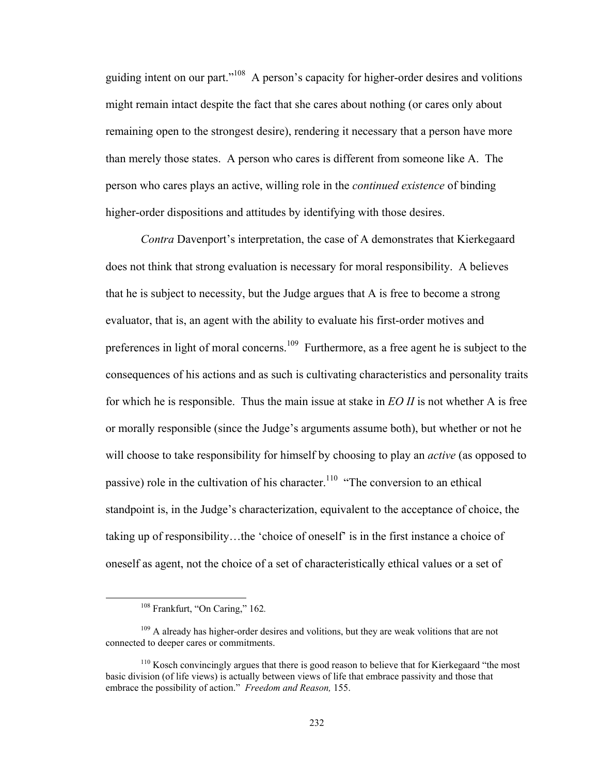guiding intent on our part."108 A person's capacity for higher-order desires and volitions might remain intact despite the fact that she cares about nothing (or cares only about remaining open to the strongest desire), rendering it necessary that a person have more than merely those states. A person who cares is different from someone like A. The person who cares plays an active, willing role in the *continued existence* of binding higher-order dispositions and attitudes by identifying with those desires.

*Contra* Davenport's interpretation, the case of A demonstrates that Kierkegaard does not think that strong evaluation is necessary for moral responsibility. A believes that he is subject to necessity, but the Judge argues that A is free to become a strong evaluator, that is, an agent with the ability to evaluate his first-order motives and preferences in light of moral concerns.<sup>109</sup> Furthermore, as a free agent he is subject to the consequences of his actions and as such is cultivating characteristics and personality traits for which he is responsible. Thus the main issue at stake in *EO II* is not whether A is free or morally responsible (since the Judge's arguments assume both), but whether or not he will choose to take responsibility for himself by choosing to play an *active* (as opposed to passive) role in the cultivation of his character.<sup>110</sup> "The conversion to an ethical standpoint is, in the Judge's characterization, equivalent to the acceptance of choice, the taking up of responsibility…the 'choice of oneself' is in the first instance a choice of oneself as agent, not the choice of a set of characteristically ethical values or a set of

 108 Frankfurt, "On Caring," 162*.*

 $109$  A already has higher-order desires and volitions, but they are weak volitions that are not connected to deeper cares or commitments.

<sup>&</sup>lt;sup>110</sup> Kosch convincingly argues that there is good reason to believe that for Kierkegaard "the most" basic division (of life views) is actually between views of life that embrace passivity and those that embrace the possibility of action." *Freedom and Reason,* 155.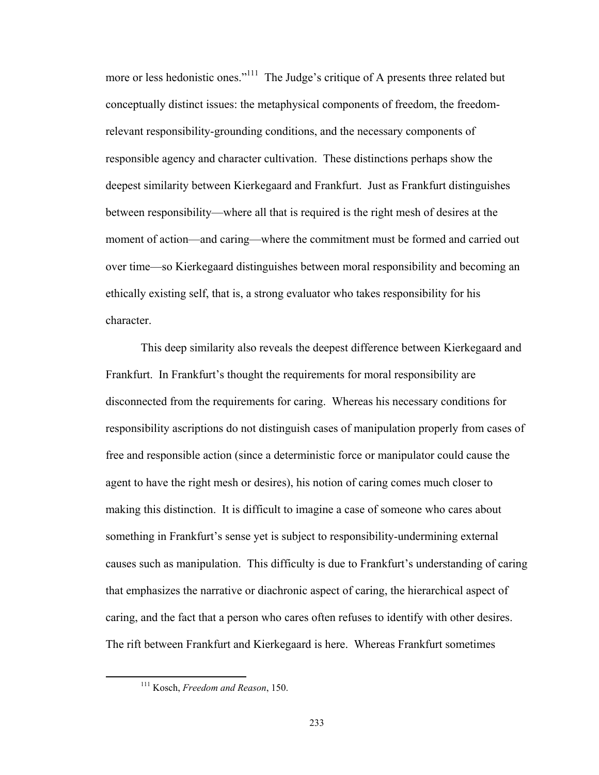more or less hedonistic ones."<sup>111</sup> The Judge's critique of A presents three related but conceptually distinct issues: the metaphysical components of freedom, the freedomrelevant responsibility-grounding conditions, and the necessary components of responsible agency and character cultivation. These distinctions perhaps show the deepest similarity between Kierkegaard and Frankfurt. Just as Frankfurt distinguishes between responsibility—where all that is required is the right mesh of desires at the moment of action—and caring—where the commitment must be formed and carried out over time—so Kierkegaard distinguishes between moral responsibility and becoming an ethically existing self, that is, a strong evaluator who takes responsibility for his character.

This deep similarity also reveals the deepest difference between Kierkegaard and Frankfurt. In Frankfurt's thought the requirements for moral responsibility are disconnected from the requirements for caring. Whereas his necessary conditions for responsibility ascriptions do not distinguish cases of manipulation properly from cases of free and responsible action (since a deterministic force or manipulator could cause the agent to have the right mesh or desires), his notion of caring comes much closer to making this distinction. It is difficult to imagine a case of someone who cares about something in Frankfurt's sense yet is subject to responsibility-undermining external causes such as manipulation. This difficulty is due to Frankfurt's understanding of caring that emphasizes the narrative or diachronic aspect of caring, the hierarchical aspect of caring, and the fact that a person who cares often refuses to identify with other desires. The rift between Frankfurt and Kierkegaard is here. Whereas Frankfurt sometimes

 111 Kosch, *Freedom and Reason*, 150.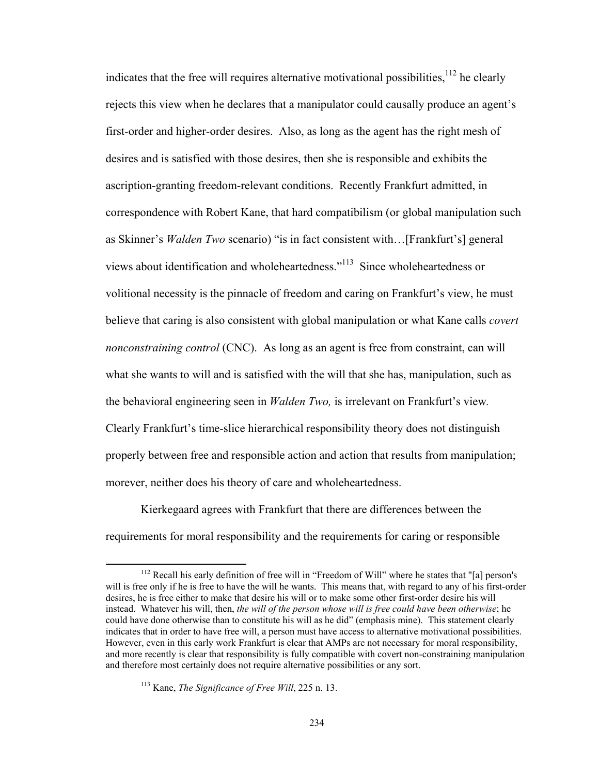indicates that the free will requires alternative motivational possibilities, $112$  he clearly rejects this view when he declares that a manipulator could causally produce an agent's first-order and higher-order desires. Also, as long as the agent has the right mesh of desires and is satisfied with those desires, then she is responsible and exhibits the ascription-granting freedom-relevant conditions. Recently Frankfurt admitted, in correspondence with Robert Kane, that hard compatibilism (or global manipulation such as Skinner's *Walden Two* scenario) "is in fact consistent with…[Frankfurt's] general views about identification and wholeheartedness."113 Since wholeheartedness or volitional necessity is the pinnacle of freedom and caring on Frankfurt's view, he must believe that caring is also consistent with global manipulation or what Kane calls *covert nonconstraining control* (CNC). As long as an agent is free from constraint, can will what she wants to will and is satisfied with the will that she has, manipulation, such as the behavioral engineering seen in *Walden Two,* is irrelevant on Frankfurt's view*.* Clearly Frankfurt's time-slice hierarchical responsibility theory does not distinguish properly between free and responsible action and action that results from manipulation; morever, neither does his theory of care and wholeheartedness.

Kierkegaard agrees with Frankfurt that there are differences between the requirements for moral responsibility and the requirements for caring or responsible

<sup>&</sup>lt;sup>112</sup> Recall his early definition of free will in "Freedom of Will" where he states that "[a] person's will is free only if he is free to have the will he wants. This means that, with regard to any of his first-order desires, he is free either to make that desire his will or to make some other first-order desire his will instead. Whatever his will, then, *the will of the person whose will is free could have been otherwise*; he could have done otherwise than to constitute his will as he did" (emphasis mine). This statement clearly indicates that in order to have free will, a person must have access to alternative motivational possibilities. However, even in this early work Frankfurt is clear that AMPs are not necessary for moral responsibility, and more recently is clear that responsibility is fully compatible with covert non-constraining manipulation and therefore most certainly does not require alternative possibilities or any sort.

<sup>113</sup> Kane, *The Significance of Free Will*, 225 n. 13.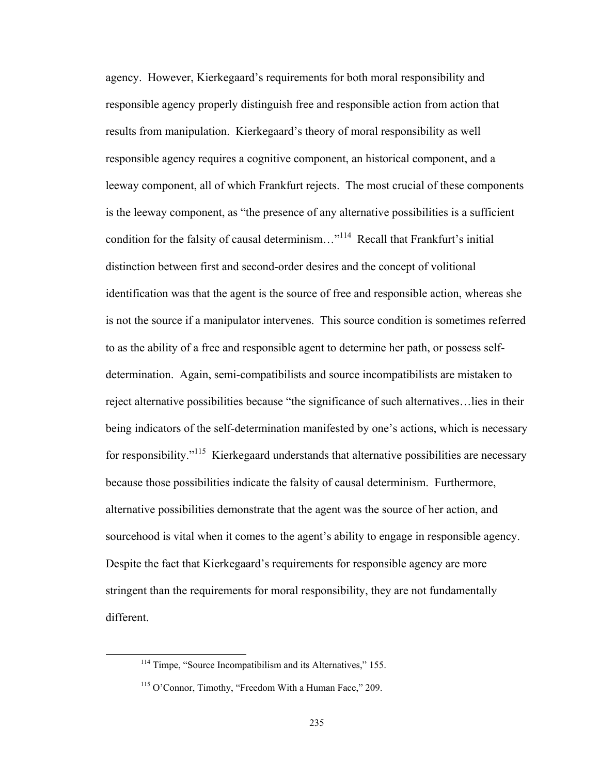agency. However, Kierkegaard's requirements for both moral responsibility and responsible agency properly distinguish free and responsible action from action that results from manipulation. Kierkegaard's theory of moral responsibility as well responsible agency requires a cognitive component, an historical component, and a leeway component, all of which Frankfurt rejects. The most crucial of these components is the leeway component, as "the presence of any alternative possibilities is a sufficient condition for the falsity of causal determinism..."<sup>114</sup> Recall that Frankfurt's initial distinction between first and second-order desires and the concept of volitional identification was that the agent is the source of free and responsible action, whereas she is not the source if a manipulator intervenes. This source condition is sometimes referred to as the ability of a free and responsible agent to determine her path, or possess selfdetermination. Again, semi-compatibilists and source incompatibilists are mistaken to reject alternative possibilities because "the significance of such alternatives…lies in their being indicators of the self-determination manifested by one's actions, which is necessary for responsibility."<sup>115</sup> Kierkegaard understands that alternative possibilities are necessary because those possibilities indicate the falsity of causal determinism. Furthermore, alternative possibilities demonstrate that the agent was the source of her action, and sourcehood is vital when it comes to the agent's ability to engage in responsible agency. Despite the fact that Kierkegaard's requirements for responsible agency are more stringent than the requirements for moral responsibility, they are not fundamentally different.

 $114$  Timpe, "Source Incompatibilism and its Alternatives," 155.

<sup>&</sup>lt;sup>115</sup> O'Connor, Timothy, "Freedom With a Human Face," 209.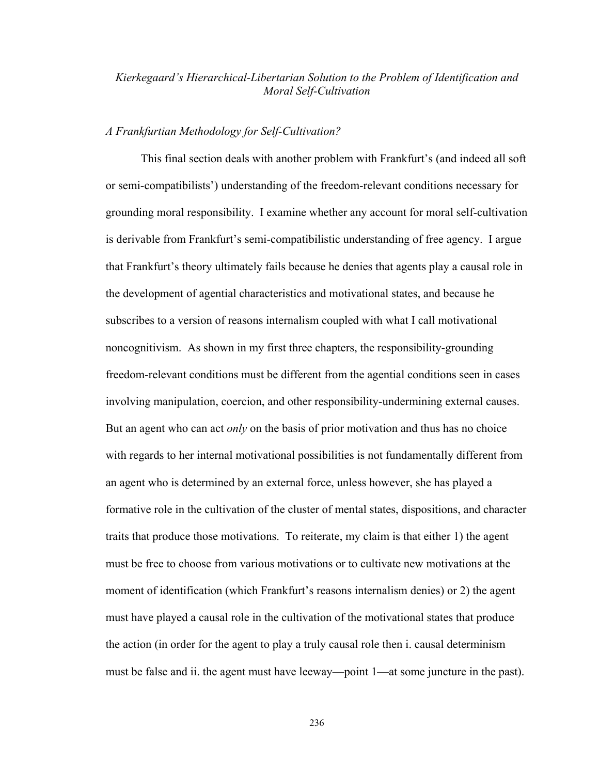## *Kierkegaard's Hierarchical-Libertarian Solution to the Problem of Identification and Moral Self-Cultivation*

## *A Frankfurtian Methodology for Self-Cultivation?*

This final section deals with another problem with Frankfurt's (and indeed all soft or semi-compatibilists') understanding of the freedom-relevant conditions necessary for grounding moral responsibility. I examine whether any account for moral self-cultivation is derivable from Frankfurt's semi-compatibilistic understanding of free agency. I argue that Frankfurt's theory ultimately fails because he denies that agents play a causal role in the development of agential characteristics and motivational states, and because he subscribes to a version of reasons internalism coupled with what I call motivational noncognitivism. As shown in my first three chapters, the responsibility-grounding freedom-relevant conditions must be different from the agential conditions seen in cases involving manipulation, coercion, and other responsibility-undermining external causes. But an agent who can act *only* on the basis of prior motivation and thus has no choice with regards to her internal motivational possibilities is not fundamentally different from an agent who is determined by an external force, unless however, she has played a formative role in the cultivation of the cluster of mental states, dispositions, and character traits that produce those motivations. To reiterate, my claim is that either 1) the agent must be free to choose from various motivations or to cultivate new motivations at the moment of identification (which Frankfurt's reasons internalism denies) or 2) the agent must have played a causal role in the cultivation of the motivational states that produce the action (in order for the agent to play a truly causal role then i. causal determinism must be false and ii. the agent must have leeway—point 1—at some juncture in the past).

236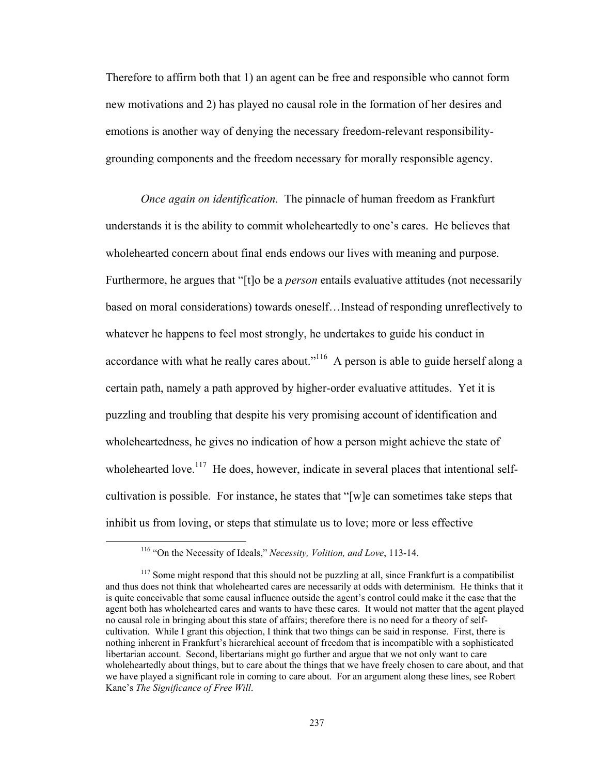Therefore to affirm both that 1) an agent can be free and responsible who cannot form new motivations and 2) has played no causal role in the formation of her desires and emotions is another way of denying the necessary freedom-relevant responsibilitygrounding components and the freedom necessary for morally responsible agency.

*Once again on identification.* The pinnacle of human freedom as Frankfurt understands it is the ability to commit wholeheartedly to one's cares. He believes that wholehearted concern about final ends endows our lives with meaning and purpose. Furthermore, he argues that "[t]o be a *person* entails evaluative attitudes (not necessarily based on moral considerations) towards oneself…Instead of responding unreflectively to whatever he happens to feel most strongly, he undertakes to guide his conduct in accordance with what he really cares about."<sup>116</sup> A person is able to guide herself along a certain path, namely a path approved by higher-order evaluative attitudes. Yet it is puzzling and troubling that despite his very promising account of identification and wholeheartedness, he gives no indication of how a person might achieve the state of wholehearted love.<sup>117</sup> He does, however, indicate in several places that intentional selfcultivation is possible. For instance, he states that "[w]e can sometimes take steps that inhibit us from loving, or steps that stimulate us to love; more or less effective

 116 "On the Necessity of Ideals," *Necessity, Volition, and Love*, 113-14.

 $117$  Some might respond that this should not be puzzling at all, since Frankfurt is a compatibilist and thus does not think that wholehearted cares are necessarily at odds with determinism. He thinks that it is quite conceivable that some causal influence outside the agent's control could make it the case that the agent both has wholehearted cares and wants to have these cares. It would not matter that the agent played no causal role in bringing about this state of affairs; therefore there is no need for a theory of selfcultivation. While I grant this objection, I think that two things can be said in response. First, there is nothing inherent in Frankfurt's hierarchical account of freedom that is incompatible with a sophisticated libertarian account. Second, libertarians might go further and argue that we not only want to care wholeheartedly about things, but to care about the things that we have freely chosen to care about, and that we have played a significant role in coming to care about. For an argument along these lines, see Robert Kane's *The Significance of Free Will*.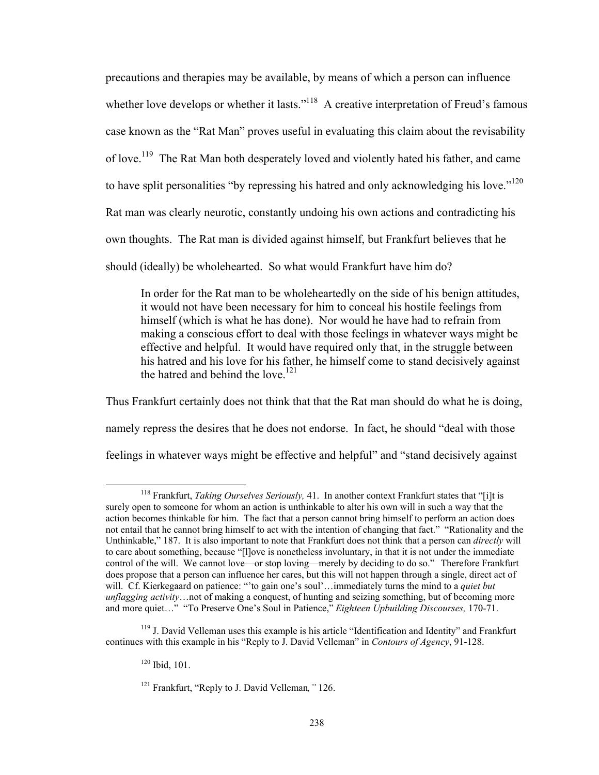precautions and therapies may be available, by means of which a person can influence whether love develops or whether it lasts."<sup>118</sup> A creative interpretation of Freud's famous case known as the "Rat Man" proves useful in evaluating this claim about the revisability of love.119 The Rat Man both desperately loved and violently hated his father, and came to have split personalities "by repressing his hatred and only acknowledging his love."<sup>120</sup> Rat man was clearly neurotic, constantly undoing his own actions and contradicting his own thoughts. The Rat man is divided against himself, but Frankfurt believes that he should (ideally) be wholehearted. So what would Frankfurt have him do?

In order for the Rat man to be wholeheartedly on the side of his benign attitudes, it would not have been necessary for him to conceal his hostile feelings from himself (which is what he has done). Nor would he have had to refrain from making a conscious effort to deal with those feelings in whatever ways might be effective and helpful. It would have required only that, in the struggle between his hatred and his love for his father, he himself come to stand decisively against the hatred and behind the love. $121$ 

Thus Frankfurt certainly does not think that that the Rat man should do what he is doing, namely repress the desires that he does not endorse. In fact, he should "deal with those feelings in whatever ways might be effective and helpful" and "stand decisively against

 118 Frankfurt, *Taking Ourselves Seriously,* 41. In another context Frankfurt states that "[i]t is surely open to someone for whom an action is unthinkable to alter his own will in such a way that the action becomes thinkable for him. The fact that a person cannot bring himself to perform an action does not entail that he cannot bring himself to act with the intention of changing that fact." "Rationality and the Unthinkable," 187. It is also important to note that Frankfurt does not think that a person can *directly* will to care about something, because "[l]ove is nonetheless involuntary, in that it is not under the immediate control of the will. We cannot love—or stop loving—merely by deciding to do so." Therefore Frankfurt does propose that a person can influence her cares, but this will not happen through a single, direct act of will. Cf. Kierkegaard on patience: "'to gain one's soul'…immediately turns the mind to a *quiet but unflagging activity*…not of making a conquest, of hunting and seizing something, but of becoming more and more quiet…" "To Preserve One's Soul in Patience," *Eighteen Upbuilding Discourses,* 170-71.

<sup>&</sup>lt;sup>119</sup> J. David Velleman uses this example is his article "Identification and Identity" and Frankfurt continues with this example in his "Reply to J. David Velleman" in *Contours of Agency*, 91-128.

 $120$  Ibid, 101.

<sup>121</sup> Frankfurt, "Reply to J. David Velleman*,"* 126.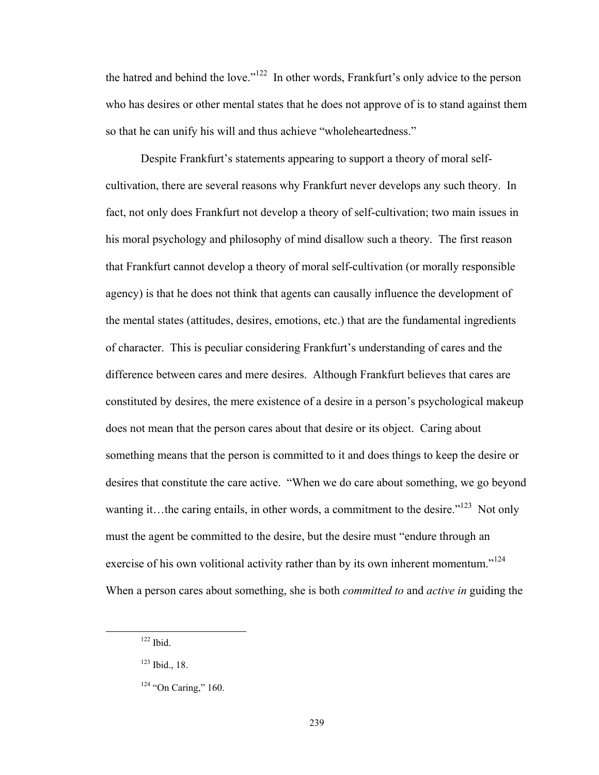the hatred and behind the love."122 In other words, Frankfurt's only advice to the person who has desires or other mental states that he does not approve of is to stand against them so that he can unify his will and thus achieve "wholeheartedness."

Despite Frankfurt's statements appearing to support a theory of moral selfcultivation, there are several reasons why Frankfurt never develops any such theory. In fact, not only does Frankfurt not develop a theory of self-cultivation; two main issues in his moral psychology and philosophy of mind disallow such a theory. The first reason that Frankfurt cannot develop a theory of moral self-cultivation (or morally responsible agency) is that he does not think that agents can causally influence the development of the mental states (attitudes, desires, emotions, etc.) that are the fundamental ingredients of character. This is peculiar considering Frankfurt's understanding of cares and the difference between cares and mere desires. Although Frankfurt believes that cares are constituted by desires, the mere existence of a desire in a person's psychological makeup does not mean that the person cares about that desire or its object. Caring about something means that the person is committed to it and does things to keep the desire or desires that constitute the care active. "When we do care about something, we go beyond wanting it…the caring entails, in other words, a commitment to the desire."<sup>123</sup> Not only must the agent be committed to the desire, but the desire must "endure through an exercise of his own volitional activity rather than by its own inherent momentum."<sup>124</sup> When a person cares about something, she is both *committed to* and *active in* guiding the

 122 Ibid.

<sup>123</sup> Ibid., 18.

 $124$  "On Caring," 160.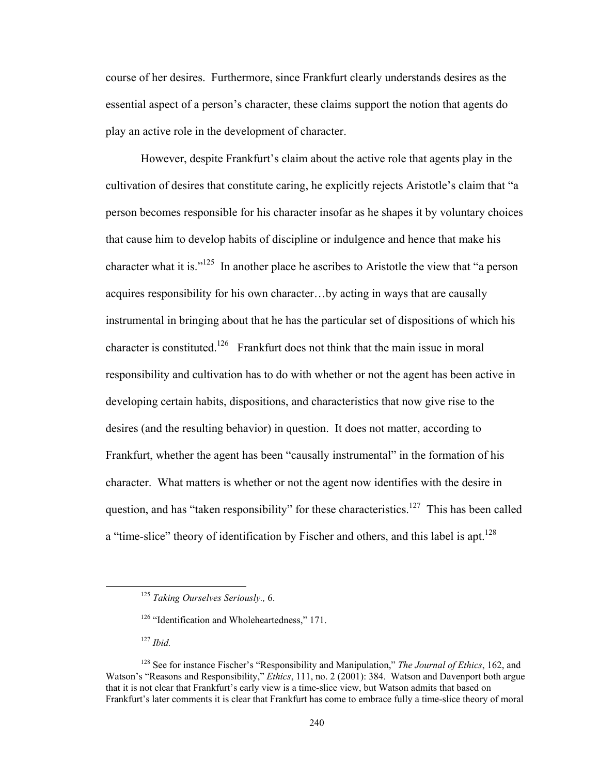course of her desires. Furthermore, since Frankfurt clearly understands desires as the essential aspect of a person's character, these claims support the notion that agents do play an active role in the development of character.

However, despite Frankfurt's claim about the active role that agents play in the cultivation of desires that constitute caring, he explicitly rejects Aristotle's claim that "a person becomes responsible for his character insofar as he shapes it by voluntary choices that cause him to develop habits of discipline or indulgence and hence that make his character what it is."<sup>125</sup> In another place he ascribes to Aristotle the view that "a person" acquires responsibility for his own character…by acting in ways that are causally instrumental in bringing about that he has the particular set of dispositions of which his character is constituted.<sup>126</sup> Frankfurt does not think that the main issue in moral responsibility and cultivation has to do with whether or not the agent has been active in developing certain habits, dispositions, and characteristics that now give rise to the desires (and the resulting behavior) in question. It does not matter, according to Frankfurt, whether the agent has been "causally instrumental" in the formation of his character. What matters is whether or not the agent now identifies with the desire in question, and has "taken responsibility" for these characteristics.<sup>127</sup> This has been called a "time-slice" theory of identification by Fischer and others, and this label is apt.<sup>128</sup>

<sup>127</sup> *Ibid.* 

 <sup>125</sup> *Taking Ourselves Seriously.,* 6.

<sup>&</sup>lt;sup>126</sup> "Identification and Wholeheartedness," 171.

<sup>128</sup> See for instance Fischer's "Responsibility and Manipulation," *The Journal of Ethics*, 162, and Watson's "Reasons and Responsibility," *Ethics*, 111, no. 2 (2001): 384. Watson and Davenport both argue that it is not clear that Frankfurt's early view is a time-slice view, but Watson admits that based on Frankfurt's later comments it is clear that Frankfurt has come to embrace fully a time-slice theory of moral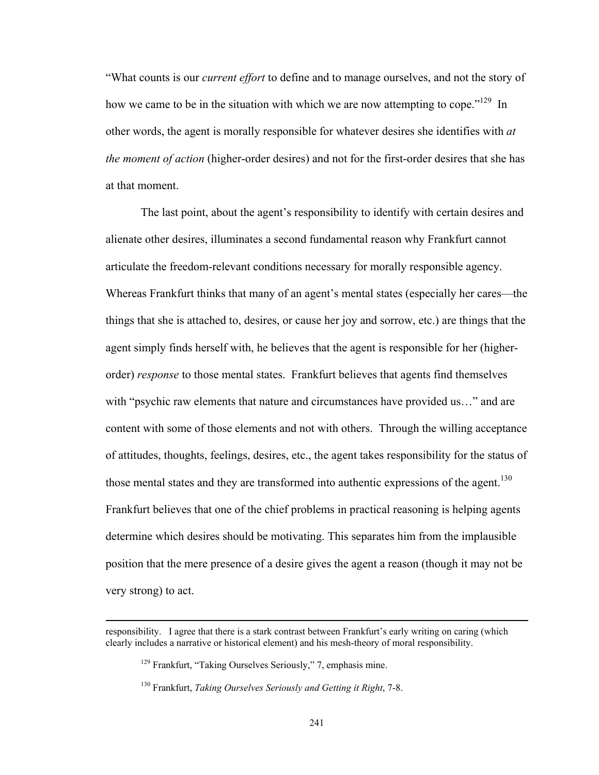"What counts is our *current effort* to define and to manage ourselves, and not the story of how we came to be in the situation with which we are now attempting to cope.<sup> $129$ </sup> In other words, the agent is morally responsible for whatever desires she identifies with *at the moment of action* (higher-order desires) and not for the first-order desires that she has at that moment.

The last point, about the agent's responsibility to identify with certain desires and alienate other desires, illuminates a second fundamental reason why Frankfurt cannot articulate the freedom-relevant conditions necessary for morally responsible agency. Whereas Frankfurt thinks that many of an agent's mental states (especially her cares—the things that she is attached to, desires, or cause her joy and sorrow, etc.) are things that the agent simply finds herself with, he believes that the agent is responsible for her (higherorder) *response* to those mental states. Frankfurt believes that agents find themselves with "psychic raw elements that nature and circumstances have provided us..." and are content with some of those elements and not with others. Through the willing acceptance of attitudes, thoughts, feelings, desires, etc., the agent takes responsibility for the status of those mental states and they are transformed into authentic expressions of the agent.<sup>130</sup> Frankfurt believes that one of the chief problems in practical reasoning is helping agents determine which desires should be motivating. This separates him from the implausible position that the mere presence of a desire gives the agent a reason (though it may not be very strong) to act.

<u> 1989 - Johann Stoff, amerikansk politiker (d. 1989)</u>

responsibility. I agree that there is a stark contrast between Frankfurt's early writing on caring (which clearly includes a narrative or historical element) and his mesh-theory of moral responsibility.

<sup>129</sup> Frankfurt, "Taking Ourselves Seriously," 7, emphasis mine.

<sup>130</sup> Frankfurt, *Taking Ourselves Seriously and Getting it Right*, 7-8.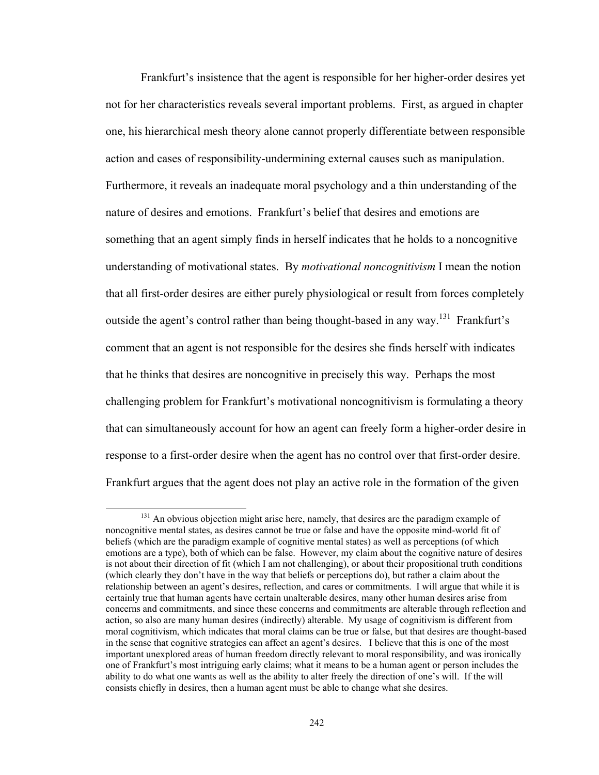Frankfurt's insistence that the agent is responsible for her higher-order desires yet not for her characteristics reveals several important problems. First, as argued in chapter one, his hierarchical mesh theory alone cannot properly differentiate between responsible action and cases of responsibility-undermining external causes such as manipulation. Furthermore, it reveals an inadequate moral psychology and a thin understanding of the nature of desires and emotions. Frankfurt's belief that desires and emotions are something that an agent simply finds in herself indicates that he holds to a noncognitive understanding of motivational states. By *motivational noncognitivism* I mean the notion that all first-order desires are either purely physiological or result from forces completely outside the agent's control rather than being thought-based in any way.<sup>131</sup> Frankfurt's comment that an agent is not responsible for the desires she finds herself with indicates that he thinks that desires are noncognitive in precisely this way. Perhaps the most challenging problem for Frankfurt's motivational noncognitivism is formulating a theory that can simultaneously account for how an agent can freely form a higher-order desire in response to a first-order desire when the agent has no control over that first-order desire. Frankfurt argues that the agent does not play an active role in the formation of the given

<sup>&</sup>lt;sup>131</sup> An obvious objection might arise here, namely, that desires are the paradigm example of noncognitive mental states, as desires cannot be true or false and have the opposite mind-world fit of beliefs (which are the paradigm example of cognitive mental states) as well as perceptions (of which emotions are a type), both of which can be false. However, my claim about the cognitive nature of desires is not about their direction of fit (which I am not challenging), or about their propositional truth conditions (which clearly they don't have in the way that beliefs or perceptions do), but rather a claim about the relationship between an agent's desires, reflection, and cares or commitments. I will argue that while it is certainly true that human agents have certain unalterable desires, many other human desires arise from concerns and commitments, and since these concerns and commitments are alterable through reflection and action, so also are many human desires (indirectly) alterable. My usage of cognitivism is different from moral cognitivism, which indicates that moral claims can be true or false, but that desires are thought-based in the sense that cognitive strategies can affect an agent's desires. I believe that this is one of the most important unexplored areas of human freedom directly relevant to moral responsibility, and was ironically one of Frankfurt's most intriguing early claims; what it means to be a human agent or person includes the ability to do what one wants as well as the ability to alter freely the direction of one's will. If the will consists chiefly in desires, then a human agent must be able to change what she desires.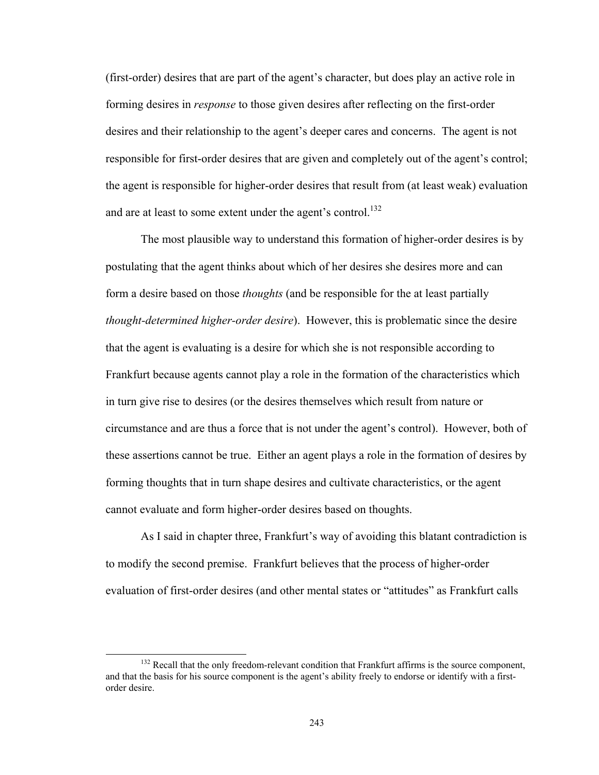(first-order) desires that are part of the agent's character, but does play an active role in forming desires in *response* to those given desires after reflecting on the first-order desires and their relationship to the agent's deeper cares and concerns. The agent is not responsible for first-order desires that are given and completely out of the agent's control; the agent is responsible for higher-order desires that result from (at least weak) evaluation and are at least to some extent under the agent's control.<sup>132</sup>

The most plausible way to understand this formation of higher-order desires is by postulating that the agent thinks about which of her desires she desires more and can form a desire based on those *thoughts* (and be responsible for the at least partially *thought-determined higher-order desire*). However, this is problematic since the desire that the agent is evaluating is a desire for which she is not responsible according to Frankfurt because agents cannot play a role in the formation of the characteristics which in turn give rise to desires (or the desires themselves which result from nature or circumstance and are thus a force that is not under the agent's control). However, both of these assertions cannot be true. Either an agent plays a role in the formation of desires by forming thoughts that in turn shape desires and cultivate characteristics, or the agent cannot evaluate and form higher-order desires based on thoughts.

As I said in chapter three, Frankfurt's way of avoiding this blatant contradiction is to modify the second premise. Frankfurt believes that the process of higher-order evaluation of first-order desires (and other mental states or "attitudes" as Frankfurt calls

 $132$  Recall that the only freedom-relevant condition that Frankfurt affirms is the source component, and that the basis for his source component is the agent's ability freely to endorse or identify with a firstorder desire.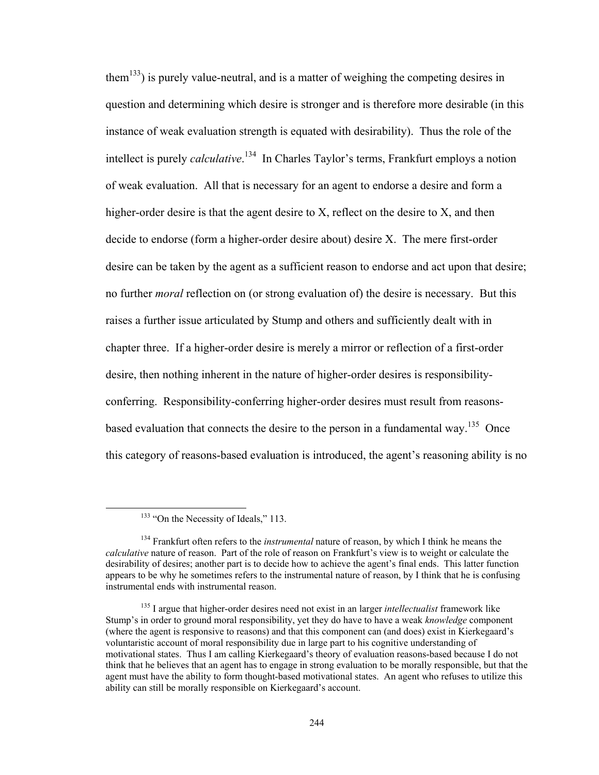them<sup>133</sup>) is purely value-neutral, and is a matter of weighing the competing desires in question and determining which desire is stronger and is therefore more desirable (in this instance of weak evaluation strength is equated with desirability). Thus the role of the intellect is purely *calculative*. 134 In Charles Taylor's terms, Frankfurt employs a notion of weak evaluation. All that is necessary for an agent to endorse a desire and form a higher-order desire is that the agent desire to X, reflect on the desire to X, and then decide to endorse (form a higher-order desire about) desire X. The mere first-order desire can be taken by the agent as a sufficient reason to endorse and act upon that desire; no further *moral* reflection on (or strong evaluation of) the desire is necessary. But this raises a further issue articulated by Stump and others and sufficiently dealt with in chapter three. If a higher-order desire is merely a mirror or reflection of a first-order desire, then nothing inherent in the nature of higher-order desires is responsibilityconferring. Responsibility-conferring higher-order desires must result from reasonsbased evaluation that connects the desire to the person in a fundamental way.<sup>135</sup> Once this category of reasons-based evaluation is introduced, the agent's reasoning ability is no

<sup>&</sup>lt;sup>133</sup> "On the Necessity of Ideals," 113.

<sup>134</sup> Frankfurt often refers to the *instrumental* nature of reason, by which I think he means the *calculative* nature of reason. Part of the role of reason on Frankfurt's view is to weight or calculate the desirability of desires; another part is to decide how to achieve the agent's final ends. This latter function appears to be why he sometimes refers to the instrumental nature of reason, by I think that he is confusing instrumental ends with instrumental reason.

<sup>135</sup> I argue that higher-order desires need not exist in an larger *intellectualist* framework like Stump's in order to ground moral responsibility, yet they do have to have a weak *knowledge* component (where the agent is responsive to reasons) and that this component can (and does) exist in Kierkegaard's voluntaristic account of moral responsibility due in large part to his cognitive understanding of motivational states. Thus I am calling Kierkegaard's theory of evaluation reasons-based because I do not think that he believes that an agent has to engage in strong evaluation to be morally responsible, but that the agent must have the ability to form thought-based motivational states. An agent who refuses to utilize this ability can still be morally responsible on Kierkegaard's account.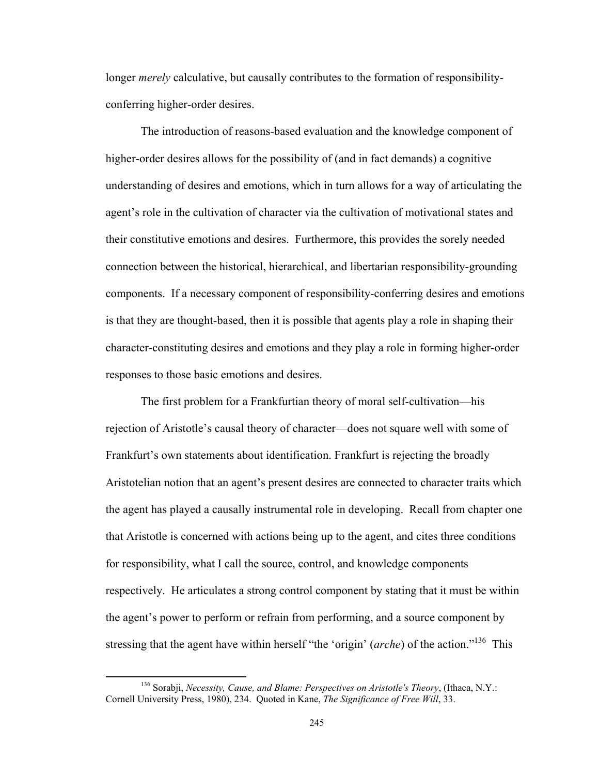longer *merely* calculative, but causally contributes to the formation of responsibilityconferring higher-order desires.

The introduction of reasons-based evaluation and the knowledge component of higher-order desires allows for the possibility of (and in fact demands) a cognitive understanding of desires and emotions, which in turn allows for a way of articulating the agent's role in the cultivation of character via the cultivation of motivational states and their constitutive emotions and desires. Furthermore, this provides the sorely needed connection between the historical, hierarchical, and libertarian responsibility-grounding components. If a necessary component of responsibility-conferring desires and emotions is that they are thought-based, then it is possible that agents play a role in shaping their character-constituting desires and emotions and they play a role in forming higher-order responses to those basic emotions and desires.

The first problem for a Frankfurtian theory of moral self-cultivation—his rejection of Aristotle's causal theory of character—does not square well with some of Frankfurt's own statements about identification. Frankfurt is rejecting the broadly Aristotelian notion that an agent's present desires are connected to character traits which the agent has played a causally instrumental role in developing. Recall from chapter one that Aristotle is concerned with actions being up to the agent, and cites three conditions for responsibility, what I call the source, control, and knowledge components respectively. He articulates a strong control component by stating that it must be within the agent's power to perform or refrain from performing, and a source component by stressing that the agent have within herself "the 'origin' (*arche*) of the action."136 This

 136 Sorabji, *Necessity, Cause, and Blame: Perspectives on Aristotle's Theory*, (Ithaca, N.Y.: Cornell University Press, 1980), 234. Quoted in Kane, *The Significance of Free Will*, 33.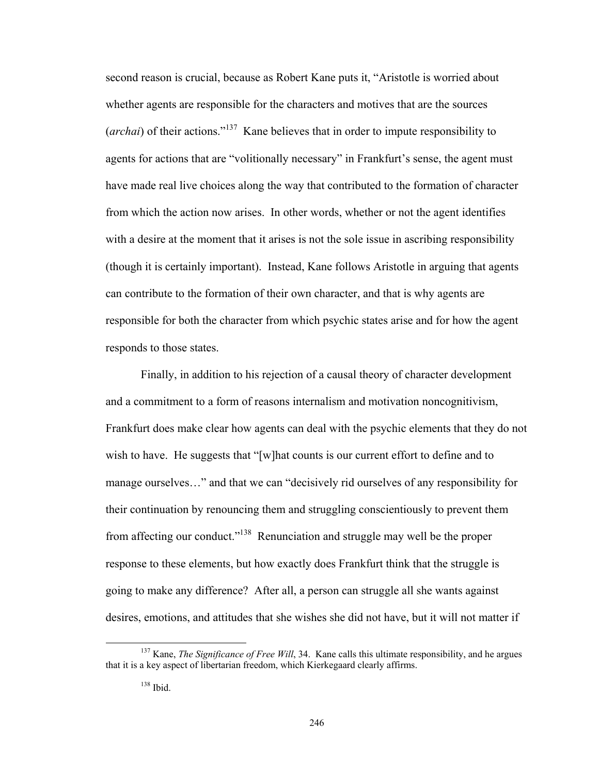second reason is crucial, because as Robert Kane puts it, "Aristotle is worried about whether agents are responsible for the characters and motives that are the sources (*archai*) of their actions."137 Kane believes that in order to impute responsibility to agents for actions that are "volitionally necessary" in Frankfurt's sense, the agent must have made real live choices along the way that contributed to the formation of character from which the action now arises. In other words, whether or not the agent identifies with a desire at the moment that it arises is not the sole issue in ascribing responsibility (though it is certainly important). Instead, Kane follows Aristotle in arguing that agents can contribute to the formation of their own character, and that is why agents are responsible for both the character from which psychic states arise and for how the agent responds to those states.

Finally, in addition to his rejection of a causal theory of character development and a commitment to a form of reasons internalism and motivation noncognitivism, Frankfurt does make clear how agents can deal with the psychic elements that they do not wish to have. He suggests that "[w]hat counts is our current effort to define and to manage ourselves…" and that we can "decisively rid ourselves of any responsibility for their continuation by renouncing them and struggling conscientiously to prevent them from affecting our conduct."138 Renunciation and struggle may well be the proper response to these elements, but how exactly does Frankfurt think that the struggle is going to make any difference? After all, a person can struggle all she wants against desires, emotions, and attitudes that she wishes she did not have, but it will not matter if

<sup>&</sup>lt;sup>137</sup> Kane, *The Significance of Free Will*, 34. Kane calls this ultimate responsibility, and he argues that it is a key aspect of libertarian freedom, which Kierkegaard clearly affirms.

 $138$  Ibid.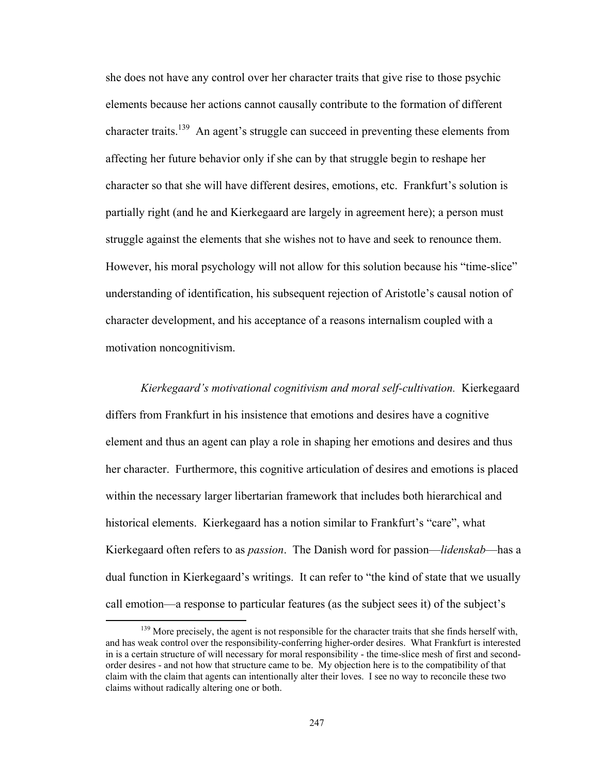she does not have any control over her character traits that give rise to those psychic elements because her actions cannot causally contribute to the formation of different character traits.<sup>139</sup> An agent's struggle can succeed in preventing these elements from affecting her future behavior only if she can by that struggle begin to reshape her character so that she will have different desires, emotions, etc. Frankfurt's solution is partially right (and he and Kierkegaard are largely in agreement here); a person must struggle against the elements that she wishes not to have and seek to renounce them. However, his moral psychology will not allow for this solution because his "time-slice" understanding of identification, his subsequent rejection of Aristotle's causal notion of character development, and his acceptance of a reasons internalism coupled with a motivation noncognitivism.

*Kierkegaard's motivational cognitivism and moral self-cultivation.* Kierkegaard differs from Frankfurt in his insistence that emotions and desires have a cognitive element and thus an agent can play a role in shaping her emotions and desires and thus her character. Furthermore, this cognitive articulation of desires and emotions is placed within the necessary larger libertarian framework that includes both hierarchical and historical elements. Kierkegaard has a notion similar to Frankfurt's "care", what Kierkegaard often refers to as *passion*. The Danish word for passion—*lidenskab*—has a dual function in Kierkegaard's writings. It can refer to "the kind of state that we usually call emotion—a response to particular features (as the subject sees it) of the subject's

<sup>&</sup>lt;sup>139</sup> More precisely, the agent is not responsible for the character traits that she finds herself with, and has weak control over the responsibility-conferring higher-order desires. What Frankfurt is interested in is a certain structure of will necessary for moral responsibility - the time-slice mesh of first and secondorder desires - and not how that structure came to be. My objection here is to the compatibility of that claim with the claim that agents can intentionally alter their loves. I see no way to reconcile these two claims without radically altering one or both.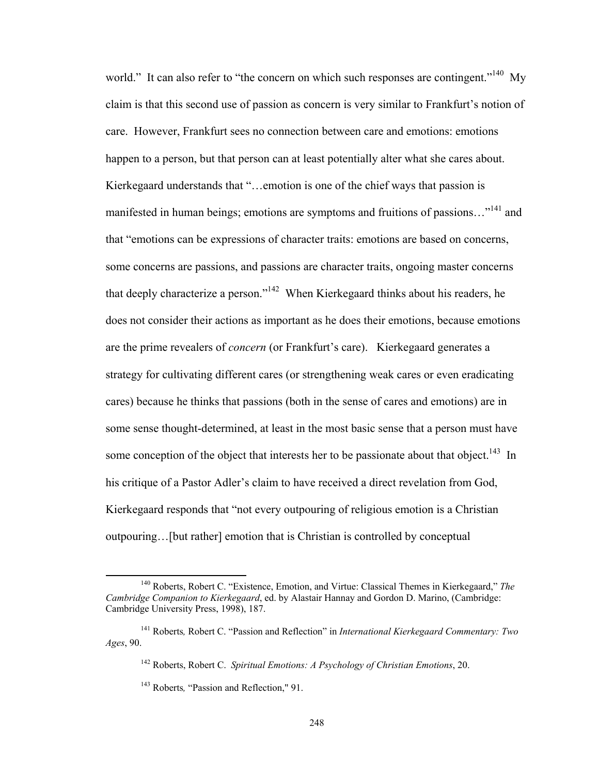world." It can also refer to "the concern on which such responses are contingent."<sup>140</sup> My claim is that this second use of passion as concern is very similar to Frankfurt's notion of care. However, Frankfurt sees no connection between care and emotions: emotions happen to a person, but that person can at least potentially alter what she cares about. Kierkegaard understands that "…emotion is one of the chief ways that passion is manifested in human beings; emotions are symptoms and fruitions of passions..."<sup>141</sup> and that "emotions can be expressions of character traits: emotions are based on concerns, some concerns are passions, and passions are character traits, ongoing master concerns that deeply characterize a person."142 When Kierkegaard thinks about his readers, he does not consider their actions as important as he does their emotions, because emotions are the prime revealers of *concern* (or Frankfurt's care). Kierkegaard generates a strategy for cultivating different cares (or strengthening weak cares or even eradicating cares) because he thinks that passions (both in the sense of cares and emotions) are in some sense thought-determined, at least in the most basic sense that a person must have some conception of the object that interests her to be passionate about that object.<sup>143</sup> In his critique of a Pastor Adler's claim to have received a direct revelation from God, Kierkegaard responds that "not every outpouring of religious emotion is a Christian outpouring…[but rather] emotion that is Christian is controlled by conceptual

 140 Roberts, Robert C. "Existence, Emotion, and Virtue: Classical Themes in Kierkegaard," *The Cambridge Companion to Kierkegaard*, ed. by Alastair Hannay and Gordon D. Marino, (Cambridge: Cambridge University Press, 1998), 187.

<sup>141</sup> Roberts*,* Robert C. "Passion and Reflection" in *International Kierkegaard Commentary: Two Ages*, 90.

<sup>142</sup> Roberts, Robert C. *Spiritual Emotions: A Psychology of Christian Emotions*, 20.

<sup>143</sup> Roberts*,* "Passion and Reflection," 91.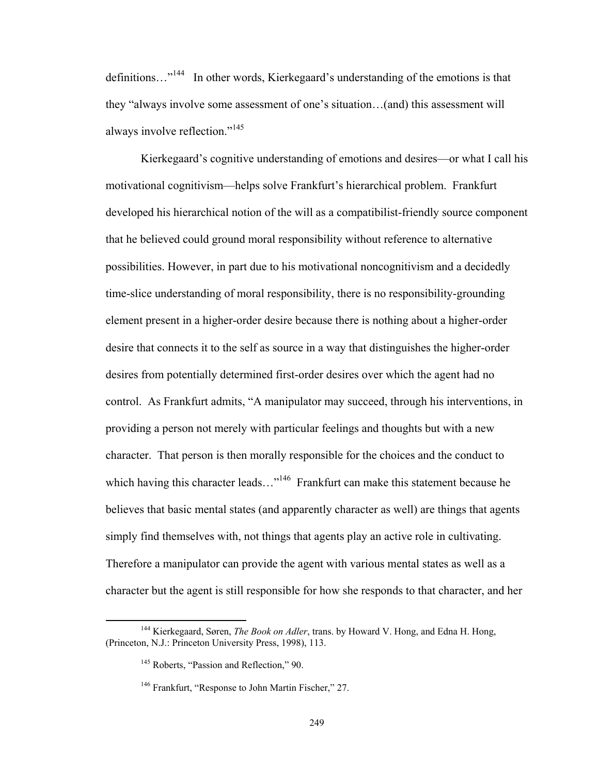definitions...<sup>"144</sup> In other words, Kierkegaard's understanding of the emotions is that they "always involve some assessment of one's situation…(and) this assessment will always involve reflection."<sup>145</sup>

Kierkegaard's cognitive understanding of emotions and desires—or what I call his motivational cognitivism—helps solve Frankfurt's hierarchical problem. Frankfurt developed his hierarchical notion of the will as a compatibilist-friendly source component that he believed could ground moral responsibility without reference to alternative possibilities. However, in part due to his motivational noncognitivism and a decidedly time-slice understanding of moral responsibility, there is no responsibility-grounding element present in a higher-order desire because there is nothing about a higher-order desire that connects it to the self as source in a way that distinguishes the higher-order desires from potentially determined first-order desires over which the agent had no control. As Frankfurt admits, "A manipulator may succeed, through his interventions, in providing a person not merely with particular feelings and thoughts but with a new character. That person is then morally responsible for the choices and the conduct to which having this character leads..."<sup>146</sup> Frankfurt can make this statement because he believes that basic mental states (and apparently character as well) are things that agents simply find themselves with, not things that agents play an active role in cultivating. Therefore a manipulator can provide the agent with various mental states as well as a character but the agent is still responsible for how she responds to that character, and her

 144 Kierkegaard, Søren, *The Book on Adler*, trans. by Howard V. Hong, and Edna H. Hong, (Princeton, N.J.: Princeton University Press, 1998), 113.

<sup>&</sup>lt;sup>145</sup> Roberts, "Passion and Reflection," 90.

<sup>&</sup>lt;sup>146</sup> Frankfurt, "Response to John Martin Fischer," 27.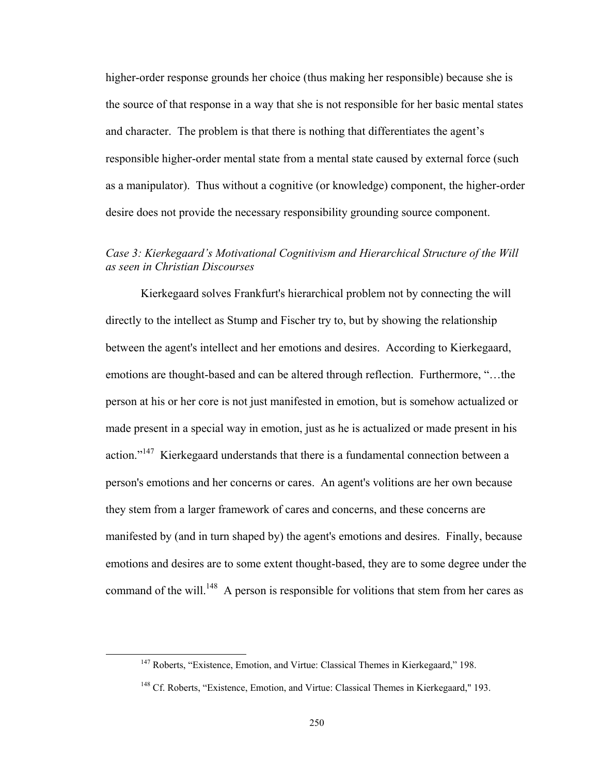higher-order response grounds her choice (thus making her responsible) because she is the source of that response in a way that she is not responsible for her basic mental states and character. The problem is that there is nothing that differentiates the agent's responsible higher-order mental state from a mental state caused by external force (such as a manipulator). Thus without a cognitive (or knowledge) component, the higher-order desire does not provide the necessary responsibility grounding source component.

## *Case 3: Kierkegaard's Motivational Cognitivism and Hierarchical Structure of the Will as seen in Christian Discourses*

Kierkegaard solves Frankfurt's hierarchical problem not by connecting the will directly to the intellect as Stump and Fischer try to, but by showing the relationship between the agent's intellect and her emotions and desires. According to Kierkegaard, emotions are thought-based and can be altered through reflection. Furthermore, "…the person at his or her core is not just manifested in emotion, but is somehow actualized or made present in a special way in emotion, just as he is actualized or made present in his action."<sup>147</sup> Kierkegaard understands that there is a fundamental connection between a person's emotions and her concerns or cares. An agent's volitions are her own because they stem from a larger framework of cares and concerns, and these concerns are manifested by (and in turn shaped by) the agent's emotions and desires. Finally, because emotions and desires are to some extent thought-based, they are to some degree under the command of the will.<sup>148</sup> A person is responsible for volitions that stem from her cares as

<sup>&</sup>lt;sup>147</sup> Roberts, "Existence, Emotion, and Virtue: Classical Themes in Kierkegaard," 198.

<sup>&</sup>lt;sup>148</sup> Cf. Roberts, "Existence, Emotion, and Virtue: Classical Themes in Kierkegaard," 193.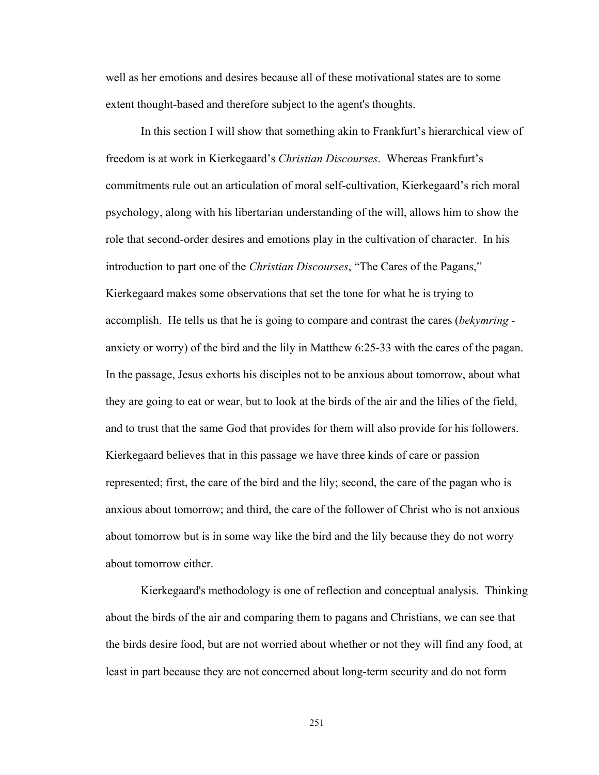well as her emotions and desires because all of these motivational states are to some extent thought-based and therefore subject to the agent's thoughts.

 In this section I will show that something akin to Frankfurt's hierarchical view of freedom is at work in Kierkegaard's *Christian Discourses*. Whereas Frankfurt's commitments rule out an articulation of moral self-cultivation, Kierkegaard's rich moral psychology, along with his libertarian understanding of the will, allows him to show the role that second-order desires and emotions play in the cultivation of character. In his introduction to part one of the *Christian Discourses*, "The Cares of the Pagans," Kierkegaard makes some observations that set the tone for what he is trying to accomplish. He tells us that he is going to compare and contrast the cares (*bekymring*  anxiety or worry) of the bird and the lily in Matthew 6:25-33 with the cares of the pagan. In the passage, Jesus exhorts his disciples not to be anxious about tomorrow, about what they are going to eat or wear, but to look at the birds of the air and the lilies of the field, and to trust that the same God that provides for them will also provide for his followers. Kierkegaard believes that in this passage we have three kinds of care or passion represented; first, the care of the bird and the lily; second, the care of the pagan who is anxious about tomorrow; and third, the care of the follower of Christ who is not anxious about tomorrow but is in some way like the bird and the lily because they do not worry about tomorrow either.

 Kierkegaard's methodology is one of reflection and conceptual analysis. Thinking about the birds of the air and comparing them to pagans and Christians, we can see that the birds desire food, but are not worried about whether or not they will find any food, at least in part because they are not concerned about long-term security and do not form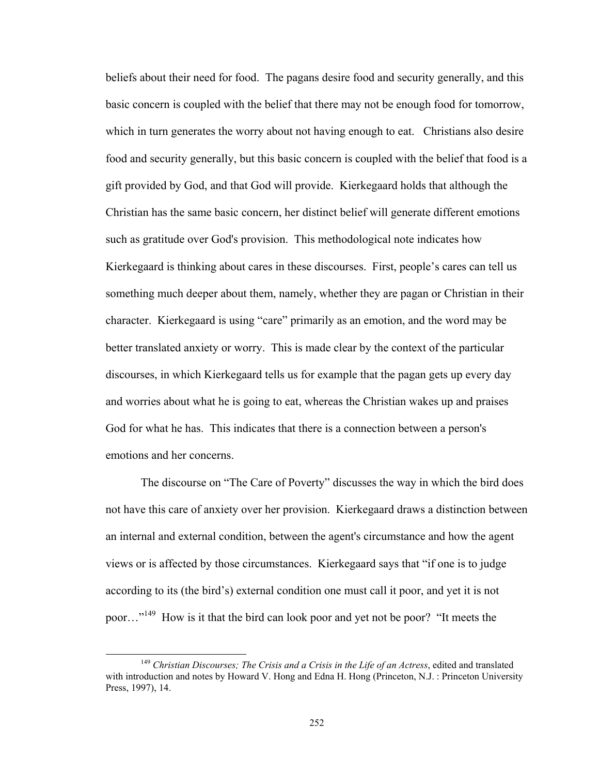beliefs about their need for food. The pagans desire food and security generally, and this basic concern is coupled with the belief that there may not be enough food for tomorrow, which in turn generates the worry about not having enough to eat. Christians also desire food and security generally, but this basic concern is coupled with the belief that food is a gift provided by God, and that God will provide. Kierkegaard holds that although the Christian has the same basic concern, her distinct belief will generate different emotions such as gratitude over God's provision. This methodological note indicates how Kierkegaard is thinking about cares in these discourses. First, people's cares can tell us something much deeper about them, namely, whether they are pagan or Christian in their character. Kierkegaard is using "care" primarily as an emotion, and the word may be better translated anxiety or worry. This is made clear by the context of the particular discourses, in which Kierkegaard tells us for example that the pagan gets up every day and worries about what he is going to eat, whereas the Christian wakes up and praises God for what he has. This indicates that there is a connection between a person's emotions and her concerns.

 The discourse on "The Care of Poverty" discusses the way in which the bird does not have this care of anxiety over her provision. Kierkegaard draws a distinction between an internal and external condition, between the agent's circumstance and how the agent views or is affected by those circumstances. Kierkegaard says that "if one is to judge according to its (the bird's) external condition one must call it poor, and yet it is not poor…"149 How is it that the bird can look poor and yet not be poor? "It meets the

 <sup>149</sup> *Christian Discourses; The Crisis and a Crisis in the Life of an Actress*, edited and translated with introduction and notes by Howard V. Hong and Edna H. Hong (Princeton, N.J. : Princeton University Press, 1997), 14.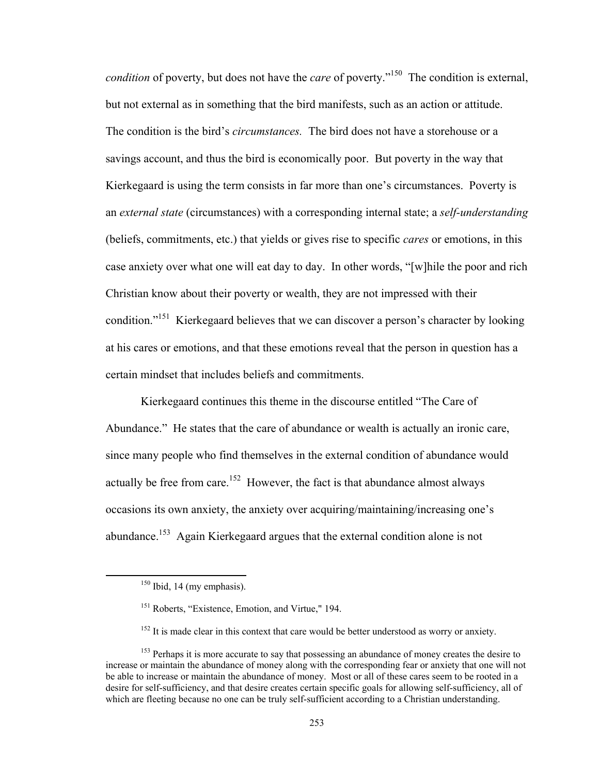*condition* of poverty, but does not have the *care* of poverty."<sup>150</sup> The condition is external, but not external as in something that the bird manifests, such as an action or attitude. The condition is the bird's *circumstances.* The bird does not have a storehouse or a savings account, and thus the bird is economically poor. But poverty in the way that Kierkegaard is using the term consists in far more than one's circumstances. Poverty is an *external state* (circumstances) with a corresponding internal state; a *self-understanding* (beliefs, commitments, etc.) that yields or gives rise to specific *cares* or emotions, in this case anxiety over what one will eat day to day. In other words, "[w]hile the poor and rich Christian know about their poverty or wealth, they are not impressed with their condition."<sup>151</sup> Kierkegaard believes that we can discover a person's character by looking at his cares or emotions, and that these emotions reveal that the person in question has a certain mindset that includes beliefs and commitments.

 Kierkegaard continues this theme in the discourse entitled "The Care of Abundance." He states that the care of abundance or wealth is actually an ironic care, since many people who find themselves in the external condition of abundance would actually be free from care.<sup>152</sup> However, the fact is that abundance almost always occasions its own anxiety, the anxiety over acquiring/maintaining/increasing one's abundance.<sup>153</sup> Again Kierkegaard argues that the external condition alone is not

 $150$  Ibid, 14 (my emphasis).

<sup>&</sup>lt;sup>151</sup> Roberts, "Existence, Emotion, and Virtue," 194.

 $152$  It is made clear in this context that care would be better understood as worry or anxiety.

<sup>&</sup>lt;sup>153</sup> Perhaps it is more accurate to say that possessing an abundance of money creates the desire to increase or maintain the abundance of money along with the corresponding fear or anxiety that one will not be able to increase or maintain the abundance of money. Most or all of these cares seem to be rooted in a desire for self-sufficiency, and that desire creates certain specific goals for allowing self-sufficiency, all of which are fleeting because no one can be truly self-sufficient according to a Christian understanding.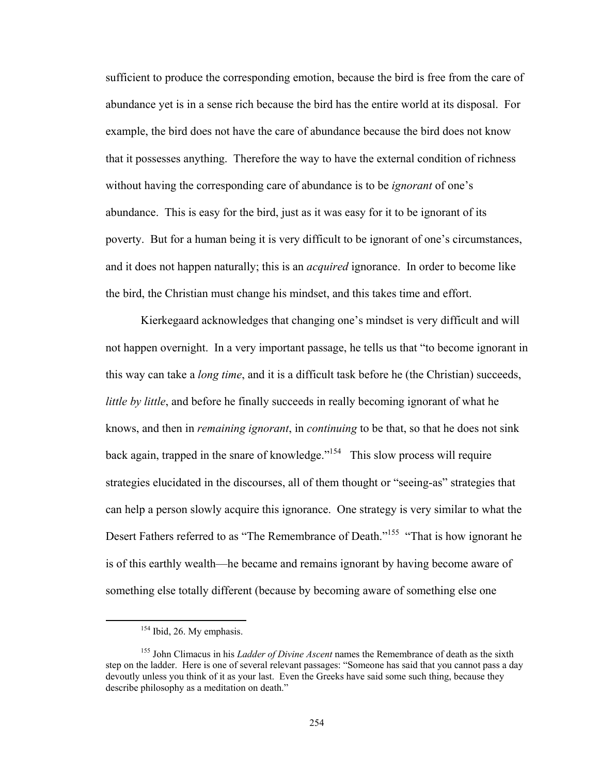sufficient to produce the corresponding emotion, because the bird is free from the care of abundance yet is in a sense rich because the bird has the entire world at its disposal. For example, the bird does not have the care of abundance because the bird does not know that it possesses anything. Therefore the way to have the external condition of richness without having the corresponding care of abundance is to be *ignorant* of one's abundance. This is easy for the bird, just as it was easy for it to be ignorant of its poverty. But for a human being it is very difficult to be ignorant of one's circumstances, and it does not happen naturally; this is an *acquired* ignorance. In order to become like the bird, the Christian must change his mindset, and this takes time and effort.

 Kierkegaard acknowledges that changing one's mindset is very difficult and will not happen overnight. In a very important passage, he tells us that "to become ignorant in this way can take a *long time*, and it is a difficult task before he (the Christian) succeeds, *little by little*, and before he finally succeeds in really becoming ignorant of what he knows, and then in *remaining ignorant*, in *continuing* to be that, so that he does not sink back again, trapped in the snare of knowledge."<sup>154</sup> This slow process will require strategies elucidated in the discourses, all of them thought or "seeing-as" strategies that can help a person slowly acquire this ignorance. One strategy is very similar to what the Desert Fathers referred to as "The Remembrance of Death."<sup>155</sup> "That is how ignorant he is of this earthly wealth—he became and remains ignorant by having become aware of something else totally different (because by becoming aware of something else one

<sup>&</sup>lt;sup>154</sup> Ibid, 26. My emphasis.

<sup>155</sup> John Climacus in his *Ladder of Divine Ascent* names the Remembrance of death as the sixth step on the ladder. Here is one of several relevant passages: "Someone has said that you cannot pass a day devoutly unless you think of it as your last. Even the Greeks have said some such thing, because they describe philosophy as a meditation on death."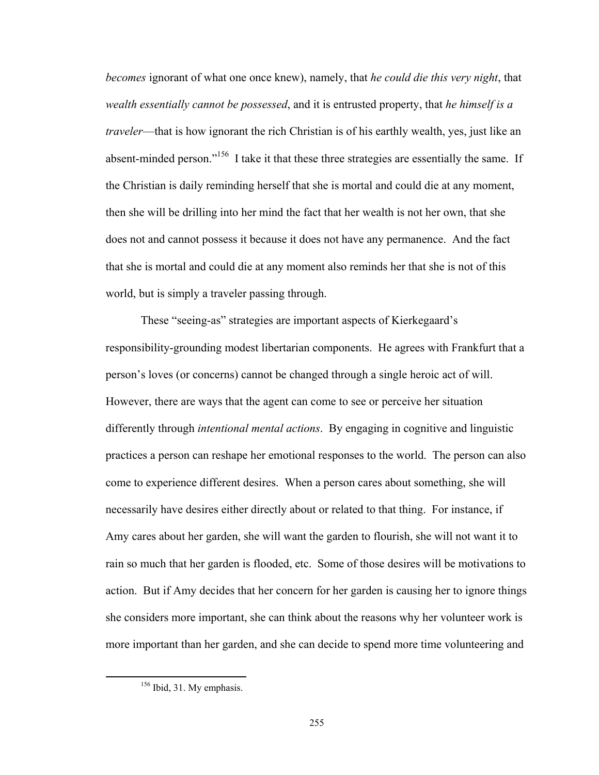*becomes* ignorant of what one once knew), namely, that *he could die this very night*, that *wealth essentially cannot be possessed*, and it is entrusted property, that *he himself is a traveler*—that is how ignorant the rich Christian is of his earthly wealth, yes, just like an absent-minded person."156 I take it that these three strategies are essentially the same. If the Christian is daily reminding herself that she is mortal and could die at any moment, then she will be drilling into her mind the fact that her wealth is not her own, that she does not and cannot possess it because it does not have any permanence. And the fact that she is mortal and could die at any moment also reminds her that she is not of this world, but is simply a traveler passing through.

 These "seeing-as" strategies are important aspects of Kierkegaard's responsibility-grounding modest libertarian components. He agrees with Frankfurt that a person's loves (or concerns) cannot be changed through a single heroic act of will. However, there are ways that the agent can come to see or perceive her situation differently through *intentional mental actions*. By engaging in cognitive and linguistic practices a person can reshape her emotional responses to the world. The person can also come to experience different desires. When a person cares about something, she will necessarily have desires either directly about or related to that thing. For instance, if Amy cares about her garden, she will want the garden to flourish, she will not want it to rain so much that her garden is flooded, etc. Some of those desires will be motivations to action. But if Amy decides that her concern for her garden is causing her to ignore things she considers more important, she can think about the reasons why her volunteer work is more important than her garden, and she can decide to spend more time volunteering and

<sup>&</sup>lt;sup>156</sup> Ibid, 31. My emphasis.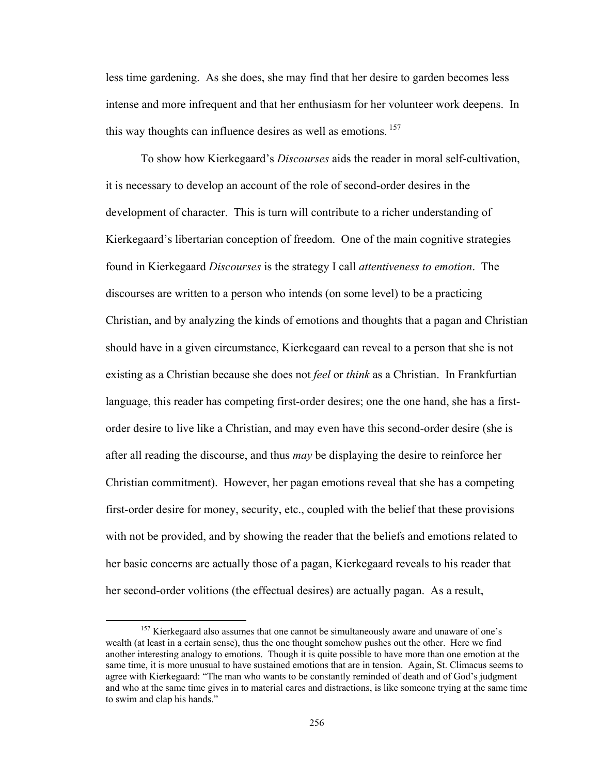less time gardening. As she does, she may find that her desire to garden becomes less intense and more infrequent and that her enthusiasm for her volunteer work deepens. In this way thoughts can influence desires as well as emotions. <sup>157</sup>

 To show how Kierkegaard's *Discourses* aids the reader in moral self-cultivation, it is necessary to develop an account of the role of second-order desires in the development of character. This is turn will contribute to a richer understanding of Kierkegaard's libertarian conception of freedom. One of the main cognitive strategies found in Kierkegaard *Discourses* is the strategy I call *attentiveness to emotion*. The discourses are written to a person who intends (on some level) to be a practicing Christian, and by analyzing the kinds of emotions and thoughts that a pagan and Christian should have in a given circumstance, Kierkegaard can reveal to a person that she is not existing as a Christian because she does not *feel* or *think* as a Christian. In Frankfurtian language, this reader has competing first-order desires; one the one hand, she has a firstorder desire to live like a Christian, and may even have this second-order desire (she is after all reading the discourse, and thus *may* be displaying the desire to reinforce her Christian commitment). However, her pagan emotions reveal that she has a competing first-order desire for money, security, etc., coupled with the belief that these provisions with not be provided, and by showing the reader that the beliefs and emotions related to her basic concerns are actually those of a pagan, Kierkegaard reveals to his reader that her second-order volitions (the effectual desires) are actually pagan. As a result,

<sup>&</sup>lt;sup>157</sup> Kierkegaard also assumes that one cannot be simultaneously aware and unaware of one's wealth (at least in a certain sense), thus the one thought somehow pushes out the other. Here we find another interesting analogy to emotions. Though it is quite possible to have more than one emotion at the same time, it is more unusual to have sustained emotions that are in tension. Again, St. Climacus seems to agree with Kierkegaard: "The man who wants to be constantly reminded of death and of God's judgment and who at the same time gives in to material cares and distractions, is like someone trying at the same time to swim and clap his hands."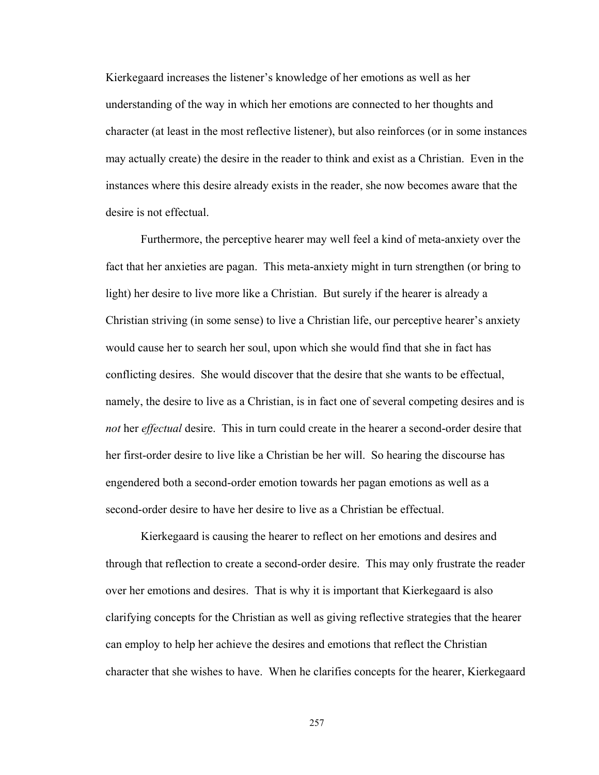Kierkegaard increases the listener's knowledge of her emotions as well as her understanding of the way in which her emotions are connected to her thoughts and character (at least in the most reflective listener), but also reinforces (or in some instances may actually create) the desire in the reader to think and exist as a Christian. Even in the instances where this desire already exists in the reader, she now becomes aware that the desire is not effectual.

 Furthermore, the perceptive hearer may well feel a kind of meta-anxiety over the fact that her anxieties are pagan. This meta-anxiety might in turn strengthen (or bring to light) her desire to live more like a Christian. But surely if the hearer is already a Christian striving (in some sense) to live a Christian life, our perceptive hearer's anxiety would cause her to search her soul, upon which she would find that she in fact has conflicting desires. She would discover that the desire that she wants to be effectual, namely, the desire to live as a Christian, is in fact one of several competing desires and is *not* her *effectual* desire. This in turn could create in the hearer a second-order desire that her first-order desire to live like a Christian be her will. So hearing the discourse has engendered both a second-order emotion towards her pagan emotions as well as a second-order desire to have her desire to live as a Christian be effectual.

Kierkegaard is causing the hearer to reflect on her emotions and desires and through that reflection to create a second-order desire. This may only frustrate the reader over her emotions and desires. That is why it is important that Kierkegaard is also clarifying concepts for the Christian as well as giving reflective strategies that the hearer can employ to help her achieve the desires and emotions that reflect the Christian character that she wishes to have. When he clarifies concepts for the hearer, Kierkegaard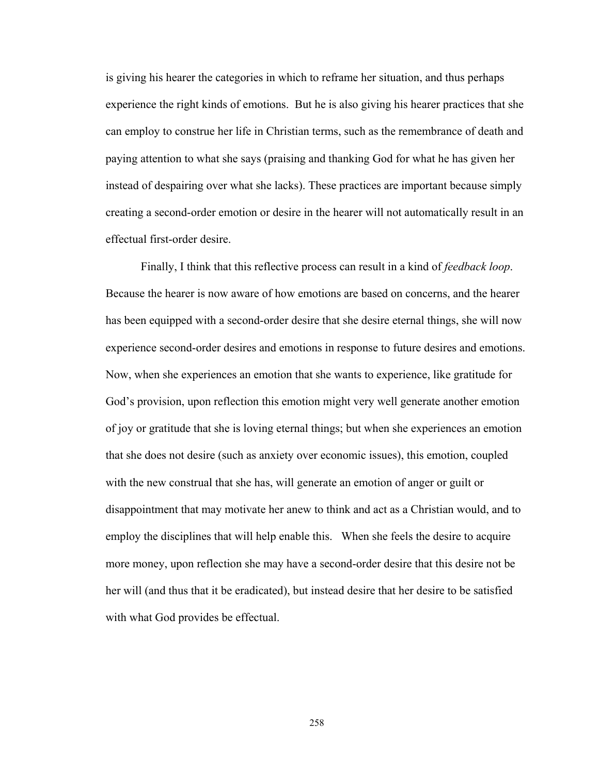is giving his hearer the categories in which to reframe her situation, and thus perhaps experience the right kinds of emotions. But he is also giving his hearer practices that she can employ to construe her life in Christian terms, such as the remembrance of death and paying attention to what she says (praising and thanking God for what he has given her instead of despairing over what she lacks). These practices are important because simply creating a second-order emotion or desire in the hearer will not automatically result in an effectual first-order desire.

Finally, I think that this reflective process can result in a kind of *feedback loop*. Because the hearer is now aware of how emotions are based on concerns, and the hearer has been equipped with a second-order desire that she desire eternal things, she will now experience second-order desires and emotions in response to future desires and emotions. Now, when she experiences an emotion that she wants to experience, like gratitude for God's provision, upon reflection this emotion might very well generate another emotion of joy or gratitude that she is loving eternal things; but when she experiences an emotion that she does not desire (such as anxiety over economic issues), this emotion, coupled with the new construal that she has, will generate an emotion of anger or guilt or disappointment that may motivate her anew to think and act as a Christian would, and to employ the disciplines that will help enable this. When she feels the desire to acquire more money, upon reflection she may have a second-order desire that this desire not be her will (and thus that it be eradicated), but instead desire that her desire to be satisfied with what God provides be effectual.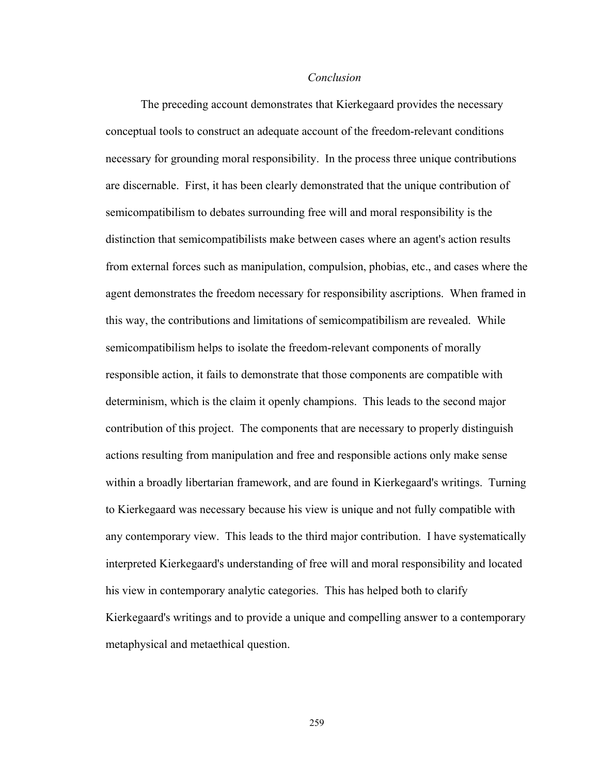## *Conclusion*

The preceding account demonstrates that Kierkegaard provides the necessary conceptual tools to construct an adequate account of the freedom-relevant conditions necessary for grounding moral responsibility. In the process three unique contributions are discernable. First, it has been clearly demonstrated that the unique contribution of semicompatibilism to debates surrounding free will and moral responsibility is the distinction that semicompatibilists make between cases where an agent's action results from external forces such as manipulation, compulsion, phobias, etc., and cases where the agent demonstrates the freedom necessary for responsibility ascriptions. When framed in this way, the contributions and limitations of semicompatibilism are revealed. While semicompatibilism helps to isolate the freedom-relevant components of morally responsible action, it fails to demonstrate that those components are compatible with determinism, which is the claim it openly champions. This leads to the second major contribution of this project. The components that are necessary to properly distinguish actions resulting from manipulation and free and responsible actions only make sense within a broadly libertarian framework, and are found in Kierkegaard's writings. Turning to Kierkegaard was necessary because his view is unique and not fully compatible with any contemporary view. This leads to the third major contribution. I have systematically interpreted Kierkegaard's understanding of free will and moral responsibility and located his view in contemporary analytic categories. This has helped both to clarify Kierkegaard's writings and to provide a unique and compelling answer to a contemporary metaphysical and metaethical question.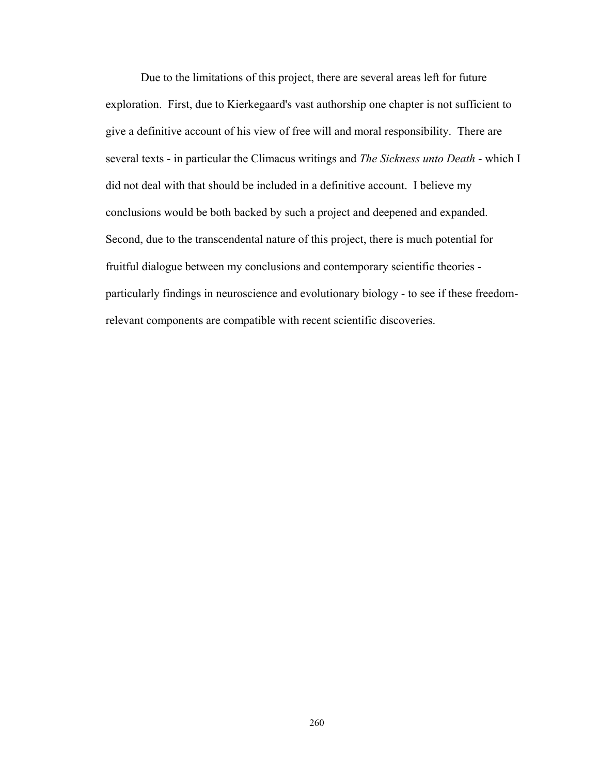Due to the limitations of this project, there are several areas left for future exploration. First, due to Kierkegaard's vast authorship one chapter is not sufficient to give a definitive account of his view of free will and moral responsibility. There are several texts - in particular the Climacus writings and *The Sickness unto Death* - which I did not deal with that should be included in a definitive account. I believe my conclusions would be both backed by such a project and deepened and expanded. Second, due to the transcendental nature of this project, there is much potential for fruitful dialogue between my conclusions and contemporary scientific theories particularly findings in neuroscience and evolutionary biology - to see if these freedomrelevant components are compatible with recent scientific discoveries.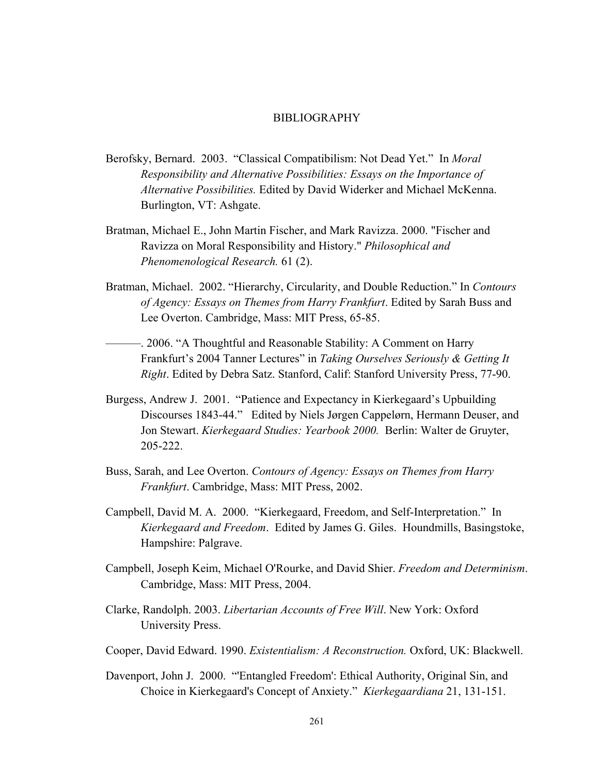## BIBLIOGRAPHY

- Berofsky, Bernard. 2003. "Classical Compatibilism: Not Dead Yet." In *Moral Responsibility and Alternative Possibilities: Essays on the Importance of Alternative Possibilities.* Edited by David Widerker and Michael McKenna. Burlington, VT: Ashgate.
- Bratman, Michael E., John Martin Fischer, and Mark Ravizza. 2000. "Fischer and Ravizza on Moral Responsibility and History." *Philosophical and Phenomenological Research.* 61 (2).
- Bratman, Michael. 2002. "Hierarchy, Circularity, and Double Reduction." In *Contours of Agency: Essays on Themes from Harry Frankfurt*. Edited by Sarah Buss and Lee Overton. Cambridge, Mass: MIT Press, 65-85.
- ———. 2006. "A Thoughtful and Reasonable Stability: A Comment on Harry Frankfurt's 2004 Tanner Lectures" in *Taking Ourselves Seriously & Getting It Right*. Edited by Debra Satz. Stanford, Calif: Stanford University Press, 77-90.
- Burgess, Andrew J. 2001. "Patience and Expectancy in Kierkegaard's Upbuilding Discourses 1843-44." Edited by Niels Jørgen Cappelørn, Hermann Deuser, and Jon Stewart. *Kierkegaard Studies: Yearbook 2000.* Berlin: Walter de Gruyter, 205-222.
- Buss, Sarah, and Lee Overton. *Contours of Agency: Essays on Themes from Harry Frankfurt*. Cambridge, Mass: MIT Press, 2002.
- Campbell, David M. A. 2000. "Kierkegaard, Freedom, and Self-Interpretation." In *Kierkegaard and Freedom*. Edited by James G. Giles. Houndmills, Basingstoke, Hampshire: Palgrave.
- Campbell, Joseph Keim, Michael O'Rourke, and David Shier. *Freedom and Determinism*. Cambridge, Mass: MIT Press, 2004.
- Clarke, Randolph. 2003. *Libertarian Accounts of Free Will*. New York: Oxford University Press.
- Cooper, David Edward. 1990. *Existentialism: A Reconstruction.* Oxford, UK: Blackwell.
- Davenport, John J. 2000. "'Entangled Freedom': Ethical Authority, Original Sin, and Choice in Kierkegaard's Concept of Anxiety." *Kierkegaardiana* 21, 131-151.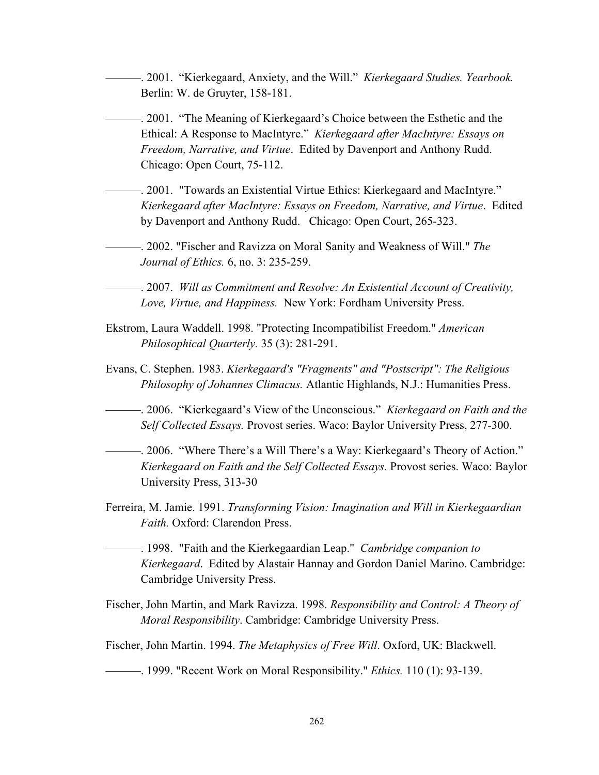———. 2001. "Kierkegaard, Anxiety, and the Will." *Kierkegaard Studies. Yearbook.*  Berlin: W. de Gruyter, 158-181.

———. 2001. "The Meaning of Kierkegaard's Choice between the Esthetic and the Ethical: A Response to MacIntyre." *Kierkegaard after MacIntyre: Essays on Freedom, Narrative, and Virtue*. Edited by Davenport and Anthony Rudd. Chicago: Open Court, 75-112.

———. 2001. "Towards an Existential Virtue Ethics: Kierkegaard and MacIntyre." *Kierkegaard after MacIntyre: Essays on Freedom, Narrative, and Virtue*. Edited by Davenport and Anthony Rudd. Chicago: Open Court, 265-323.

———. 2002. "Fischer and Ravizza on Moral Sanity and Weakness of Will." *The Journal of Ethics.* 6, no. 3: 235-259.

———. 2007. *Will as Commitment and Resolve: An Existential Account of Creativity, Love, Virtue, and Happiness.* New York: Fordham University Press.

- Ekstrom, Laura Waddell. 1998. "Protecting Incompatibilist Freedom." *American Philosophical Quarterly.* 35 (3): 281-291.
- Evans, C. Stephen. 1983. *Kierkegaard's "Fragments" and "Postscript": The Religious Philosophy of Johannes Climacus.* Atlantic Highlands, N.J.: Humanities Press.

———. 2006. "Kierkegaard's View of the Unconscious." *Kierkegaard on Faith and the Self Collected Essays.* Provost series. Waco: Baylor University Press, 277-300.

- ———. 2006. "Where There's a Will There's a Way: Kierkegaard's Theory of Action." *Kierkegaard on Faith and the Self Collected Essays.* Provost series. Waco: Baylor University Press, 313-30
- Ferreira, M. Jamie. 1991. *Transforming Vision: Imagination and Will in Kierkegaardian Faith.* Oxford: Clarendon Press.
- ———. 1998. "Faith and the Kierkegaardian Leap." *Cambridge companion to Kierkegaard*. Edited by Alastair Hannay and Gordon Daniel Marino. Cambridge: Cambridge University Press.
- Fischer, John Martin, and Mark Ravizza. 1998. *Responsibility and Control: A Theory of Moral Responsibility*. Cambridge: Cambridge University Press.

Fischer, John Martin. 1994. *The Metaphysics of Free Will*. Oxford, UK: Blackwell.

## ———. 1999. "Recent Work on Moral Responsibility." *Ethics.* 110 (1): 93-139.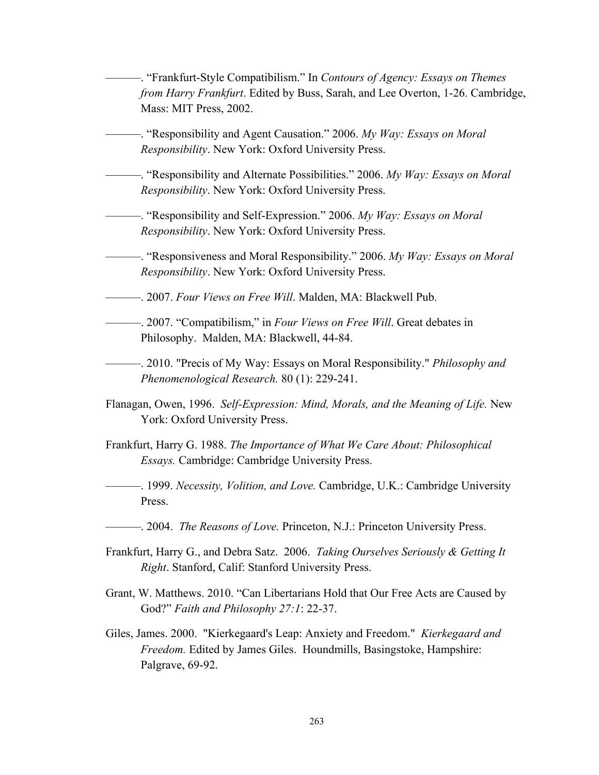———. "Frankfurt-Style Compatibilism." In *Contours of Agency: Essays on Themes from Harry Frankfurt*. Edited by Buss, Sarah, and Lee Overton, 1-26. Cambridge, Mass: MIT Press, 2002. ———. "Responsibility and Agent Causation." 2006. *My Way: Essays on Moral Responsibility*. New York: Oxford University Press. ———. "Responsibility and Alternate Possibilities." 2006. *My Way: Essays on Moral Responsibility*. New York: Oxford University Press. ———. "Responsibility and Self-Expression." 2006. *My Way: Essays on Moral Responsibility*. New York: Oxford University Press. ———. "Responsiveness and Moral Responsibility." 2006. *My Way: Essays on Moral Responsibility*. New York: Oxford University Press. ———. 2007. *Four Views on Free Will*. Malden, MA: Blackwell Pub. ———. 2007. "Compatibilism," in *Four Views on Free Will*. Great debates in Philosophy. Malden, MA: Blackwell, 44-84. ———. 2010. "Precis of My Way: Essays on Moral Responsibility." *Philosophy and Phenomenological Research.* 80 (1): 229-241. Flanagan, Owen, 1996. *Self-Expression: Mind, Morals, and the Meaning of Life.* New York: Oxford University Press. Frankfurt, Harry G. 1988. *The Importance of What We Care About: Philosophical Essays.* Cambridge: Cambridge University Press. ———. 1999. *Necessity, Volition, and Love.* Cambridge, U.K.: Cambridge University Press. ———. 2004. *The Reasons of Love.* Princeton, N.J.: Princeton University Press. Frankfurt, Harry G., and Debra Satz. 2006. *Taking Ourselves Seriously & Getting It Right*. Stanford, Calif: Stanford University Press. Grant, W. Matthews. 2010. "Can Libertarians Hold that Our Free Acts are Caused by God?" *Faith and Philosophy 27:1*: 22-37. Giles, James. 2000. "Kierkegaard's Leap: Anxiety and Freedom." *Kierkegaard and Freedom.* Edited by James Giles. Houndmills, Basingstoke, Hampshire: Palgrave, 69-92.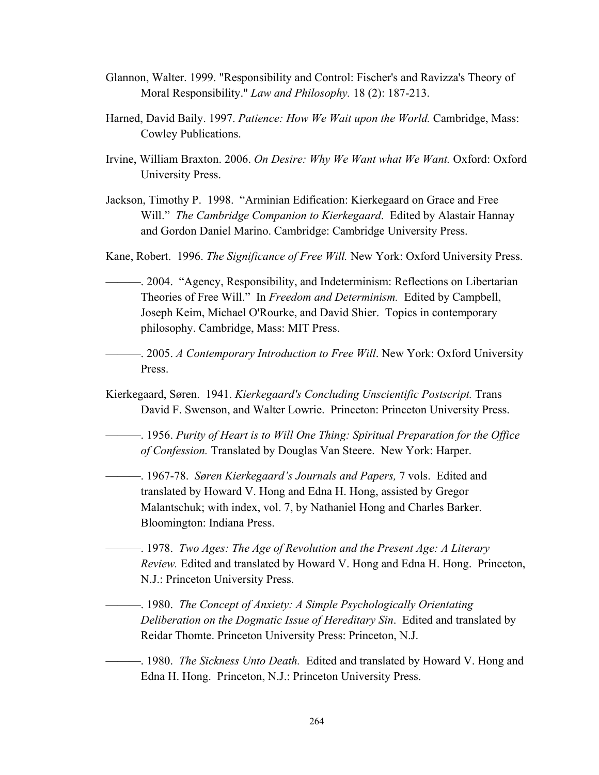- Glannon, Walter. 1999. "Responsibility and Control: Fischer's and Ravizza's Theory of Moral Responsibility." *Law and Philosophy.* 18 (2): 187-213.
- Harned, David Baily. 1997. *Patience: How We Wait upon the World.* Cambridge, Mass: Cowley Publications.
- Irvine, William Braxton. 2006. *On Desire: Why We Want what We Want.* Oxford: Oxford University Press.
- Jackson, Timothy P. 1998. "Arminian Edification: Kierkegaard on Grace and Free Will." *The Cambridge Companion to Kierkegaard*. Edited by Alastair Hannay and Gordon Daniel Marino. Cambridge: Cambridge University Press.
- Kane, Robert. 1996. *The Significance of Free Will.* New York: Oxford University Press.
- ———. 2004. "Agency, Responsibility, and Indeterminism: Reflections on Libertarian Theories of Free Will." In *Freedom and Determinism.* Edited by Campbell, Joseph Keim, Michael O'Rourke, and David Shier. Topics in contemporary philosophy. Cambridge, Mass: MIT Press.
- ———. 2005. *A Contemporary Introduction to Free Will*. New York: Oxford University Press.
- Kierkegaard, Søren. 1941. *Kierkegaard's Concluding Unscientific Postscript.* Trans David F. Swenson, and Walter Lowrie. Princeton: Princeton University Press.
- ———. 1956. *Purity of Heart is to Will One Thing: Spiritual Preparation for the Office of Confession.* Translated by Douglas Van Steere. New York: Harper.
	- ———. 1967-78. *Søren Kierkegaard's Journals and Papers,* 7 vols. Edited and translated by Howard V. Hong and Edna H. Hong, assisted by Gregor Malantschuk; with index, vol. 7, by Nathaniel Hong and Charles Barker. Bloomington: Indiana Press.
- ———. 1978. *Two Ages: The Age of Revolution and the Present Age: A Literary Review.* Edited and translated by Howard V. Hong and Edna H. Hong. Princeton, N.J.: Princeton University Press.
- ———. 1980. *The Concept of Anxiety: A Simple Psychologically Orientating Deliberation on the Dogmatic Issue of Hereditary Sin*. Edited and translated by Reidar Thomte. Princeton University Press: Princeton, N.J.
- ———. 1980. *The Sickness Unto Death.* Edited and translated by Howard V. Hong and Edna H. Hong. Princeton, N.J.: Princeton University Press.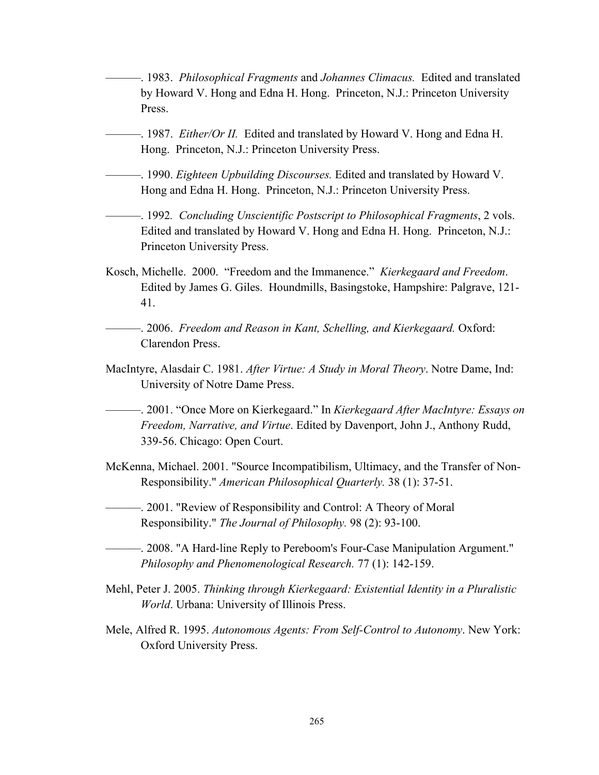- ———. 1983. *Philosophical Fragments* and *Johannes Climacus.* Edited and translated by Howard V. Hong and Edna H. Hong. Princeton, N.J.: Princeton University Press.
- ———. 1987. *Either/Or II.* Edited and translated by Howard V. Hong and Edna H. Hong. Princeton, N.J.: Princeton University Press.
- ———. 1990. *Eighteen Upbuilding Discourses.* Edited and translated by Howard V. Hong and Edna H. Hong. Princeton, N.J.: Princeton University Press.
- ———. 1992*. Concluding Unscientific Postscript to Philosophical Fragments*, 2 vols. Edited and translated by Howard V. Hong and Edna H. Hong. Princeton, N.J.: Princeton University Press.
- Kosch, Michelle. 2000. "Freedom and the Immanence." *Kierkegaard and Freedom*. Edited by James G. Giles. Houndmills, Basingstoke, Hampshire: Palgrave, 121- 41.

———. 2006. *Freedom and Reason in Kant, Schelling, and Kierkegaard.* Oxford: Clarendon Press.

MacIntyre, Alasdair C. 1981. *After Virtue: A Study in Moral Theory*. Notre Dame, Ind: University of Notre Dame Press.

———. 2001. "Once More on Kierkegaard." In *Kierkegaard After MacIntyre: Essays on Freedom, Narrative, and Virtue*. Edited by Davenport, John J., Anthony Rudd, 339-56. Chicago: Open Court.

McKenna, Michael. 2001. "Source Incompatibilism, Ultimacy, and the Transfer of Non-Responsibility." *American Philosophical Quarterly.* 38 (1): 37-51.

———. 2001. "Review of Responsibility and Control: A Theory of Moral Responsibility." *The Journal of Philosophy.* 98 (2): 93-100.

- ———. 2008. "A Hard-line Reply to Pereboom's Four-Case Manipulation Argument." *Philosophy and Phenomenological Research.* 77 (1): 142-159.
- Mehl, Peter J. 2005. *Thinking through Kierkegaard: Existential Identity in a Pluralistic World*. Urbana: University of Illinois Press.
- Mele, Alfred R. 1995. *Autonomous Agents: From Self-Control to Autonomy*. New York: Oxford University Press.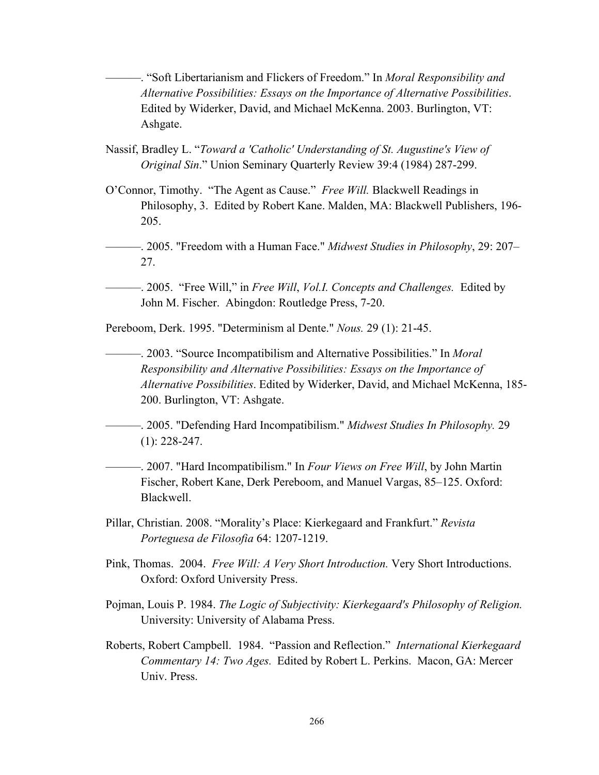———. "Soft Libertarianism and Flickers of Freedom." In *Moral Responsibility and Alternative Possibilities: Essays on the Importance of Alternative Possibilities*. Edited by Widerker, David, and Michael McKenna. 2003. Burlington, VT: Ashgate.

Nassif, Bradley L. "*Toward a 'Catholic' Understanding of St. Augustine's View of Original Sin*." Union Seminary Quarterly Review 39:4 (1984) 287-299.

- O'Connor, Timothy. "The Agent as Cause." *Free Will.* Blackwell Readings in Philosophy, 3. Edited by Robert Kane. Malden, MA: Blackwell Publishers, 196- 205.
- ———. 2005. "Freedom with a Human Face." *Midwest Studies in Philosophy*, 29: 207– 27.
- ———. 2005. "Free Will," in *Free Will*, *Vol.I. Concepts and Challenges.* Edited by John M. Fischer. Abingdon: Routledge Press, 7-20.

Pereboom, Derk. 1995. "Determinism al Dente." *Nous.* 29 (1): 21-45.

———. 2003. "Source Incompatibilism and Alternative Possibilities." In *Moral Responsibility and Alternative Possibilities: Essays on the Importance of Alternative Possibilities*. Edited by Widerker, David, and Michael McKenna, 185- 200. Burlington, VT: Ashgate.

———. 2005. "Defending Hard Incompatibilism." *Midwest Studies In Philosophy.* 29 (1): 228-247.

———. 2007. "Hard Incompatibilism." In *Four Views on Free Will*, by John Martin Fischer, Robert Kane, Derk Pereboom, and Manuel Vargas, 85–125. Oxford: Blackwell.

- Pillar, Christian. 2008. "Morality's Place: Kierkegaard and Frankfurt." *Revista Porteguesa de Filosofia* 64: 1207-1219.
- Pink, Thomas. 2004. *Free Will: A Very Short Introduction.* Very Short Introductions. Oxford: Oxford University Press.
- Pojman, Louis P. 1984. *The Logic of Subjectivity: Kierkegaard's Philosophy of Religion.*  University: University of Alabama Press.
- Roberts, Robert Campbell. 1984. "Passion and Reflection." *International Kierkegaard Commentary 14: Two Ages.* Edited by Robert L. Perkins. Macon, GA: Mercer Univ. Press.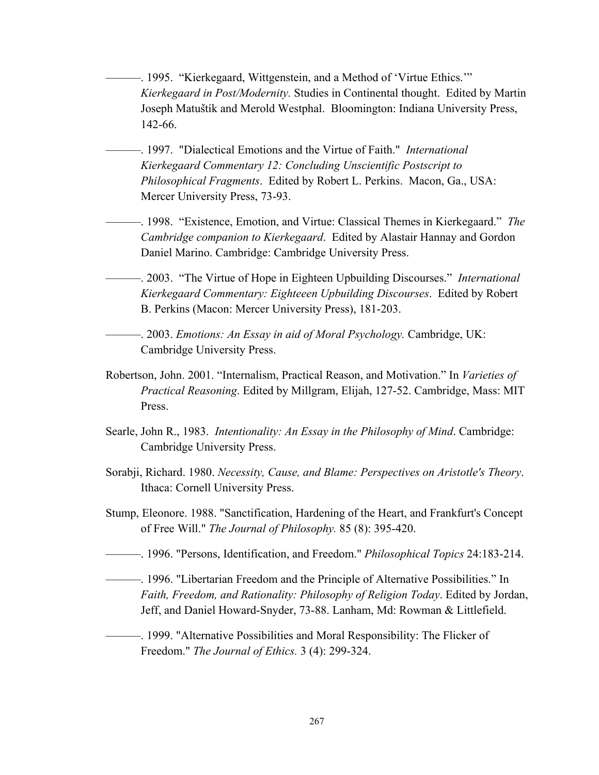———. 1995. "Kierkegaard, Wittgenstein, and a Method of 'Virtue Ethics.'" *Kierkegaard in Post/Modernity.* Studies in Continental thought. Edited by Martin Joseph Matuštík and Merold Westphal.Bloomington: Indiana University Press, 142-66.

- ———. 1997. "Dialectical Emotions and the Virtue of Faith." *International Kierkegaard Commentary 12: Concluding Unscientific Postscript to Philosophical Fragments*. Edited by Robert L. Perkins. Macon, Ga., USA: Mercer University Press, 73-93.
- ———. 1998. "Existence, Emotion, and Virtue: Classical Themes in Kierkegaard." *The Cambridge companion to Kierkegaard*. Edited by Alastair Hannay and Gordon Daniel Marino. Cambridge: Cambridge University Press.
- ———. 2003. "The Virtue of Hope in Eighteen Upbuilding Discourses." *International Kierkegaard Commentary: Eighteeen Upbuilding Discourses*. Edited by Robert B. Perkins (Macon: Mercer University Press), 181-203.

———. 2003. *Emotions: An Essay in aid of Moral Psychology.* Cambridge, UK: Cambridge University Press.

- Robertson, John. 2001. "Internalism, Practical Reason, and Motivation." In *Varieties of Practical Reasoning*. Edited by Millgram, Elijah, 127-52. Cambridge, Mass: MIT Press.
- Searle, John R., 1983. *Intentionality: An Essay in the Philosophy of Mind*. Cambridge: Cambridge University Press.
- Sorabji, Richard. 1980. *Necessity, Cause, and Blame: Perspectives on Aristotle's Theory*. Ithaca: Cornell University Press.
- Stump, Eleonore. 1988. "Sanctification, Hardening of the Heart, and Frankfurt's Concept of Free Will." *The Journal of Philosophy.* 85 (8): 395-420.
- ———. 1996. "Persons, Identification, and Freedom." *Philosophical Topics* 24:183-214.
- ———. 1996. "Libertarian Freedom and the Principle of Alternative Possibilities." In *Faith, Freedom, and Rationality: Philosophy of Religion Today*. Edited by Jordan, Jeff, and Daniel Howard-Snyder, 73-88. Lanham, Md: Rowman & Littlefield.
- ———. 1999. "Alternative Possibilities and Moral Responsibility: The Flicker of Freedom." *The Journal of Ethics.* 3 (4): 299-324.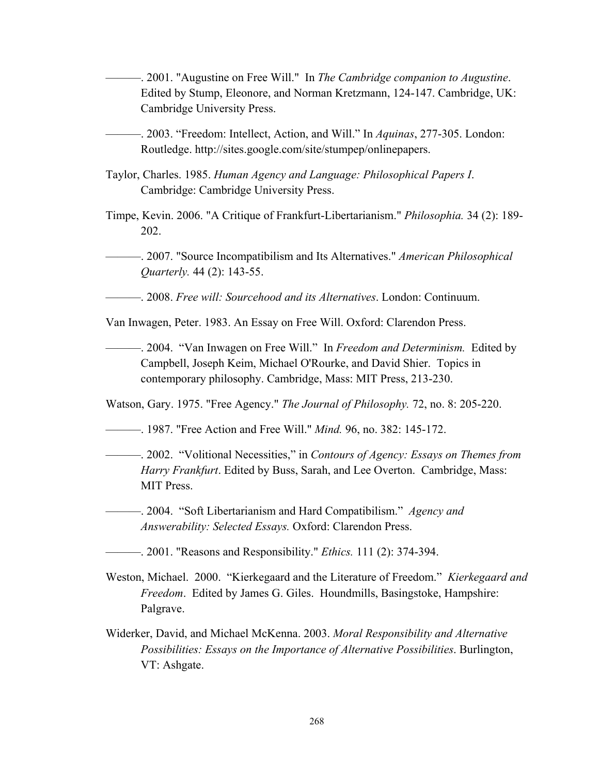———. 2001. "Augustine on Free Will." In *The Cambridge companion to Augustine*. Edited by Stump, Eleonore, and Norman Kretzmann, 124-147. Cambridge, UK: Cambridge University Press.

———. 2003. "Freedom: Intellect, Action, and Will." In *Aquinas*, 277-305. London: Routledge. http://sites.google.com/site/stumpep/onlinepapers.

- Taylor, Charles. 1985. *Human Agency and Language: Philosophical Papers I*. Cambridge: Cambridge University Press.
- Timpe, Kevin. 2006. "A Critique of Frankfurt-Libertarianism." *Philosophia.* 34 (2): 189- 202.
	- ———. 2007. "Source Incompatibilism and Its Alternatives." *American Philosophical Quarterly.* 44 (2): 143-55.

———. 2008. *Free will: Sourcehood and its Alternatives*. London: Continuum.

Van Inwagen, Peter. 1983. An Essay on Free Will. Oxford: Clarendon Press.

———. 2004. "Van Inwagen on Free Will." In *Freedom and Determinism.* Edited by Campbell, Joseph Keim, Michael O'Rourke, and David Shier. Topics in contemporary philosophy. Cambridge, Mass: MIT Press, 213-230.

Watson, Gary. 1975. "Free Agency." *The Journal of Philosophy.* 72, no. 8: 205-220.

- ———. 1987. "Free Action and Free Will." *Mind.* 96, no. 382: 145-172.
- ———. 2002. "Volitional Necessities," in *Contours of Agency: Essays on Themes from Harry Frankfurt*. Edited by Buss, Sarah, and Lee Overton. Cambridge, Mass: MIT Press.
- ———. 2004. "Soft Libertarianism and Hard Compatibilism." *Agency and Answerability: Selected Essays.* Oxford: Clarendon Press.
- ———. 2001. "Reasons and Responsibility." *Ethics.* 111 (2): 374-394.
- Weston, Michael. 2000. "Kierkegaard and the Literature of Freedom." *Kierkegaard and Freedom*. Edited by James G. Giles. Houndmills, Basingstoke, Hampshire: Palgrave.
- Widerker, David, and Michael McKenna. 2003. *Moral Responsibility and Alternative Possibilities: Essays on the Importance of Alternative Possibilities*. Burlington, VT: Ashgate.